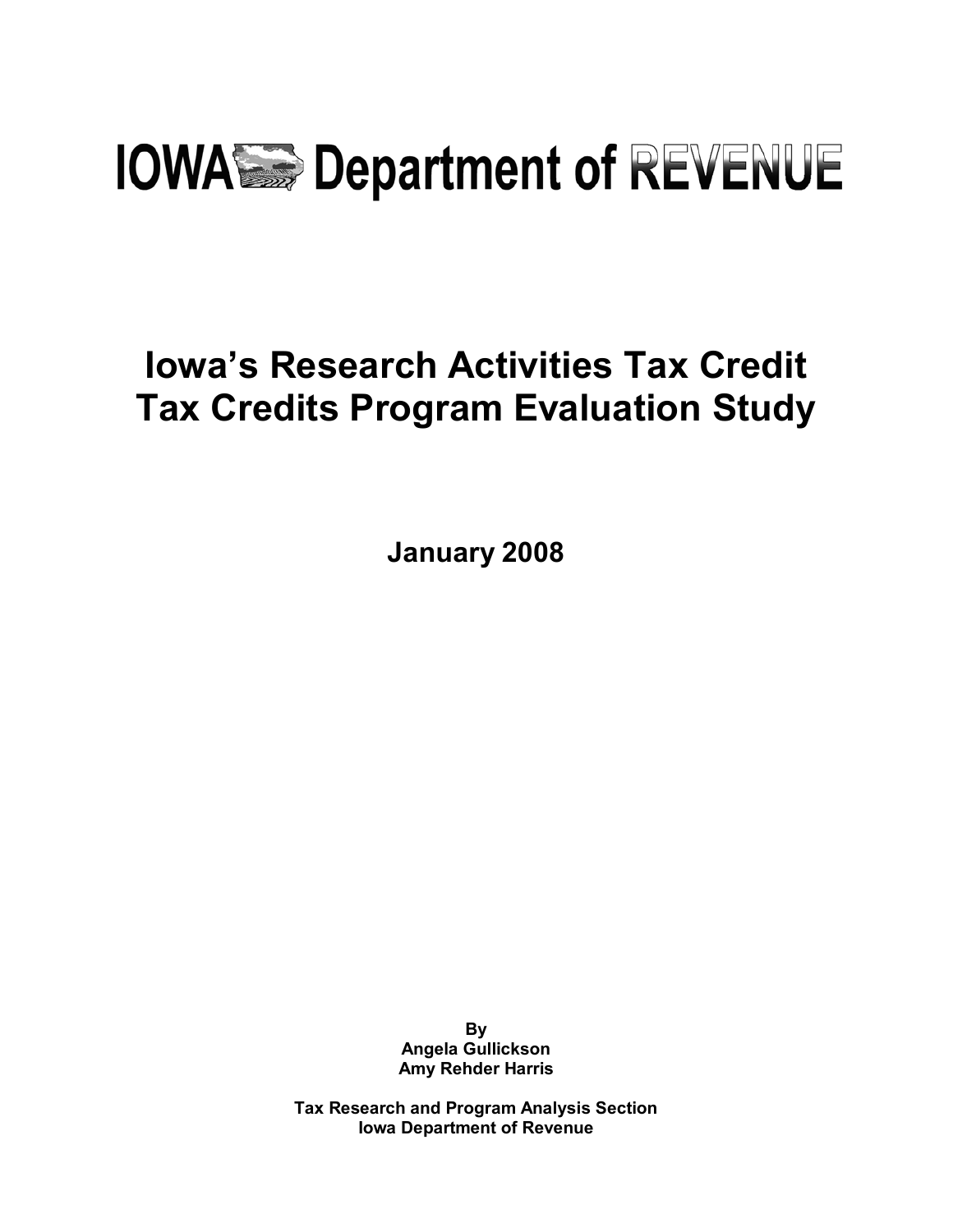# **IOWASE Department of REVENUE**

## **Iowa's Research Activities Tax Credit Tax Credits Program Evaluation Study**

**January 2008** 

**By Angela Gullickson Amy Rehder Harris** 

**Tax Research and Program Analysis Section Iowa Department of Revenue**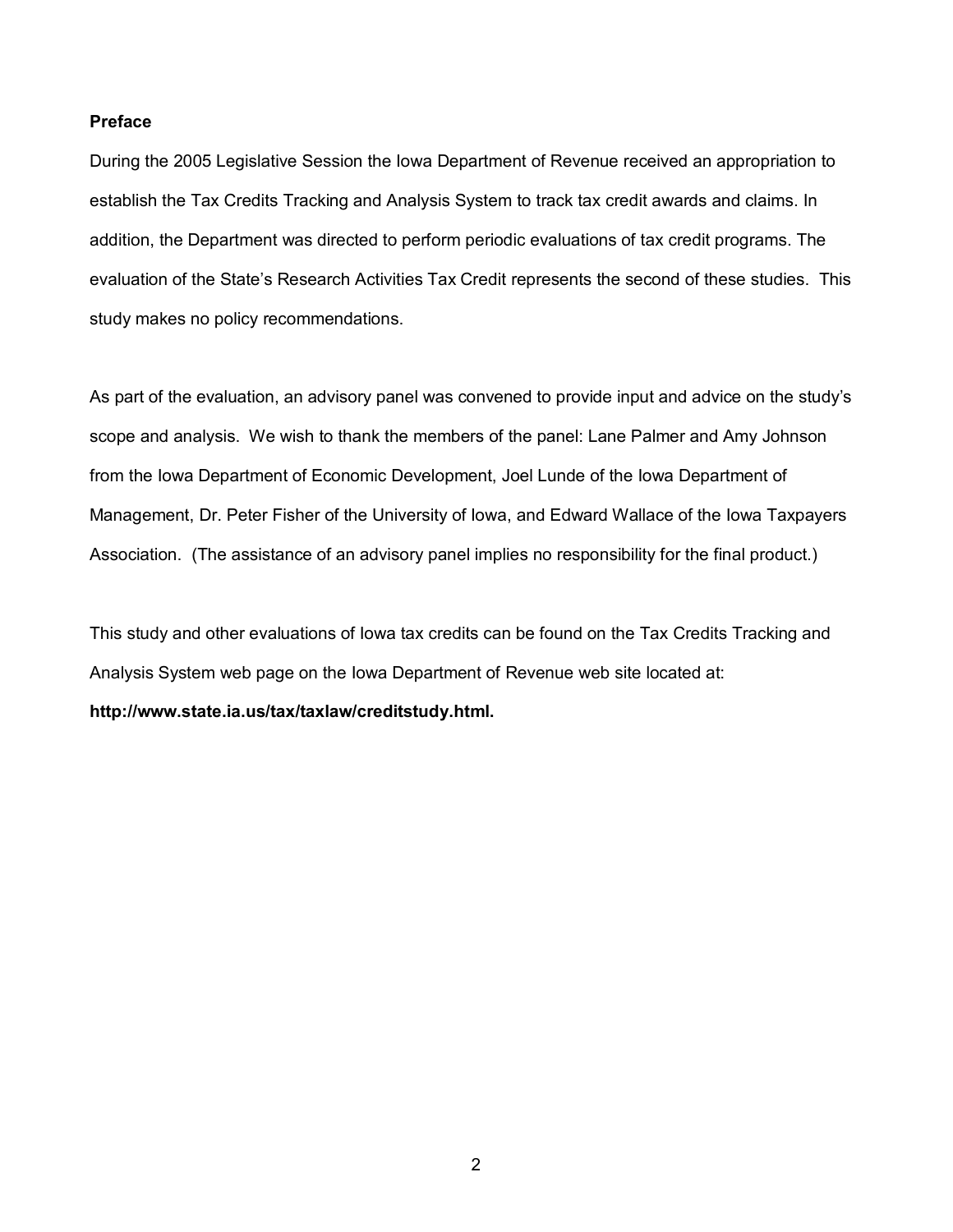## **Preface**

During the 2005 Legislative Session the Iowa Department of Revenue received an appropriation to establish the Tax Credits Tracking and Analysis System to track tax credit awards and claims. In addition, the Department was directed to perform periodic evaluations of tax credit programs. The evaluation of the State's Research Activities Tax Credit represents the second of these studies. This study makes no policy recommendations.

As part of the evaluation, an advisory panel was convened to provide input and advice on the study's scope and analysis. We wish to thank the members of the panel: Lane Palmer and Amy Johnson from the Iowa Department of Economic Development, Joel Lunde of the Iowa Department of Management, Dr. Peter Fisher of the University of Iowa, and Edward Wallace of the Iowa Taxpayers Association. (The assistance of an advisory panel implies no responsibility for the final product.)

This study and other evaluations of Iowa tax credits can be found on the Tax Credits Tracking and Analysis System web page on the Iowa Department of Revenue web site located at: **http://www.state.ia.us/tax/taxlaw/creditstudy.html.**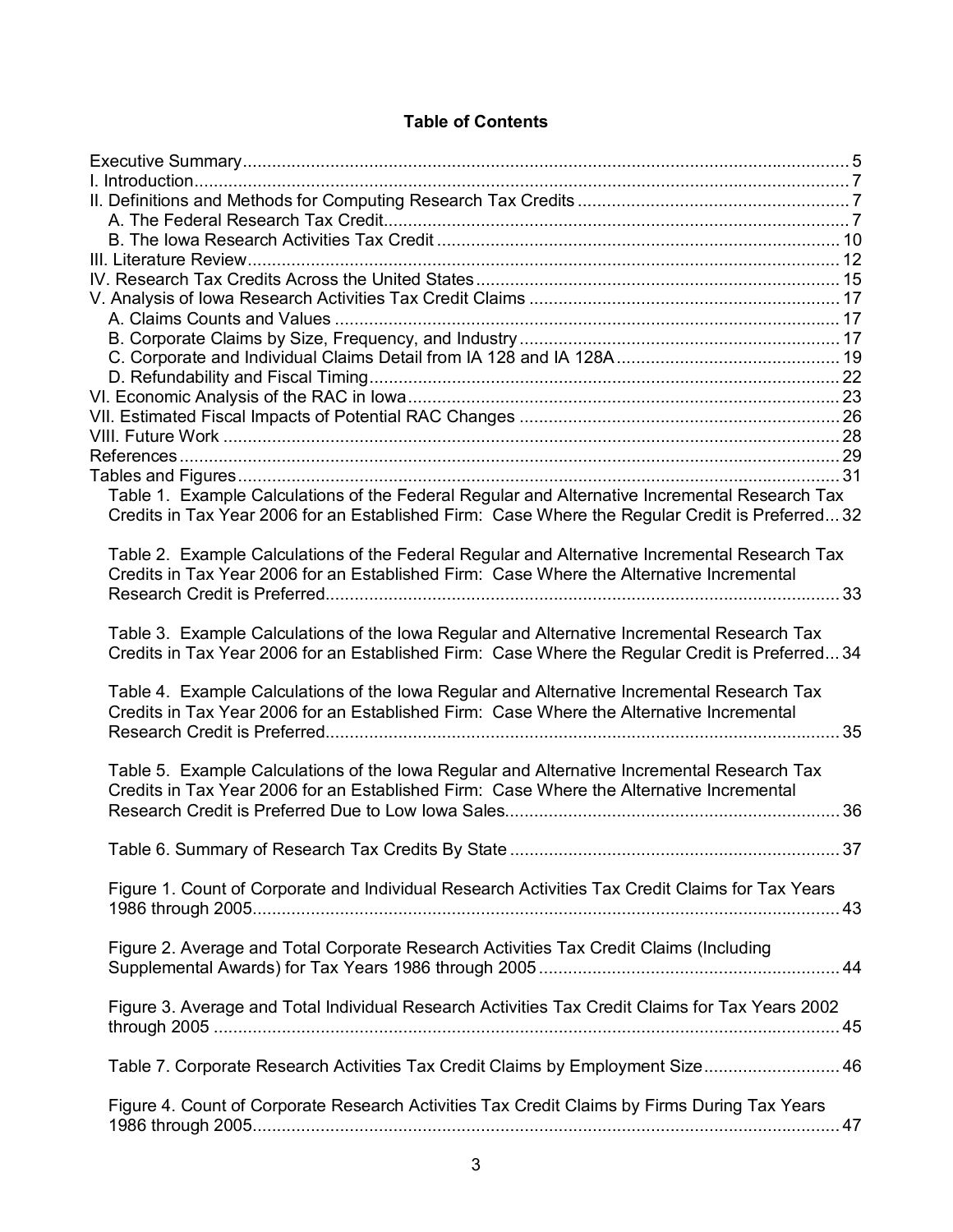## **Table of Contents**

| Table 1. Example Calculations of the Federal Regular and Alternative Incremental Research Tax   |    |
|-------------------------------------------------------------------------------------------------|----|
| Credits in Tax Year 2006 for an Established Firm: Case Where the Regular Credit is Preferred32  |    |
|                                                                                                 |    |
| Table 2. Example Calculations of the Federal Regular and Alternative Incremental Research Tax   |    |
| Credits in Tax Year 2006 for an Established Firm: Case Where the Alternative Incremental        |    |
|                                                                                                 |    |
|                                                                                                 |    |
| Table 3. Example Calculations of the Iowa Regular and Alternative Incremental Research Tax      |    |
| Credits in Tax Year 2006 for an Established Firm: Case Where the Regular Credit is Preferred34  |    |
| Table 4. Example Calculations of the Iowa Regular and Alternative Incremental Research Tax      |    |
| Credits in Tax Year 2006 for an Established Firm: Case Where the Alternative Incremental        |    |
|                                                                                                 |    |
|                                                                                                 |    |
| Table 5. Example Calculations of the Iowa Regular and Alternative Incremental Research Tax      |    |
| Credits in Tax Year 2006 for an Established Firm: Case Where the Alternative Incremental        |    |
|                                                                                                 | 36 |
|                                                                                                 |    |
|                                                                                                 |    |
|                                                                                                 |    |
| Figure 1. Count of Corporate and Individual Research Activities Tax Credit Claims for Tax Years |    |
|                                                                                                 |    |
| Figure 2. Average and Total Corporate Research Activities Tax Credit Claims (Including          |    |
|                                                                                                 |    |
|                                                                                                 |    |
| Figure 3. Average and Total Individual Research Activities Tax Credit Claims for Tax Years 2002 |    |
|                                                                                                 |    |
|                                                                                                 |    |
| Table 7. Corporate Research Activities Tax Credit Claims by Employment Size 46                  |    |
|                                                                                                 |    |
| Figure 4. Count of Corporate Research Activities Tax Credit Claims by Firms During Tax Years    |    |
|                                                                                                 |    |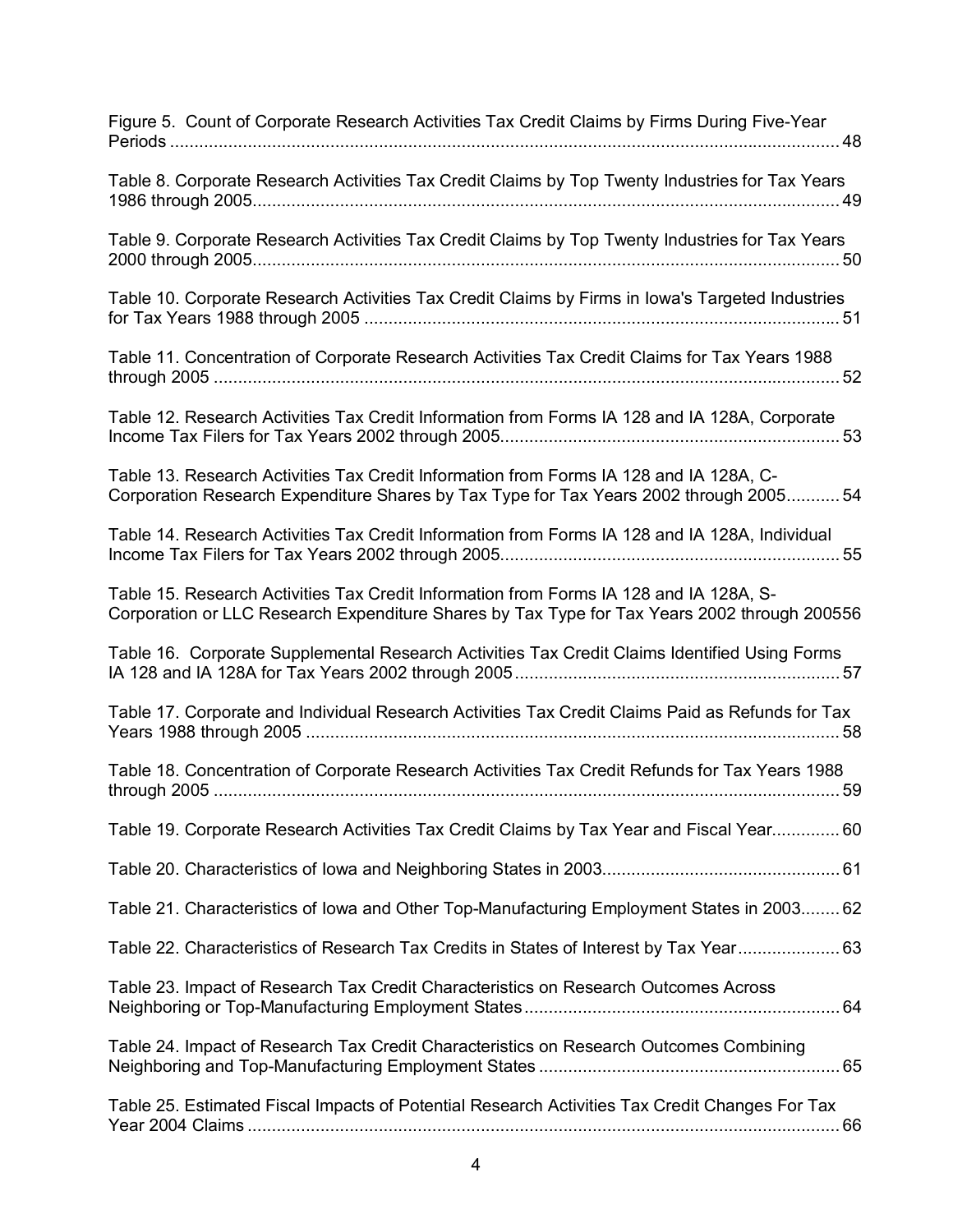| Figure 5. Count of Corporate Research Activities Tax Credit Claims by Firms During Five-Year                                                                                           |
|----------------------------------------------------------------------------------------------------------------------------------------------------------------------------------------|
| Table 8. Corporate Research Activities Tax Credit Claims by Top Twenty Industries for Tax Years                                                                                        |
| Table 9. Corporate Research Activities Tax Credit Claims by Top Twenty Industries for Tax Years                                                                                        |
| Table 10. Corporate Research Activities Tax Credit Claims by Firms in Iowa's Targeted Industries                                                                                       |
| Table 11. Concentration of Corporate Research Activities Tax Credit Claims for Tax Years 1988                                                                                          |
| Table 12. Research Activities Tax Credit Information from Forms IA 128 and IA 128A, Corporate                                                                                          |
| Table 13. Research Activities Tax Credit Information from Forms IA 128 and IA 128A, C-<br>Corporation Research Expenditure Shares by Tax Type for Tax Years 2002 through 200554        |
| Table 14. Research Activities Tax Credit Information from Forms IA 128 and IA 128A, Individual                                                                                         |
| Table 15. Research Activities Tax Credit Information from Forms IA 128 and IA 128A, S-<br>Corporation or LLC Research Expenditure Shares by Tax Type for Tax Years 2002 through 200556 |
|                                                                                                                                                                                        |
| Table 16. Corporate Supplemental Research Activities Tax Credit Claims Identified Using Forms                                                                                          |
| Table 17. Corporate and Individual Research Activities Tax Credit Claims Paid as Refunds for Tax                                                                                       |
| Table 18. Concentration of Corporate Research Activities Tax Credit Refunds for Tax Years 1988                                                                                         |
| Table 19. Corporate Research Activities Tax Credit Claims by Tax Year and Fiscal Year 60                                                                                               |
|                                                                                                                                                                                        |
| Table 21. Characteristics of lowa and Other Top-Manufacturing Employment States in 2003 62                                                                                             |
| Table 22. Characteristics of Research Tax Credits in States of Interest by Tax Year 63                                                                                                 |
| Table 23. Impact of Research Tax Credit Characteristics on Research Outcomes Across                                                                                                    |
| Table 24. Impact of Research Tax Credit Characteristics on Research Outcomes Combining                                                                                                 |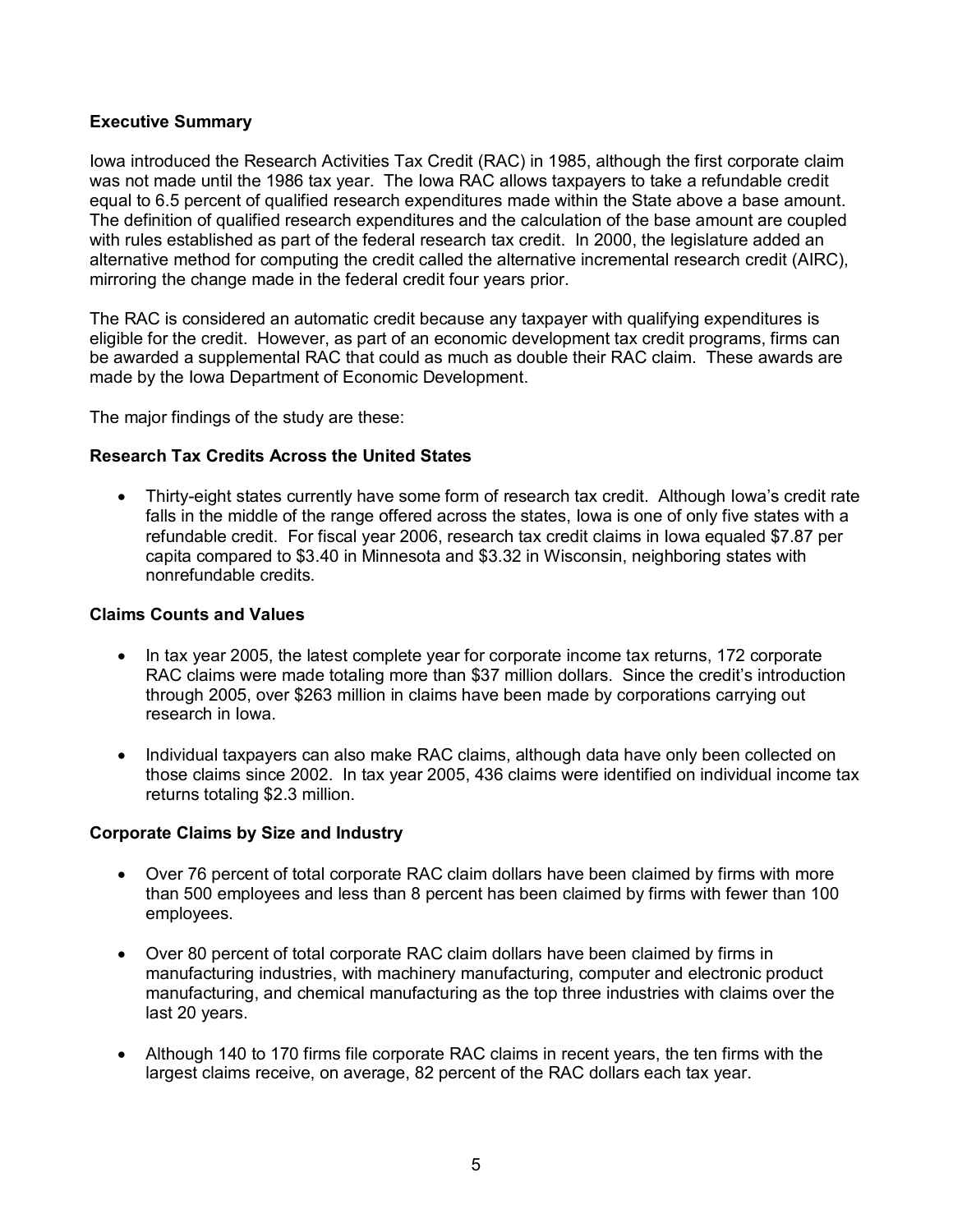## **Executive Summary**

Iowa introduced the Research Activities Tax Credit (RAC) in 1985, although the first corporate claim was not made until the 1986 tax year. The Iowa RAC allows taxpayers to take a refundable credit equal to 6.5 percent of qualified research expenditures made within the State above a base amount. The definition of qualified research expenditures and the calculation of the base amount are coupled with rules established as part of the federal research tax credit. In 2000, the legislature added an alternative method for computing the credit called the alternative incremental research credit (AIRC), mirroring the change made in the federal credit four years prior.

The RAC is considered an automatic credit because any taxpayer with qualifying expenditures is eligible for the credit. However, as part of an economic development tax credit programs, firms can be awarded a supplemental RAC that could as much as double their RAC claim. These awards are made by the Iowa Department of Economic Development.

The major findings of the study are these:

## **Research Tax Credits Across the United States**

• Thirty-eight states currently have some form of research tax credit. Although Iowa's credit rate falls in the middle of the range offered across the states, Iowa is one of only five states with a refundable credit. For fiscal year 2006, research tax credit claims in Iowa equaled \$7.87 per capita compared to \$3.40 in Minnesota and \$3.32 in Wisconsin, neighboring states with nonrefundable credits.

## **Claims Counts and Values**

- In tax year 2005, the latest complete year for corporate income tax returns, 172 corporate RAC claims were made totaling more than \$37 million dollars. Since the credit's introduction through 2005, over \$263 million in claims have been made by corporations carrying out research in Iowa.
- Individual taxpayers can also make RAC claims, although data have only been collected on those claims since 2002. In tax year 2005, 436 claims were identified on individual income tax returns totaling \$2.3 million.

## **Corporate Claims by Size and Industry**

- Over 76 percent of total corporate RAC claim dollars have been claimed by firms with more than 500 employees and less than 8 percent has been claimed by firms with fewer than 100 employees.
- Over 80 percent of total corporate RAC claim dollars have been claimed by firms in manufacturing industries, with machinery manufacturing, computer and electronic product manufacturing, and chemical manufacturing as the top three industries with claims over the last 20 years.
- Although 140 to 170 firms file corporate RAC claims in recent years, the ten firms with the largest claims receive, on average, 82 percent of the RAC dollars each tax year.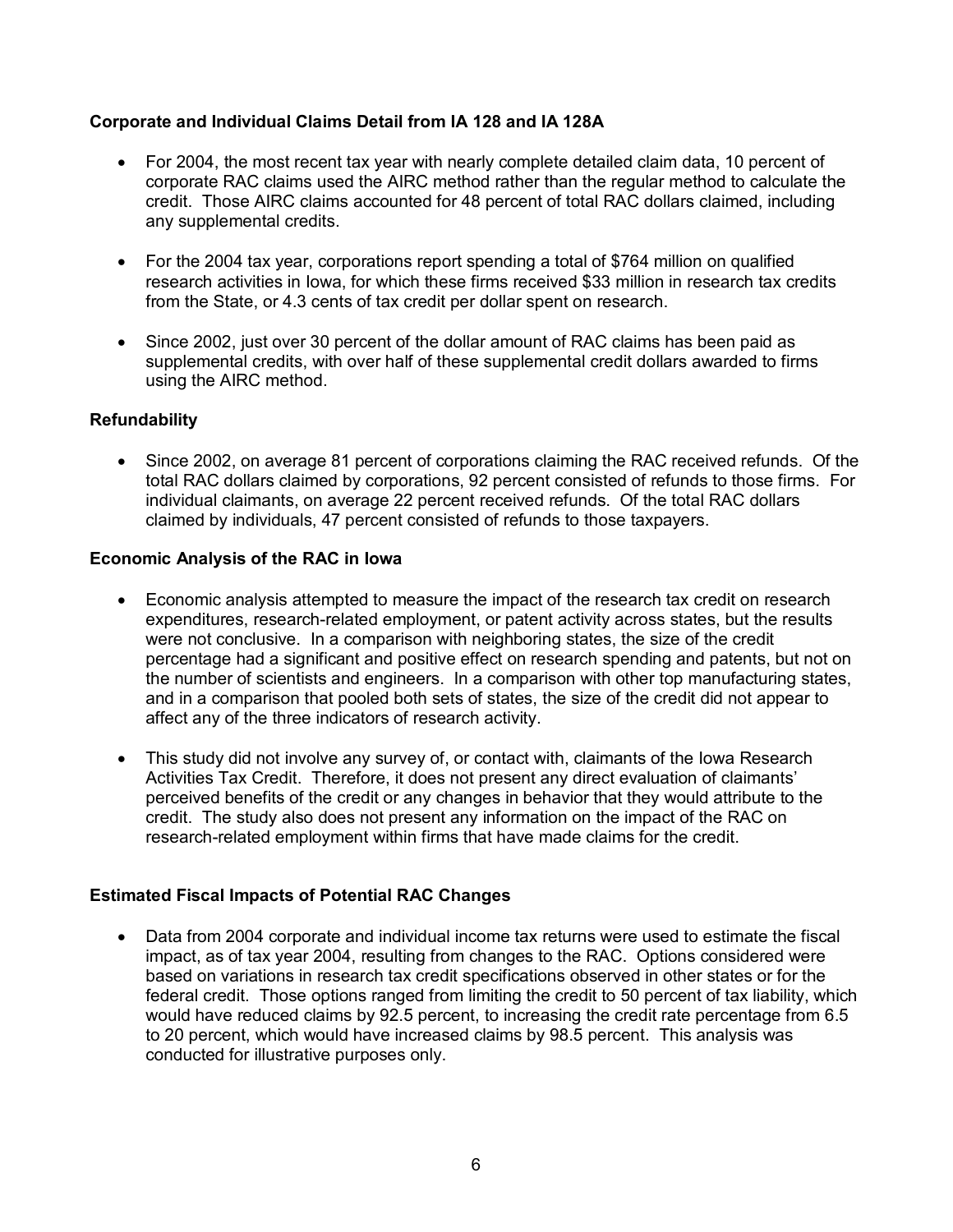## **Corporate and Individual Claims Detail from IA 128 and IA 128A**

- For 2004, the most recent tax year with nearly complete detailed claim data, 10 percent of corporate RAC claims used the AIRC method rather than the regular method to calculate the credit. Those AIRC claims accounted for 48 percent of total RAC dollars claimed, including any supplemental credits.
- For the 2004 tax year, corporations report spending a total of \$764 million on qualified research activities in Iowa, for which these firms received \$33 million in research tax credits from the State, or 4.3 cents of tax credit per dollar spent on research.
- Since 2002, just over 30 percent of the dollar amount of RAC claims has been paid as supplemental credits, with over half of these supplemental credit dollars awarded to firms using the AIRC method.

## **Refundability**

• Since 2002, on average 81 percent of corporations claiming the RAC received refunds. Of the total RAC dollars claimed by corporations, 92 percent consisted of refunds to those firms. For individual claimants, on average 22 percent received refunds. Of the total RAC dollars claimed by individuals, 47 percent consisted of refunds to those taxpayers.

## **Economic Analysis of the RAC in Iowa**

- Economic analysis attempted to measure the impact of the research tax credit on research expenditures, research-related employment, or patent activity across states, but the results were not conclusive. In a comparison with neighboring states, the size of the credit percentage had a significant and positive effect on research spending and patents, but not on the number of scientists and engineers. In a comparison with other top manufacturing states, and in a comparison that pooled both sets of states, the size of the credit did not appear to affect any of the three indicators of research activity.
- This study did not involve any survey of, or contact with, claimants of the lowa Research Activities Tax Credit. Therefore, it does not present any direct evaluation of claimants' perceived benefits of the credit or any changes in behavior that they would attribute to the credit. The study also does not present any information on the impact of the RAC on research-related employment within firms that have made claims for the credit.

## **Estimated Fiscal Impacts of Potential RAC Changes**

• Data from 2004 corporate and individual income tax returns were used to estimate the fiscal impact, as of tax year 2004, resulting from changes to the RAC. Options considered were based on variations in research tax credit specifications observed in other states or for the federal credit. Those options ranged from limiting the credit to 50 percent of tax liability, which would have reduced claims by 92.5 percent, to increasing the credit rate percentage from 6.5 to 20 percent, which would have increased claims by 98.5 percent. This analysis was conducted for illustrative purposes only.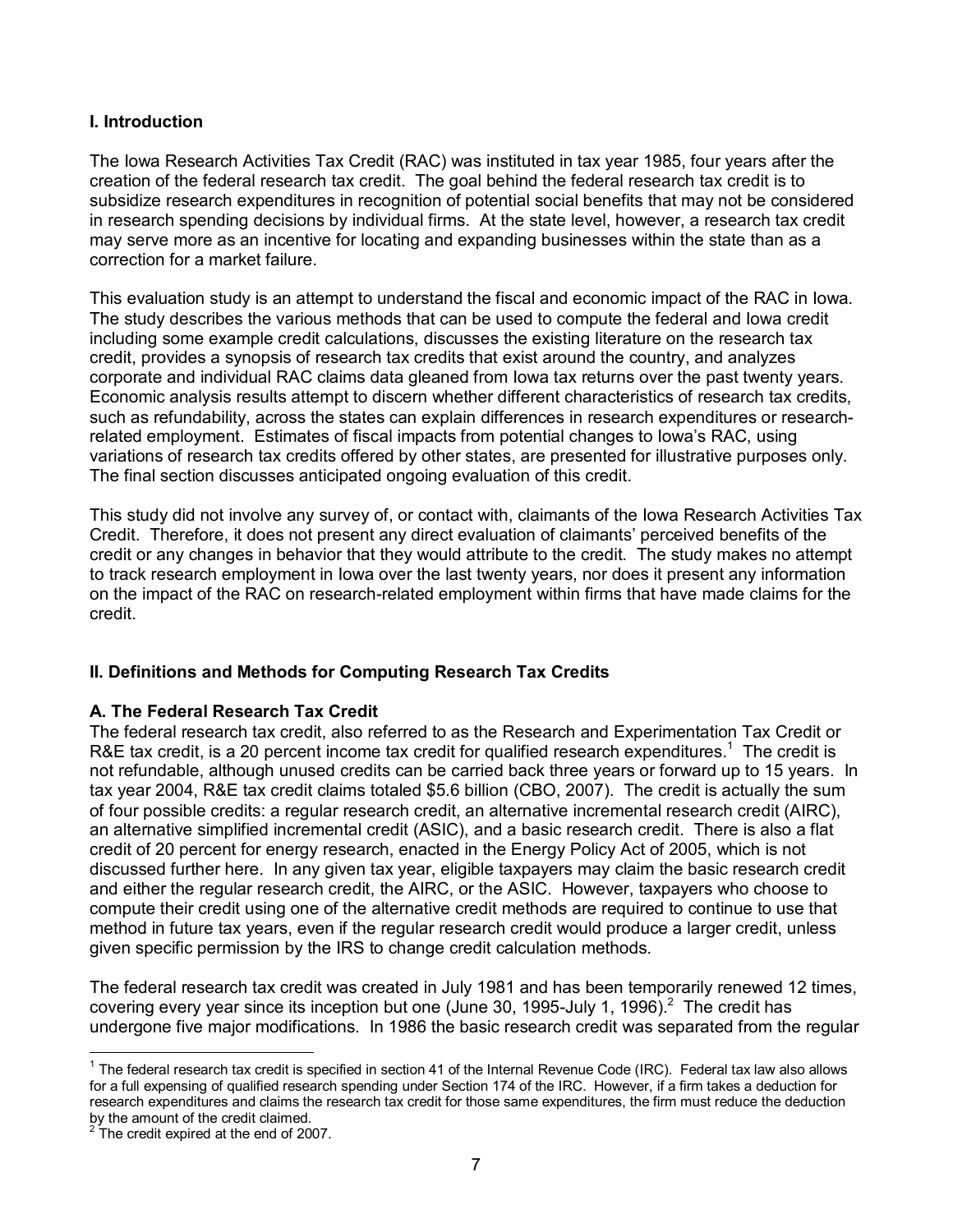## **I. Introduction**

The Iowa Research Activities Tax Credit (RAC) was instituted in tax year 1985, four years after the creation of the federal research tax credit. The goal behind the federal research tax credit is to subsidize research expenditures in recognition of potential social benefits that may not be considered in research spending decisions by individual firms. At the state level, however, a research tax credit may serve more as an incentive for locating and expanding businesses within the state than as a correction for a market failure.

This evaluation study is an attempt to understand the fiscal and economic impact of the RAC in Iowa. The study describes the various methods that can be used to compute the federal and Iowa credit including some example credit calculations, discusses the existing literature on the research tax credit, provides a synopsis of research tax credits that exist around the country, and analyzes corporate and individual RAC claims data gleaned from Iowa tax returns over the past twenty years. Economic analysis results attempt to discern whether different characteristics of research tax credits, such as refundability, across the states can explain differences in research expenditures or researchrelated employment. Estimates of fiscal impacts from potential changes to Iowa's RAC, using variations of research tax credits offered by other states, are presented for illustrative purposes only. The final section discusses anticipated ongoing evaluation of this credit.

This study did not involve any survey of, or contact with, claimants of the Iowa Research Activities Tax Credit. Therefore, it does not present any direct evaluation of claimants' perceived benefits of the credit or any changes in behavior that they would attribute to the credit. The study makes no attempt to track research employment in Iowa over the last twenty years, nor does it present any information on the impact of the RAC on research-related employment within firms that have made claims for the credit.

## **II. Definitions and Methods for Computing Research Tax Credits**

## **A. The Federal Research Tax Credit**

The federal research tax credit, also referred to as the Research and Experimentation Tax Credit or R&E tax credit, is a 20 percent income tax credit for qualified research expenditures.<sup>1</sup> The credit is not refundable, although unused credits can be carried back three years or forward up to 15 years. In tax year 2004, R&E tax credit claims totaled \$5.6 billion (CBO, 2007). The credit is actually the sum of four possible credits: a regular research credit, an alternative incremental research credit (AIRC), an alternative simplified incremental credit (ASIC), and a basic research credit. There is also a flat credit of 20 percent for energy research, enacted in the Energy Policy Act of 2005, which is not discussed further here. In any given tax year, eligible taxpayers may claim the basic research credit and either the regular research credit, the AIRC, or the ASIC. However, taxpayers who choose to compute their credit using one of the alternative credit methods are required to continue to use that method in future tax years, even if the regular research credit would produce a larger credit, unless given specific permission by the IRS to change credit calculation methods.

The federal research tax credit was created in July 1981 and has been temporarily renewed 12 times, covering every year since its inception but one (June 30, 1995-July 1, 1996).<sup>2</sup> The credit has undergone five major modifications. In 1986 the basic research credit was separated from the regular

 $\overline{a}$  $1$  The federal research tax credit is specified in section 41 of the Internal Revenue Code (IRC). Federal tax law also allows for a full expensing of qualified research spending under Section 174 of the IRC. However, if a firm takes a deduction for research expenditures and claims the research tax credit for those same expenditures, the firm must reduce the deduction by the amount of the credit claimed.<br><sup>2</sup> The aredit overced at the and of 20

The credit expired at the end of 2007.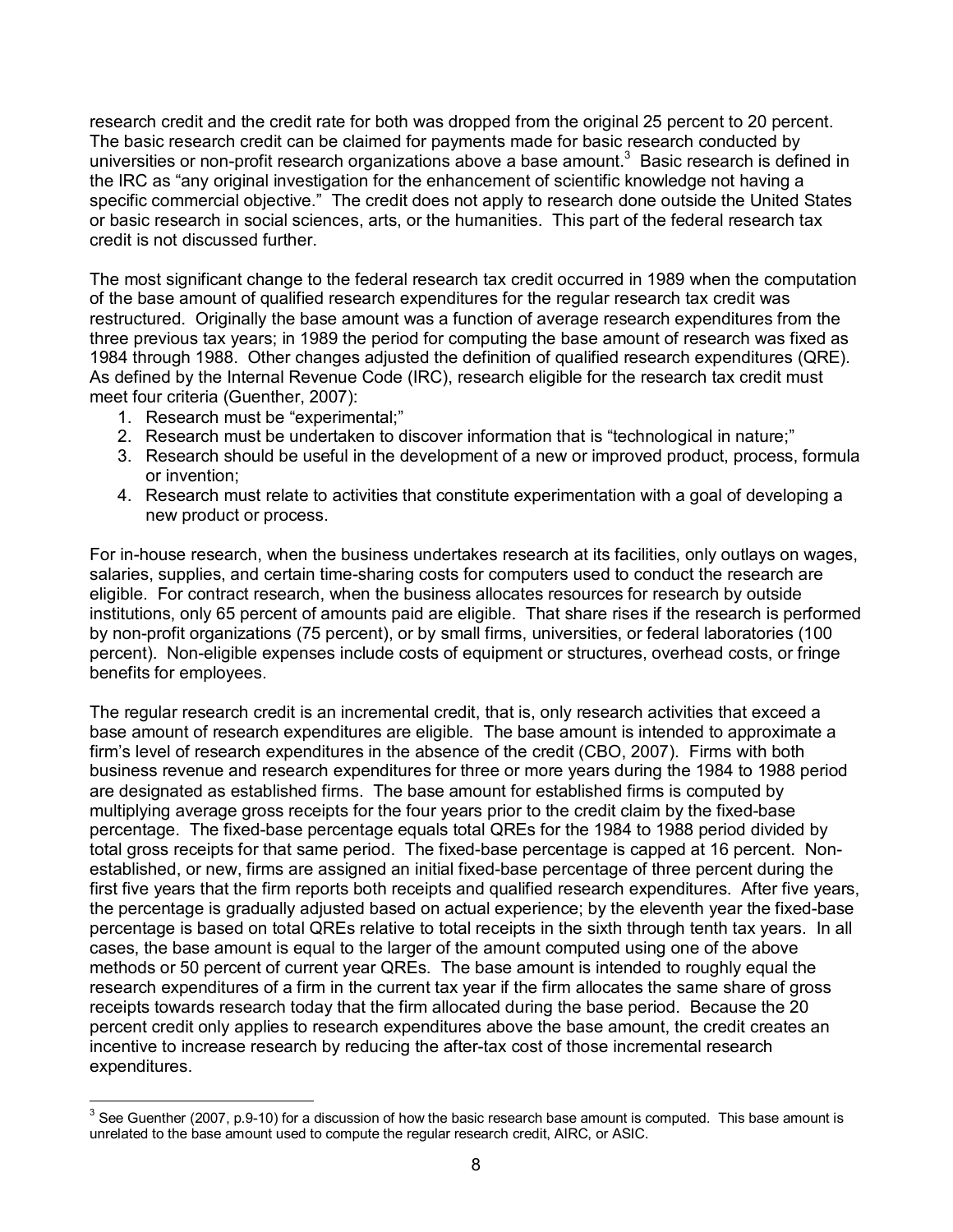research credit and the credit rate for both was dropped from the original 25 percent to 20 percent. The basic research credit can be claimed for payments made for basic research conducted by universities or non-profit research organizations above a base amount.<sup>3</sup> Basic research is defined in the IRC as "any original investigation for the enhancement of scientific knowledge not having a specific commercial objective." The credit does not apply to research done outside the United States or basic research in social sciences, arts, or the humanities. This part of the federal research tax credit is not discussed further.

The most significant change to the federal research tax credit occurred in 1989 when the computation of the base amount of qualified research expenditures for the regular research tax credit was restructured. Originally the base amount was a function of average research expenditures from the three previous tax years; in 1989 the period for computing the base amount of research was fixed as 1984 through 1988. Other changes adjusted the definition of qualified research expenditures (QRE). As defined by the Internal Revenue Code (IRC), research eligible for the research tax credit must meet four criteria (Guenther, 2007):

1. Research must be "experimental;"

 $\overline{a}$ 

- 2. Research must be undertaken to discover information that is "technological in nature;"
- 3. Research should be useful in the development of a new or improved product, process, formula or invention;
- 4. Research must relate to activities that constitute experimentation with a goal of developing a new product or process.

For in-house research, when the business undertakes research at its facilities, only outlays on wages, salaries, supplies, and certain time-sharing costs for computers used to conduct the research are eligible. For contract research, when the business allocates resources for research by outside institutions, only 65 percent of amounts paid are eligible. That share rises if the research is performed by non-profit organizations (75 percent), or by small firms, universities, or federal laboratories (100 percent). Non-eligible expenses include costs of equipment or structures, overhead costs, or fringe benefits for employees.

The regular research credit is an incremental credit, that is, only research activities that exceed a base amount of research expenditures are eligible. The base amount is intended to approximate a firm's level of research expenditures in the absence of the credit (CBO, 2007). Firms with both business revenue and research expenditures for three or more years during the 1984 to 1988 period are designated as established firms. The base amount for established firms is computed by multiplying average gross receipts for the four years prior to the credit claim by the fixed-base percentage. The fixed-base percentage equals total QREs for the 1984 to 1988 period divided by total gross receipts for that same period. The fixed-base percentage is capped at 16 percent. Nonestablished, or new, firms are assigned an initial fixed-base percentage of three percent during the first five years that the firm reports both receipts and qualified research expenditures. After five years, the percentage is gradually adjusted based on actual experience; by the eleventh year the fixed-base percentage is based on total QREs relative to total receipts in the sixth through tenth tax years. In all cases, the base amount is equal to the larger of the amount computed using one of the above methods or 50 percent of current year QREs. The base amount is intended to roughly equal the research expenditures of a firm in the current tax year if the firm allocates the same share of gross receipts towards research today that the firm allocated during the base period. Because the 20 percent credit only applies to research expenditures above the base amount, the credit creates an incentive to increase research by reducing the after-tax cost of those incremental research expenditures.

 $3$  See Guenther (2007, p.9-10) for a discussion of how the basic research base amount is computed. This base amount is unrelated to the base amount used to compute the regular research credit, AIRC, or ASIC.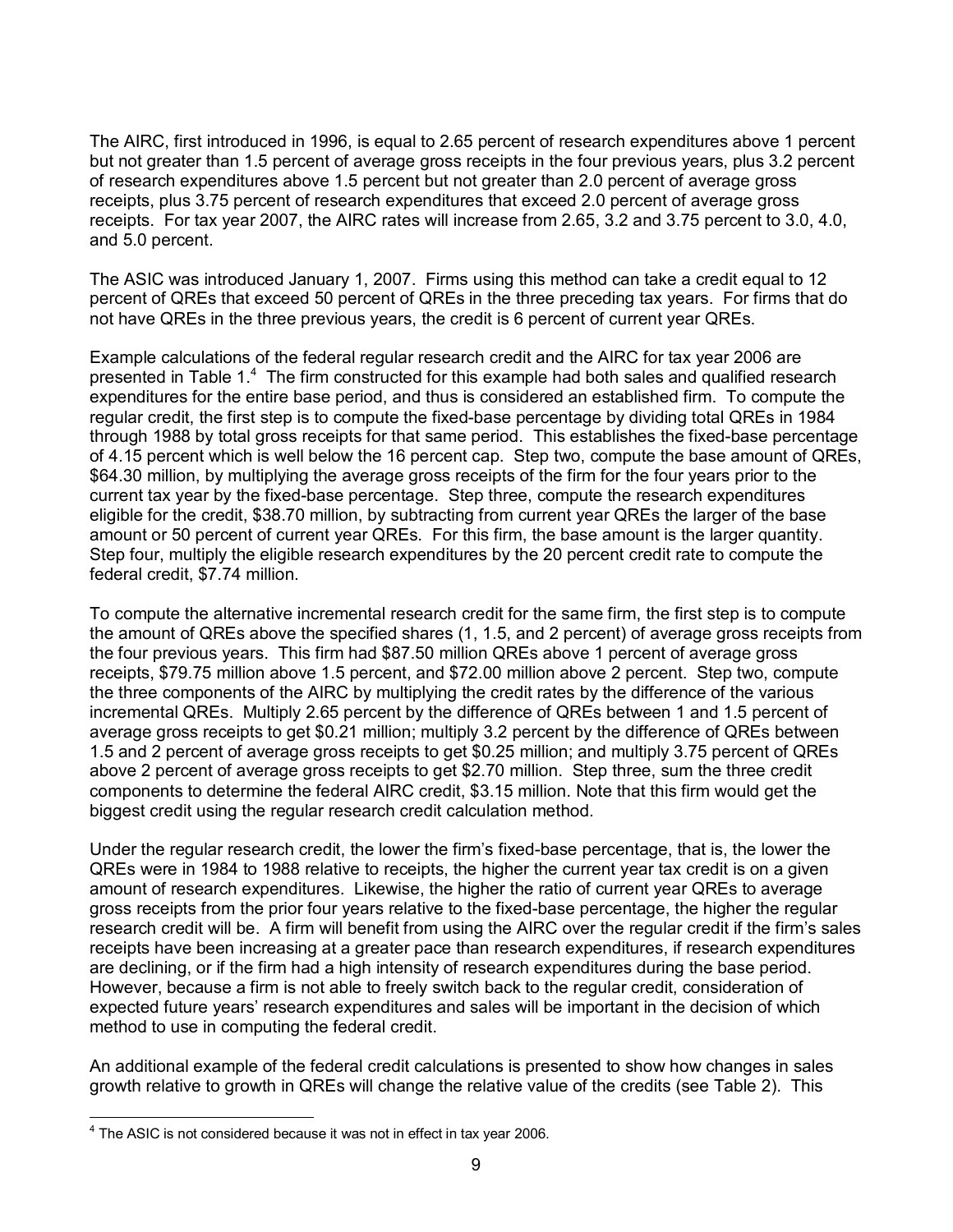The AIRC, first introduced in 1996, is equal to 2.65 percent of research expenditures above 1 percent but not greater than 1.5 percent of average gross receipts in the four previous years, plus 3.2 percent of research expenditures above 1.5 percent but not greater than 2.0 percent of average gross receipts, plus 3.75 percent of research expenditures that exceed 2.0 percent of average gross receipts. For tax year 2007, the AIRC rates will increase from 2.65, 3.2 and 3.75 percent to 3.0, 4.0, and 5.0 percent.

The ASIC was introduced January 1, 2007. Firms using this method can take a credit equal to 12 percent of QREs that exceed 50 percent of QREs in the three preceding tax years. For firms that do not have QREs in the three previous years, the credit is 6 percent of current year QREs.

Example calculations of the federal regular research credit and the AIRC for tax year 2006 are presented in Table 1.<sup>4</sup> The firm constructed for this example had both sales and qualified research expenditures for the entire base period, and thus is considered an established firm. To compute the regular credit, the first step is to compute the fixed-base percentage by dividing total QREs in 1984 through 1988 by total gross receipts for that same period. This establishes the fixed-base percentage of 4.15 percent which is well below the 16 percent cap. Step two, compute the base amount of QREs, \$64.30 million, by multiplying the average gross receipts of the firm for the four years prior to the current tax year by the fixed-base percentage. Step three, compute the research expenditures eligible for the credit, \$38.70 million, by subtracting from current year QREs the larger of the base amount or 50 percent of current year QREs. For this firm, the base amount is the larger quantity. Step four, multiply the eligible research expenditures by the 20 percent credit rate to compute the federal credit, \$7.74 million.

To compute the alternative incremental research credit for the same firm, the first step is to compute the amount of QREs above the specified shares (1, 1.5, and 2 percent) of average gross receipts from the four previous years. This firm had \$87.50 million QREs above 1 percent of average gross receipts, \$79.75 million above 1.5 percent, and \$72.00 million above 2 percent. Step two, compute the three components of the AIRC by multiplying the credit rates by the difference of the various incremental QREs. Multiply 2.65 percent by the difference of QREs between 1 and 1.5 percent of average gross receipts to get \$0.21 million; multiply 3.2 percent by the difference of QREs between 1.5 and 2 percent of average gross receipts to get \$0.25 million; and multiply 3.75 percent of QREs above 2 percent of average gross receipts to get \$2.70 million. Step three, sum the three credit components to determine the federal AIRC credit, \$3.15 million. Note that this firm would get the biggest credit using the regular research credit calculation method.

Under the regular research credit, the lower the firm's fixed-base percentage, that is, the lower the QREs were in 1984 to 1988 relative to receipts, the higher the current year tax credit is on a given amount of research expenditures. Likewise, the higher the ratio of current year QREs to average gross receipts from the prior four years relative to the fixed-base percentage, the higher the regular research credit will be. A firm will benefit from using the AIRC over the regular credit if the firm's sales receipts have been increasing at a greater pace than research expenditures, if research expenditures are declining, or if the firm had a high intensity of research expenditures during the base period. However, because a firm is not able to freely switch back to the regular credit, consideration of expected future years' research expenditures and sales will be important in the decision of which method to use in computing the federal credit.

An additional example of the federal credit calculations is presented to show how changes in sales growth relative to growth in QREs will change the relative value of the credits (see Table 2). This

 $\overline{a}$  $4$  The ASIC is not considered because it was not in effect in tax year 2006.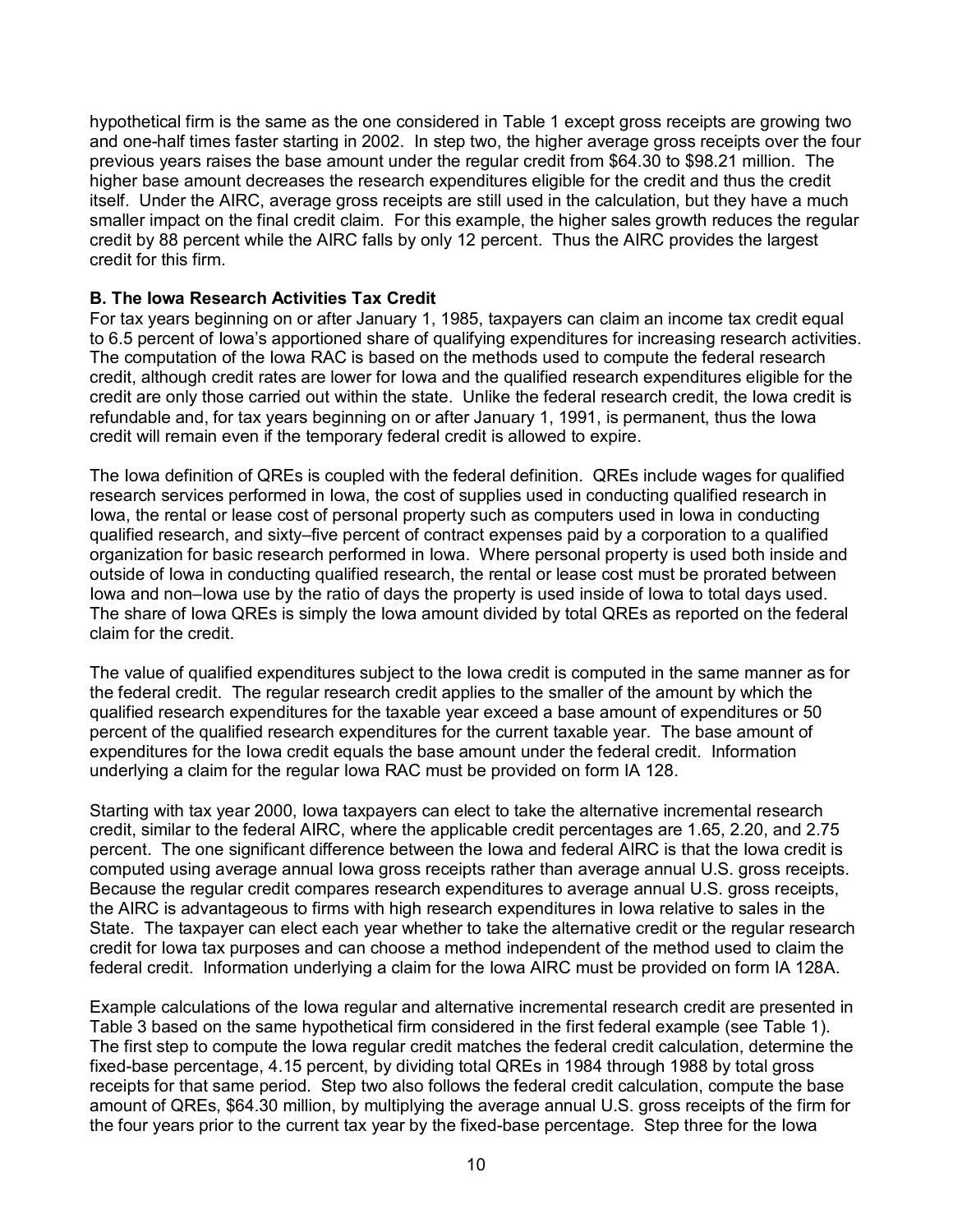hypothetical firm is the same as the one considered in Table 1 except gross receipts are growing two and one-half times faster starting in 2002. In step two, the higher average gross receipts over the four previous years raises the base amount under the regular credit from \$64.30 to \$98.21 million. The higher base amount decreases the research expenditures eligible for the credit and thus the credit itself. Under the AIRC, average gross receipts are still used in the calculation, but they have a much smaller impact on the final credit claim. For this example, the higher sales growth reduces the regular credit by 88 percent while the AIRC falls by only 12 percent. Thus the AIRC provides the largest credit for this firm.

## **B. The Iowa Research Activities Tax Credit**

For tax years beginning on or after January 1, 1985, taxpayers can claim an income tax credit equal to 6.5 percent of Iowa's apportioned share of qualifying expenditures for increasing research activities. The computation of the Iowa RAC is based on the methods used to compute the federal research credit, although credit rates are lower for Iowa and the qualified research expenditures eligible for the credit are only those carried out within the state. Unlike the federal research credit, the Iowa credit is refundable and, for tax years beginning on or after January 1, 1991, is permanent, thus the Iowa credit will remain even if the temporary federal credit is allowed to expire.

The Iowa definition of QREs is coupled with the federal definition. QREs include wages for qualified research services performed in Iowa, the cost of supplies used in conducting qualified research in Iowa, the rental or lease cost of personal property such as computers used in Iowa in conducting qualified research, and sixty–five percent of contract expenses paid by a corporation to a qualified organization for basic research performed in Iowa. Where personal property is used both inside and outside of Iowa in conducting qualified research, the rental or lease cost must be prorated between Iowa and non–Iowa use by the ratio of days the property is used inside of Iowa to total days used. The share of Iowa QREs is simply the Iowa amount divided by total QREs as reported on the federal claim for the credit.

The value of qualified expenditures subject to the Iowa credit is computed in the same manner as for the federal credit. The regular research credit applies to the smaller of the amount by which the qualified research expenditures for the taxable year exceed a base amount of expenditures or 50 percent of the qualified research expenditures for the current taxable year. The base amount of expenditures for the Iowa credit equals the base amount under the federal credit. Information underlying a claim for the regular Iowa RAC must be provided on form IA 128.

Starting with tax year 2000, Iowa taxpayers can elect to take the alternative incremental research credit, similar to the federal AIRC, where the applicable credit percentages are 1.65, 2.20, and 2.75 percent. The one significant difference between the Iowa and federal AIRC is that the Iowa credit is computed using average annual Iowa gross receipts rather than average annual U.S. gross receipts. Because the regular credit compares research expenditures to average annual U.S. gross receipts, the AIRC is advantageous to firms with high research expenditures in Iowa relative to sales in the State. The taxpayer can elect each year whether to take the alternative credit or the regular research credit for Iowa tax purposes and can choose a method independent of the method used to claim the federal credit. Information underlying a claim for the Iowa AIRC must be provided on form IA 128A.

Example calculations of the Iowa regular and alternative incremental research credit are presented in Table 3 based on the same hypothetical firm considered in the first federal example (see Table 1). The first step to compute the Iowa regular credit matches the federal credit calculation, determine the fixed-base percentage, 4.15 percent, by dividing total QREs in 1984 through 1988 by total gross receipts for that same period. Step two also follows the federal credit calculation, compute the base amount of QREs, \$64.30 million, by multiplying the average annual U.S. gross receipts of the firm for the four years prior to the current tax year by the fixed-base percentage. Step three for the Iowa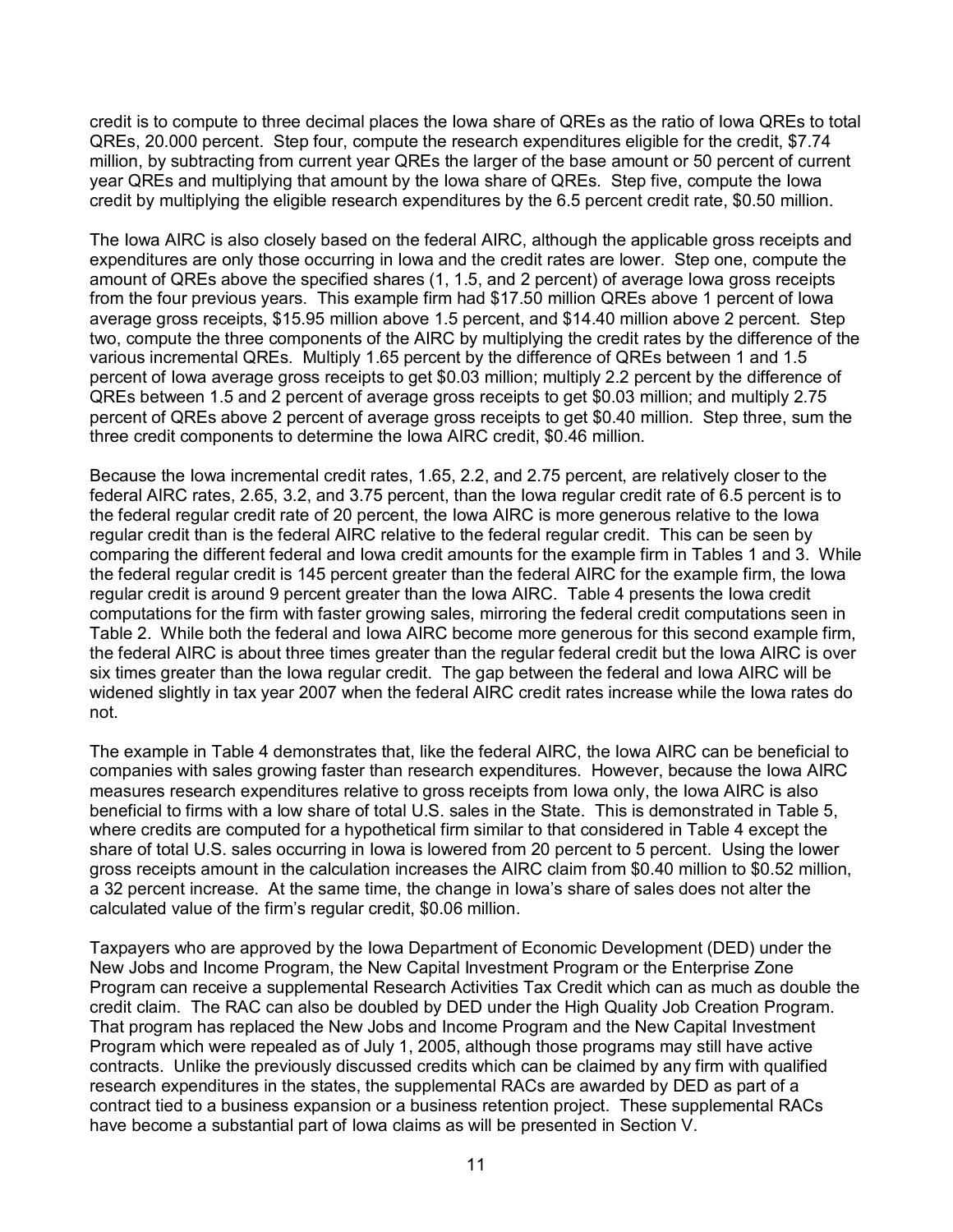credit is to compute to three decimal places the Iowa share of QREs as the ratio of Iowa QREs to total QREs, 20.000 percent. Step four, compute the research expenditures eligible for the credit, \$7.74 million, by subtracting from current year QREs the larger of the base amount or 50 percent of current year QREs and multiplying that amount by the Iowa share of QREs. Step five, compute the Iowa credit by multiplying the eligible research expenditures by the 6.5 percent credit rate, \$0.50 million.

The Iowa AIRC is also closely based on the federal AIRC, although the applicable gross receipts and expenditures are only those occurring in Iowa and the credit rates are lower. Step one, compute the amount of QREs above the specified shares (1, 1.5, and 2 percent) of average Iowa gross receipts from the four previous years. This example firm had \$17.50 million QREs above 1 percent of Iowa average gross receipts, \$15.95 million above 1.5 percent, and \$14.40 million above 2 percent. Step two, compute the three components of the AIRC by multiplying the credit rates by the difference of the various incremental QREs*.* Multiply 1.65 percent by the difference of QREs between 1 and 1.5 percent of Iowa average gross receipts to get \$0.03 million; multiply 2.2 percent by the difference of QREs between 1.5 and 2 percent of average gross receipts to get \$0.03 million; and multiply 2.75 percent of QREs above 2 percent of average gross receipts to get \$0.40 million. Step three, sum the three credit components to determine the Iowa AIRC credit, \$0.46 million.

Because the Iowa incremental credit rates, 1.65, 2.2, and 2.75 percent, are relatively closer to the federal AIRC rates, 2.65, 3.2, and 3.75 percent, than the Iowa regular credit rate of 6.5 percent is to the federal regular credit rate of 20 percent, the Iowa AIRC is more generous relative to the Iowa regular credit than is the federal AIRC relative to the federal regular credit. This can be seen by comparing the different federal and Iowa credit amounts for the example firm in Tables 1 and 3. While the federal regular credit is 145 percent greater than the federal AIRC for the example firm, the Iowa regular credit is around 9 percent greater than the Iowa AIRC. Table 4 presents the Iowa credit computations for the firm with faster growing sales, mirroring the federal credit computations seen in Table 2. While both the federal and Iowa AIRC become more generous for this second example firm, the federal AIRC is about three times greater than the regular federal credit but the Iowa AIRC is over six times greater than the Iowa regular credit. The gap between the federal and Iowa AIRC will be widened slightly in tax year 2007 when the federal AIRC credit rates increase while the Iowa rates do not.

The example in Table 4 demonstrates that, like the federal AIRC, the Iowa AIRC can be beneficial to companies with sales growing faster than research expenditures. However, because the Iowa AIRC measures research expenditures relative to gross receipts from Iowa only, the Iowa AIRC is also beneficial to firms with a low share of total U.S. sales in the State. This is demonstrated in Table 5, where credits are computed for a hypothetical firm similar to that considered in Table 4 except the share of total U.S. sales occurring in Iowa is lowered from 20 percent to 5 percent. Using the lower gross receipts amount in the calculation increases the AIRC claim from \$0.40 million to \$0.52 million, a 32 percent increase. At the same time, the change in Iowa's share of sales does not alter the calculated value of the firm's regular credit, \$0.06 million.

Taxpayers who are approved by the Iowa Department of Economic Development (DED) under the New Jobs and Income Program, the New Capital Investment Program or the Enterprise Zone Program can receive a supplemental Research Activities Tax Credit which can as much as double the credit claim. The RAC can also be doubled by DED under the High Quality Job Creation Program. That program has replaced the New Jobs and Income Program and the New Capital Investment Program which were repealed as of July 1, 2005, although those programs may still have active contracts. Unlike the previously discussed credits which can be claimed by any firm with qualified research expenditures in the states, the supplemental RACs are awarded by DED as part of a contract tied to a business expansion or a business retention project. These supplemental RACs have become a substantial part of Iowa claims as will be presented in Section V.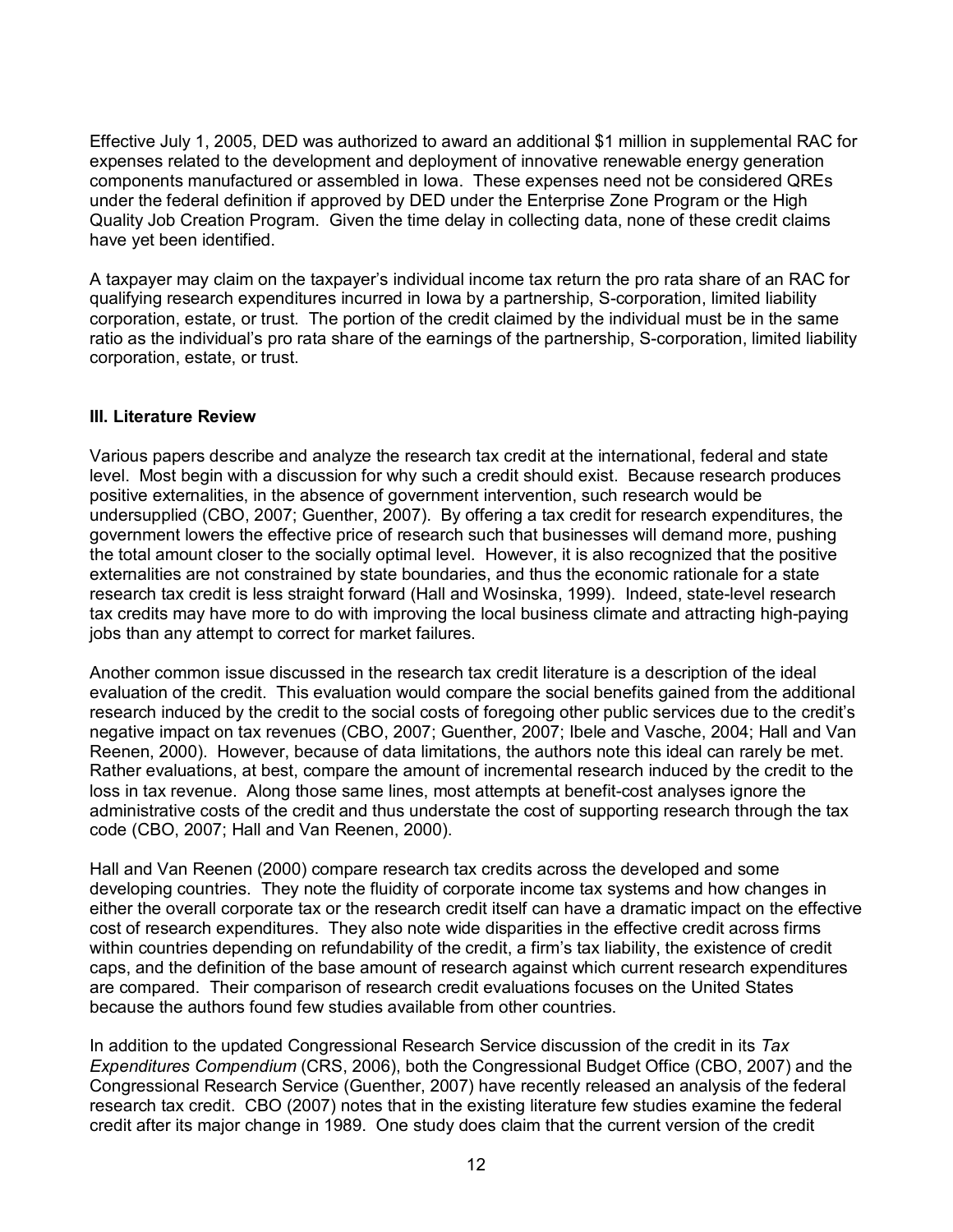Effective July 1, 2005, DED was authorized to award an additional \$1 million in supplemental RAC for expenses related to the development and deployment of innovative renewable energy generation components manufactured or assembled in Iowa. These expenses need not be considered QREs under the federal definition if approved by DED under the Enterprise Zone Program or the High Quality Job Creation Program. Given the time delay in collecting data, none of these credit claims have yet been identified.

A taxpayer may claim on the taxpayer's individual income tax return the pro rata share of an RAC for qualifying research expenditures incurred in Iowa by a partnership, S-corporation, limited liability corporation, estate, or trust. The portion of the credit claimed by the individual must be in the same ratio as the individual's pro rata share of the earnings of the partnership, S-corporation, limited liability corporation, estate, or trust.

## **III. Literature Review**

Various papers describe and analyze the research tax credit at the international, federal and state level. Most begin with a discussion for why such a credit should exist. Because research produces positive externalities, in the absence of government intervention, such research would be undersupplied (CBO, 2007; Guenther, 2007). By offering a tax credit for research expenditures, the government lowers the effective price of research such that businesses will demand more, pushing the total amount closer to the socially optimal level. However, it is also recognized that the positive externalities are not constrained by state boundaries, and thus the economic rationale for a state research tax credit is less straight forward (Hall and Wosinska, 1999). Indeed, state-level research tax credits may have more to do with improving the local business climate and attracting high-paying jobs than any attempt to correct for market failures.

Another common issue discussed in the research tax credit literature is a description of the ideal evaluation of the credit. This evaluation would compare the social benefits gained from the additional research induced by the credit to the social costs of foregoing other public services due to the credit's negative impact on tax revenues (CBO, 2007; Guenther, 2007; Ibele and Vasche, 2004; Hall and Van Reenen, 2000). However, because of data limitations, the authors note this ideal can rarely be met. Rather evaluations, at best, compare the amount of incremental research induced by the credit to the loss in tax revenue. Along those same lines, most attempts at benefit-cost analyses ignore the administrative costs of the credit and thus understate the cost of supporting research through the tax code (CBO, 2007; Hall and Van Reenen, 2000).

Hall and Van Reenen (2000) compare research tax credits across the developed and some developing countries. They note the fluidity of corporate income tax systems and how changes in either the overall corporate tax or the research credit itself can have a dramatic impact on the effective cost of research expenditures. They also note wide disparities in the effective credit across firms within countries depending on refundability of the credit, a firm's tax liability, the existence of credit caps, and the definition of the base amount of research against which current research expenditures are compared. Their comparison of research credit evaluations focuses on the United States because the authors found few studies available from other countries.

In addition to the updated Congressional Research Service discussion of the credit in its *Tax Expenditures Compendium* (CRS, 2006), both the Congressional Budget Office (CBO, 2007) and the Congressional Research Service (Guenther, 2007) have recently released an analysis of the federal research tax credit. CBO (2007) notes that in the existing literature few studies examine the federal credit after its major change in 1989. One study does claim that the current version of the credit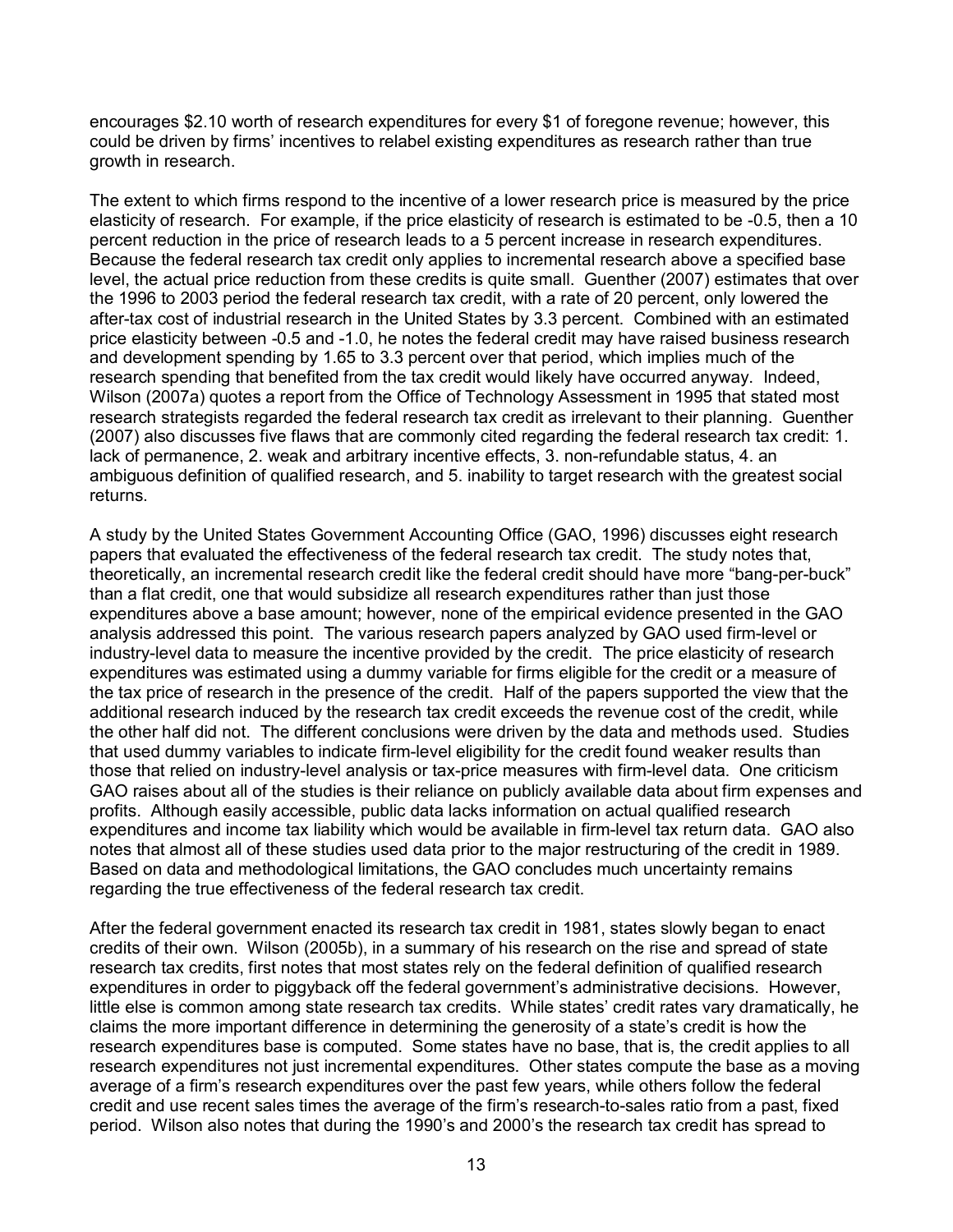encourages \$2.10 worth of research expenditures for every \$1 of foregone revenue; however, this could be driven by firms' incentives to relabel existing expenditures as research rather than true growth in research.

The extent to which firms respond to the incentive of a lower research price is measured by the price elasticity of research. For example, if the price elasticity of research is estimated to be -0.5, then a 10 percent reduction in the price of research leads to a 5 percent increase in research expenditures. Because the federal research tax credit only applies to incremental research above a specified base level, the actual price reduction from these credits is quite small. Guenther (2007) estimates that over the 1996 to 2003 period the federal research tax credit, with a rate of 20 percent, only lowered the after-tax cost of industrial research in the United States by 3.3 percent. Combined with an estimated price elasticity between -0.5 and -1.0, he notes the federal credit may have raised business research and development spending by 1.65 to 3.3 percent over that period, which implies much of the research spending that benefited from the tax credit would likely have occurred anyway. Indeed, Wilson (2007a) quotes a report from the Office of Technology Assessment in 1995 that stated most research strategists regarded the federal research tax credit as irrelevant to their planning. Guenther (2007) also discusses five flaws that are commonly cited regarding the federal research tax credit: 1. lack of permanence, 2. weak and arbitrary incentive effects, 3. non-refundable status, 4. an ambiguous definition of qualified research, and 5. inability to target research with the greatest social returns.

A study by the United States Government Accounting Office (GAO, 1996) discusses eight research papers that evaluated the effectiveness of the federal research tax credit. The study notes that, theoretically, an incremental research credit like the federal credit should have more "bang-per-buck" than a flat credit, one that would subsidize all research expenditures rather than just those expenditures above a base amount; however, none of the empirical evidence presented in the GAO analysis addressed this point. The various research papers analyzed by GAO used firm-level or industry-level data to measure the incentive provided by the credit. The price elasticity of research expenditures was estimated using a dummy variable for firms eligible for the credit or a measure of the tax price of research in the presence of the credit. Half of the papers supported the view that the additional research induced by the research tax credit exceeds the revenue cost of the credit, while the other half did not. The different conclusions were driven by the data and methods used. Studies that used dummy variables to indicate firm-level eligibility for the credit found weaker results than those that relied on industry-level analysis or tax-price measures with firm-level data. One criticism GAO raises about all of the studies is their reliance on publicly available data about firm expenses and profits. Although easily accessible, public data lacks information on actual qualified research expenditures and income tax liability which would be available in firm-level tax return data. GAO also notes that almost all of these studies used data prior to the major restructuring of the credit in 1989. Based on data and methodological limitations, the GAO concludes much uncertainty remains regarding the true effectiveness of the federal research tax credit.

After the federal government enacted its research tax credit in 1981, states slowly began to enact credits of their own. Wilson (2005b), in a summary of his research on the rise and spread of state research tax credits, first notes that most states rely on the federal definition of qualified research expenditures in order to piggyback off the federal government's administrative decisions. However, little else is common among state research tax credits. While states' credit rates vary dramatically, he claims the more important difference in determining the generosity of a state's credit is how the research expenditures base is computed. Some states have no base, that is, the credit applies to all research expenditures not just incremental expenditures. Other states compute the base as a moving average of a firm's research expenditures over the past few years, while others follow the federal credit and use recent sales times the average of the firm's research-to-sales ratio from a past, fixed period. Wilson also notes that during the 1990's and 2000's the research tax credit has spread to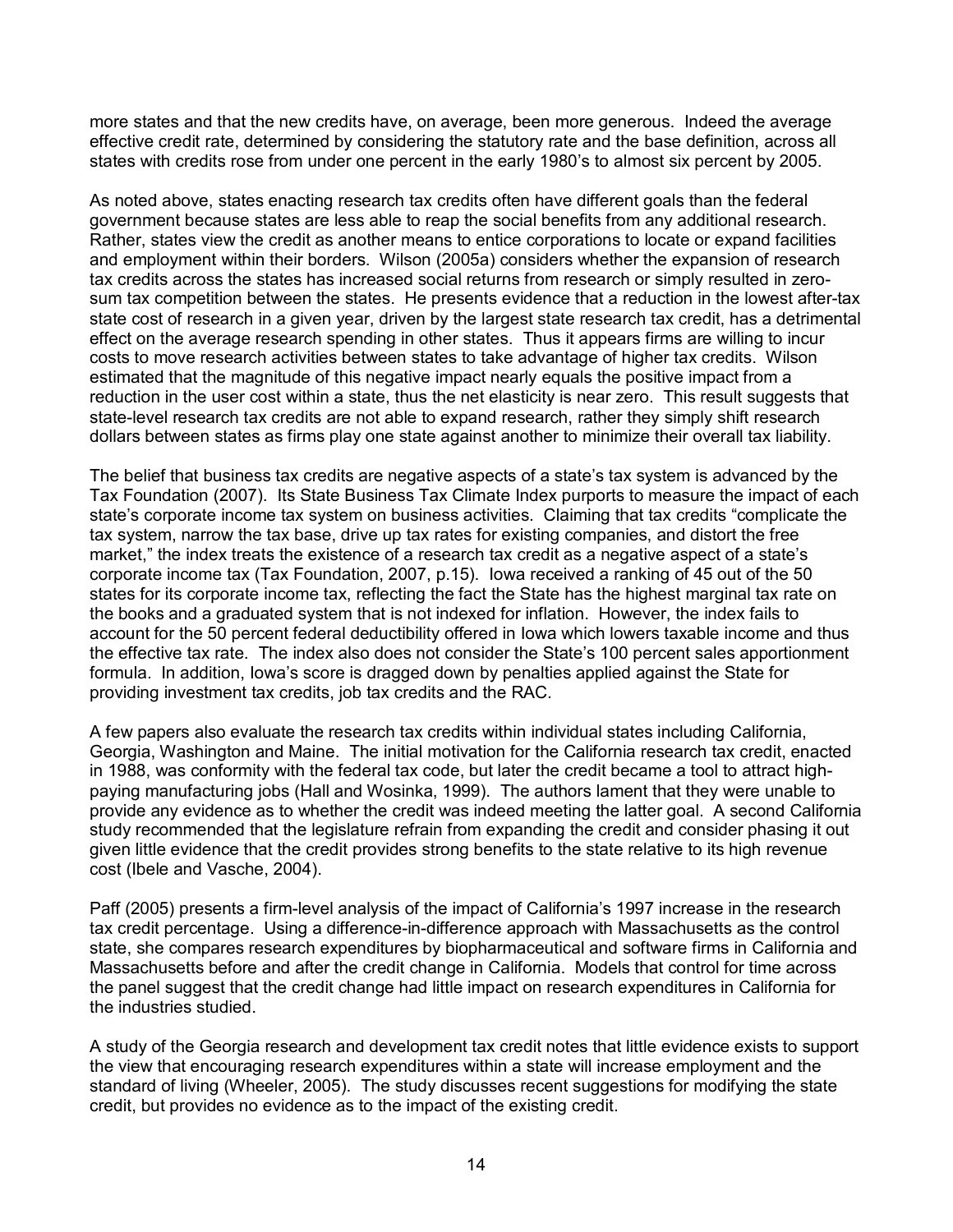more states and that the new credits have, on average, been more generous. Indeed the average effective credit rate, determined by considering the statutory rate and the base definition, across all states with credits rose from under one percent in the early 1980's to almost six percent by 2005.

As noted above, states enacting research tax credits often have different goals than the federal government because states are less able to reap the social benefits from any additional research. Rather, states view the credit as another means to entice corporations to locate or expand facilities and employment within their borders. Wilson (2005a) considers whether the expansion of research tax credits across the states has increased social returns from research or simply resulted in zerosum tax competition between the states. He presents evidence that a reduction in the lowest after-tax state cost of research in a given year, driven by the largest state research tax credit, has a detrimental effect on the average research spending in other states. Thus it appears firms are willing to incur costs to move research activities between states to take advantage of higher tax credits. Wilson estimated that the magnitude of this negative impact nearly equals the positive impact from a reduction in the user cost within a state, thus the net elasticity is near zero. This result suggests that state-level research tax credits are not able to expand research, rather they simply shift research dollars between states as firms play one state against another to minimize their overall tax liability.

The belief that business tax credits are negative aspects of a state's tax system is advanced by the Tax Foundation (2007). Its State Business Tax Climate Index purports to measure the impact of each state's corporate income tax system on business activities. Claiming that tax credits "complicate the tax system, narrow the tax base, drive up tax rates for existing companies, and distort the free market," the index treats the existence of a research tax credit as a negative aspect of a state's corporate income tax (Tax Foundation, 2007, p.15). Iowa received a ranking of 45 out of the 50 states for its corporate income tax, reflecting the fact the State has the highest marginal tax rate on the books and a graduated system that is not indexed for inflation. However, the index fails to account for the 50 percent federal deductibility offered in Iowa which lowers taxable income and thus the effective tax rate. The index also does not consider the State's 100 percent sales apportionment formula. In addition, Iowa's score is dragged down by penalties applied against the State for providing investment tax credits, job tax credits and the RAC.

A few papers also evaluate the research tax credits within individual states including California, Georgia, Washington and Maine. The initial motivation for the California research tax credit, enacted in 1988, was conformity with the federal tax code, but later the credit became a tool to attract highpaying manufacturing jobs (Hall and Wosinka, 1999). The authors lament that they were unable to provide any evidence as to whether the credit was indeed meeting the latter goal. A second California study recommended that the legislature refrain from expanding the credit and consider phasing it out given little evidence that the credit provides strong benefits to the state relative to its high revenue cost (Ibele and Vasche, 2004).

Paff (2005) presents a firm-level analysis of the impact of California's 1997 increase in the research tax credit percentage. Using a difference-in-difference approach with Massachusetts as the control state, she compares research expenditures by biopharmaceutical and software firms in California and Massachusetts before and after the credit change in California. Models that control for time across the panel suggest that the credit change had little impact on research expenditures in California for the industries studied.

A study of the Georgia research and development tax credit notes that little evidence exists to support the view that encouraging research expenditures within a state will increase employment and the standard of living (Wheeler, 2005). The study discusses recent suggestions for modifying the state credit, but provides no evidence as to the impact of the existing credit.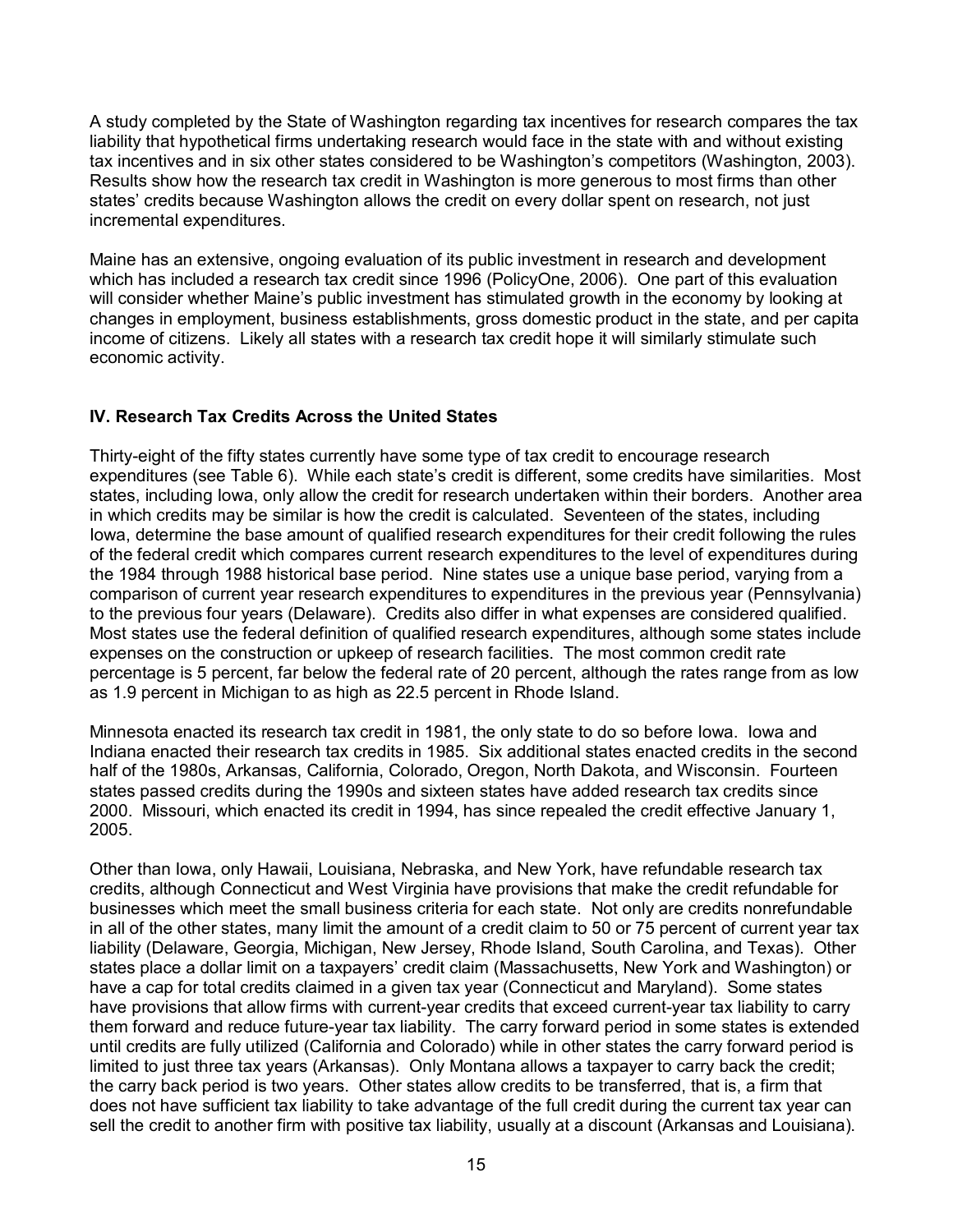A study completed by the State of Washington regarding tax incentives for research compares the tax liability that hypothetical firms undertaking research would face in the state with and without existing tax incentives and in six other states considered to be Washington's competitors (Washington, 2003). Results show how the research tax credit in Washington is more generous to most firms than other states' credits because Washington allows the credit on every dollar spent on research, not just incremental expenditures.

Maine has an extensive, ongoing evaluation of its public investment in research and development which has included a research tax credit since 1996 (PolicyOne, 2006). One part of this evaluation will consider whether Maine's public investment has stimulated growth in the economy by looking at changes in employment, business establishments, gross domestic product in the state, and per capita income of citizens. Likely all states with a research tax credit hope it will similarly stimulate such economic activity.

## **IV. Research Tax Credits Across the United States**

Thirty-eight of the fifty states currently have some type of tax credit to encourage research expenditures (see Table 6). While each state's credit is different, some credits have similarities. Most states, including Iowa, only allow the credit for research undertaken within their borders. Another area in which credits may be similar is how the credit is calculated. Seventeen of the states, including Iowa, determine the base amount of qualified research expenditures for their credit following the rules of the federal credit which compares current research expenditures to the level of expenditures during the 1984 through 1988 historical base period. Nine states use a unique base period, varying from a comparison of current year research expenditures to expenditures in the previous year (Pennsylvania) to the previous four years (Delaware). Credits also differ in what expenses are considered qualified. Most states use the federal definition of qualified research expenditures, although some states include expenses on the construction or upkeep of research facilities. The most common credit rate percentage is 5 percent, far below the federal rate of 20 percent, although the rates range from as low as 1.9 percent in Michigan to as high as 22.5 percent in Rhode Island.

Minnesota enacted its research tax credit in 1981, the only state to do so before Iowa. Iowa and Indiana enacted their research tax credits in 1985. Six additional states enacted credits in the second half of the 1980s, Arkansas, California, Colorado, Oregon, North Dakota, and Wisconsin. Fourteen states passed credits during the 1990s and sixteen states have added research tax credits since 2000. Missouri, which enacted its credit in 1994, has since repealed the credit effective January 1, 2005.

Other than Iowa, only Hawaii, Louisiana, Nebraska, and New York, have refundable research tax credits, although Connecticut and West Virginia have provisions that make the credit refundable for businesses which meet the small business criteria for each state. Not only are credits nonrefundable in all of the other states, many limit the amount of a credit claim to 50 or 75 percent of current year tax liability (Delaware, Georgia, Michigan, New Jersey, Rhode Island, South Carolina, and Texas). Other states place a dollar limit on a taxpayers' credit claim (Massachusetts, New York and Washington) or have a cap for total credits claimed in a given tax year (Connecticut and Maryland). Some states have provisions that allow firms with current-year credits that exceed current-year tax liability to carry them forward and reduce future-year tax liability. The carry forward period in some states is extended until credits are fully utilized (California and Colorado) while in other states the carry forward period is limited to just three tax years (Arkansas). Only Montana allows a taxpayer to carry back the credit; the carry back period is two years. Other states allow credits to be transferred, that is, a firm that does not have sufficient tax liability to take advantage of the full credit during the current tax year can sell the credit to another firm with positive tax liability, usually at a discount (Arkansas and Louisiana).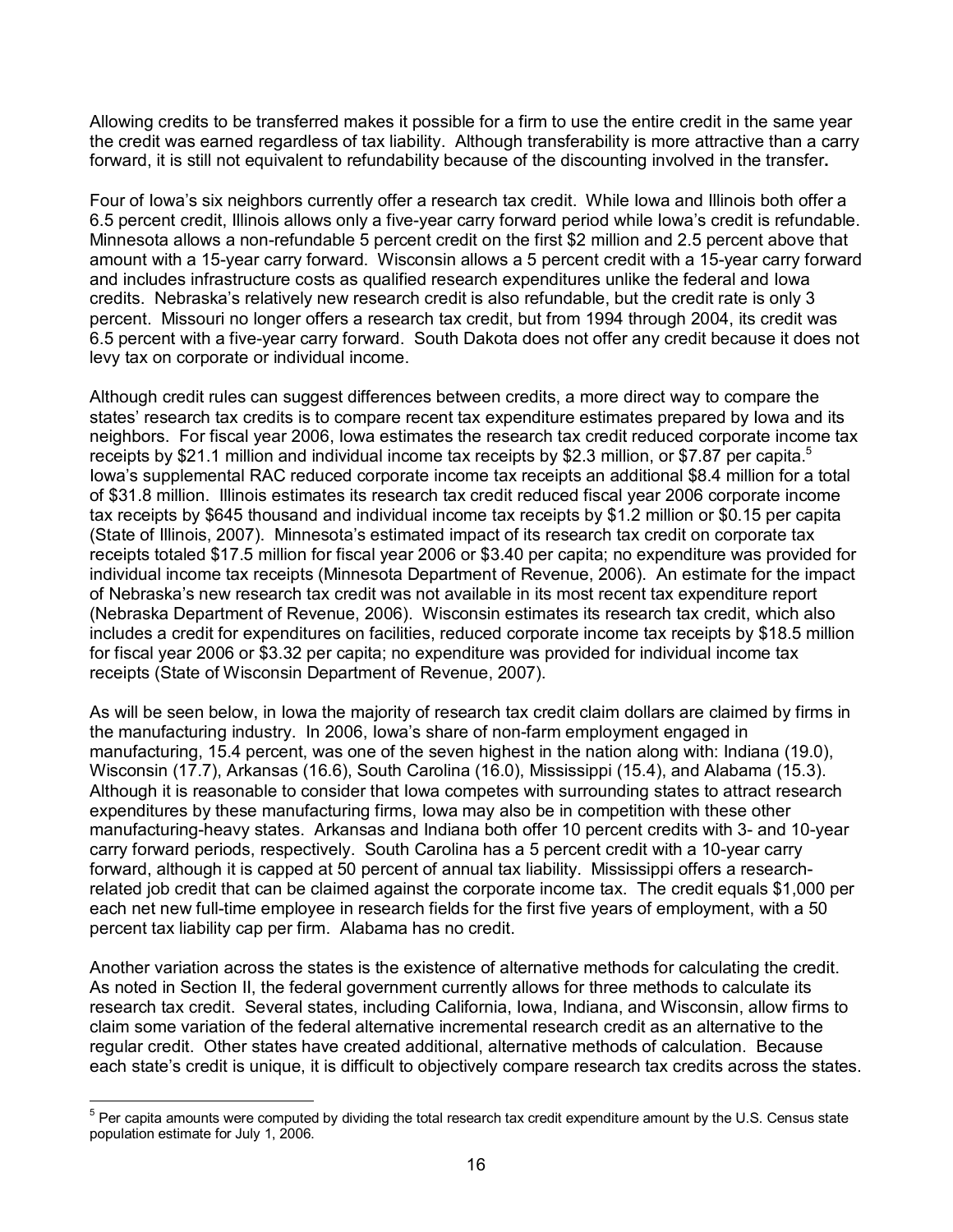Allowing credits to be transferred makes it possible for a firm to use the entire credit in the same year the credit was earned regardless of tax liability. Although transferability is more attractive than a carry forward, it is still not equivalent to refundability because of the discounting involved in the transfer**.**

Four of Iowa's six neighbors currently offer a research tax credit. While Iowa and Illinois both offer a 6.5 percent credit, Illinois allows only a five-year carry forward period while Iowa's credit is refundable. Minnesota allows a non-refundable 5 percent credit on the first \$2 million and 2.5 percent above that amount with a 15-year carry forward. Wisconsin allows a 5 percent credit with a 15-year carry forward and includes infrastructure costs as qualified research expenditures unlike the federal and Iowa credits. Nebraska's relatively new research credit is also refundable, but the credit rate is only 3 percent. Missouri no longer offers a research tax credit, but from 1994 through 2004, its credit was 6.5 percent with a five-year carry forward. South Dakota does not offer any credit because it does not levy tax on corporate or individual income.

Although credit rules can suggest differences between credits, a more direct way to compare the states' research tax credits is to compare recent tax expenditure estimates prepared by Iowa and its neighbors. For fiscal year 2006, Iowa estimates the research tax credit reduced corporate income tax receipts by \$21.1 million and individual income tax receipts by \$2.3 million, or \$7.87 per capita.<sup>5</sup> Iowa's supplemental RAC reduced corporate income tax receipts an additional \$8.4 million for a total of \$31.8 million. Illinois estimates its research tax credit reduced fiscal year 2006 corporate income tax receipts by \$645 thousand and individual income tax receipts by \$1.2 million or \$0.15 per capita (State of Illinois, 2007). Minnesota's estimated impact of its research tax credit on corporate tax receipts totaled \$17.5 million for fiscal year 2006 or \$3.40 per capita; no expenditure was provided for individual income tax receipts (Minnesota Department of Revenue, 2006). An estimate for the impact of Nebraska's new research tax credit was not available in its most recent tax expenditure report (Nebraska Department of Revenue, 2006). Wisconsin estimates its research tax credit, which also includes a credit for expenditures on facilities, reduced corporate income tax receipts by \$18.5 million for fiscal year 2006 or \$3.32 per capita; no expenditure was provided for individual income tax receipts (State of Wisconsin Department of Revenue, 2007).

As will be seen below, in Iowa the majority of research tax credit claim dollars are claimed by firms in the manufacturing industry. In 2006, Iowa's share of non-farm employment engaged in manufacturing, 15.4 percent, was one of the seven highest in the nation along with: Indiana (19.0), Wisconsin (17.7), Arkansas (16.6), South Carolina (16.0), Mississippi (15.4), and Alabama (15.3). Although it is reasonable to consider that Iowa competes with surrounding states to attract research expenditures by these manufacturing firms, Iowa may also be in competition with these other manufacturing-heavy states. Arkansas and Indiana both offer 10 percent credits with 3- and 10-year carry forward periods, respectively. South Carolina has a 5 percent credit with a 10-year carry forward, although it is capped at 50 percent of annual tax liability. Mississippi offers a researchrelated job credit that can be claimed against the corporate income tax. The credit equals \$1,000 per each net new full-time employee in research fields for the first five years of employment, with a 50 percent tax liability cap per firm. Alabama has no credit.

Another variation across the states is the existence of alternative methods for calculating the credit. As noted in Section II, the federal government currently allows for three methods to calculate its research tax credit. Several states, including California, Iowa, Indiana, and Wisconsin, allow firms to claim some variation of the federal alternative incremental research credit as an alternative to the regular credit. Other states have created additional, alternative methods of calculation. Because each state's credit is unique, it is difficult to objectively compare research tax credits across the states.

 $\overline{a}$ 

<sup>&</sup>lt;sup>5</sup> Per capita amounts were computed by dividing the total research tax credit expenditure amount by the U.S. Census state population estimate for July 1, 2006.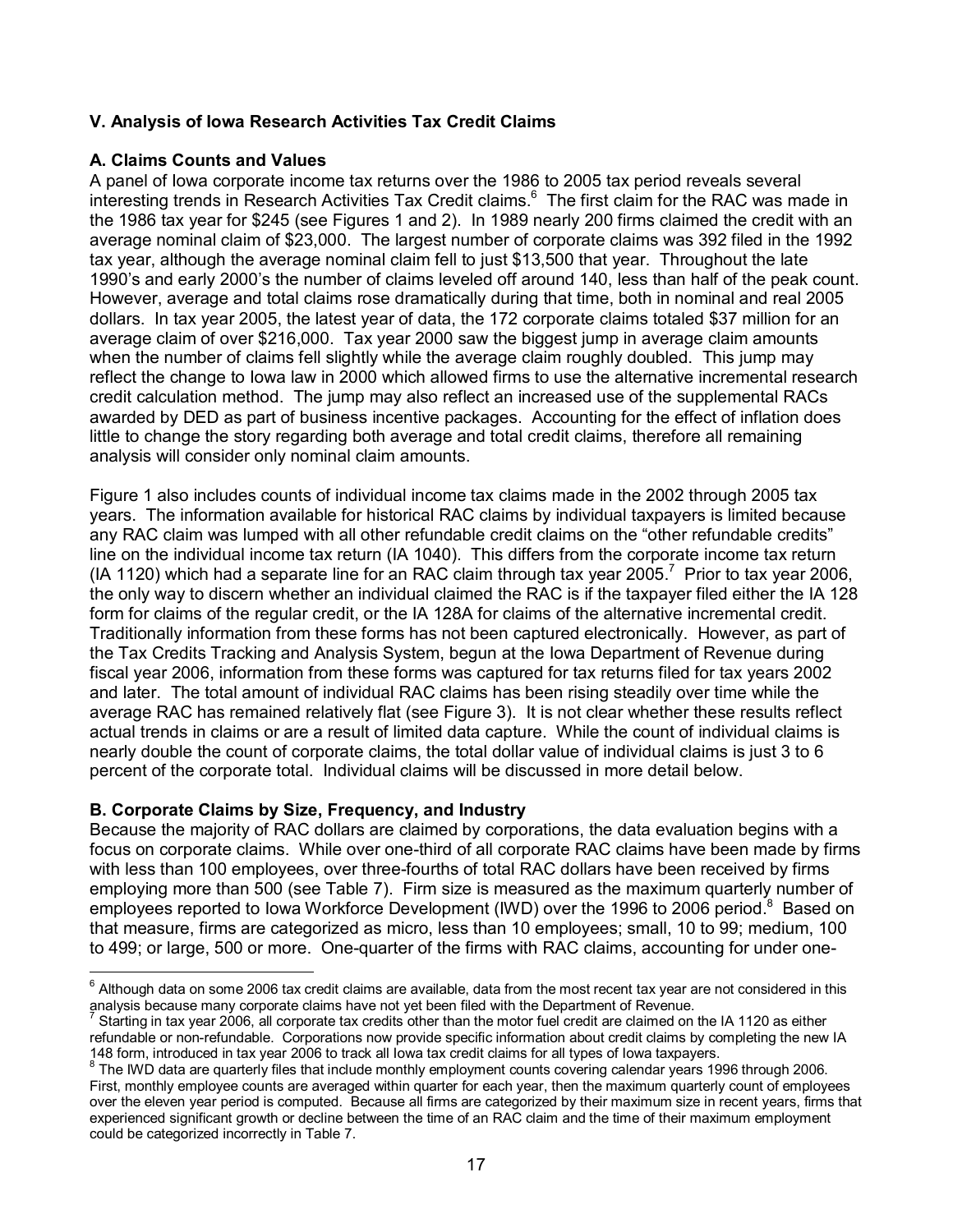## **V. Analysis of Iowa Research Activities Tax Credit Claims**

## **A. Claims Counts and Values**

A panel of Iowa corporate income tax returns over the 1986 to 2005 tax period reveals several interesting trends in Research Activities Tax Credit claims.<sup>6</sup> The first claim for the RAC was made in the 1986 tax year for \$245 (see Figures 1 and 2). In 1989 nearly 200 firms claimed the credit with an average nominal claim of \$23,000. The largest number of corporate claims was 392 filed in the 1992 tax year, although the average nominal claim fell to just \$13,500 that year. Throughout the late 1990's and early 2000's the number of claims leveled off around 140, less than half of the peak count. However, average and total claims rose dramatically during that time, both in nominal and real 2005 dollars. In tax year 2005, the latest year of data, the 172 corporate claims totaled \$37 million for an average claim of over \$216,000. Tax year 2000 saw the biggest jump in average claim amounts when the number of claims fell slightly while the average claim roughly doubled. This jump may reflect the change to Iowa law in 2000 which allowed firms to use the alternative incremental research credit calculation method. The jump may also reflect an increased use of the supplemental RACs awarded by DED as part of business incentive packages. Accounting for the effect of inflation does little to change the story regarding both average and total credit claims, therefore all remaining analysis will consider only nominal claim amounts.

Figure 1 also includes counts of individual income tax claims made in the 2002 through 2005 tax years. The information available for historical RAC claims by individual taxpayers is limited because any RAC claim was lumped with all other refundable credit claims on the "other refundable credits" line on the individual income tax return (IA 1040). This differs from the corporate income tax return (IA 1120) which had a separate line for an RAC claim through tax year 2005.<sup>7</sup> Prior to tax year 2006, the only way to discern whether an individual claimed the RAC is if the taxpayer filed either the IA 128 form for claims of the regular credit, or the IA 128A for claims of the alternative incremental credit. Traditionally information from these forms has not been captured electronically. However, as part of the Tax Credits Tracking and Analysis System, begun at the Iowa Department of Revenue during fiscal year 2006, information from these forms was captured for tax returns filed for tax years 2002 and later. The total amount of individual RAC claims has been rising steadily over time while the average RAC has remained relatively flat (see Figure 3). It is not clear whether these results reflect actual trends in claims or are a result of limited data capture. While the count of individual claims is nearly double the count of corporate claims, the total dollar value of individual claims is just 3 to 6 percent of the corporate total. Individual claims will be discussed in more detail below.

## **B. Corporate Claims by Size, Frequency, and Industry**

Because the majority of RAC dollars are claimed by corporations, the data evaluation begins with a focus on corporate claims. While over one-third of all corporate RAC claims have been made by firms with less than 100 employees, over three-fourths of total RAC dollars have been received by firms employing more than 500 (see Table 7). Firm size is measured as the maximum quarterly number of employees reported to Iowa Workforce Development (IWD) over the 1996 to 2006 period.<sup>8</sup> Based on that measure, firms are categorized as micro, less than 10 employees; small, 10 to 99; medium, 100 to 499; or large, 500 or more. One-quarter of the firms with RAC claims, accounting for under one-

end and to move the mode of the mode of the mode of the most recent tax year are not considered in this and tho<br>Although data on some 2006 tax credit claims are available, data from the most recent tax year are not conside analysis because many corporate claims have not yet been filed with the Department of Revenue.

<sup>7</sup> Starting in tax year 2006, all corporate tax credits other than the motor fuel credit are claimed on the IA 1120 as either refundable or non-refundable. Corporations now provide specific information about credit claims by completing the new IA 148 form, introduced in tax year 2006 to track all Iowa tax credit claims for all types of Iowa taxpayers.

<sup>&</sup>lt;sup>8</sup> The IWD data are quarterly files that include monthly employment counts covering calendar years 1996 through 2006. First, monthly employee counts are averaged within quarter for each year, then the maximum quarterly count of employees over the eleven year period is computed. Because all firms are categorized by their maximum size in recent years, firms that experienced significant growth or decline between the time of an RAC claim and the time of their maximum employment could be categorized incorrectly in Table 7.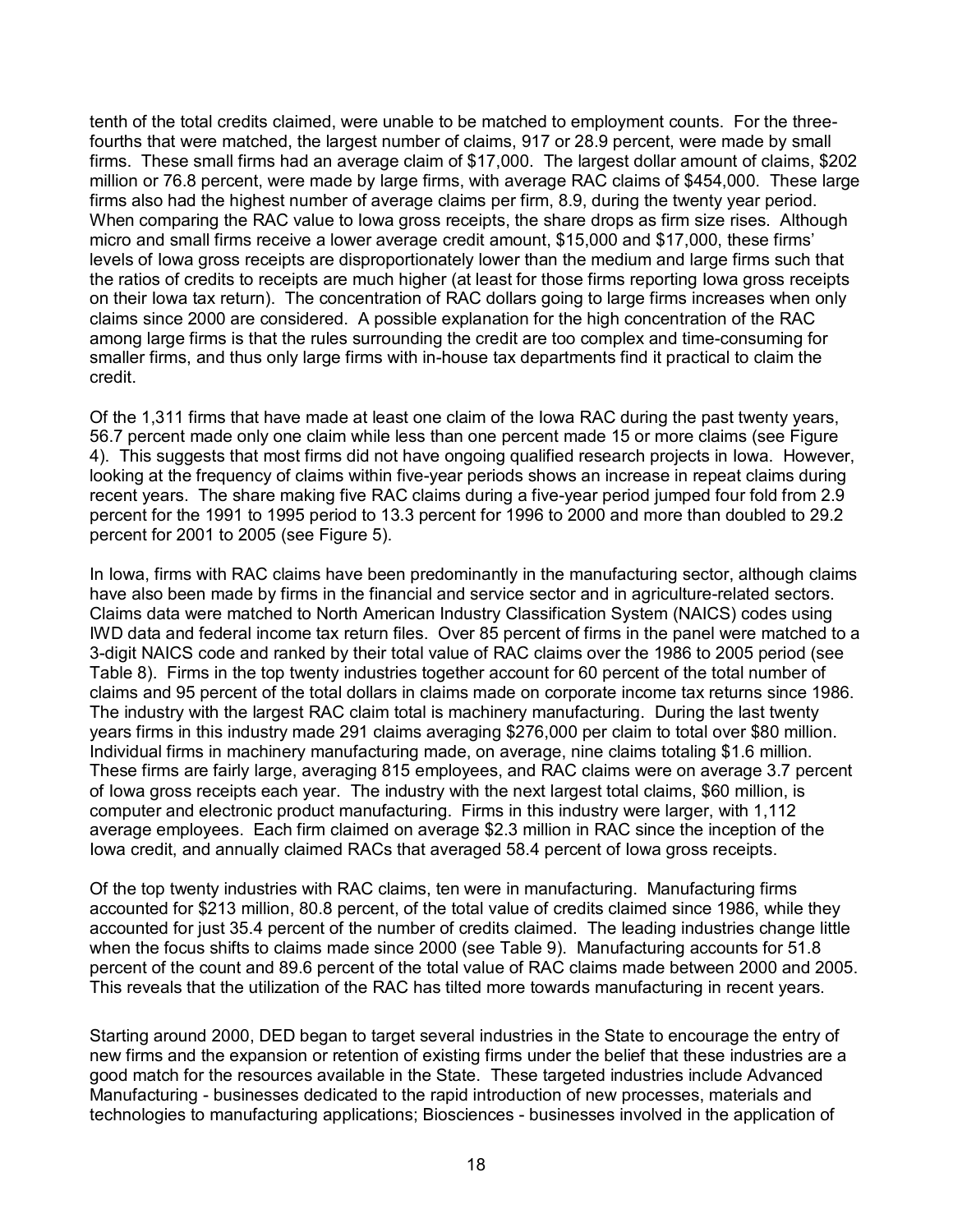tenth of the total credits claimed, were unable to be matched to employment counts. For the threefourths that were matched, the largest number of claims, 917 or 28.9 percent, were made by small firms. These small firms had an average claim of \$17,000. The largest dollar amount of claims, \$202 million or 76.8 percent, were made by large firms, with average RAC claims of \$454,000. These large firms also had the highest number of average claims per firm, 8.9, during the twenty year period. When comparing the RAC value to Iowa gross receipts, the share drops as firm size rises. Although micro and small firms receive a lower average credit amount, \$15,000 and \$17,000, these firms' levels of Iowa gross receipts are disproportionately lower than the medium and large firms such that the ratios of credits to receipts are much higher (at least for those firms reporting Iowa gross receipts on their Iowa tax return). The concentration of RAC dollars going to large firms increases when only claims since 2000 are considered. A possible explanation for the high concentration of the RAC among large firms is that the rules surrounding the credit are too complex and time-consuming for smaller firms, and thus only large firms with in-house tax departments find it practical to claim the credit.

Of the 1,311 firms that have made at least one claim of the Iowa RAC during the past twenty years, 56.7 percent made only one claim while less than one percent made 15 or more claims (see Figure 4). This suggests that most firms did not have ongoing qualified research projects in Iowa. However, looking at the frequency of claims within five-year periods shows an increase in repeat claims during recent years. The share making five RAC claims during a five-year period jumped four fold from 2.9 percent for the 1991 to 1995 period to 13.3 percent for 1996 to 2000 and more than doubled to 29.2 percent for 2001 to 2005 (see Figure 5).

In Iowa, firms with RAC claims have been predominantly in the manufacturing sector, although claims have also been made by firms in the financial and service sector and in agriculture-related sectors. Claims data were matched to North American Industry Classification System (NAICS) codes using IWD data and federal income tax return files. Over 85 percent of firms in the panel were matched to a 3-digit NAICS code and ranked by their total value of RAC claims over the 1986 to 2005 period (see Table 8). Firms in the top twenty industries together account for 60 percent of the total number of claims and 95 percent of the total dollars in claims made on corporate income tax returns since 1986. The industry with the largest RAC claim total is machinery manufacturing. During the last twenty years firms in this industry made 291 claims averaging \$276,000 per claim to total over \$80 million. Individual firms in machinery manufacturing made, on average, nine claims totaling \$1.6 million. These firms are fairly large, averaging 815 employees, and RAC claims were on average 3.7 percent of Iowa gross receipts each year. The industry with the next largest total claims, \$60 million, is computer and electronic product manufacturing. Firms in this industry were larger, with 1,112 average employees. Each firm claimed on average \$2.3 million in RAC since the inception of the Iowa credit, and annually claimed RACs that averaged 58.4 percent of Iowa gross receipts.

Of the top twenty industries with RAC claims, ten were in manufacturing. Manufacturing firms accounted for \$213 million, 80.8 percent, of the total value of credits claimed since 1986, while they accounted for just 35.4 percent of the number of credits claimed. The leading industries change little when the focus shifts to claims made since 2000 (see Table 9). Manufacturing accounts for 51.8 percent of the count and 89.6 percent of the total value of RAC claims made between 2000 and 2005. This reveals that the utilization of the RAC has tilted more towards manufacturing in recent years.

Starting around 2000, DED began to target several industries in the State to encourage the entry of new firms and the expansion or retention of existing firms under the belief that these industries are a good match for the resources available in the State. These targeted industries include Advanced Manufacturing - businesses dedicated to the rapid introduction of new processes, materials and technologies to manufacturing applications; Biosciences - businesses involved in the application of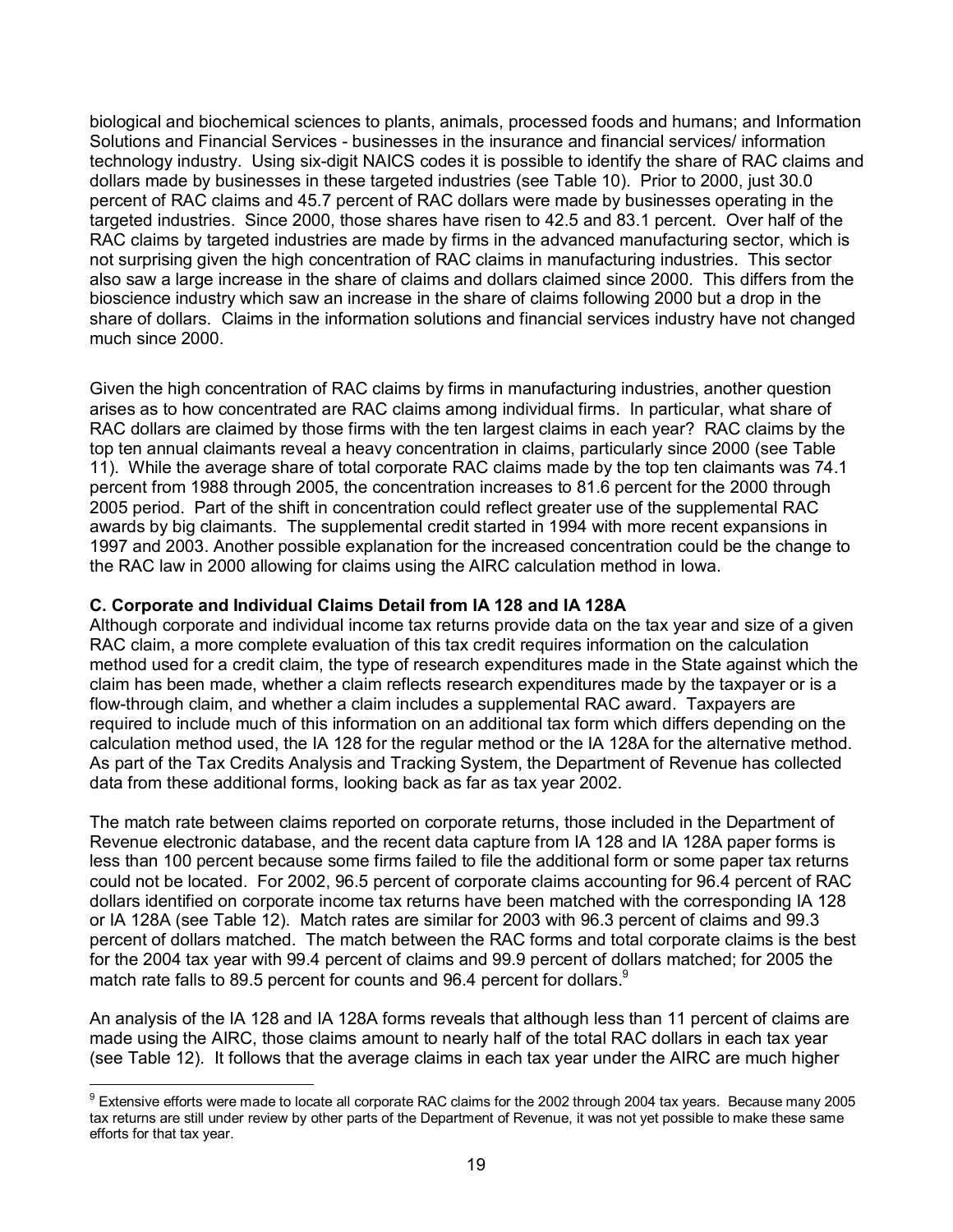biological and biochemical sciences to plants, animals, processed foods and humans; and Information Solutions and Financial Services - businesses in the insurance and financial services/ information technology industry. Using six-digit NAICS codes it is possible to identify the share of RAC claims and dollars made by businesses in these targeted industries (see Table 10). Prior to 2000, just 30.0 percent of RAC claims and 45.7 percent of RAC dollars were made by businesses operating in the targeted industries. Since 2000, those shares have risen to 42.5 and 83.1 percent. Over half of the RAC claims by targeted industries are made by firms in the advanced manufacturing sector, which is not surprising given the high concentration of RAC claims in manufacturing industries. This sector also saw a large increase in the share of claims and dollars claimed since 2000. This differs from the bioscience industry which saw an increase in the share of claims following 2000 but a drop in the share of dollars. Claims in the information solutions and financial services industry have not changed much since 2000.

Given the high concentration of RAC claims by firms in manufacturing industries, another question arises as to how concentrated are RAC claims among individual firms. In particular, what share of RAC dollars are claimed by those firms with the ten largest claims in each year?RAC claims by the top ten annual claimants reveal a heavy concentration in claims, particularly since 2000 (see Table 11). While the average share of total corporate RAC claims made by the top ten claimants was 74.1 percent from 1988 through 2005, the concentration increases to 81.6 percent for the 2000 through 2005 period. Part of the shift in concentration could reflect greater use of the supplemental RAC awards by big claimants. The supplemental credit started in 1994 with more recent expansions in 1997 and 2003. Another possible explanation for the increased concentration could be the change to the RAC law in 2000 allowing for claims using the AIRC calculation method in Iowa.

## **C. Corporate and Individual Claims Detail from IA 128 and IA 128A**

 $\overline{a}$ 

Although corporate and individual income tax returns provide data on the tax year and size of a given RAC claim, a more complete evaluation of this tax credit requires information on the calculation method used for a credit claim, the type of research expenditures made in the State against which the claim has been made, whether a claim reflects research expenditures made by the taxpayer or is a flow-through claim, and whether a claim includes a supplemental RAC award. Taxpayers are required to include much of this information on an additional tax form which differs depending on the calculation method used, the IA 128 for the regular method or the IA 128A for the alternative method. As part of the Tax Credits Analysis and Tracking System, the Department of Revenue has collected data from these additional forms, looking back as far as tax year 2002.

The match rate between claims reported on corporate returns, those included in the Department of Revenue electronic database, and the recent data capture from IA 128 and IA 128A paper forms is less than 100 percent because some firms failed to file the additional form or some paper tax returns could not be located. For 2002, 96.5 percent of corporate claims accounting for 96.4 percent of RAC dollars identified on corporate income tax returns have been matched with the corresponding IA 128 or IA 128A (see Table 12). Match rates are similar for 2003 with 96.3 percent of claims and 99.3 percent of dollars matched. The match between the RAC forms and total corporate claims is the best for the 2004 tax year with 99.4 percent of claims and 99.9 percent of dollars matched; for 2005 the match rate falls to 89.5 percent for counts and 96.4 percent for dollars. $9$ 

An analysis of the IA 128 and IA 128A forms reveals that although less than 11 percent of claims are made using the AIRC, those claims amount to nearly half of the total RAC dollars in each tax year (see Table 12). It follows that the average claims in each tax year under the AIRC are much higher

 $^9$  Extensive efforts were made to locate all corporate RAC claims for the 2002 through 2004 tax years. Because many 2005 tax returns are still under review by other parts of the Department of Revenue, it was not yet possible to make these same efforts for that tax year.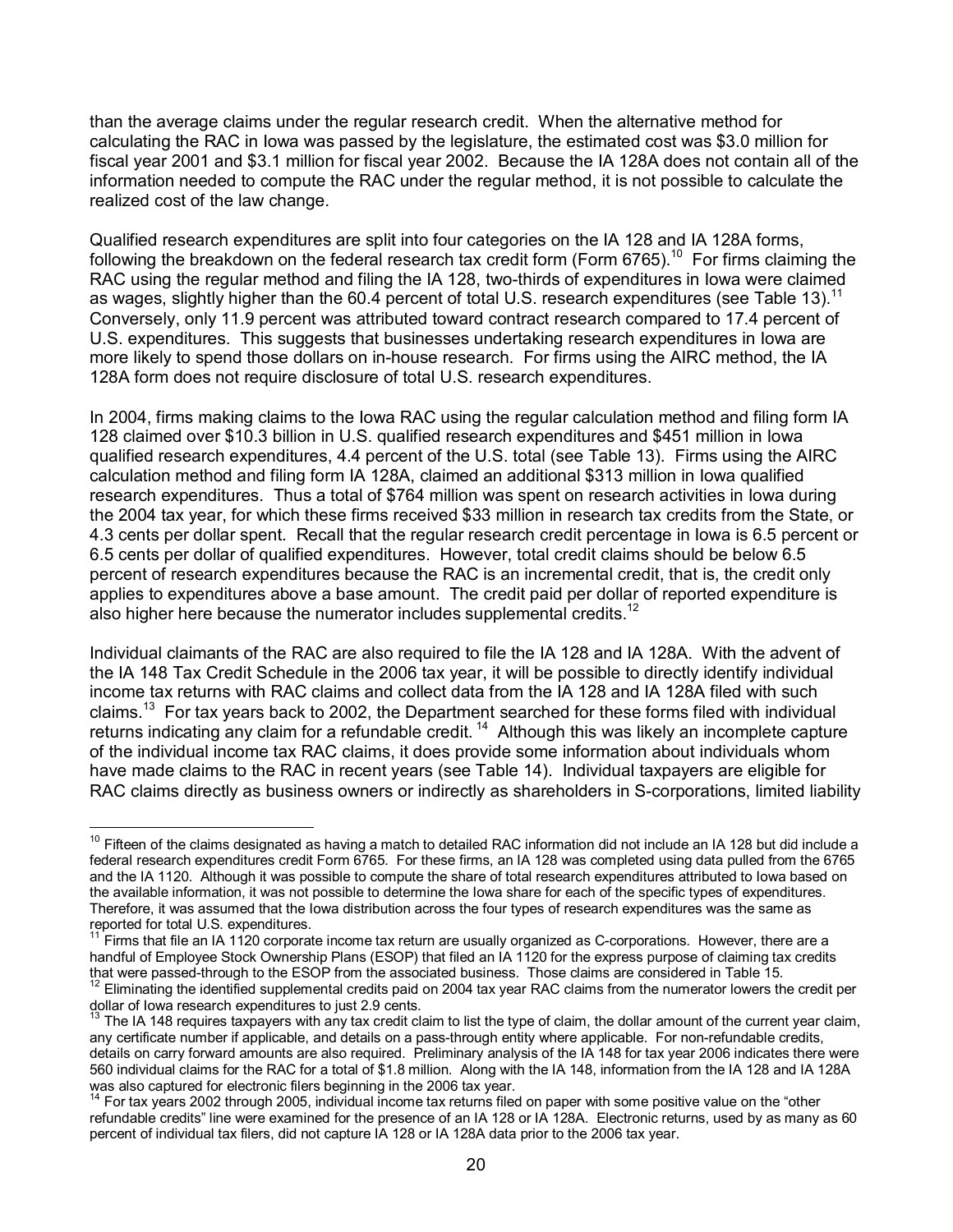than the average claims under the regular research credit. When the alternative method for calculating the RAC in Iowa was passed by the legislature, the estimated cost was \$3.0 million for fiscal year 2001 and \$3.1 million for fiscal year 2002. Because the IA 128A does not contain all of the information needed to compute the RAC under the regular method, it is not possible to calculate the realized cost of the law change.

Qualified research expenditures are split into four categories on the IA 128 and IA 128A forms, following the breakdown on the federal research tax credit form (Form 6765).<sup>10</sup> For firms claiming the RAC using the regular method and filing the IA 128, two-thirds of expenditures in Iowa were claimed as wages, slightly higher than the 60.4 percent of total U.S. research expenditures (see Table 13).<sup>11</sup> Conversely, only 11.9 percent was attributed toward contract research compared to 17.4 percent of U.S. expenditures. This suggests that businesses undertaking research expenditures in Iowa are more likely to spend those dollars on in-house research. For firms using the AIRC method, the IA 128A form does not require disclosure of total U.S. research expenditures.

In 2004, firms making claims to the Iowa RAC using the regular calculation method and filing form IA 128 claimed over \$10.3 billion in U.S. qualified research expenditures and \$451 million in Iowa qualified research expenditures, 4.4 percent of the U.S. total (see Table 13). Firms using the AIRC calculation method and filing form IA 128A, claimed an additional \$313 million in Iowa qualified research expenditures. Thus a total of \$764 million was spent on research activities in Iowa during the 2004 tax year, for which these firms received \$33 million in research tax credits from the State, or 4.3 cents per dollar spent. Recall that the regular research credit percentage in Iowa is 6.5 percent or 6.5 cents per dollar of qualified expenditures. However, total credit claims should be below 6.5 percent of research expenditures because the RAC is an incremental credit, that is, the credit only applies to expenditures above a base amount. The credit paid per dollar of reported expenditure is also higher here because the numerator includes supplemental credits. $12$ 

Individual claimants of the RAC are also required to file the IA 128 and IA 128A. With the advent of the IA 148 Tax Credit Schedule in the 2006 tax year, it will be possible to directly identify individual income tax returns with RAC claims and collect data from the IA 128 and IA 128A filed with such claims.13 For tax years back to 2002, the Department searched for these forms filed with individual returns indicating any claim for a refundable credit.<sup>14</sup> Although this was likely an incomplete capture of the individual income tax RAC claims, it does provide some information about individuals whom have made claims to the RAC in recent years (see Table 14). Individual taxpayers are eligible for RAC claims directly as business owners or indirectly as shareholders in S-corporations, limited liability

 $\overline{a}$  $10$  Fifteen of the claims designated as having a match to detailed RAC information did not include an IA 128 but did include a federal research expenditures credit Form 6765. For these firms, an IA 128 was completed using data pulled from the 6765 and the IA 1120. Although it was possible to compute the share of total research expenditures attributed to Iowa based on the available information, it was not possible to determine the Iowa share for each of the specific types of expenditures. Therefore, it was assumed that the Iowa distribution across the four types of research expenditures was the same as reported for total U.S. expenditures.

Firms that file an IA 1120 corporate income tax return are usually organized as C-corporations. However, there are a handful of Employee Stock Ownership Plans (ESOP) that filed an IA 1120 for the express purpose of claiming tax credits that were passed-through to the ESOP from the associated business. Those claims are considered in Table 15.

<sup>&</sup>lt;sup>12</sup> Eliminating the identified supplemental credits paid on 2004 tax year RAC claims from the numerator lowers the credit per dollar of Iowa research expenditures to just 2.9 cents.

 $13$  The IA 148 requires taxpayers with any tax credit claim to list the type of claim, the dollar amount of the current year claim, any certificate number if applicable, and details on a pass-through entity where applicable. For non-refundable credits, details on carry forward amounts are also required. Preliminary analysis of the IA 148 for tax year 2006 indicates there were 560 individual claims for the RAC for a total of \$1.8 million. Along with the IA 148, information from the IA 128 and IA 128A was also captured for electronic filers beginning in the 2006 tax year.

<sup>&</sup>lt;sup>14</sup> For tax years 2002 through 2005, individual income tax returns filed on paper with some positive value on the "other refundable credits" line were examined for the presence of an IA 128 or IA 128A. Electronic returns, used by as many as 60 percent of individual tax filers, did not capture IA 128 or IA 128A data prior to the 2006 tax year.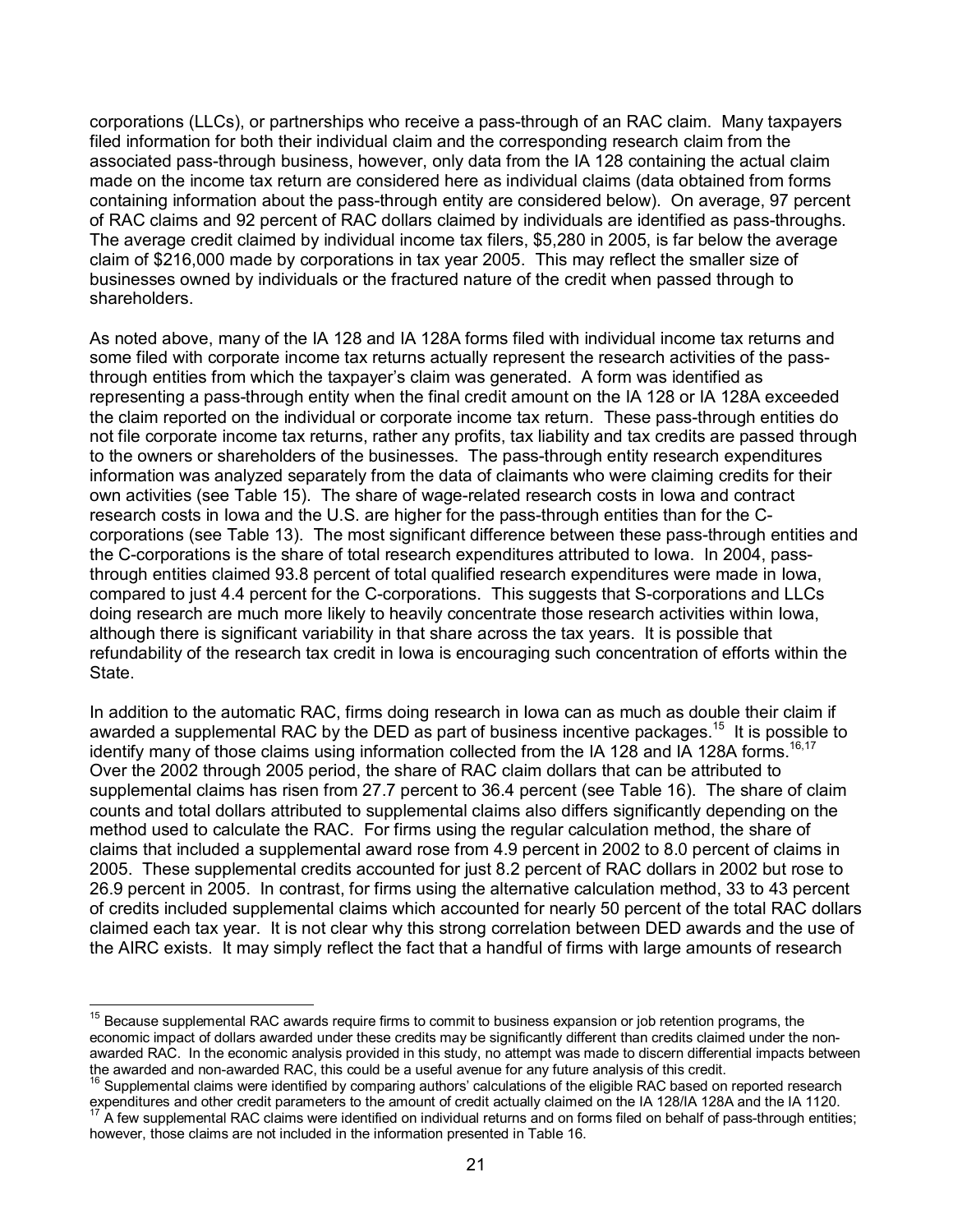corporations (LLCs), or partnerships who receive a pass-through of an RAC claim. Many taxpayers filed information for both their individual claim and the corresponding research claim from the associated pass-through business, however, only data from the IA 128 containing the actual claim made on the income tax return are considered here as individual claims (data obtained from forms containing information about the pass-through entity are considered below). On average, 97 percent of RAC claims and 92 percent of RAC dollars claimed by individuals are identified as pass-throughs. The average credit claimed by individual income tax filers, \$5,280 in 2005, is far below the average claim of \$216,000 made by corporations in tax year 2005. This may reflect the smaller size of businesses owned by individuals or the fractured nature of the credit when passed through to shareholders.

As noted above, many of the IA 128 and IA 128A forms filed with individual income tax returns and some filed with corporate income tax returns actually represent the research activities of the passthrough entities from which the taxpayer's claim was generated. A form was identified as representing a pass-through entity when the final credit amount on the IA 128 or IA 128A exceeded the claim reported on the individual or corporate income tax return. These pass-through entities do not file corporate income tax returns, rather any profits, tax liability and tax credits are passed through to the owners or shareholders of the businesses. The pass-through entity research expenditures information was analyzed separately from the data of claimants who were claiming credits for their own activities (see Table 15). The share of wage-related research costs in Iowa and contract research costs in Iowa and the U.S. are higher for the pass-through entities than for the Ccorporations (see Table 13). The most significant difference between these pass-through entities and the C-corporations is the share of total research expenditures attributed to Iowa. In 2004, passthrough entities claimed 93.8 percent of total qualified research expenditures were made in Iowa, compared to just 4.4 percent for the C-corporations. This suggests that S-corporations and LLCs doing research are much more likely to heavily concentrate those research activities within Iowa, although there is significant variability in that share across the tax years. It is possible that refundability of the research tax credit in Iowa is encouraging such concentration of efforts within the State.

In addition to the automatic RAC, firms doing research in Iowa can as much as double their claim if awarded a supplemental RAC by the DED as part of business incentive packages.<sup>15</sup> It is possible to identify many of those claims using information collected from the IA 128 and IA 128A forms.<sup>16,17</sup> Over the 2002 through 2005 period, the share of RAC claim dollars that can be attributed to supplemental claims has risen from 27.7 percent to 36.4 percent (see Table 16). The share of claim counts and total dollars attributed to supplemental claims also differs significantly depending on the method used to calculate the RAC. For firms using the regular calculation method, the share of claims that included a supplemental award rose from 4.9 percent in 2002 to 8.0 percent of claims in 2005. These supplemental credits accounted for just 8.2 percent of RAC dollars in 2002 but rose to 26.9 percent in 2005. In contrast, for firms using the alternative calculation method, 33 to 43 percent of credits included supplemental claims which accounted for nearly 50 percent of the total RAC dollars claimed each tax year. It is not clear why this strong correlation between DED awards and the use of the AIRC exists. It may simply reflect the fact that a handful of firms with large amounts of research

 $\overline{\phantom{a}}$ 

<sup>&</sup>lt;sup>15</sup> Because supplemental RAC awards require firms to commit to business expansion or job retention programs, the economic impact of dollars awarded under these credits may be significantly different than credits claimed under the nonawarded RAC. In the economic analysis provided in this study, no attempt was made to discern differential impacts between the awarded and non-awarded RAC, this could be a useful avenue for any future analysis of this credit.

<sup>&</sup>lt;sup>16</sup> Supplemental claims were identified by comparing authors' calculations of the eligible RAC based on reported research expenditures and other credit parameters to the amount of credit actually claimed on the IA 128/IA 128A and the IA 1120. A few supplemental RAC claims were identified on individual returns and on forms filed on behalf of pass-through entities; however, those claims are not included in the information presented in Table 16.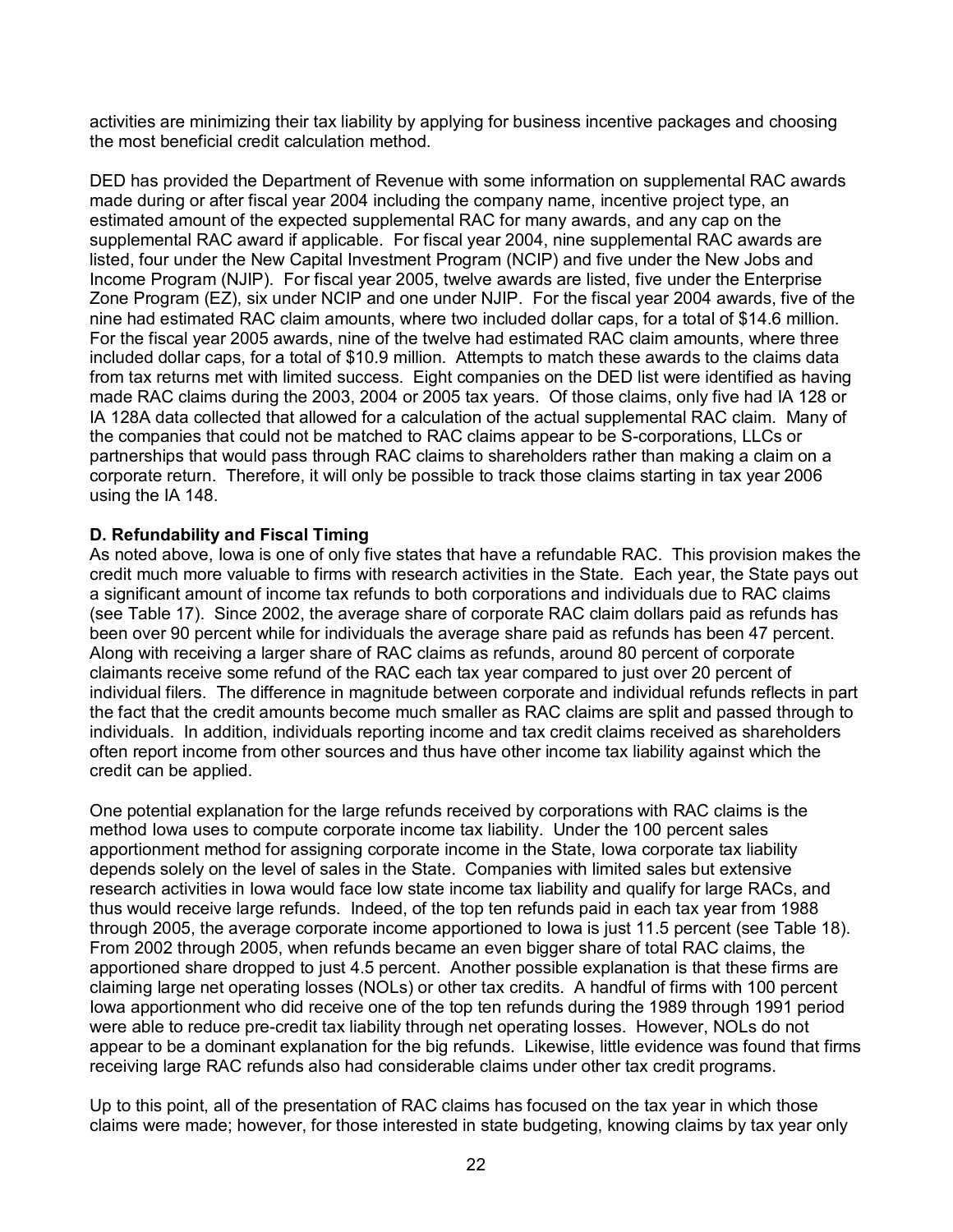activities are minimizing their tax liability by applying for business incentive packages and choosing the most beneficial credit calculation method.

DED has provided the Department of Revenue with some information on supplemental RAC awards made during or after fiscal year 2004 including the company name, incentive project type, an estimated amount of the expected supplemental RAC for many awards, and any cap on the supplemental RAC award if applicable. For fiscal year 2004, nine supplemental RAC awards are listed, four under the New Capital Investment Program (NCIP) and five under the New Jobs and Income Program (NJIP). For fiscal year 2005, twelve awards are listed, five under the Enterprise Zone Program (EZ), six under NCIP and one under NJIP. For the fiscal year 2004 awards, five of the nine had estimated RAC claim amounts, where two included dollar caps, for a total of \$14.6 million. For the fiscal year 2005 awards, nine of the twelve had estimated RAC claim amounts, where three included dollar caps, for a total of \$10.9 million. Attempts to match these awards to the claims data from tax returns met with limited success. Eight companies on the DED list were identified as having made RAC claims during the 2003, 2004 or 2005 tax years. Of those claims, only five had IA 128 or IA 128A data collected that allowed for a calculation of the actual supplemental RAC claim. Many of the companies that could not be matched to RAC claims appear to be S-corporations, LLCs or partnerships that would pass through RAC claims to shareholders rather than making a claim on a corporate return. Therefore, it will only be possible to track those claims starting in tax year 2006 using the IA 148.

## **D. Refundability and Fiscal Timing**

As noted above, Iowa is one of only five states that have a refundable RAC. This provision makes the credit much more valuable to firms with research activities in the State. Each year, the State pays out a significant amount of income tax refunds to both corporations and individuals due to RAC claims (see Table 17). Since 2002, the average share of corporate RAC claim dollars paid as refunds has been over 90 percent while for individuals the average share paid as refunds has been 47 percent. Along with receiving a larger share of RAC claims as refunds, around 80 percent of corporate claimants receive some refund of the RAC each tax year compared to just over 20 percent of individual filers. The difference in magnitude between corporate and individual refunds reflects in part the fact that the credit amounts become much smaller as RAC claims are split and passed through to individuals. In addition, individuals reporting income and tax credit claims received as shareholders often report income from other sources and thus have other income tax liability against which the credit can be applied.

One potential explanation for the large refunds received by corporations with RAC claims is the method Iowa uses to compute corporate income tax liability. Under the 100 percent sales apportionment method for assigning corporate income in the State, Iowa corporate tax liability depends solely on the level of sales in the State. Companies with limited sales but extensive research activities in Iowa would face low state income tax liability and qualify for large RACs, and thus would receive large refunds. Indeed, of the top ten refunds paid in each tax year from 1988 through 2005, the average corporate income apportioned to Iowa is just 11.5 percent (see Table 18). From 2002 through 2005, when refunds became an even bigger share of total RAC claims, the apportioned share dropped to just 4.5 percent. Another possible explanation is that these firms are claiming large net operating losses (NOLs) or other tax credits. A handful of firms with 100 percent Iowa apportionment who did receive one of the top ten refunds during the 1989 through 1991 period were able to reduce pre-credit tax liability through net operating losses. However, NOLs do not appear to be a dominant explanation for the big refunds. Likewise, little evidence was found that firms receiving large RAC refunds also had considerable claims under other tax credit programs.

Up to this point, all of the presentation of RAC claims has focused on the tax year in which those claims were made; however, for those interested in state budgeting, knowing claims by tax year only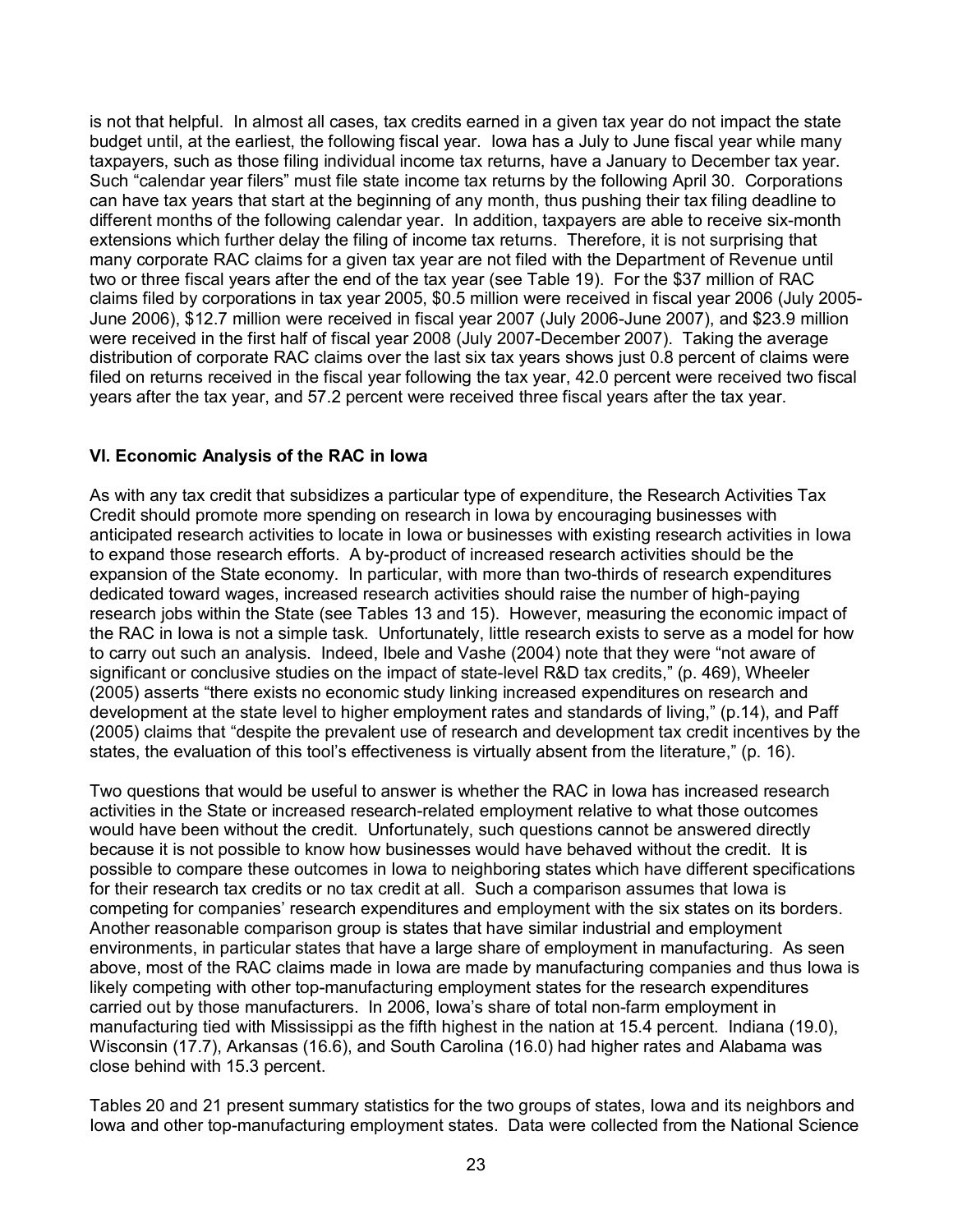is not that helpful. In almost all cases, tax credits earned in a given tax year do not impact the state budget until, at the earliest, the following fiscal year. Iowa has a July to June fiscal year while many taxpayers, such as those filing individual income tax returns, have a January to December tax year. Such "calendar year filers" must file state income tax returns by the following April 30. Corporations can have tax years that start at the beginning of any month, thus pushing their tax filing deadline to different months of the following calendar year. In addition, taxpayers are able to receive six-month extensions which further delay the filing of income tax returns. Therefore, it is not surprising that many corporate RAC claims for a given tax year are not filed with the Department of Revenue until two or three fiscal years after the end of the tax year (see Table 19). For the \$37 million of RAC claims filed by corporations in tax year 2005, \$0.5 million were received in fiscal year 2006 (July 2005- June 2006), \$12.7 million were received in fiscal year 2007 (July 2006-June 2007), and \$23.9 million were received in the first half of fiscal year 2008 (July 2007-December 2007). Taking the average distribution of corporate RAC claims over the last six tax years shows just 0.8 percent of claims were filed on returns received in the fiscal year following the tax year, 42.0 percent were received two fiscal years after the tax year, and 57.2 percent were received three fiscal years after the tax year.

## **VI. Economic Analysis of the RAC in Iowa**

As with any tax credit that subsidizes a particular type of expenditure, the Research Activities Tax Credit should promote more spending on research in Iowa by encouraging businesses with anticipated research activities to locate in Iowa or businesses with existing research activities in Iowa to expand those research efforts. A by-product of increased research activities should be the expansion of the State economy. In particular, with more than two-thirds of research expenditures dedicated toward wages, increased research activities should raise the number of high-paying research jobs within the State (see Tables 13 and 15). However, measuring the economic impact of the RAC in Iowa is not a simple task. Unfortunately, little research exists to serve as a model for how to carry out such an analysis. Indeed, Ibele and Vashe (2004) note that they were "not aware of significant or conclusive studies on the impact of state-level R&D tax credits," (p. 469), Wheeler (2005) asserts "there exists no economic study linking increased expenditures on research and development at the state level to higher employment rates and standards of living," (p.14), and Paff (2005) claims that "despite the prevalent use of research and development tax credit incentives by the states, the evaluation of this tool's effectiveness is virtually absent from the literature," (p. 16).

Two questions that would be useful to answer is whether the RAC in Iowa has increased research activities in the State or increased research-related employment relative to what those outcomes would have been without the credit. Unfortunately, such questions cannot be answered directly because it is not possible to know how businesses would have behaved without the credit. It is possible to compare these outcomes in Iowa to neighboring states which have different specifications for their research tax credits or no tax credit at all. Such a comparison assumes that Iowa is competing for companies' research expenditures and employment with the six states on its borders. Another reasonable comparison group is states that have similar industrial and employment environments, in particular states that have a large share of employment in manufacturing. As seen above, most of the RAC claims made in Iowa are made by manufacturing companies and thus Iowa is likely competing with other top-manufacturing employment states for the research expenditures carried out by those manufacturers. In 2006, Iowa's share of total non-farm employment in manufacturing tied with Mississippi as the fifth highest in the nation at 15.4 percent. Indiana (19.0), Wisconsin (17.7), Arkansas (16.6), and South Carolina (16.0) had higher rates and Alabama was close behind with 15.3 percent.

Tables 20 and 21 present summary statistics for the two groups of states, Iowa and its neighbors and Iowa and other top-manufacturing employment states. Data were collected from the National Science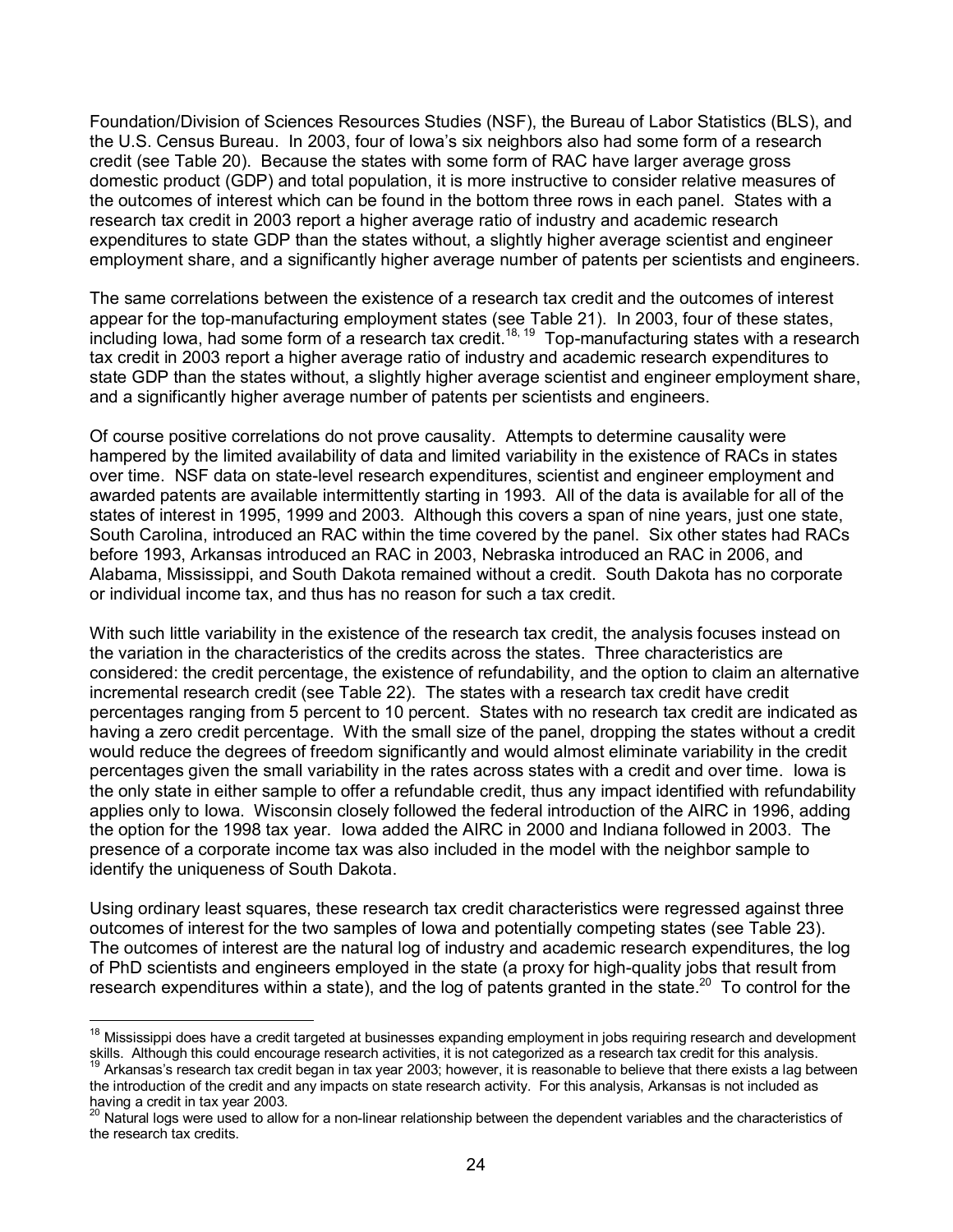Foundation/Division of Sciences Resources Studies (NSF), the Bureau of Labor Statistics (BLS), and the U.S. Census Bureau. In 2003, four of Iowa's six neighbors also had some form of a research credit (see Table 20). Because the states with some form of RAC have larger average gross domestic product (GDP) and total population, it is more instructive to consider relative measures of the outcomes of interest which can be found in the bottom three rows in each panel. States with a research tax credit in 2003 report a higher average ratio of industry and academic research expenditures to state GDP than the states without, a slightly higher average scientist and engineer employment share, and a significantly higher average number of patents per scientists and engineers.

The same correlations between the existence of a research tax credit and the outcomes of interest appear for the top-manufacturing employment states (see Table 21). In 2003, four of these states, including Iowa, had some form of a research tax credit.18, 19 Top-manufacturing states with a research tax credit in 2003 report a higher average ratio of industry and academic research expenditures to state GDP than the states without, a slightly higher average scientist and engineer employment share, and a significantly higher average number of patents per scientists and engineers.

Of course positive correlations do not prove causality. Attempts to determine causality were hampered by the limited availability of data and limited variability in the existence of RACs in states over time. NSF data on state-level research expenditures, scientist and engineer employment and awarded patents are available intermittently starting in 1993. All of the data is available for all of the states of interest in 1995, 1999 and 2003. Although this covers a span of nine years, just one state, South Carolina, introduced an RAC within the time covered by the panel. Six other states had RACs before 1993, Arkansas introduced an RAC in 2003, Nebraska introduced an RAC in 2006, and Alabama, Mississippi, and South Dakota remained without a credit. South Dakota has no corporate or individual income tax, and thus has no reason for such a tax credit.

With such little variability in the existence of the research tax credit, the analysis focuses instead on the variation in the characteristics of the credits across the states. Three characteristics are considered: the credit percentage, the existence of refundability, and the option to claim an alternative incremental research credit (see Table 22). The states with a research tax credit have credit percentages ranging from 5 percent to 10 percent. States with no research tax credit are indicated as having a zero credit percentage. With the small size of the panel, dropping the states without a credit would reduce the degrees of freedom significantly and would almost eliminate variability in the credit percentages given the small variability in the rates across states with a credit and over time. Iowa is the only state in either sample to offer a refundable credit, thus any impact identified with refundability applies only to Iowa. Wisconsin closely followed the federal introduction of the AIRC in 1996, adding the option for the 1998 tax year. Iowa added the AIRC in 2000 and Indiana followed in 2003. The presence of a corporate income tax was also included in the model with the neighbor sample to identify the uniqueness of South Dakota.

Using ordinary least squares, these research tax credit characteristics were regressed against three outcomes of interest for the two samples of Iowa and potentially competing states (see Table 23). The outcomes of interest are the natural log of industry and academic research expenditures, the log of PhD scientists and engineers employed in the state (a proxy for high-quality jobs that result from research expenditures within a state), and the log of patents granted in the state.<sup>20</sup> To control for the

 $\overline{a}$ 

<sup>&</sup>lt;sup>18</sup> Mississippi does have a credit targeted at businesses expanding employment in jobs requiring research and development skills. Although this could encourage research activities, it is not categorized as a research tax credit for this analysis.

Arkansas's research tax credit began in tax year 2003; however, it is reasonable to believe that there exists a lag between the introduction of the credit and any impacts on state research activity. For this analysis, Arkansas is not included as having a credit in tax year 2003.

Natural logs were used to allow for a non-linear relationship between the dependent variables and the characteristics of the research tax credits.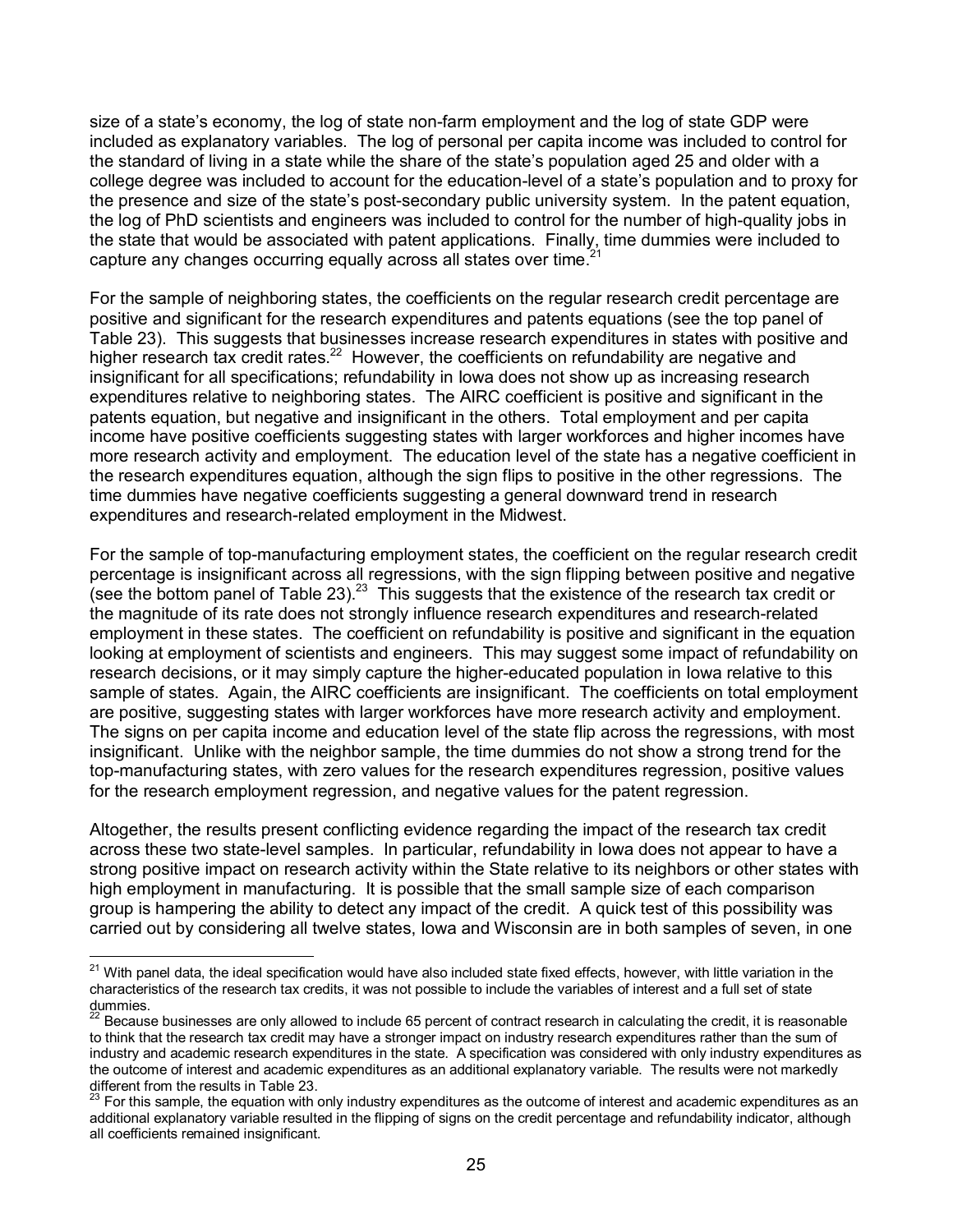size of a state's economy, the log of state non-farm employment and the log of state GDP were included as explanatory variables. The log of personal per capita income was included to control for the standard of living in a state while the share of the state's population aged 25 and older with a college degree was included to account for the education-level of a state's population and to proxy for the presence and size of the state's post-secondary public university system. In the patent equation, the log of PhD scientists and engineers was included to control for the number of high-quality jobs in the state that would be associated with patent applications. Finally, time dummies were included to capture any changes occurring equally across all states over time.

For the sample of neighboring states, the coefficients on the regular research credit percentage are positive and significant for the research expenditures and patents equations (see the top panel of Table 23). This suggests that businesses increase research expenditures in states with positive and higher research tax credit rates.<sup>22</sup> However, the coefficients on refundability are negative and insignificant for all specifications; refundability in Iowa does not show up as increasing research expenditures relative to neighboring states. The AIRC coefficient is positive and significant in the patents equation, but negative and insignificant in the others. Total employment and per capita income have positive coefficients suggesting states with larger workforces and higher incomes have more research activity and employment. The education level of the state has a negative coefficient in the research expenditures equation, although the sign flips to positive in the other regressions. The time dummies have negative coefficients suggesting a general downward trend in research expenditures and research-related employment in the Midwest.

For the sample of top-manufacturing employment states, the coefficient on the regular research credit percentage is insignificant across all regressions, with the sign flipping between positive and negative (see the bottom panel of Table 23).<sup>23</sup> This suggests that the existence of the research tax credit or the magnitude of its rate does not strongly influence research expenditures and research-related employment in these states. The coefficient on refundability is positive and significant in the equation looking at employment of scientists and engineers. This may suggest some impact of refundability on research decisions, or it may simply capture the higher-educated population in Iowa relative to this sample of states. Again, the AIRC coefficients are insignificant. The coefficients on total employment are positive, suggesting states with larger workforces have more research activity and employment. The signs on per capita income and education level of the state flip across the regressions, with most insignificant. Unlike with the neighbor sample, the time dummies do not show a strong trend for the top-manufacturing states, with zero values for the research expenditures regression, positive values for the research employment regression, and negative values for the patent regression.

Altogether, the results present conflicting evidence regarding the impact of the research tax credit across these two state-level samples. In particular, refundability in Iowa does not appear to have a strong positive impact on research activity within the State relative to its neighbors or other states with high employment in manufacturing. It is possible that the small sample size of each comparison group is hampering the ability to detect any impact of the credit. A quick test of this possibility was carried out by considering all twelve states, Iowa and Wisconsin are in both samples of seven, in one

 $\overline{a}$ <sup>21</sup> With panel data, the ideal specification would have also included state fixed effects, however, with little variation in the characteristics of the research tax credits, it was not possible to include the variables of interest and a full set of state dummies.

 $^{22}$  Because businesses are only allowed to include 65 percent of contract research in calculating the credit, it is reasonable to think that the research tax credit may have a stronger impact on industry research expenditures rather than the sum of industry and academic research expenditures in the state. A specification was considered with only industry expenditures as the outcome of interest and academic expenditures as an additional explanatory variable. The results were not markedly different from the results in Table 23.

 $^{23}$  For this sample, the equation with only industry expenditures as the outcome of interest and academic expenditures as an additional explanatory variable resulted in the flipping of signs on the credit percentage and refundability indicator, although all coefficients remained insignificant.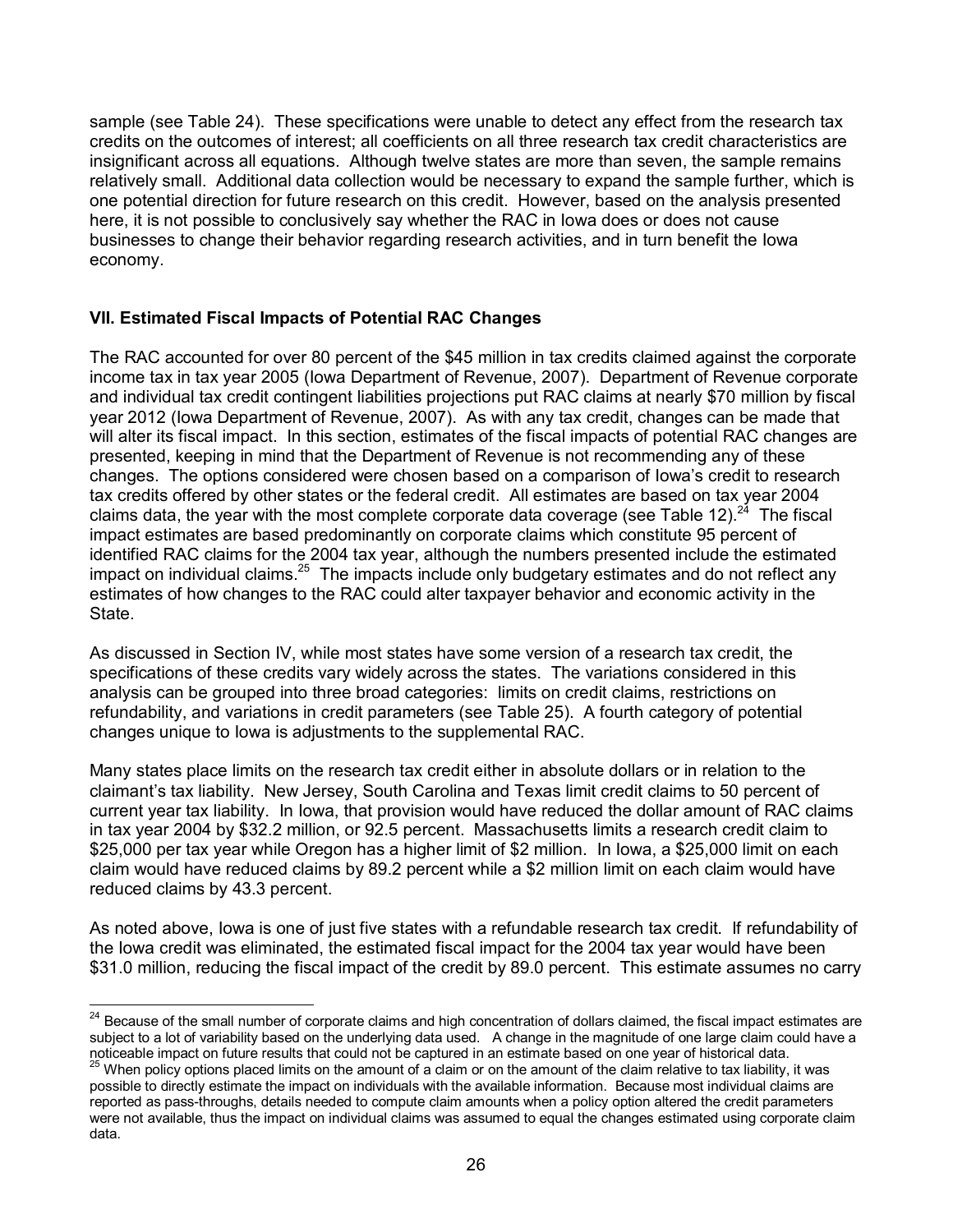sample (see Table 24). These specifications were unable to detect any effect from the research tax credits on the outcomes of interest; all coefficients on all three research tax credit characteristics are insignificant across all equations. Although twelve states are more than seven, the sample remains relatively small. Additional data collection would be necessary to expand the sample further, which is one potential direction for future research on this credit. However, based on the analysis presented here, it is not possible to conclusively say whether the RAC in Iowa does or does not cause businesses to change their behavior regarding research activities, and in turn benefit the Iowa economy.

## **VII. Estimated Fiscal Impacts of Potential RAC Changes**

The RAC accounted for over 80 percent of the \$45 million in tax credits claimed against the corporate income tax in tax year 2005 (Iowa Department of Revenue, 2007). Department of Revenue corporate and individual tax credit contingent liabilities projections put RAC claims at nearly \$70 million by fiscal year 2012 (Iowa Department of Revenue, 2007). As with any tax credit, changes can be made that will alter its fiscal impact. In this section, estimates of the fiscal impacts of potential RAC changes are presented, keeping in mind that the Department of Revenue is not recommending any of these changes. The options considered were chosen based on a comparison of Iowa's credit to research tax credits offered by other states or the federal credit. All estimates are based on tax year 2004 claims data, the year with the most complete corporate data coverage (see Table 12). $^{24}$  The fiscal impact estimates are based predominantly on corporate claims which constitute 95 percent of identified RAC claims for the 2004 tax year, although the numbers presented include the estimated impact on individual claims.<sup>25</sup> The impacts include only budgetary estimates and do not reflect any estimates of how changes to the RAC could alter taxpayer behavior and economic activity in the State.

As discussed in Section IV, while most states have some version of a research tax credit, the specifications of these credits vary widely across the states. The variations considered in this analysis can be grouped into three broad categories: limits on credit claims, restrictions on refundability, and variations in credit parameters (see Table 25). A fourth category of potential changes unique to Iowa is adjustments to the supplemental RAC.

Many states place limits on the research tax credit either in absolute dollars or in relation to the claimant's tax liability. New Jersey, South Carolina and Texas limit credit claims to 50 percent of current year tax liability. In Iowa, that provision would have reduced the dollar amount of RAC claims in tax year 2004 by \$32.2 million, or 92.5 percent. Massachusetts limits a research credit claim to \$25,000 per tax year while Oregon has a higher limit of \$2 million. In Iowa, a \$25,000 limit on each claim would have reduced claims by 89.2 percent while a \$2 million limit on each claim would have reduced claims by 43.3 percent.

As noted above, Iowa is one of just five states with a refundable research tax credit. If refundability of the Iowa credit was eliminated, the estimated fiscal impact for the 2004 tax year would have been \$31.0 million, reducing the fiscal impact of the credit by 89.0 percent. This estimate assumes no carry

 $\overline{a}$ <sup>24</sup> Because of the small number of corporate claims and high concentration of dollars claimed, the fiscal impact estimates are subject to a lot of variability based on the underlying data used. A change in the magnitude of one large claim could have a noticeable impact on future results that could not be captured in an estimate based on one year of historical data.

<sup>&</sup>lt;sup>25</sup> When policy options placed limits on the amount of a claim or on the amount of the claim relative to tax liability, it was possible to directly estimate the impact on individuals with the available information. Because most individual claims are reported as pass-throughs, details needed to compute claim amounts when a policy option altered the credit parameters were not available, thus the impact on individual claims was assumed to equal the changes estimated using corporate claim data.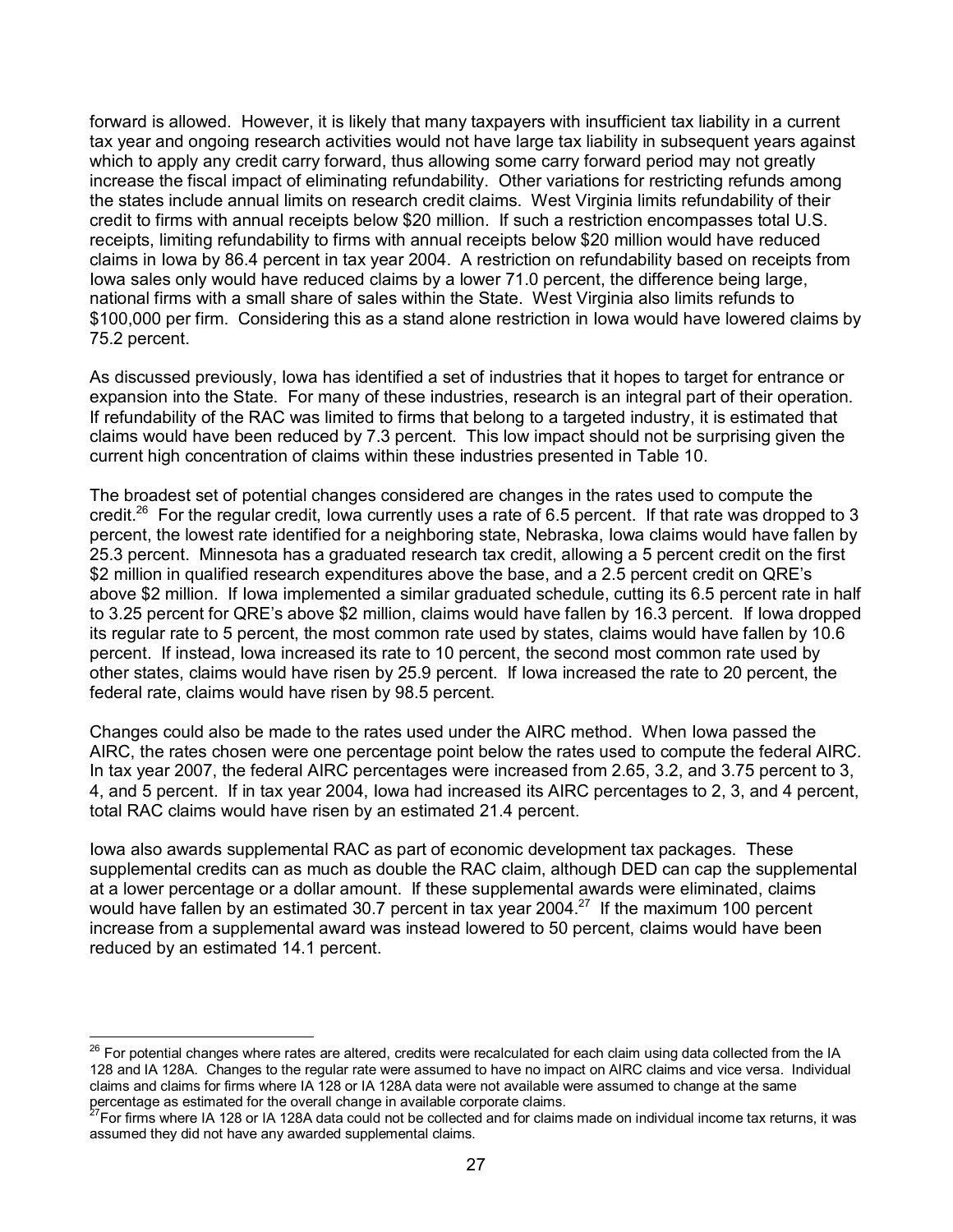forward is allowed. However, it is likely that many taxpayers with insufficient tax liability in a current tax year and ongoing research activities would not have large tax liability in subsequent years against which to apply any credit carry forward, thus allowing some carry forward period may not greatly increase the fiscal impact of eliminating refundability. Other variations for restricting refunds among the states include annual limits on research credit claims. West Virginia limits refundability of their credit to firms with annual receipts below \$20 million. If such a restriction encompasses total U.S. receipts, limiting refundability to firms with annual receipts below \$20 million would have reduced claims in Iowa by 86.4 percent in tax year 2004. A restriction on refundability based on receipts from Iowa sales only would have reduced claims by a lower 71.0 percent, the difference being large, national firms with a small share of sales within the State. West Virginia also limits refunds to \$100,000 per firm. Considering this as a stand alone restriction in Iowa would have lowered claims by 75.2 percent.

As discussed previously, Iowa has identified a set of industries that it hopes to target for entrance or expansion into the State. For many of these industries, research is an integral part of their operation. If refundability of the RAC was limited to firms that belong to a targeted industry, it is estimated that claims would have been reduced by 7.3 percent. This low impact should not be surprising given the current high concentration of claims within these industries presented in Table 10.

The broadest set of potential changes considered are changes in the rates used to compute the credit.<sup>26</sup> For the regular credit, Iowa currently uses a rate of 6.5 percent. If that rate was dropped to 3 percent, the lowest rate identified for a neighboring state, Nebraska, Iowa claims would have fallen by 25.3 percent. Minnesota has a graduated research tax credit, allowing a 5 percent credit on the first \$2 million in qualified research expenditures above the base, and a 2.5 percent credit on QRE's above \$2 million. If Iowa implemented a similar graduated schedule, cutting its 6.5 percent rate in half to 3.25 percent for QRE's above \$2 million, claims would have fallen by 16.3 percent. If Iowa dropped its regular rate to 5 percent, the most common rate used by states, claims would have fallen by 10.6 percent. If instead, Iowa increased its rate to 10 percent, the second most common rate used by other states, claims would have risen by 25.9 percent. If Iowa increased the rate to 20 percent, the federal rate, claims would have risen by 98.5 percent.

Changes could also be made to the rates used under the AIRC method. When Iowa passed the AIRC, the rates chosen were one percentage point below the rates used to compute the federal AIRC. In tax year 2007, the federal AIRC percentages were increased from 2.65, 3.2, and 3.75 percent to 3, 4, and 5 percent. If in tax year 2004, Iowa had increased its AIRC percentages to 2, 3, and 4 percent, total RAC claims would have risen by an estimated 21.4 percent.

Iowa also awards supplemental RAC as part of economic development tax packages. These supplemental credits can as much as double the RAC claim, although DED can cap the supplemental at a lower percentage or a dollar amount. If these supplemental awards were eliminated, claims would have fallen by an estimated 30.7 percent in tax year 2004.<sup>27</sup> If the maximum 100 percent increase from a supplemental award was instead lowered to 50 percent, claims would have been reduced by an estimated 14.1 percent.

 $\overline{a}$ 

 $^{26}$  For potential changes where rates are altered, credits were recalculated for each claim using data collected from the IA 128 and IA 128A. Changes to the regular rate were assumed to have no impact on AIRC claims and vice versa. Individual claims and claims for firms where IA 128 or IA 128A data were not available were assumed to change at the same percentage as estimated for the overall change in available corporate claims.

 $^7$ For firms where IA 128 or IA 128A data could not be collected and for claims made on individual income tax returns, it was assumed they did not have any awarded supplemental claims.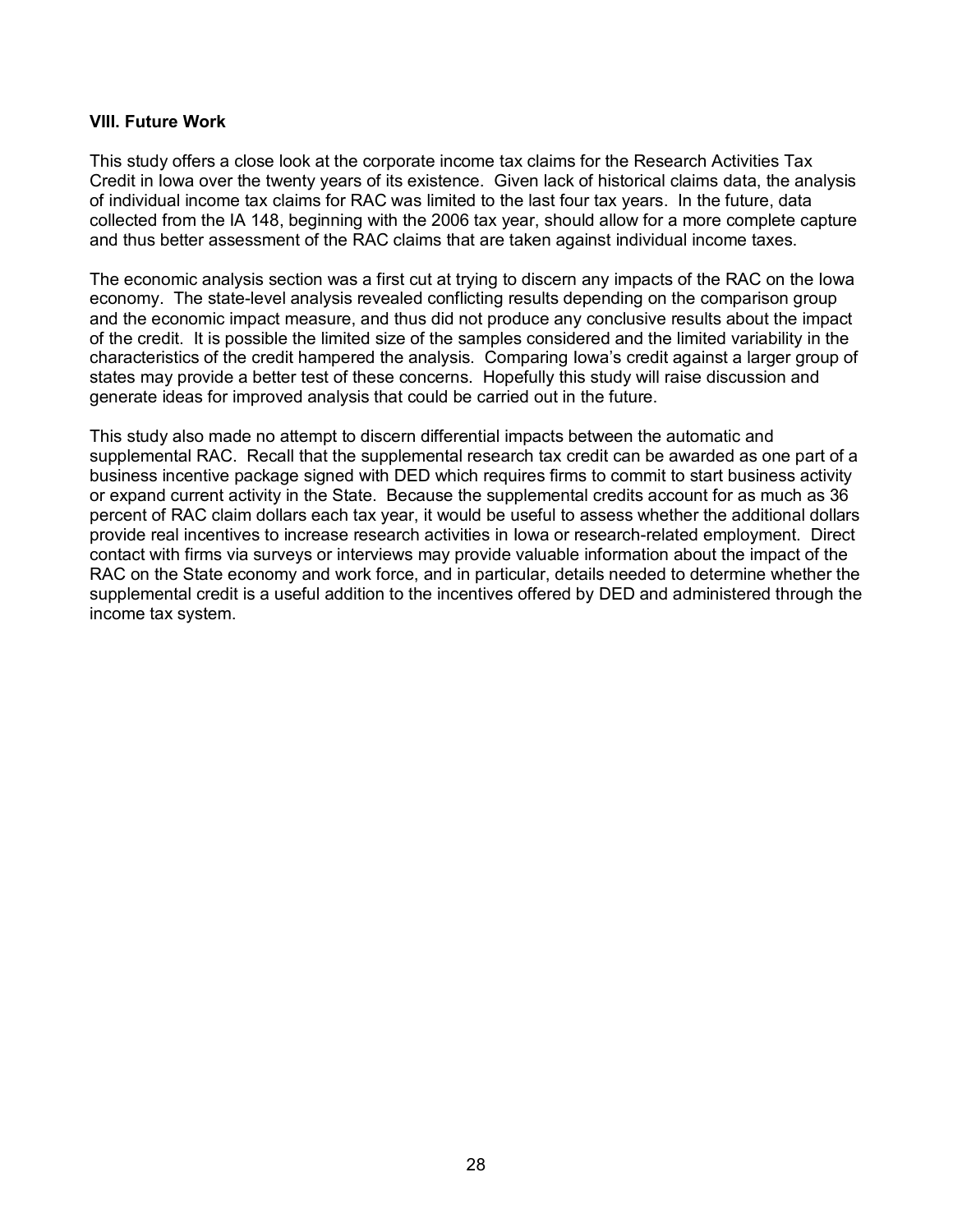## **VIII. Future Work**

This study offers a close look at the corporate income tax claims for the Research Activities Tax Credit in Iowa over the twenty years of its existence. Given lack of historical claims data, the analysis of individual income tax claims for RAC was limited to the last four tax years. In the future, data collected from the IA 148, beginning with the 2006 tax year, should allow for a more complete capture and thus better assessment of the RAC claims that are taken against individual income taxes.

The economic analysis section was a first cut at trying to discern any impacts of the RAC on the Iowa economy. The state-level analysis revealed conflicting results depending on the comparison group and the economic impact measure, and thus did not produce any conclusive results about the impact of the credit. It is possible the limited size of the samples considered and the limited variability in the characteristics of the credit hampered the analysis. Comparing Iowa's credit against a larger group of states may provide a better test of these concerns. Hopefully this study will raise discussion and generate ideas for improved analysis that could be carried out in the future.

This study also made no attempt to discern differential impacts between the automatic and supplemental RAC. Recall that the supplemental research tax credit can be awarded as one part of a business incentive package signed with DED which requires firms to commit to start business activity or expand current activity in the State. Because the supplemental credits account for as much as 36 percent of RAC claim dollars each tax year, it would be useful to assess whether the additional dollars provide real incentives to increase research activities in Iowa or research-related employment. Direct contact with firms via surveys or interviews may provide valuable information about the impact of the RAC on the State economy and work force, and in particular, details needed to determine whether the supplemental credit is a useful addition to the incentives offered by DED and administered through the income tax system.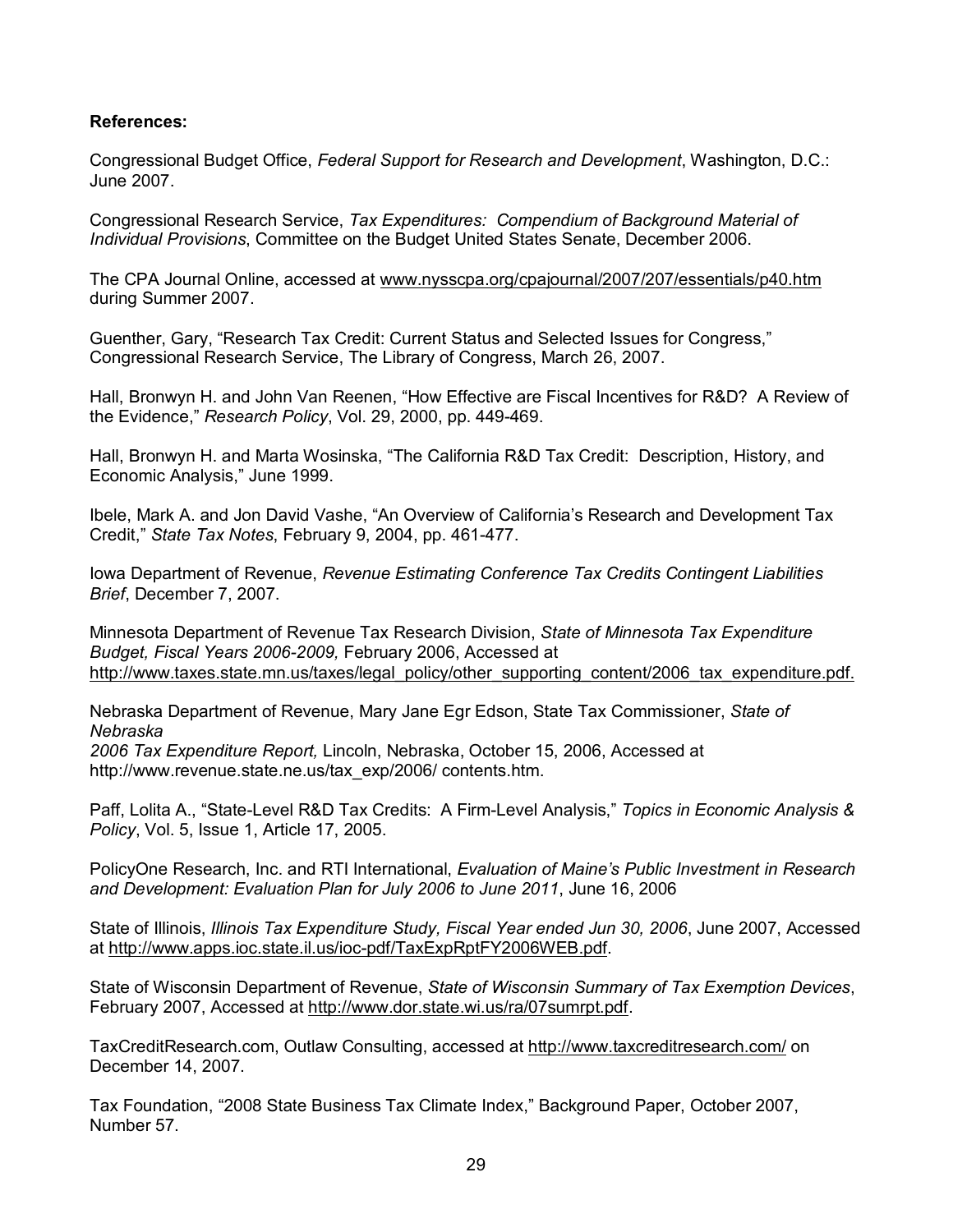## **References:**

Congressional Budget Office, *Federal Support for Research and Development*, Washington, D.C.: June 2007.

Congressional Research Service, *Tax Expenditures: Compendium of Background Material of Individual Provisions*, Committee on the Budget United States Senate, December 2006.

The CPA Journal Online, accessed at www.nysscpa.org/cpajournal/2007/207/essentials/p40.htm during Summer 2007.

Guenther, Gary, "Research Tax Credit: Current Status and Selected Issues for Congress," Congressional Research Service, The Library of Congress, March 26, 2007.

Hall, Bronwyn H. and John Van Reenen, "How Effective are Fiscal Incentives for R&D? A Review of the Evidence," *Research Policy*, Vol. 29, 2000, pp. 449-469.

Hall, Bronwyn H. and Marta Wosinska, "The California R&D Tax Credit: Description, History, and Economic Analysis," June 1999.

Ibele, Mark A. and Jon David Vashe, "An Overview of California's Research and Development Tax Credit," *State Tax Notes*, February 9, 2004, pp. 461-477.

Iowa Department of Revenue, *Revenue Estimating Conference Tax Credits Contingent Liabilities Brief*, December 7, 2007.

Minnesota Department of Revenue Tax Research Division, *State of Minnesota Tax Expenditure Budget, Fiscal Years 2006-2009,* February 2006, Accessed at http://www.taxes.state.mn.us/taxes/legal\_policy/other\_supporting\_content/2006\_tax\_expenditure.pdf.

Nebraska Department of Revenue, Mary Jane Egr Edson, State Tax Commissioner, *State of Nebraska* 

*2006 Tax Expenditure Report,* Lincoln, Nebraska, October 15, 2006, Accessed at http://www.revenue.state.ne.us/tax\_exp/2006/ contents.htm.

Paff, Lolita A., "State-Level R&D Tax Credits: A Firm-Level Analysis," *Topics in Economic Analysis & Policy*, Vol. 5, Issue 1, Article 17, 2005.

PolicyOne Research, Inc. and RTI International, *Evaluation of Maine's Public Investment in Research and Development: Evaluation Plan for July 2006 to June 2011*, June 16, 2006

State of Illinois, *Illinois Tax Expenditure Study, Fiscal Year ended Jun 30, 2006*, June 2007, Accessed at http://www.apps.ioc.state.il.us/ioc-pdf/TaxExpRptFY2006WEB.pdf.

State of Wisconsin Department of Revenue, *State of Wisconsin Summary of Tax Exemption Devices*, February 2007, Accessed at http://www.dor.state.wi.us/ra/07sumrpt.pdf.

TaxCreditResearch.com, Outlaw Consulting, accessed at http://www.taxcreditresearch.com/ on December 14, 2007.

Tax Foundation, "2008 State Business Tax Climate Index," Background Paper, October 2007, Number 57.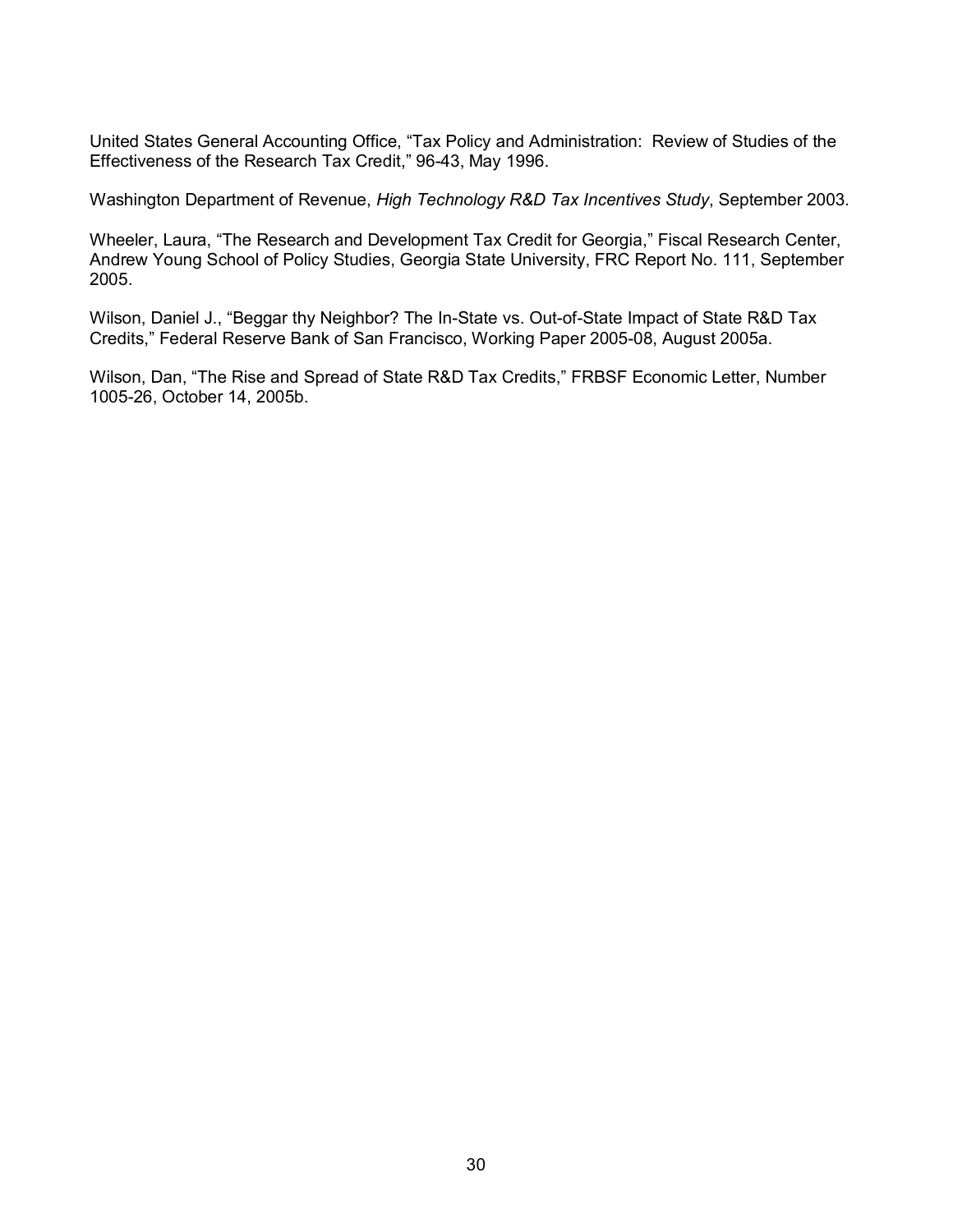United States General Accounting Office, "Tax Policy and Administration: Review of Studies of the Effectiveness of the Research Tax Credit," 96-43, May 1996.

Washington Department of Revenue, *High Technology R&D Tax Incentives Study*, September 2003.

Wheeler, Laura, "The Research and Development Tax Credit for Georgia," Fiscal Research Center, Andrew Young School of Policy Studies, Georgia State University, FRC Report No. 111, September 2005.

Wilson, Daniel J., "Beggar thy Neighbor? The In-State vs. Out-of-State Impact of State R&D Tax Credits," Federal Reserve Bank of San Francisco, Working Paper 2005-08, August 2005a.

Wilson, Dan, "The Rise and Spread of State R&D Tax Credits," FRBSF Economic Letter, Number 1005-26, October 14, 2005b.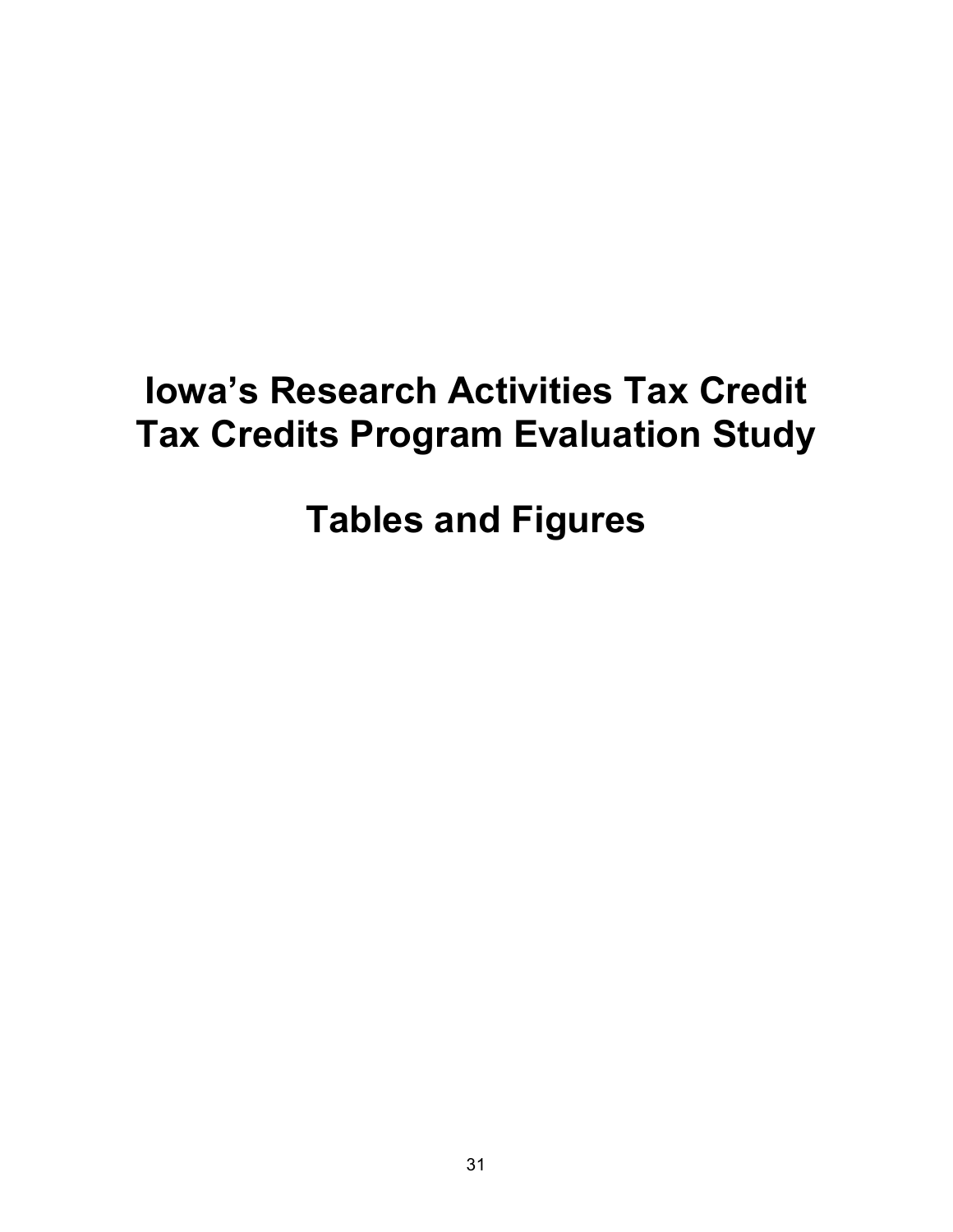## **Iowa's Research Activities Tax Credit Tax Credits Program Evaluation Study**

## **Tables and Figures**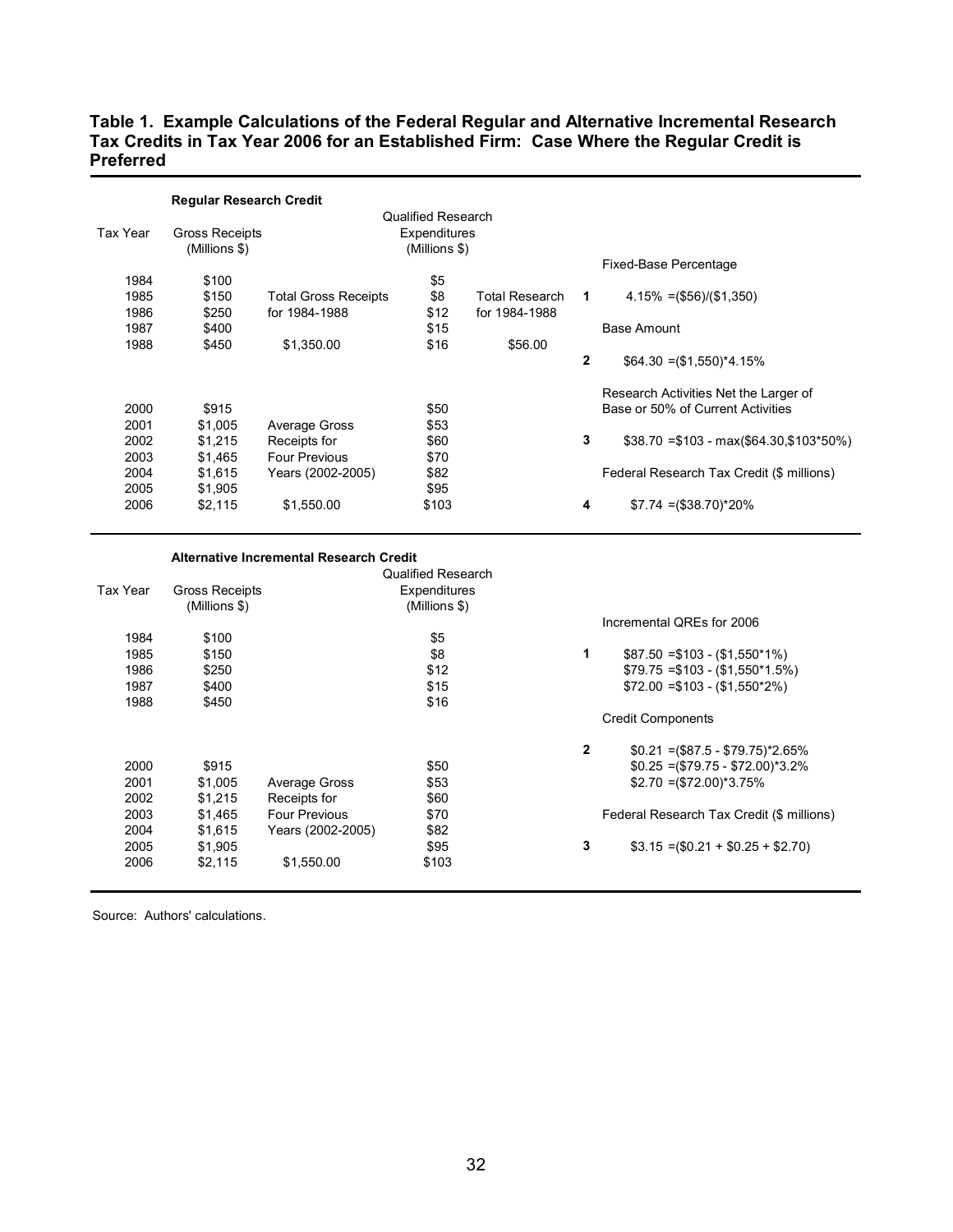## **Table 1. Example Calculations of the Federal Regular and Alternative Incremental Research Tax Credits in Tax Year 2006 for an Established Firm: Case Where the Regular Credit is Preferred**

|          | <b>Regular Research Credit</b> |                             |                    |                |              |                                           |
|----------|--------------------------------|-----------------------------|--------------------|----------------|--------------|-------------------------------------------|
|          |                                |                             | Qualified Research |                |              |                                           |
| Tax Year | Gross Receipts                 |                             | Expenditures       |                |              |                                           |
|          | (Millions \$)                  |                             | (Millions \$)      |                |              |                                           |
|          |                                |                             |                    |                |              | Fixed-Base Percentage                     |
| 1984     | \$100                          |                             | \$5                |                |              |                                           |
| 1985     | \$150                          | <b>Total Gross Receipts</b> | \$8                | Total Research | 1            | $4.15\% = (\$56)/(\$1,350)$               |
| 1986     | \$250                          | for 1984-1988               | \$12               | for 1984-1988  |              |                                           |
| 1987     | \$400                          |                             | \$15               |                |              | Base Amount                               |
| 1988     | \$450                          | \$1,350.00                  | \$16               | \$56.00        |              |                                           |
|          |                                |                             |                    |                | $\mathbf{2}$ | $$64.30 = ($1,550)^*4.15%$                |
|          |                                |                             |                    |                |              | Research Activities Net the Larger of     |
| 2000     | \$915                          |                             | \$50               |                |              | Base or 50% of Current Activities         |
| 2001     | \$1,005                        | Average Gross               | \$53               |                |              |                                           |
| 2002     | \$1,215                        | Receipts for                | \$60               |                | 3            | $$38.70 = $103 - max($64.30, $103*50%)$   |
| 2003     | \$1,465                        | Four Previous               | \$70               |                |              |                                           |
| 2004     | \$1,615                        | Years (2002-2005)           | \$82               |                |              | Federal Research Tax Credit (\$ millions) |
| 2005     | \$1,905                        |                             | \$95               |                |              |                                           |
| 2006     | \$2,115                        | \$1,550.00                  | \$103              |                | 4            | $$7.74 = ($38.70)^*20\%$                  |
|          |                                |                             |                    |                |              |                                           |

|          |                | Alternative Incremental Research Credit |                           |   |                                           |
|----------|----------------|-----------------------------------------|---------------------------|---|-------------------------------------------|
|          |                |                                         | <b>Qualified Research</b> |   |                                           |
| Tax Year | Gross Receipts |                                         | Expenditures              |   |                                           |
|          | (Millions \$)  |                                         | (Millions \$)             |   |                                           |
|          |                |                                         |                           |   | Incremental QREs for 2006                 |
| 1984     | \$100          |                                         | \$5                       |   |                                           |
| 1985     | \$150          |                                         | \$8                       | 1 | $$87.50 = $103 - ($1,550^*1\%)$           |
| 1986     | \$250          |                                         | \$12                      |   | $$79.75 = $103 - ($1,550*1.5%)$           |
| 1987     | \$400          |                                         | \$15                      |   | $$72.00 = $103 - (\$1.550^*2\%)$          |
| 1988     | \$450          |                                         | \$16                      |   |                                           |
|          |                |                                         |                           |   | <b>Credit Components</b>                  |
|          |                |                                         |                           | 2 | $$0.21 = ($87.5 - $79.75)^*2.65\%$        |
| 2000     | \$915          |                                         | \$50                      |   | $$0.25 = ($79.75 - $72.00)*3.2%$          |
| 2001     | \$1,005        | Average Gross                           | \$53                      |   | $$2.70 = ($72.00)*3.75%$                  |
| 2002     | \$1,215        | Receipts for                            | \$60                      |   |                                           |
| 2003     | \$1,465        | <b>Four Previous</b>                    | \$70                      |   | Federal Research Tax Credit (\$ millions) |
| 2004     | \$1,615        | Years (2002-2005)                       | \$82                      |   |                                           |
| 2005     | \$1,905        |                                         | \$95                      | 3 | $$3.15 = ($0.21 + $0.25 + $2.70)$         |
| 2006     | \$2,115        | \$1,550.00                              | \$103                     |   |                                           |
|          |                |                                         |                           |   |                                           |

Source: Authors' calculations.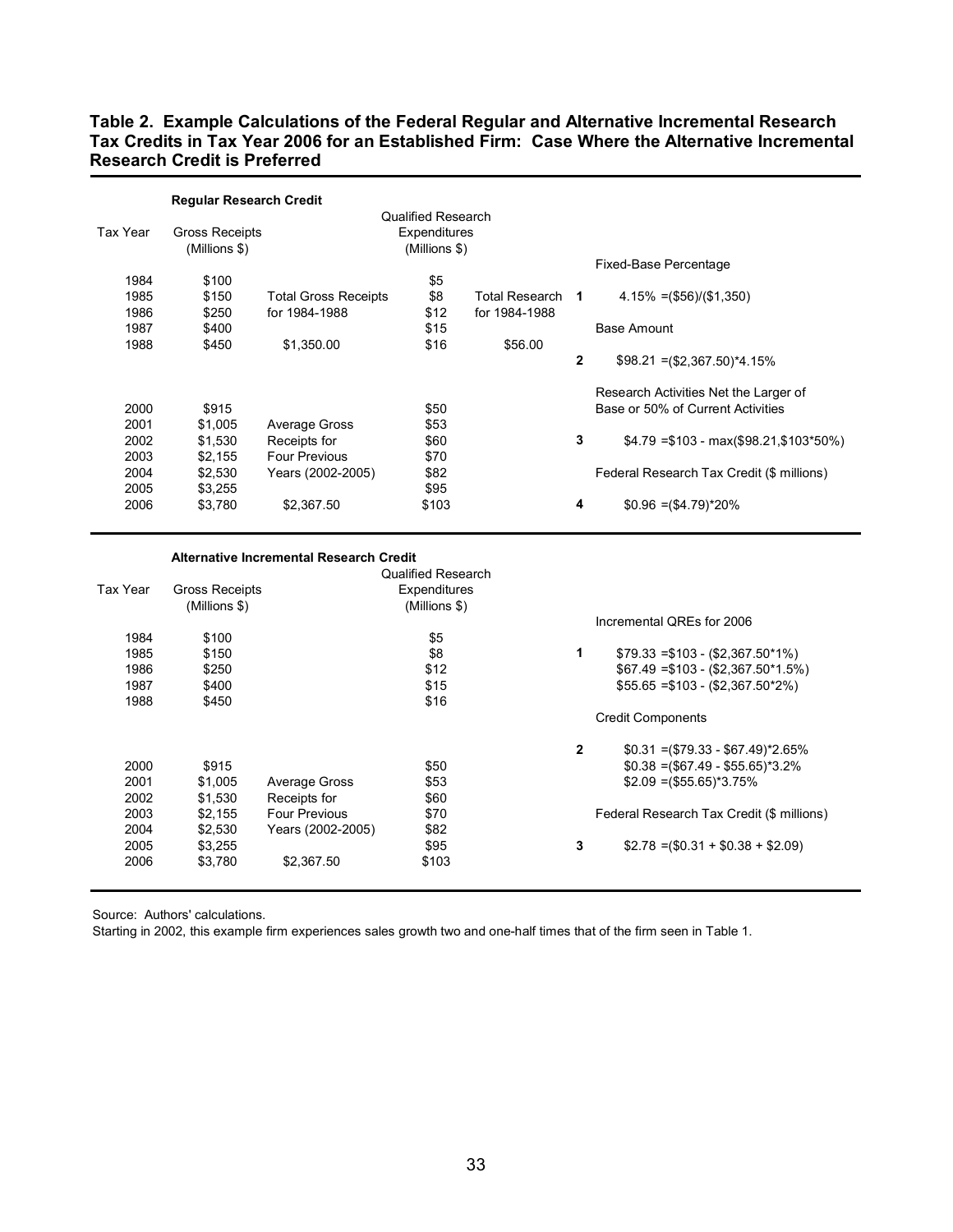## **Table 2. Example Calculations of the Federal Regular and Alternative Incremental Research Tax Credits in Tax Year 2006 for an Established Firm: Case Where the Alternative Incremental Research Credit is Preferred**

|          | <b>Regular Research Credit</b> |                             |                    |                |              |                                           |
|----------|--------------------------------|-----------------------------|--------------------|----------------|--------------|-------------------------------------------|
|          |                                |                             | Qualified Research |                |              |                                           |
| Tax Year | Gross Receipts                 |                             | Expenditures       |                |              |                                           |
|          | (Millions \$)                  |                             | (Millions \$)      |                |              |                                           |
|          |                                |                             |                    |                |              | Fixed-Base Percentage                     |
| 1984     | \$100                          |                             | \$5                |                |              |                                           |
| 1985     | \$150                          | <b>Total Gross Receipts</b> | \$8                | Total Research | 1            | $4.15\% = (\$56)/(\$1,350)$               |
| 1986     | \$250                          | for 1984-1988               | \$12               | for 1984-1988  |              |                                           |
| 1987     | \$400                          |                             | \$15               |                |              | Base Amount                               |
| 1988     | \$450                          | \$1,350.00                  | \$16               | \$56.00        |              |                                           |
|          |                                |                             |                    |                | $\mathbf{2}$ | $$98.21 = ($2,367.50)^*4.15\%$            |
|          |                                |                             |                    |                |              | Research Activities Net the Larger of     |
| 2000     | \$915                          |                             | \$50               |                |              | Base or 50% of Current Activities         |
| 2001     | \$1,005                        | Average Gross               | \$53               |                |              |                                           |
| 2002     | \$1,530                        | Receipts for                | \$60               |                | 3            | $$4.79 = $103 - max($98.21, $103*50\%)$   |
| 2003     | \$2,155                        | <b>Four Previous</b>        | \$70               |                |              |                                           |
| 2004     | \$2,530                        | Years (2002-2005)           | \$82               |                |              | Federal Research Tax Credit (\$ millions) |
| 2005     | \$3,255                        |                             | \$95               |                |              |                                           |
| 2006     | \$3,780                        | \$2,367.50                  | \$103              |                | 4            | $$0.96 = ($4.79)^*20\%$                   |

|          |                | <b>Alternative Incremental Research Credit</b> |                           |              |                                           |
|----------|----------------|------------------------------------------------|---------------------------|--------------|-------------------------------------------|
|          |                |                                                | <b>Qualified Research</b> |              |                                           |
| Tax Year | Gross Receipts |                                                | Expenditures              |              |                                           |
|          | (Millions \$)  |                                                | $(Millions$ \$)           |              |                                           |
|          |                |                                                |                           |              | Incremental QREs for 2006                 |
| 1984     | \$100          |                                                | \$5                       |              |                                           |
| 1985     | \$150          |                                                | \$8                       | 1            | $$79.33 = $103 - ($2,367.50^*1\%)$        |
| 1986     | \$250          |                                                | \$12                      |              | $$67.49 = $103 - ($2.367.50*1.5%)$        |
| 1987     | \$400          |                                                | \$15                      |              | $$55.65 = $103 - (2.367.50^*2\%)$         |
| 1988     | \$450          |                                                | \$16                      |              |                                           |
|          |                |                                                |                           |              | <b>Credit Components</b>                  |
|          |                |                                                |                           | $\mathbf{2}$ | $$0.31 = ($79.33 - $67.49)^*2.65\%$       |
| 2000     | \$915          |                                                | \$50                      |              | $$0.38 = ($67.49 - $55.65)^*3.2\%$        |
| 2001     | \$1,005        | Average Gross                                  | \$53                      |              | $$2.09 = ($55.65)^*3.75\%$                |
| 2002     | \$1,530        | Receipts for                                   | \$60                      |              |                                           |
| 2003     | \$2,155        | <b>Four Previous</b>                           | \$70                      |              | Federal Research Tax Credit (\$ millions) |
| 2004     | \$2,530        | Years (2002-2005)                              | \$82                      |              |                                           |
| 2005     | \$3,255        |                                                | \$95                      | 3            | $$2.78 = ($0.31 + $0.38 + $2.09)$         |
| 2006     | \$3,780        | \$2,367.50                                     | \$103                     |              |                                           |
|          |                |                                                |                           |              |                                           |

Source: Authors' calculations.

Starting in 2002, this example firm experiences sales growth two and one-half times that of the firm seen in Table 1.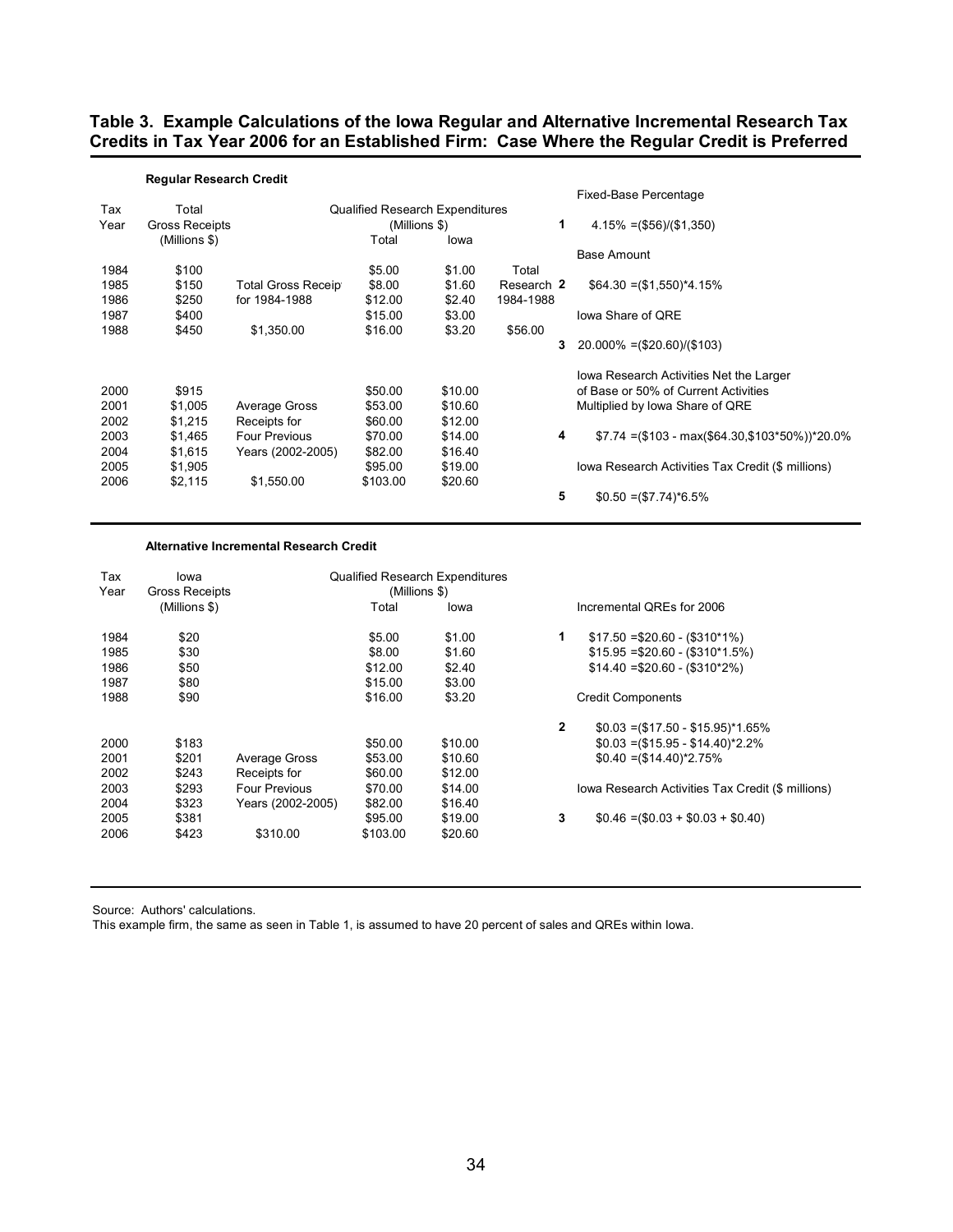### **Table 3. Example Calculations of the Iowa Regular and Alternative Incremental Research Tax Credits in Tax Year 2006 for an Established Firm: Case Where the Regular Credit is Preferred**

|      | <b>Regular Research Credit</b> |                           |                                        |         |            |                                                   |
|------|--------------------------------|---------------------------|----------------------------------------|---------|------------|---------------------------------------------------|
|      |                                |                           |                                        |         |            | Fixed-Base Percentage                             |
| Tax  | Total                          |                           | <b>Qualified Research Expenditures</b> |         |            |                                                   |
| Year | <b>Gross Receipts</b>          |                           | (Millions \$)                          |         | 1          | $4.15\% = (\$56)/(\$1,350)$                       |
|      | (Millions \$)                  |                           | Total                                  | lowa    |            |                                                   |
|      |                                |                           |                                        |         |            | <b>Base Amount</b>                                |
| 1984 | \$100                          |                           | \$5.00                                 | \$1.00  | Total      |                                                   |
| 1985 | \$150                          | <b>Total Gross Receip</b> | \$8.00                                 | \$1.60  | Research 2 | $$64.30 = ($1,550)*4.15%$                         |
| 1986 | \$250                          | for 1984-1988             | \$12.00                                | \$2.40  | 1984-1988  |                                                   |
| 1987 | \$400                          |                           | \$15.00                                | \$3.00  |            | lowa Share of ORE                                 |
| 1988 | \$450                          | \$1,350.00                | \$16.00                                | \$3.20  | \$56.00    |                                                   |
|      |                                |                           |                                        |         | 3          | $20.000\% = (\$20.60)/(\$103)$                    |
|      |                                |                           |                                        |         |            | lowa Research Activities Net the Larger           |
| 2000 | \$915                          |                           | \$50.00                                | \$10.00 |            | of Base or 50% of Current Activities              |
| 2001 | \$1,005                        | Average Gross             | \$53.00                                | \$10.60 |            | Multiplied by Iowa Share of QRE                   |
| 2002 | \$1,215                        | Receipts for              | \$60.00                                | \$12.00 |            |                                                   |
| 2003 | \$1,465                        | <b>Four Previous</b>      | \$70.00                                | \$14.00 | 4          | $$7.74 = ($103 - max ($64.30, $103*50%)^2 20.0\%$ |
| 2004 | \$1,615                        | Years (2002-2005)         | \$82.00                                | \$16.40 |            |                                                   |
| 2005 | \$1,905                        |                           | \$95.00                                | \$19.00 |            | Iowa Research Activities Tax Credit (\$ millions) |
| 2006 | \$2,115                        | \$1,550.00                | \$103.00                               | \$20.60 |            |                                                   |
|      |                                |                           |                                        |         | 5          | $$0.50 = ($7.74)^*6.5\%$                          |

#### **Alternative Incremental Research Credit**

| Tax<br>Year | lowa<br><b>Gross Receipts</b> |                      | (Millions \$) | <b>Qualified Research Expenditures</b> |              |                                                   |
|-------------|-------------------------------|----------------------|---------------|----------------------------------------|--------------|---------------------------------------------------|
|             | (Millions \$)                 |                      | Total         | lowa                                   |              | Incremental OREs for 2006                         |
| 1984        | \$20                          |                      | \$5.00        | \$1.00                                 | 1            | $$17.50 = $20.60 - ($310*1\%)$                    |
| 1985        | \$30                          |                      | \$8.00        | \$1.60                                 |              | $$15.95 = $20.60 - ($310*1.5%)$                   |
| 1986        | \$50                          |                      | \$12.00       | \$2.40                                 |              | $$14.40 = $20.60 - (\$310^*2\%)$                  |
| 1987        | \$80                          |                      | \$15.00       | \$3.00                                 |              |                                                   |
| 1988        | \$90                          |                      | \$16.00       | \$3.20                                 |              | <b>Credit Components</b>                          |
|             |                               |                      |               |                                        | $\mathbf{2}$ | $$0.03 = ($17.50 - $15.95)^*1.65\%$               |
| 2000        | \$183                         |                      | \$50.00       | \$10.00                                |              | $$0.03 = ($15.95 - $14.40)^*2.2\%$                |
| 2001        | \$201                         | Average Gross        | \$53.00       | \$10.60                                |              | $$0.40 = ($14.40)^*2.75\%$                        |
| 2002        | \$243                         | Receipts for         | \$60.00       | \$12.00                                |              |                                                   |
| 2003        | \$293                         | <b>Four Previous</b> | \$70.00       | \$14.00                                |              | Iowa Research Activities Tax Credit (\$ millions) |
| 2004        | \$323                         | Years (2002-2005)    | \$82.00       | \$16.40                                |              |                                                   |
| 2005        | \$381                         |                      | \$95.00       | \$19.00                                | 3            | $$0.46 = ($0.03 + $0.03 + $0.40)$                 |
| 2006        | \$423                         | \$310.00             | \$103.00      | \$20.60                                |              |                                                   |
|             |                               |                      |               |                                        |              |                                                   |

Source: Authors' calculations.

This example firm, the same as seen in Table 1, is assumed to have 20 percent of sales and QREs within Iowa.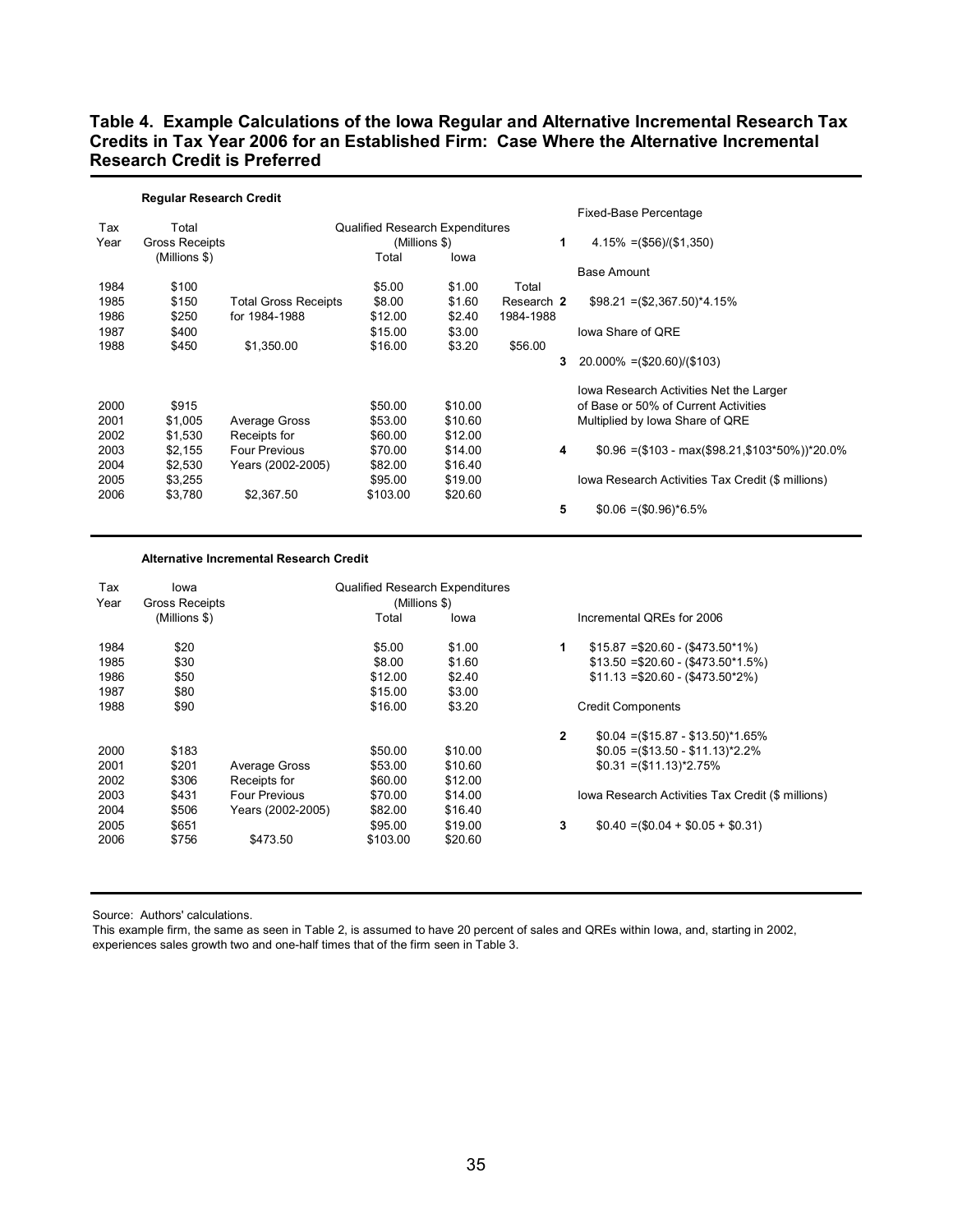## **Table 4. Example Calculations of the Iowa Regular and Alternative Incremental Research Tax Credits in Tax Year 2006 for an Established Firm: Case Where the Alternative Incremental Research Credit is Preferred**

|      | <b>Regular Research Credit</b> |                             |                                        |         |            |                                                    |
|------|--------------------------------|-----------------------------|----------------------------------------|---------|------------|----------------------------------------------------|
|      |                                |                             |                                        |         |            | Fixed-Base Percentage                              |
| Tax  | Total                          |                             | <b>Qualified Research Expenditures</b> |         |            |                                                    |
| Year | <b>Gross Receipts</b>          |                             | (Millions \$)                          |         | 1          | $4.15\% = (\$56)/(\$1,350)$                        |
|      | (Millions \$)                  |                             | Total                                  | lowa    |            |                                                    |
|      |                                |                             |                                        |         |            | Base Amount                                        |
| 1984 | \$100                          |                             | \$5.00                                 | \$1.00  | Total      |                                                    |
| 1985 | \$150                          | <b>Total Gross Receipts</b> | \$8.00                                 | \$1.60  | Research 2 | $$98.21 = ($2,367.50)^*4.15\%$                     |
| 1986 | \$250                          | for 1984-1988               | \$12.00                                | \$2.40  | 1984-1988  |                                                    |
| 1987 | \$400                          |                             | \$15.00                                | \$3.00  |            | lowa Share of ORE                                  |
| 1988 | \$450                          | \$1,350.00                  | \$16.00                                | \$3.20  | \$56.00    |                                                    |
|      |                                |                             |                                        |         | 3          | $20.000\% = (\$20.60)/(\$103)$                     |
|      |                                |                             |                                        |         |            | lowa Research Activities Net the Larger            |
| 2000 | \$915                          |                             | \$50.00                                | \$10.00 |            | of Base or 50% of Current Activities               |
| 2001 | \$1,005                        | Average Gross               | \$53.00                                | \$10.60 |            | Multiplied by Iowa Share of QRE                    |
| 2002 | \$1,530                        | Receipts for                | \$60.00                                | \$12.00 |            |                                                    |
| 2003 | \$2,155                        | <b>Four Previous</b>        | \$70.00                                | \$14.00 | 4          | $$0.96 = ($103 - max ($98.21, $103*50\%)^2 20.0\%$ |
| 2004 | \$2,530                        | Years (2002-2005)           | \$82.00                                | \$16.40 |            |                                                    |
| 2005 | \$3,255                        |                             | \$95.00                                | \$19.00 |            | lowa Research Activities Tax Credit (\$ millions)  |
| 2006 | \$3,780                        | \$2,367.50                  | \$103.00                               | \$20.60 |            |                                                    |
|      |                                |                             |                                        |         | 5          | $$0.06 = ($0.96)^*6.5\%$                           |

#### **Alternative Incremental Research Credit**

| Tax<br>Year | lowa<br><b>Gross Receipts</b> |                      | <b>Qualified Research Expenditures</b><br>(Millions \$) |         |              |                                                   |
|-------------|-------------------------------|----------------------|---------------------------------------------------------|---------|--------------|---------------------------------------------------|
|             | (Millions \$)                 |                      | Total                                                   | lowa    |              | Incremental QREs for 2006                         |
| 1984        | \$20                          |                      | \$5.00                                                  | \$1.00  | 1            | $$15.87 = $20.60 - ($473.50*1\%)$                 |
| 1985        | \$30                          |                      | \$8.00                                                  | \$1.60  |              | $$13.50 = $20.60 - ($473.50*1.5%)$                |
| 1986        | \$50                          |                      | \$12.00                                                 | \$2.40  |              | $$11.13 = $20.60 - ( $473.50^*2\%)$               |
| 1987        | \$80                          |                      | \$15.00                                                 | \$3.00  |              |                                                   |
| 1988        | \$90                          |                      | \$16.00                                                 | \$3.20  |              | <b>Credit Components</b>                          |
|             |                               |                      |                                                         |         | $\mathbf{2}$ | $$0.04 = ($15.87 - $13.50)^*1.65\%$               |
| 2000        | \$183                         |                      | \$50.00                                                 | \$10.00 |              | $$0.05 = ($13.50 - $11.13)^*2.2\%$                |
| 2001        | \$201                         | Average Gross        | \$53.00                                                 | \$10.60 |              | $$0.31 = ($11.13)^*2.75\%$                        |
| 2002        | \$306                         | Receipts for         | \$60.00                                                 | \$12.00 |              |                                                   |
| 2003        | \$431                         | <b>Four Previous</b> | \$70.00                                                 | \$14.00 |              | Iowa Research Activities Tax Credit (\$ millions) |
| 2004        | \$506                         | Years (2002-2005)    | \$82.00                                                 | \$16.40 |              |                                                   |
| 2005        | \$651                         |                      | \$95.00                                                 | \$19.00 | 3            | $$0.40 = ($0.04 + $0.05 + $0.31)$                 |
| 2006        | \$756                         | \$473.50             | \$103.00                                                | \$20.60 |              |                                                   |
|             |                               |                      |                                                         |         |              |                                                   |

Source: Authors' calculations.

This example firm, the same as seen in Table 2, is assumed to have 20 percent of sales and QREs within Iowa, and, starting in 2002, experiences sales growth two and one-half times that of the firm seen in Table 3.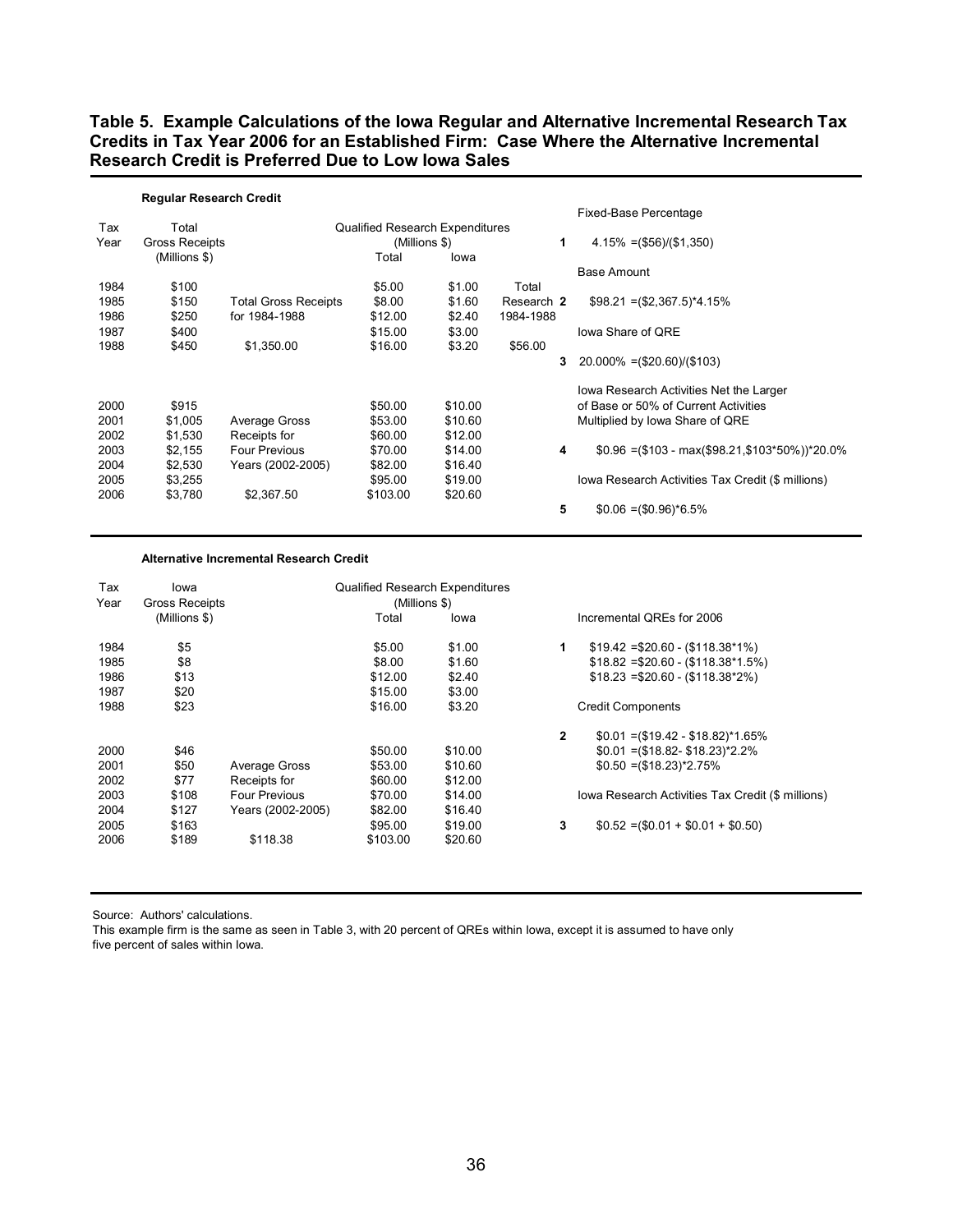**Table 5. Example Calculations of the Iowa Regular and Alternative Incremental Research Tax Credits in Tax Year 2006 for an Established Firm: Case Where the Alternative Incremental Research Credit is Preferred Due to Low Iowa Sales** 

|      | <b>Regular Research Credit</b> |                             |                                        |         |            |                                                   |
|------|--------------------------------|-----------------------------|----------------------------------------|---------|------------|---------------------------------------------------|
|      |                                |                             |                                        |         |            | Fixed-Base Percentage                             |
| Tax  | Total                          |                             | <b>Qualified Research Expenditures</b> |         |            |                                                   |
| Year | Gross Receipts                 |                             | (Millions \$)                          |         | 1          | $4.15\% = (\$56)/(\$1,350)$                       |
|      | (Millions \$)                  |                             | Total                                  | lowa    |            |                                                   |
|      |                                |                             |                                        |         |            | <b>Base Amount</b>                                |
| 1984 | \$100                          |                             | \$5.00                                 | \$1.00  | Total      |                                                   |
| 1985 | \$150                          | <b>Total Gross Receipts</b> | \$8.00                                 | \$1.60  | Research 2 | $$98.21 = ($2,367.5)^*4.15%$                      |
| 1986 | \$250                          | for 1984-1988               | \$12.00                                | \$2.40  | 1984-1988  |                                                   |
| 1987 | \$400                          |                             | \$15.00                                | \$3.00  |            | lowa Share of ORE                                 |
| 1988 | \$450                          | \$1,350.00                  | \$16.00                                | \$3.20  | \$56.00    |                                                   |
|      |                                |                             |                                        |         | 3          | $20.000\% = (\$20.60)/(\$103)$                    |
|      |                                |                             |                                        |         |            | Iowa Research Activities Net the Larger           |
| 2000 | \$915                          |                             | \$50.00                                | \$10.00 |            | of Base or 50% of Current Activities              |
| 2001 | \$1,005                        | Average Gross               | \$53.00                                | \$10.60 |            | Multiplied by Iowa Share of QRE                   |
| 2002 | \$1,530                        | Receipts for                | \$60.00                                | \$12.00 |            |                                                   |
| 2003 | \$2,155                        | <b>Four Previous</b>        | \$70.00                                | \$14.00 | 4          | $$0.96 = ($103 - max ($98.21, $103*50\%)^*20.0\%$ |
| 2004 | \$2,530                        | Years (2002-2005)           | \$82.00                                | \$16.40 |            |                                                   |
| 2005 | \$3,255                        |                             | \$95.00                                | \$19.00 |            | Iowa Research Activities Tax Credit (\$ millions) |
| 2006 | \$3,780                        | \$2,367.50                  | \$103.00                               | \$20.60 |            |                                                   |
|      |                                |                             |                                        |         | 5          | $$0.06 = ($0.96)^*6.5\%$                          |

#### **Alternative Incremental Research Credit**

| Tax<br>Year | lowa<br><b>Gross Receipts</b> |                      | <b>Qualified Research Expenditures</b><br>(Millions \$) |         |              |                                                   |
|-------------|-------------------------------|----------------------|---------------------------------------------------------|---------|--------------|---------------------------------------------------|
|             | (Millions \$)                 |                      | Total                                                   | lowa    |              | Incremental QREs for 2006                         |
|             |                               |                      |                                                         |         |              |                                                   |
| 1984        | \$5                           |                      | \$5.00                                                  | \$1.00  | 1            | $$19.42 = $20.60 - ($118.38*1\%)$                 |
| 1985        | \$8                           |                      | \$8.00                                                  | \$1.60  |              | $$18.82 = $20.60 - ($118.38*1.5%)$                |
| 1986        | \$13                          |                      | \$12.00                                                 | \$2.40  |              | $$18.23 = $20.60 - (\$118.38^*2\%)$               |
| 1987        | \$20                          |                      | \$15.00                                                 | \$3.00  |              |                                                   |
| 1988        | \$23                          |                      | \$16.00                                                 | \$3.20  |              | <b>Credit Components</b>                          |
|             |                               |                      |                                                         |         | $\mathbf{2}$ | $$0.01 = ($19.42 - $18.82)^*1.65\%$               |
| 2000        | \$46                          |                      | \$50.00                                                 | \$10.00 |              | $$0.01 = ($18.82 - $18.23)^*2.2\%$                |
| 2001        | \$50                          | Average Gross        | \$53.00                                                 | \$10.60 |              | $$0.50 = ($18.23)^*2.75\%$                        |
| 2002        | \$77                          | Receipts for         | \$60.00                                                 | \$12.00 |              |                                                   |
| 2003        | \$108                         | <b>Four Previous</b> | \$70.00                                                 | \$14.00 |              | Iowa Research Activities Tax Credit (\$ millions) |
| 2004        | \$127                         | Years (2002-2005)    | \$82.00                                                 | \$16.40 |              |                                                   |
| 2005        | \$163                         |                      | \$95.00                                                 | \$19.00 | 3            | $$0.52 = ($0.01 + $0.01 + $0.50)$                 |
| 2006        | \$189                         | \$118.38             | \$103.00                                                | \$20.60 |              |                                                   |
|             |                               |                      |                                                         |         |              |                                                   |

Source: Authors' calculations.

This example firm is the same as seen in Table 3, with 20 percent of QREs within Iowa, except it is assumed to have only five percent of sales within Iowa.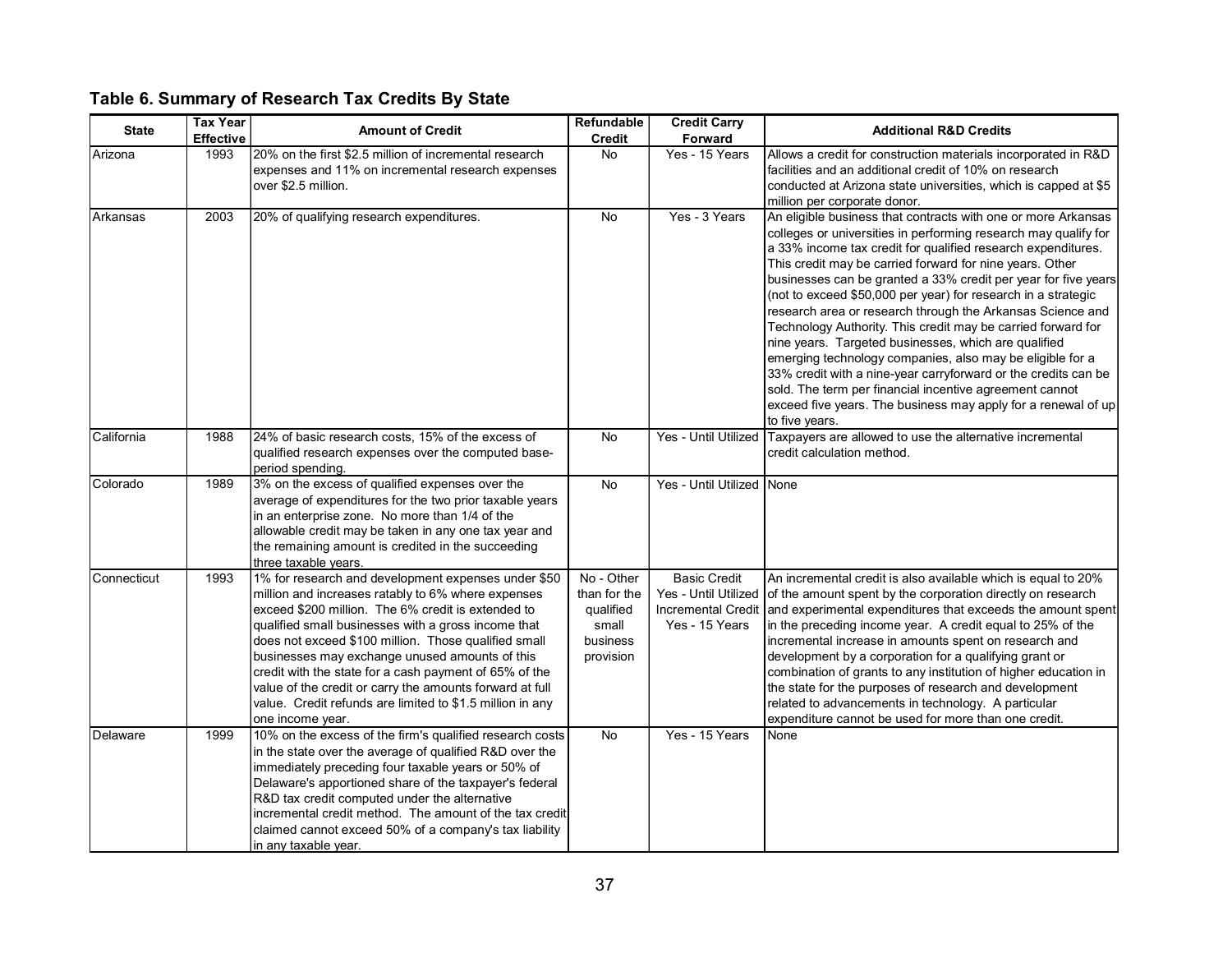## **Table 6. Summary of Research Tax Credits By State**

| <b>State</b> | <b>Tax Year</b><br><b>Effective</b> | <b>Amount of Credit</b>                                                                                                                                                                                                                                                                                                                                                                                                                                                                                                                 | <b>Refundable</b><br><b>Credit</b>                                        | <b>Credit Carry</b><br>Forward        | <b>Additional R&amp;D Credits</b>                                                                                                                                                                                                                                                                                                                                                                                                                                                                                                                                                                                                                                                                                                                                                                                                                                  |  |  |
|--------------|-------------------------------------|-----------------------------------------------------------------------------------------------------------------------------------------------------------------------------------------------------------------------------------------------------------------------------------------------------------------------------------------------------------------------------------------------------------------------------------------------------------------------------------------------------------------------------------------|---------------------------------------------------------------------------|---------------------------------------|--------------------------------------------------------------------------------------------------------------------------------------------------------------------------------------------------------------------------------------------------------------------------------------------------------------------------------------------------------------------------------------------------------------------------------------------------------------------------------------------------------------------------------------------------------------------------------------------------------------------------------------------------------------------------------------------------------------------------------------------------------------------------------------------------------------------------------------------------------------------|--|--|
| Arizona      | 1993                                | 20% on the first \$2.5 million of incremental research<br>expenses and 11% on incremental research expenses<br>over \$2.5 million.                                                                                                                                                                                                                                                                                                                                                                                                      | <b>No</b>                                                                 | Yes - 15 Years                        | Allows a credit for construction materials incorporated in R&D<br>facilities and an additional credit of 10% on research<br>conducted at Arizona state universities, which is capped at \$5<br>million per corporate donor.                                                                                                                                                                                                                                                                                                                                                                                                                                                                                                                                                                                                                                        |  |  |
| Arkansas     | 2003                                | 20% of qualifying research expenditures.                                                                                                                                                                                                                                                                                                                                                                                                                                                                                                | <b>No</b>                                                                 | Yes - 3 Years                         | An eligible business that contracts with one or more Arkansas<br>colleges or universities in performing research may qualify for<br>a 33% income tax credit for qualified research expenditures.<br>This credit may be carried forward for nine years. Other<br>businesses can be granted a 33% credit per year for five years<br>(not to exceed \$50,000 per year) for research in a strategic<br>research area or research through the Arkansas Science and<br>Technology Authority. This credit may be carried forward for<br>nine years. Targeted businesses, which are qualified<br>emerging technology companies, also may be eligible for a<br>33% credit with a nine-year carryforward or the credits can be<br>sold. The term per financial incentive agreement cannot<br>exceed five years. The business may apply for a renewal of up<br>to five years. |  |  |
| California   | 1988                                | 24% of basic research costs, 15% of the excess of<br>qualified research expenses over the computed base-<br>period spending.                                                                                                                                                                                                                                                                                                                                                                                                            | No                                                                        | Yes - Until Utilized                  | Taxpayers are allowed to use the alternative incremental<br>credit calculation method.                                                                                                                                                                                                                                                                                                                                                                                                                                                                                                                                                                                                                                                                                                                                                                             |  |  |
| Colorado     | 1989                                | 3% on the excess of qualified expenses over the<br>average of expenditures for the two prior taxable years<br>in an enterprise zone. No more than 1/4 of the<br>allowable credit may be taken in any one tax year and<br>the remaining amount is credited in the succeeding<br>three taxable years.                                                                                                                                                                                                                                     | No                                                                        | Yes - Until Utilized None             |                                                                                                                                                                                                                                                                                                                                                                                                                                                                                                                                                                                                                                                                                                                                                                                                                                                                    |  |  |
| Connecticut  | 1993                                | 1% for research and development expenses under \$50<br>million and increases ratably to 6% where expenses<br>exceed \$200 million. The 6% credit is extended to<br>qualified small businesses with a gross income that<br>does not exceed \$100 million. Those qualified small<br>businesses may exchange unused amounts of this<br>credit with the state for a cash payment of 65% of the<br>value of the credit or carry the amounts forward at full<br>value. Credit refunds are limited to \$1.5 million in any<br>one income year. | No - Other<br>than for the<br>qualified<br>small<br>business<br>provision | <b>Basic Credit</b><br>Yes - 15 Years | An incremental credit is also available which is equal to 20%<br>Yes - Until Utilized of the amount spent by the corporation directly on research<br>Incremental Credit and experimental expenditures that exceeds the amount spent<br>in the preceding income year. A credit equal to 25% of the<br>incremental increase in amounts spent on research and<br>development by a corporation for a qualifying grant or<br>combination of grants to any institution of higher education in<br>the state for the purposes of research and development<br>related to advancements in technology. A particular<br>expenditure cannot be used for more than one credit.                                                                                                                                                                                                   |  |  |
| Delaware     | 1999                                | 10% on the excess of the firm's qualified research costs<br>in the state over the average of qualified R&D over the<br>immediately preceding four taxable years or 50% of<br>Delaware's apportioned share of the taxpayer's federal<br>R&D tax credit computed under the alternative<br>incremental credit method. The amount of the tax credit<br>claimed cannot exceed 50% of a company's tax liability<br>in any taxable year.                                                                                                       | No                                                                        | Yes - 15 Years                        | None                                                                                                                                                                                                                                                                                                                                                                                                                                                                                                                                                                                                                                                                                                                                                                                                                                                               |  |  |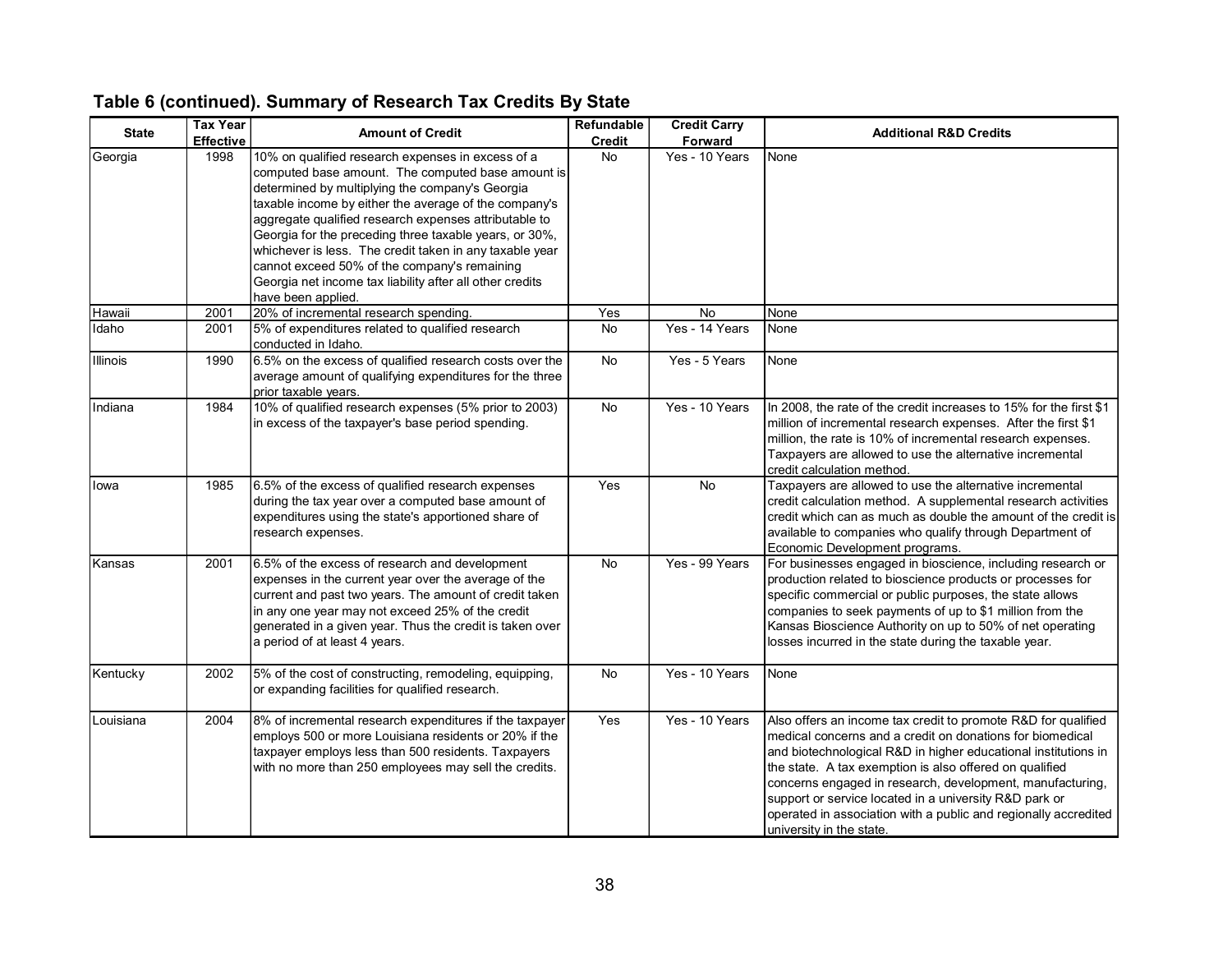| <b>State</b>    | <b>Tax Year</b><br><b>Effective</b> | <b>Amount of Credit</b>                                                                                                                                                                                                                                                                                                                                                                                                                                                                                                            | Refundable<br><b>Credit</b> | <b>Credit Carry</b><br>Forward | <b>Additional R&amp;D Credits</b>                                                                                                                                                                                                                                                                                                                                                                                                                                             |
|-----------------|-------------------------------------|------------------------------------------------------------------------------------------------------------------------------------------------------------------------------------------------------------------------------------------------------------------------------------------------------------------------------------------------------------------------------------------------------------------------------------------------------------------------------------------------------------------------------------|-----------------------------|--------------------------------|-------------------------------------------------------------------------------------------------------------------------------------------------------------------------------------------------------------------------------------------------------------------------------------------------------------------------------------------------------------------------------------------------------------------------------------------------------------------------------|
| Georgia         | 1998                                | 10% on qualified research expenses in excess of a<br>computed base amount. The computed base amount is<br>determined by multiplying the company's Georgia<br>taxable income by either the average of the company's<br>aggregate qualified research expenses attributable to<br>Georgia for the preceding three taxable years, or 30%,<br>whichever is less. The credit taken in any taxable year<br>cannot exceed 50% of the company's remaining<br>Georgia net income tax liability after all other credits<br>have been applied. | <b>No</b>                   | Yes - 10 Years                 | None                                                                                                                                                                                                                                                                                                                                                                                                                                                                          |
| Hawaii          | 2001                                | 20% of incremental research spending.                                                                                                                                                                                                                                                                                                                                                                                                                                                                                              | Yes                         | No                             | None                                                                                                                                                                                                                                                                                                                                                                                                                                                                          |
| Idaho           | 2001                                | 5% of expenditures related to qualified research<br>conducted in Idaho.                                                                                                                                                                                                                                                                                                                                                                                                                                                            | No                          | Yes - 14 Years                 | None                                                                                                                                                                                                                                                                                                                                                                                                                                                                          |
| <b>Illinois</b> | 1990                                | 6.5% on the excess of qualified research costs over the<br>average amount of qualifying expenditures for the three<br>prior taxable years.                                                                                                                                                                                                                                                                                                                                                                                         | No                          | Yes - 5 Years                  | None                                                                                                                                                                                                                                                                                                                                                                                                                                                                          |
| Indiana         | 1984                                | 10% of qualified research expenses (5% prior to 2003)<br>in excess of the taxpayer's base period spending.                                                                                                                                                                                                                                                                                                                                                                                                                         | <b>No</b>                   | Yes - 10 Years                 | In 2008, the rate of the credit increases to 15% for the first \$1<br>million of incremental research expenses. After the first \$1<br>million, the rate is 10% of incremental research expenses.<br>Taxpayers are allowed to use the alternative incremental<br>credit calculation method.                                                                                                                                                                                   |
| lowa            | 1985                                | 6.5% of the excess of qualified research expenses<br>during the tax year over a computed base amount of<br>expenditures using the state's apportioned share of<br>research expenses.                                                                                                                                                                                                                                                                                                                                               | Yes                         | <b>No</b>                      | Taxpayers are allowed to use the alternative incremental<br>credit calculation method. A supplemental research activities<br>credit which can as much as double the amount of the credit is<br>available to companies who qualify through Department of<br>Economic Development programs.                                                                                                                                                                                     |
| Kansas          | 2001                                | 6.5% of the excess of research and development<br>expenses in the current year over the average of the<br>current and past two years. The amount of credit taken<br>in any one year may not exceed 25% of the credit<br>generated in a given year. Thus the credit is taken over<br>a period of at least 4 years.                                                                                                                                                                                                                  | <b>No</b>                   | Yes - 99 Years                 | For businesses engaged in bioscience, including research or<br>production related to bioscience products or processes for<br>specific commercial or public purposes, the state allows<br>companies to seek payments of up to \$1 million from the<br>Kansas Bioscience Authority on up to 50% of net operating<br>losses incurred in the state during the taxable year.                                                                                                       |
| Kentucky        | 2002                                | 5% of the cost of constructing, remodeling, equipping,<br>or expanding facilities for qualified research.                                                                                                                                                                                                                                                                                                                                                                                                                          | No                          | Yes - 10 Years                 | None                                                                                                                                                                                                                                                                                                                                                                                                                                                                          |
| Louisiana       | 2004                                | 8% of incremental research expenditures if the taxpayer<br>employs 500 or more Louisiana residents or 20% if the<br>taxpayer employs less than 500 residents. Taxpayers<br>with no more than 250 employees may sell the credits.                                                                                                                                                                                                                                                                                                   | Yes                         | Yes - 10 Years                 | Also offers an income tax credit to promote R&D for qualified<br>medical concerns and a credit on donations for biomedical<br>and biotechnological R&D in higher educational institutions in<br>the state. A tax exemption is also offered on qualified<br>concerns engaged in research, development, manufacturing,<br>support or service located in a university R&D park or<br>operated in association with a public and regionally accredited<br>university in the state. |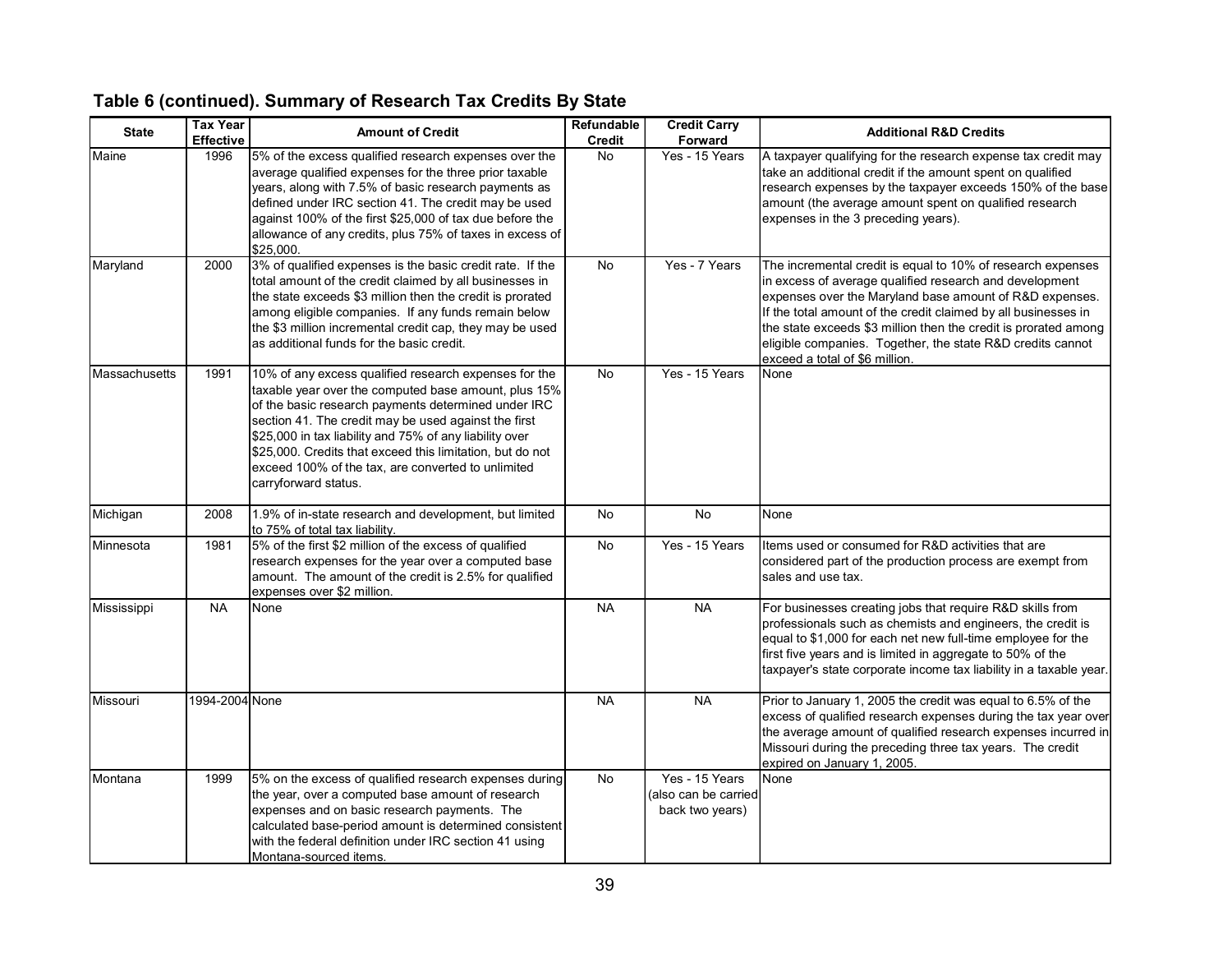| <b>State</b>  | <b>Tax Year</b>  | <b>Amount of Credit</b>                                                                                                                                                                                                                                                                                                                                                                                                            | Refundable    | <b>Credit Carry</b>                                       | <b>Additional R&amp;D Credits</b>                                                                                                                                                                                                                                                                                                                                                                                      |
|---------------|------------------|------------------------------------------------------------------------------------------------------------------------------------------------------------------------------------------------------------------------------------------------------------------------------------------------------------------------------------------------------------------------------------------------------------------------------------|---------------|-----------------------------------------------------------|------------------------------------------------------------------------------------------------------------------------------------------------------------------------------------------------------------------------------------------------------------------------------------------------------------------------------------------------------------------------------------------------------------------------|
|               | <b>Effective</b> |                                                                                                                                                                                                                                                                                                                                                                                                                                    | <b>Credit</b> | Forward                                                   |                                                                                                                                                                                                                                                                                                                                                                                                                        |
| Maine         | 1996             | 5% of the excess qualified research expenses over the<br>average qualified expenses for the three prior taxable<br>years, along with 7.5% of basic research payments as<br>defined under IRC section 41. The credit may be used<br>against 100% of the first \$25,000 of tax due before the<br>allowance of any credits, plus 75% of taxes in excess of<br>\$25,000.                                                               | <b>No</b>     | Yes - 15 Years                                            | A taxpayer qualifying for the research expense tax credit may<br>take an additional credit if the amount spent on qualified<br>research expenses by the taxpayer exceeds 150% of the base<br>amount (the average amount spent on qualified research<br>expenses in the 3 preceding years).                                                                                                                             |
| Maryland      | 2000             | 3% of qualified expenses is the basic credit rate. If the<br>total amount of the credit claimed by all businesses in<br>the state exceeds \$3 million then the credit is prorated<br>among eligible companies. If any funds remain below<br>the \$3 million incremental credit cap, they may be used<br>as additional funds for the basic credit.                                                                                  | <b>No</b>     | Yes - 7 Years                                             | The incremental credit is equal to 10% of research expenses<br>in excess of average qualified research and development<br>expenses over the Maryland base amount of R&D expenses.<br>If the total amount of the credit claimed by all businesses in<br>the state exceeds \$3 million then the credit is prorated among<br>eligible companies. Together, the state R&D credits cannot<br>exceed a total of \$6 million. |
| Massachusetts | 1991             | 10% of any excess qualified research expenses for the<br>taxable year over the computed base amount, plus 15%<br>of the basic research payments determined under IRC<br>section 41. The credit may be used against the first<br>\$25,000 in tax liability and 75% of any liability over<br>\$25,000. Credits that exceed this limitation, but do not<br>exceed 100% of the tax, are converted to unlimited<br>carryforward status. | <b>No</b>     | Yes - 15 Years                                            | None                                                                                                                                                                                                                                                                                                                                                                                                                   |
| Michigan      | 2008             | 1.9% of in-state research and development, but limited<br>to 75% of total tax liability.                                                                                                                                                                                                                                                                                                                                           | No            | <b>No</b>                                                 | None                                                                                                                                                                                                                                                                                                                                                                                                                   |
| Minnesota     | 1981             | 5% of the first \$2 million of the excess of qualified<br>research expenses for the year over a computed base<br>amount. The amount of the credit is 2.5% for qualified<br>expenses over \$2 million.                                                                                                                                                                                                                              | <b>No</b>     | Yes - 15 Years                                            | Items used or consumed for R&D activities that are<br>considered part of the production process are exempt from<br>sales and use tax.                                                                                                                                                                                                                                                                                  |
| Mississippi   | <b>NA</b>        | None                                                                                                                                                                                                                                                                                                                                                                                                                               | <b>NA</b>     | <b>NA</b>                                                 | For businesses creating jobs that require R&D skills from<br>professionals such as chemists and engineers, the credit is<br>equal to \$1,000 for each net new full-time employee for the<br>first five years and is limited in aggregate to 50% of the<br>taxpayer's state corporate income tax liability in a taxable year.                                                                                           |
| Missouri      | 1994-2004 None   |                                                                                                                                                                                                                                                                                                                                                                                                                                    | <b>NA</b>     | <b>NA</b>                                                 | Prior to January 1, 2005 the credit was equal to 6.5% of the<br>excess of qualified research expenses during the tax year over<br>the average amount of qualified research expenses incurred in<br>Missouri during the preceding three tax years. The credit<br>expired on January 1, 2005.                                                                                                                            |
| Montana       | 1999             | 5% on the excess of qualified research expenses during<br>the year, over a computed base amount of research<br>expenses and on basic research payments. The<br>calculated base-period amount is determined consistent<br>with the federal definition under IRC section 41 using<br>IMontana-sourced items                                                                                                                          | <b>No</b>     | Yes - 15 Years<br>(also can be carried<br>back two years) | None                                                                                                                                                                                                                                                                                                                                                                                                                   |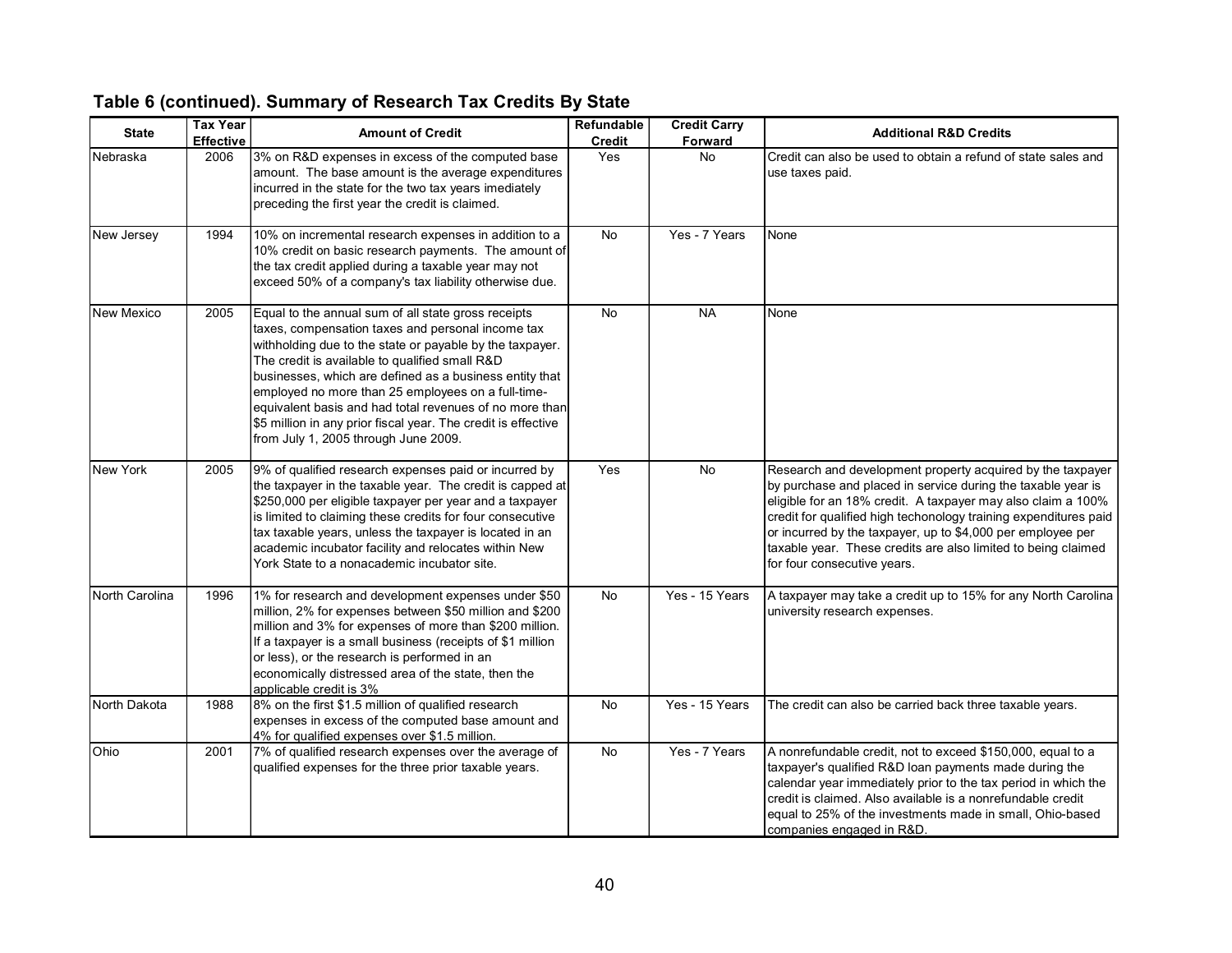| <b>State</b>   | <b>Tax Year</b><br><b>Effective</b> | <b>Amount of Credit</b>                                                                                                                                                                                                                                                                                                                                                                                                                                                                                     | Refundable<br><b>Credit</b> | <b>Credit Carry</b><br>Forward | <b>Additional R&amp;D Credits</b>                                                                                                                                                                                                                                                                                                                                                                                             |
|----------------|-------------------------------------|-------------------------------------------------------------------------------------------------------------------------------------------------------------------------------------------------------------------------------------------------------------------------------------------------------------------------------------------------------------------------------------------------------------------------------------------------------------------------------------------------------------|-----------------------------|--------------------------------|-------------------------------------------------------------------------------------------------------------------------------------------------------------------------------------------------------------------------------------------------------------------------------------------------------------------------------------------------------------------------------------------------------------------------------|
| Nebraska       | 2006                                | 3% on R&D expenses in excess of the computed base<br>amount. The base amount is the average expenditures<br>incurred in the state for the two tax years imediately<br>preceding the first year the credit is claimed.                                                                                                                                                                                                                                                                                       | Yes                         | <b>No</b>                      | Credit can also be used to obtain a refund of state sales and<br>use taxes paid.                                                                                                                                                                                                                                                                                                                                              |
| New Jersey     | 1994                                | 10% on incremental research expenses in addition to a<br>10% credit on basic research payments. The amount of<br>the tax credit applied during a taxable year may not<br>exceed 50% of a company's tax liability otherwise due.                                                                                                                                                                                                                                                                             | No                          | Yes - 7 Years                  | None                                                                                                                                                                                                                                                                                                                                                                                                                          |
| New Mexico     | 2005                                | Equal to the annual sum of all state gross receipts<br>taxes, compensation taxes and personal income tax<br>withholding due to the state or payable by the taxpayer.<br>The credit is available to qualified small R&D<br>businesses, which are defined as a business entity that<br>employed no more than 25 employees on a full-time-<br>equivalent basis and had total revenues of no more than<br>\$5 million in any prior fiscal year. The credit is effective<br>from July 1, 2005 through June 2009. | No                          | <b>NA</b>                      | None                                                                                                                                                                                                                                                                                                                                                                                                                          |
| New York       | 2005                                | 9% of qualified research expenses paid or incurred by<br>the taxpayer in the taxable year. The credit is capped at<br>\$250,000 per eligible taxpayer per year and a taxpayer<br>is limited to claiming these credits for four consecutive<br>tax taxable years, unless the taxpayer is located in an<br>academic incubator facility and relocates within New<br>York State to a nonacademic incubator site.                                                                                                | Yes                         | <b>No</b>                      | Research and development property acquired by the taxpayer<br>by purchase and placed in service during the taxable year is<br>eligible for an 18% credit. A taxpayer may also claim a 100%<br>credit for qualified high techonology training expenditures paid<br>or incurred by the taxpayer, up to \$4,000 per employee per<br>taxable year. These credits are also limited to being claimed<br>for four consecutive years. |
| North Carolina | 1996                                | 1% for research and development expenses under \$50<br>million, 2% for expenses between \$50 million and \$200<br>million and 3% for expenses of more than \$200 million.<br>If a taxpayer is a small business (receipts of \$1 million<br>or less), or the research is performed in an<br>economically distressed area of the state, then the<br>applicable credit is 3%                                                                                                                                   | No.                         | Yes - 15 Years                 | A taxpayer may take a credit up to 15% for any North Carolina<br>university research expenses.                                                                                                                                                                                                                                                                                                                                |
| North Dakota   | 1988                                | 8% on the first \$1.5 million of qualified research<br>expenses in excess of the computed base amount and<br>4% for qualified expenses over \$1.5 million.                                                                                                                                                                                                                                                                                                                                                  | <b>No</b>                   | Yes - 15 Years                 | The credit can also be carried back three taxable years.                                                                                                                                                                                                                                                                                                                                                                      |
| Ohio           | 2001                                | 7% of qualified research expenses over the average of<br>qualified expenses for the three prior taxable years.                                                                                                                                                                                                                                                                                                                                                                                              | No                          | Yes - 7 Years                  | A nonrefundable credit, not to exceed \$150,000, equal to a<br>taxpayer's qualified R&D loan payments made during the<br>calendar year immediately prior to the tax period in which the<br>credit is claimed. Also available is a nonrefundable credit<br>equal to 25% of the investments made in small, Ohio-based<br>companies engaged in R&D                                                                               |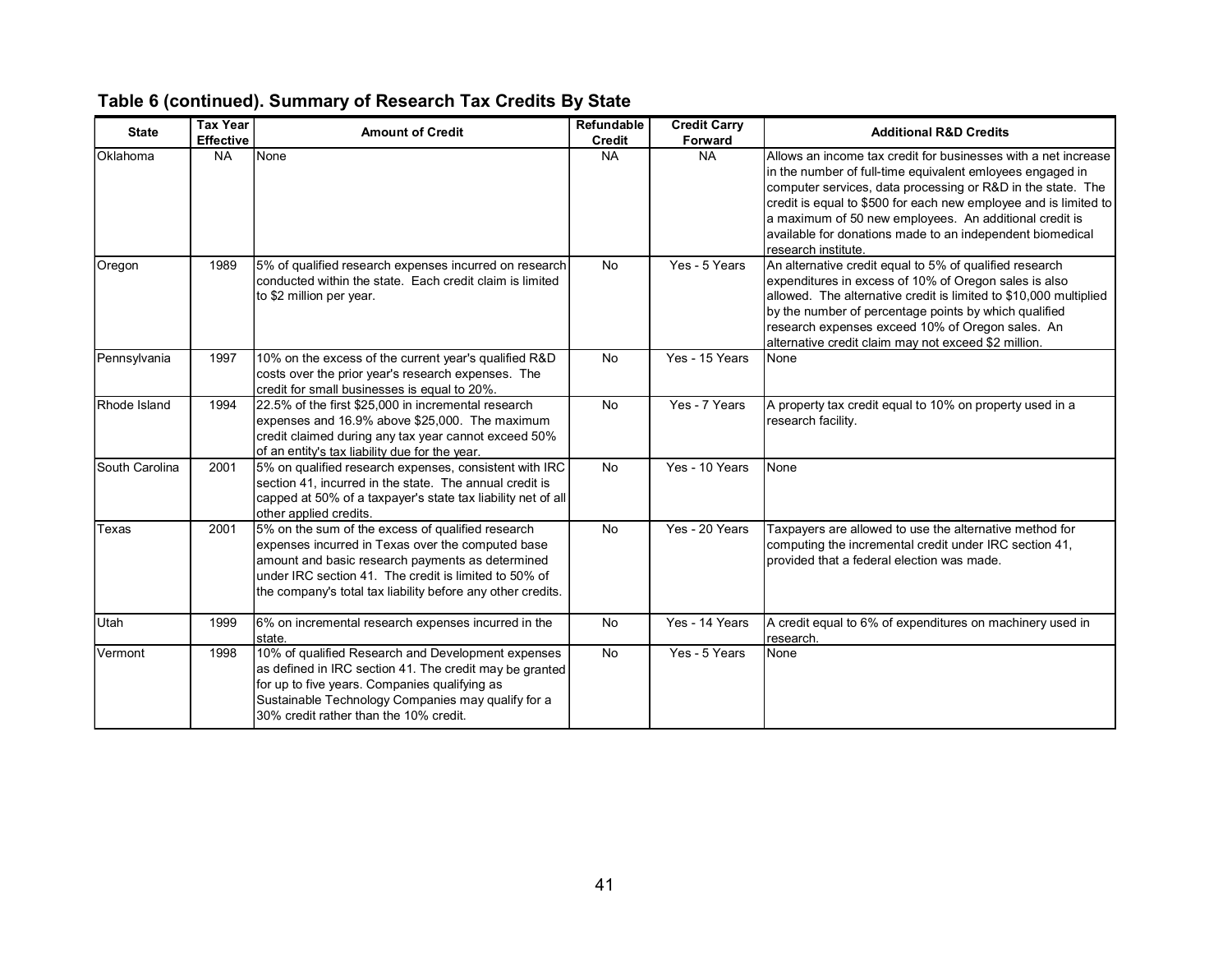| <b>State</b>   | <b>Tax Year</b><br><b>Effective</b> | <b>Amount of Credit</b>                                                                                                                                                                                                                                                            | Refundable<br><b>Credit</b> | <b>Credit Carry</b><br>Forward | <b>Additional R&amp;D Credits</b>                                                                                                                                                                                                                                                                                                                                                                            |
|----------------|-------------------------------------|------------------------------------------------------------------------------------------------------------------------------------------------------------------------------------------------------------------------------------------------------------------------------------|-----------------------------|--------------------------------|--------------------------------------------------------------------------------------------------------------------------------------------------------------------------------------------------------------------------------------------------------------------------------------------------------------------------------------------------------------------------------------------------------------|
| Oklahoma       | <b>NA</b>                           | None                                                                                                                                                                                                                                                                               | <b>NA</b>                   | <b>NA</b>                      | Allows an income tax credit for businesses with a net increase<br>in the number of full-time equivalent emloyees engaged in<br>computer services, data processing or R&D in the state. The<br>credit is equal to \$500 for each new employee and is limited to<br>a maximum of 50 new employees. An additional credit is<br>available for donations made to an independent biomedical<br>research institute. |
| Oregon         | 1989                                | 5% of qualified research expenses incurred on research<br>conducted within the state. Each credit claim is limited<br>to \$2 million per year.                                                                                                                                     | <b>No</b>                   | Yes - 5 Years                  | An alternative credit equal to 5% of qualified research<br>expenditures in excess of 10% of Oregon sales is also<br>allowed. The alternative credit is limited to \$10,000 multiplied<br>by the number of percentage points by which qualified<br>research expenses exceed 10% of Oregon sales. An<br>alternative credit claim may not exceed \$2 million.                                                   |
| Pennsylvania   | 1997                                | 10% on the excess of the current year's qualified R&D<br>costs over the prior year's research expenses. The<br>credit for small businesses is equal to 20%.                                                                                                                        | <b>No</b>                   | Yes - 15 Years                 | None                                                                                                                                                                                                                                                                                                                                                                                                         |
| Rhode Island   | 1994                                | 22.5% of the first \$25,000 in incremental research<br>expenses and 16.9% above \$25,000. The maximum<br>credit claimed during any tax year cannot exceed 50%<br>of an entity's tax liability due for the year.                                                                    | <b>No</b>                   | Yes - 7 Years                  | A property tax credit equal to 10% on property used in a<br>research facility.                                                                                                                                                                                                                                                                                                                               |
| South Carolina | 2001                                | 5% on qualified research expenses, consistent with IRC<br>section 41, incurred in the state. The annual credit is<br>capped at 50% of a taxpayer's state tax liability net of all<br>other applied credits.                                                                        | <b>No</b>                   | Yes - 10 Years                 | None                                                                                                                                                                                                                                                                                                                                                                                                         |
| Texas          | 2001                                | 5% on the sum of the excess of qualified research<br>expenses incurred in Texas over the computed base<br>amount and basic research payments as determined<br>under IRC section 41. The credit is limited to 50% of<br>the company's total tax liability before any other credits. | <b>No</b>                   | Yes - 20 Years                 | Taxpayers are allowed to use the alternative method for<br>computing the incremental credit under IRC section 41,<br>provided that a federal election was made.                                                                                                                                                                                                                                              |
| <b>Utah</b>    | 1999                                | 6% on incremental research expenses incurred in the<br>state.                                                                                                                                                                                                                      | <b>No</b>                   | Yes - 14 Years                 | A credit equal to 6% of expenditures on machinery used in<br>research.                                                                                                                                                                                                                                                                                                                                       |
| Vermont        | 1998                                | 10% of qualified Research and Development expenses<br>as defined in IRC section 41. The credit may be granted<br>for up to five years. Companies qualifying as<br>Sustainable Technology Companies may qualify for a<br>30% credit rather than the 10% credit.                     | No                          | Yes - 5 Years                  | None                                                                                                                                                                                                                                                                                                                                                                                                         |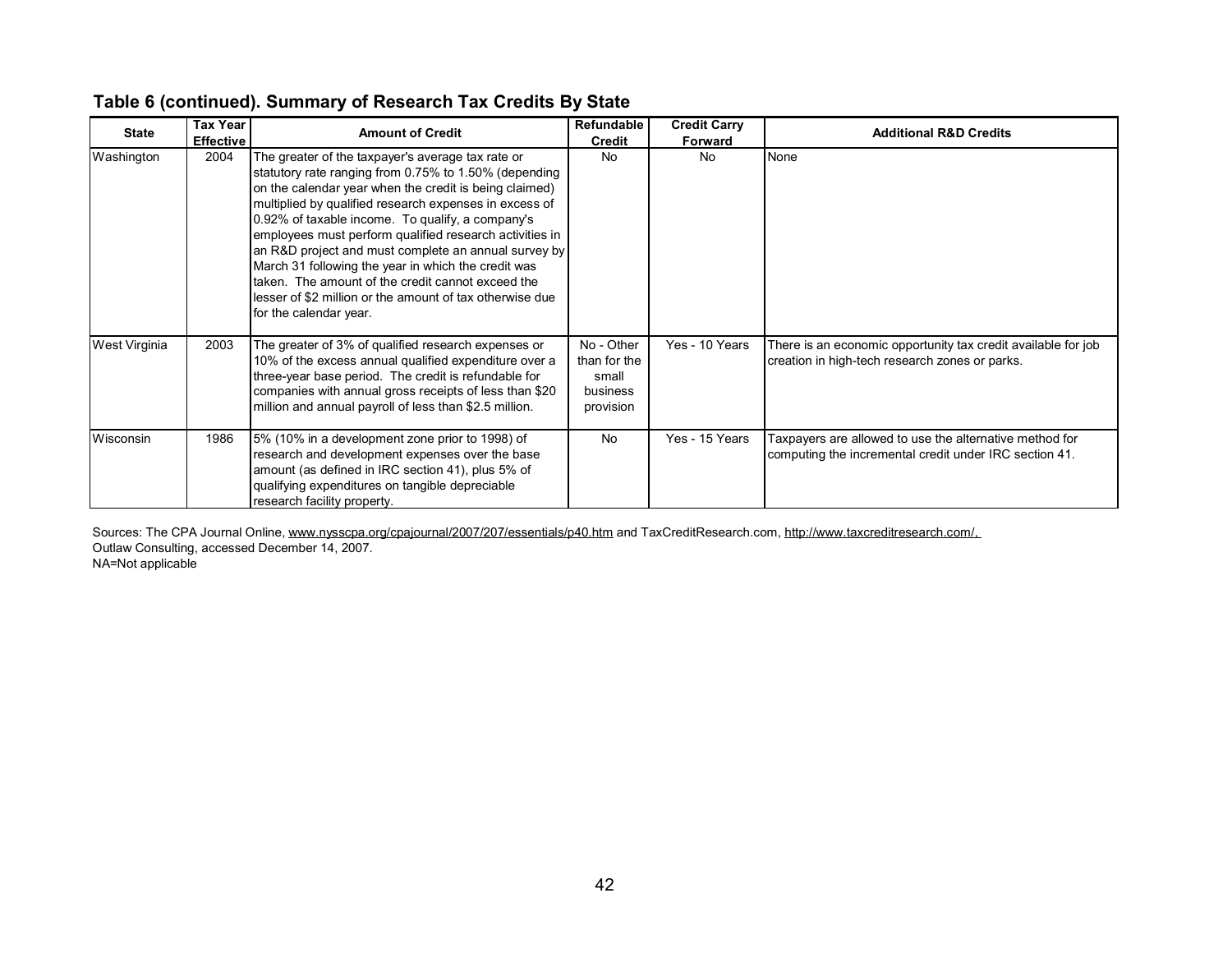| <b>State</b>         | <b>Tax Year</b><br><b>Effective</b> | <b>Amount of Credit</b>                                                                                                                                                                                                                                                                                                                                                                                                                                                                                                                                                                                  | Refundable<br><b>Credit</b>                                  | <b>Credit Carry</b><br>Forward | <b>Additional R&amp;D Credits</b>                                                                                 |
|----------------------|-------------------------------------|----------------------------------------------------------------------------------------------------------------------------------------------------------------------------------------------------------------------------------------------------------------------------------------------------------------------------------------------------------------------------------------------------------------------------------------------------------------------------------------------------------------------------------------------------------------------------------------------------------|--------------------------------------------------------------|--------------------------------|-------------------------------------------------------------------------------------------------------------------|
| Washington           | 2004                                | The greater of the taxpayer's average tax rate or<br>statutory rate ranging from 0.75% to 1.50% (depending<br>on the calendar year when the credit is being claimed)<br>multiplied by qualified research expenses in excess of<br>0.92% of taxable income. To qualify, a company's<br>employees must perform qualified research activities in<br>an R&D project and must complete an annual survey by<br>March 31 following the year in which the credit was<br>Itaken. The amount of the credit cannot exceed the<br>lesser of \$2 million or the amount of tax otherwise due<br>for the calendar year. | <b>No</b>                                                    | No                             | None                                                                                                              |
| <b>West Virginia</b> | 2003                                | The greater of 3% of qualified research expenses or<br>10% of the excess annual qualified expenditure over a<br>three-year base period. The credit is refundable for<br>companies with annual gross receipts of less than \$20<br>million and annual payroll of less than \$2.5 million.                                                                                                                                                                                                                                                                                                                 | No - Other<br>than for the<br>small<br>business<br>provision | Yes - 10 Years                 | There is an economic opportunity tax credit available for job<br>creation in high-tech research zones or parks.   |
| Wisconsin            | 1986                                | 5% (10% in a development zone prior to 1998) of<br>research and development expenses over the base<br>amount (as defined in IRC section 41), plus 5% of<br>qualifying expenditures on tangible depreciable<br>research facility property.                                                                                                                                                                                                                                                                                                                                                                | <b>No</b>                                                    | Yes - 15 Years                 | Faxpayers are allowed to use the alternative method for<br>computing the incremental credit under IRC section 41. |

Sources: The CPA Journal Online, www.nysscpa.org/cpajournal/2007/207/essentials/p40.htm and TaxCreditResearch.com, http://www.taxcreditresearch.com/. Outlaw Consulting, accessed December 14, 2007.

NA=Not applicable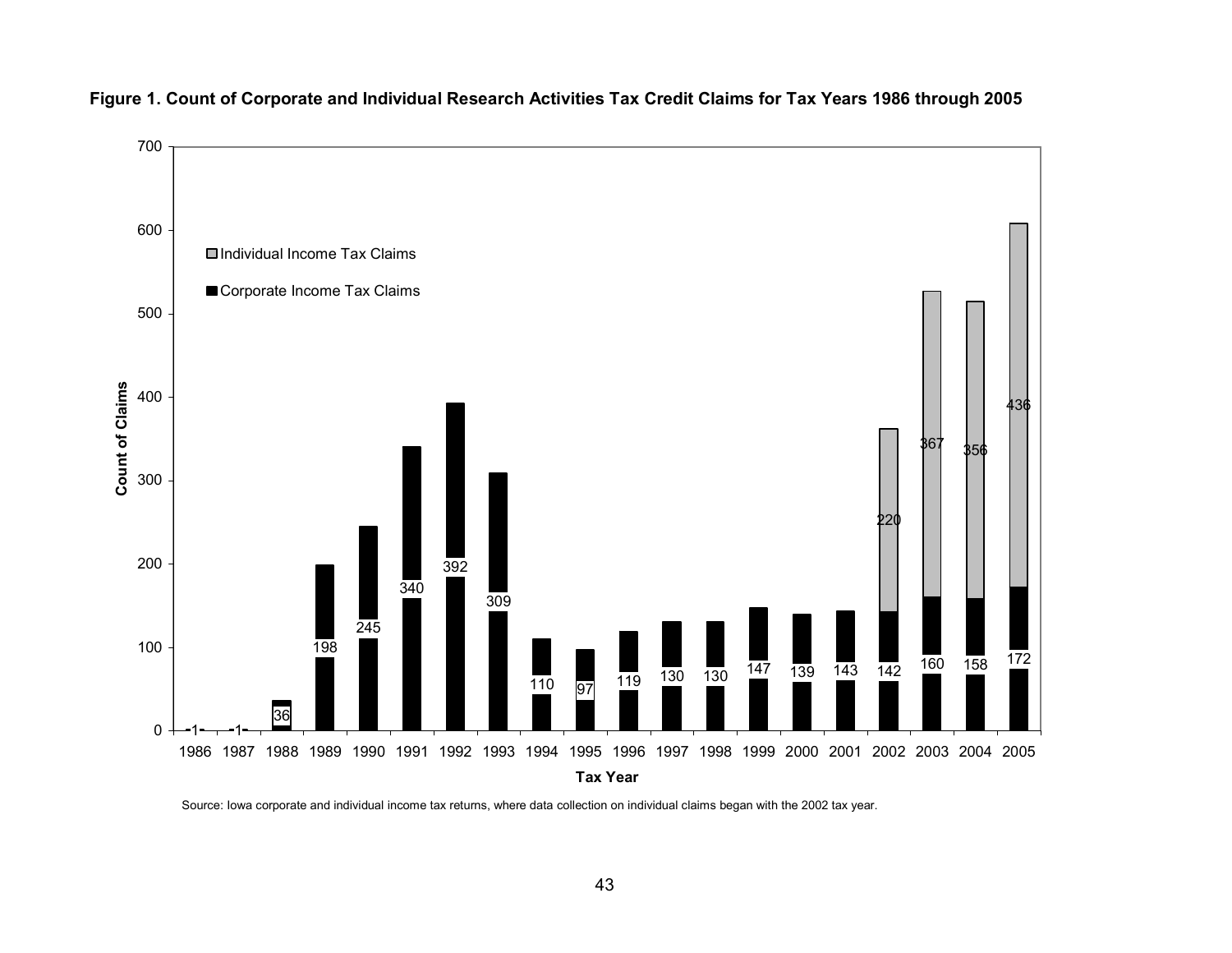



Source: Iowa corporate and individual income tax returns, where data collection on individual claims began with the 2002 tax year.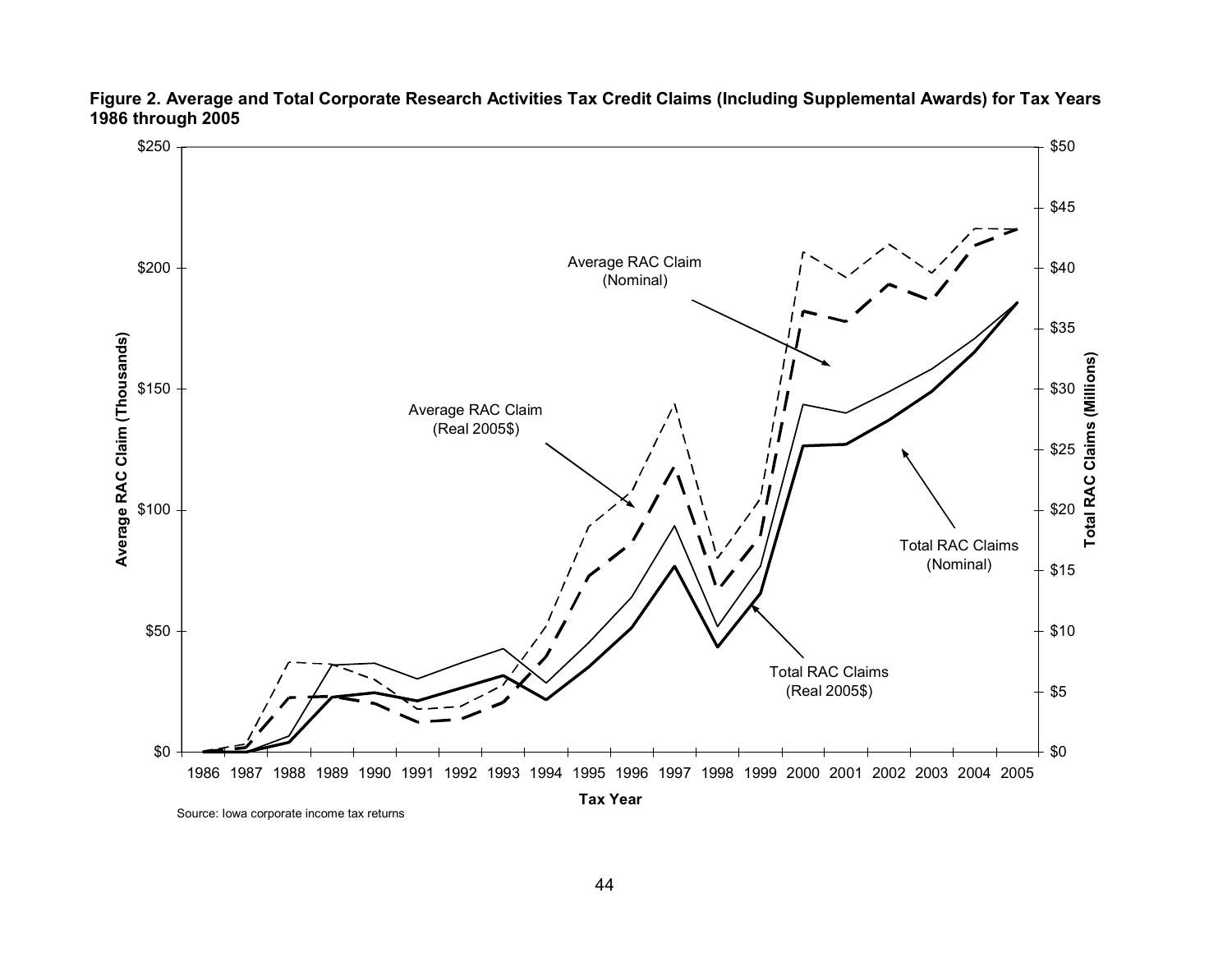

**Figure 2. Average and Total Corporate Research Activities Tax Credit Claims (Including Supplemental Awards) for Tax Years 1986 through 2005** 

Source: Iowa corporate income tax returns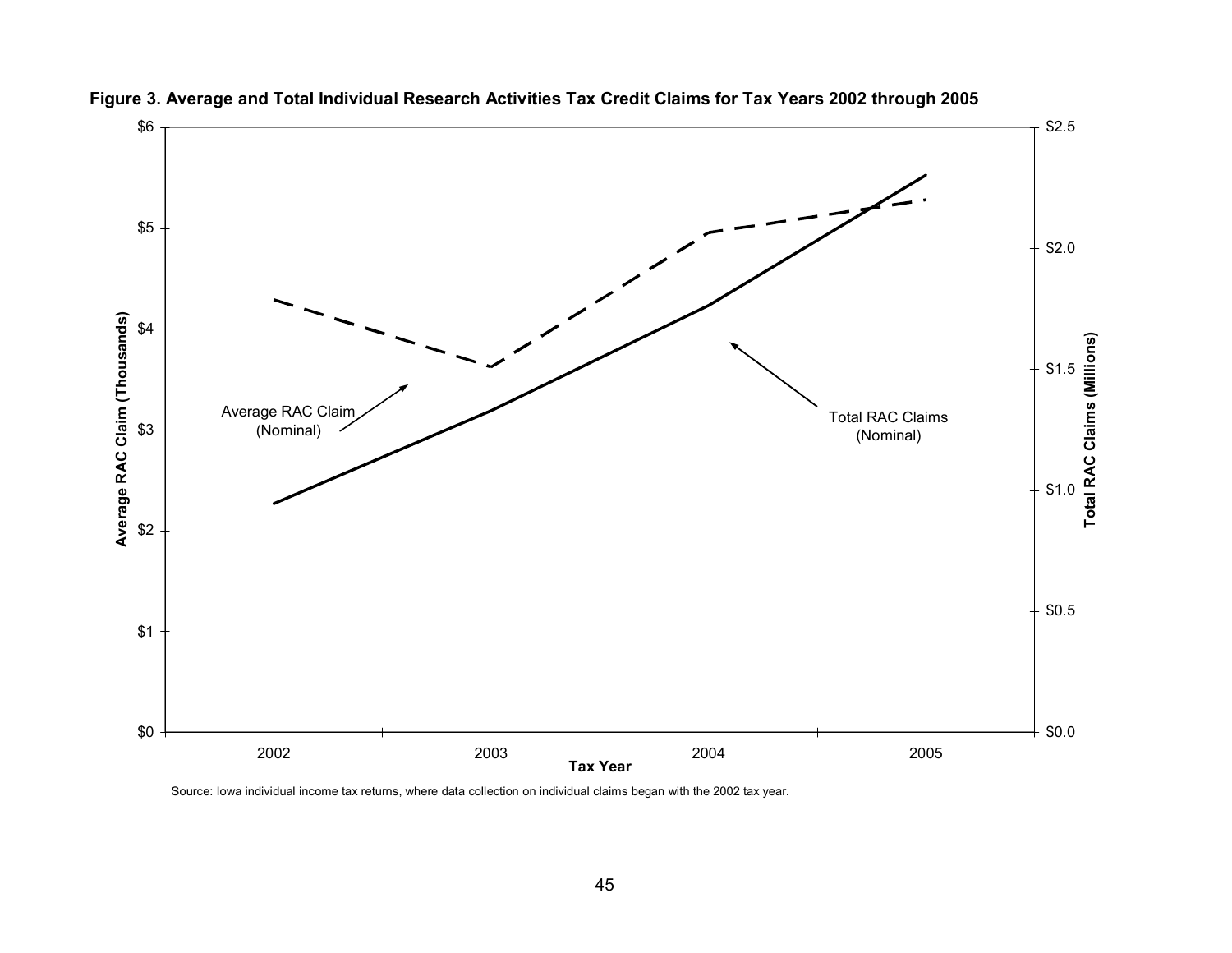



Source: Iowa individual income tax returns, where data collection on individual claims began with the 2002 tax year.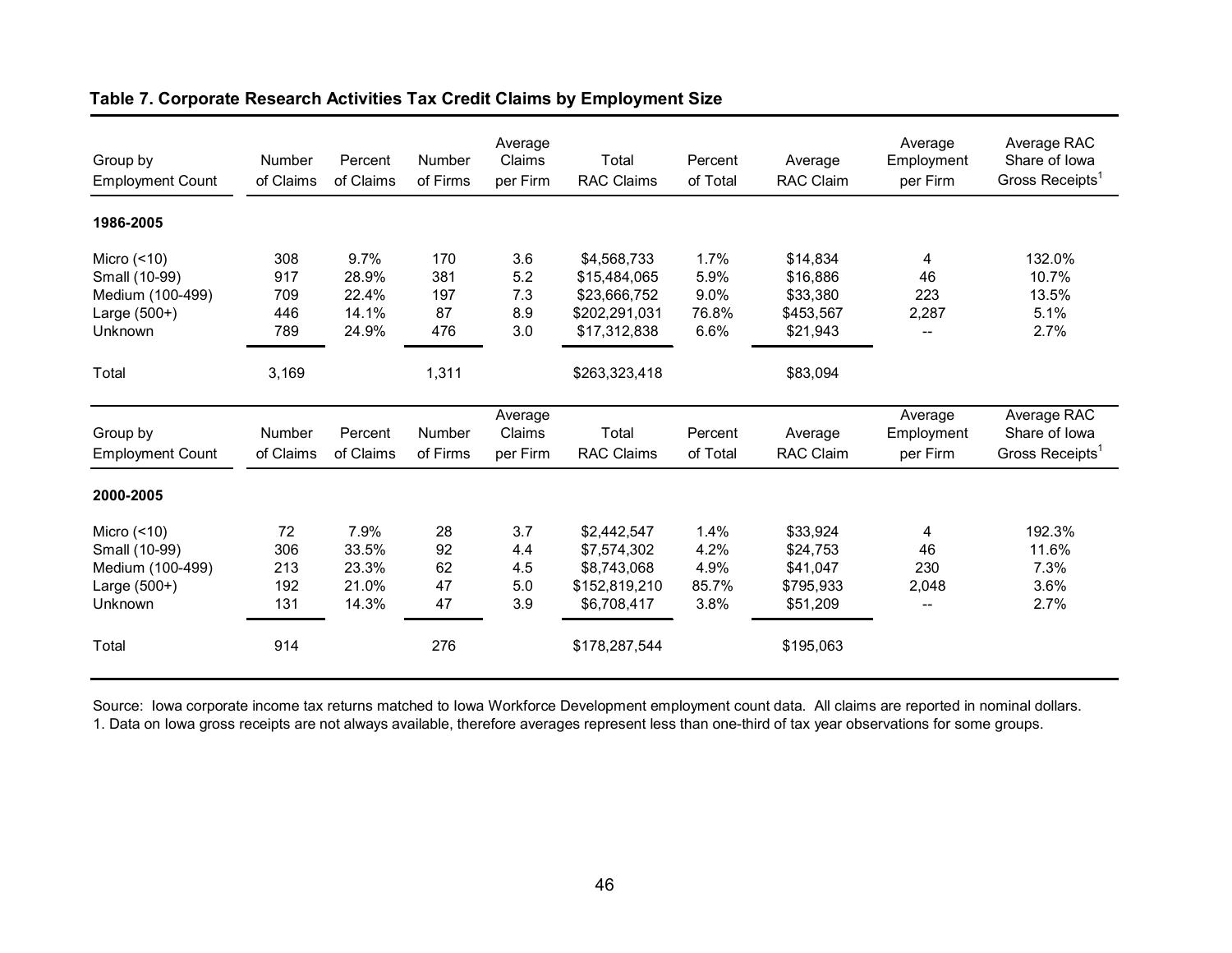| Group by<br><b>Employment Count</b>                                              | Number<br>of Claims             | Percent<br>of Claims                     | Number<br>of Firms             | Average<br>Claims<br>per Firm   | Total<br><b>RAC Claims</b>                                                   | Percent<br>of Total                   | Average<br>RAC Claim                                      | Average<br>Employment<br>per Firm | Average RAC<br>Share of Iowa<br>Gross Receipts <sup>1</sup> |
|----------------------------------------------------------------------------------|---------------------------------|------------------------------------------|--------------------------------|---------------------------------|------------------------------------------------------------------------------|---------------------------------------|-----------------------------------------------------------|-----------------------------------|-------------------------------------------------------------|
| 1986-2005                                                                        |                                 |                                          |                                |                                 |                                                                              |                                       |                                                           |                                   |                                                             |
| Micro $($ <10)<br>Small (10-99)<br>Medium (100-499)<br>Large $(500+)$<br>Unknown | 308<br>917<br>709<br>446<br>789 | 9.7%<br>28.9%<br>22.4%<br>14.1%<br>24.9% | 170<br>381<br>197<br>87<br>476 | 3.6<br>5.2<br>7.3<br>8.9<br>3.0 | \$4,568,733<br>\$15,484,065<br>\$23,666,752<br>\$202,291,031<br>\$17,312,838 | 1.7%<br>5.9%<br>9.0%<br>76.8%<br>6.6% | \$14,834<br>\$16,886<br>\$33,380<br>\$453,567<br>\$21,943 | 4<br>46<br>223<br>2,287<br>$-$    | 132.0%<br>10.7%<br>13.5%<br>5.1%<br>2.7%                    |
| Total                                                                            | 3,169                           |                                          | 1,311                          |                                 | \$263,323,418                                                                |                                       | \$83,094                                                  |                                   |                                                             |
| Group by<br><b>Employment Count</b>                                              | Number<br>of Claims             | Percent<br>of Claims                     | Number<br>of Firms             | Average<br>Claims<br>per Firm   | Total<br><b>RAC Claims</b>                                                   | Percent<br>of Total                   | Average<br>RAC Claim                                      | Average<br>Employment<br>per Firm | Average RAC<br>Share of Iowa<br>Gross Receipts <sup>1</sup> |
| 2000-2005                                                                        |                                 |                                          |                                |                                 |                                                                              |                                       |                                                           |                                   |                                                             |
| Micro $($ <10)<br>Small (10-99)<br>Medium (100-499)<br>Large $(500+)$<br>Unknown | 72<br>306<br>213<br>192<br>131  | 7.9%<br>33.5%<br>23.3%<br>21.0%<br>14.3% | 28<br>92<br>62<br>47<br>47     | 3.7<br>4.4<br>4.5<br>5.0<br>3.9 | \$2,442,547<br>\$7,574,302<br>\$8,743,068<br>\$152,819,210<br>\$6,708,417    | 1.4%<br>4.2%<br>4.9%<br>85.7%<br>3.8% | \$33,924<br>\$24,753<br>\$41,047<br>\$795,933<br>\$51,209 | 4<br>46<br>230<br>2,048           | 192.3%<br>11.6%<br>7.3%<br>3.6%<br>2.7%                     |
| Total                                                                            | 914                             |                                          | 276                            |                                 | \$178,287,544                                                                |                                       | \$195,063                                                 |                                   |                                                             |

## **Table 7. Corporate Research Activities Tax Credit Claims by Employment Size**

Source: Iowa corporate income tax returns matched to Iowa Workforce Development employment count data. All claims are reported in nominal dollars. 1. Data on Iowa gross receipts are not always available, therefore averages represent less than one-third of tax year observations for some groups.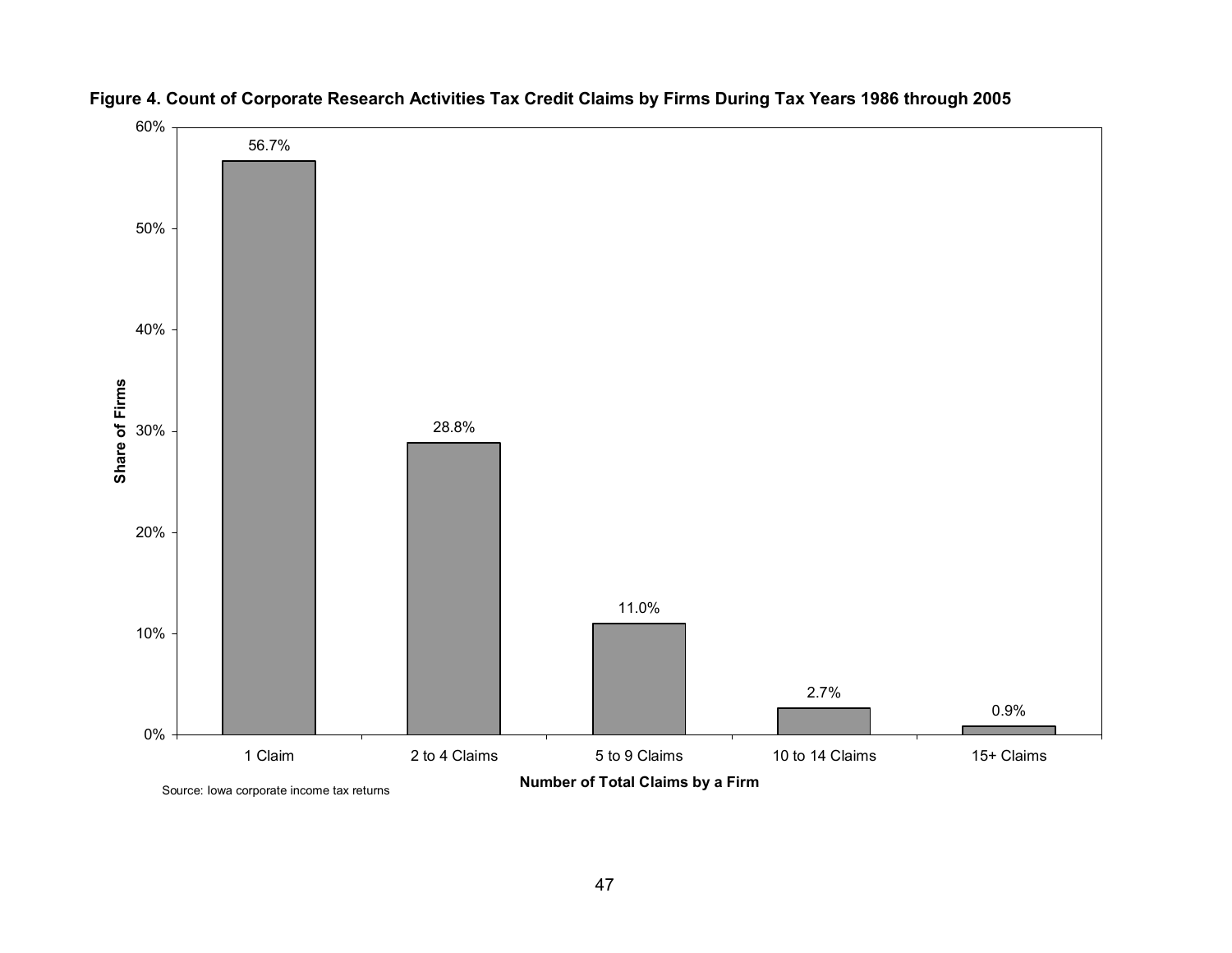

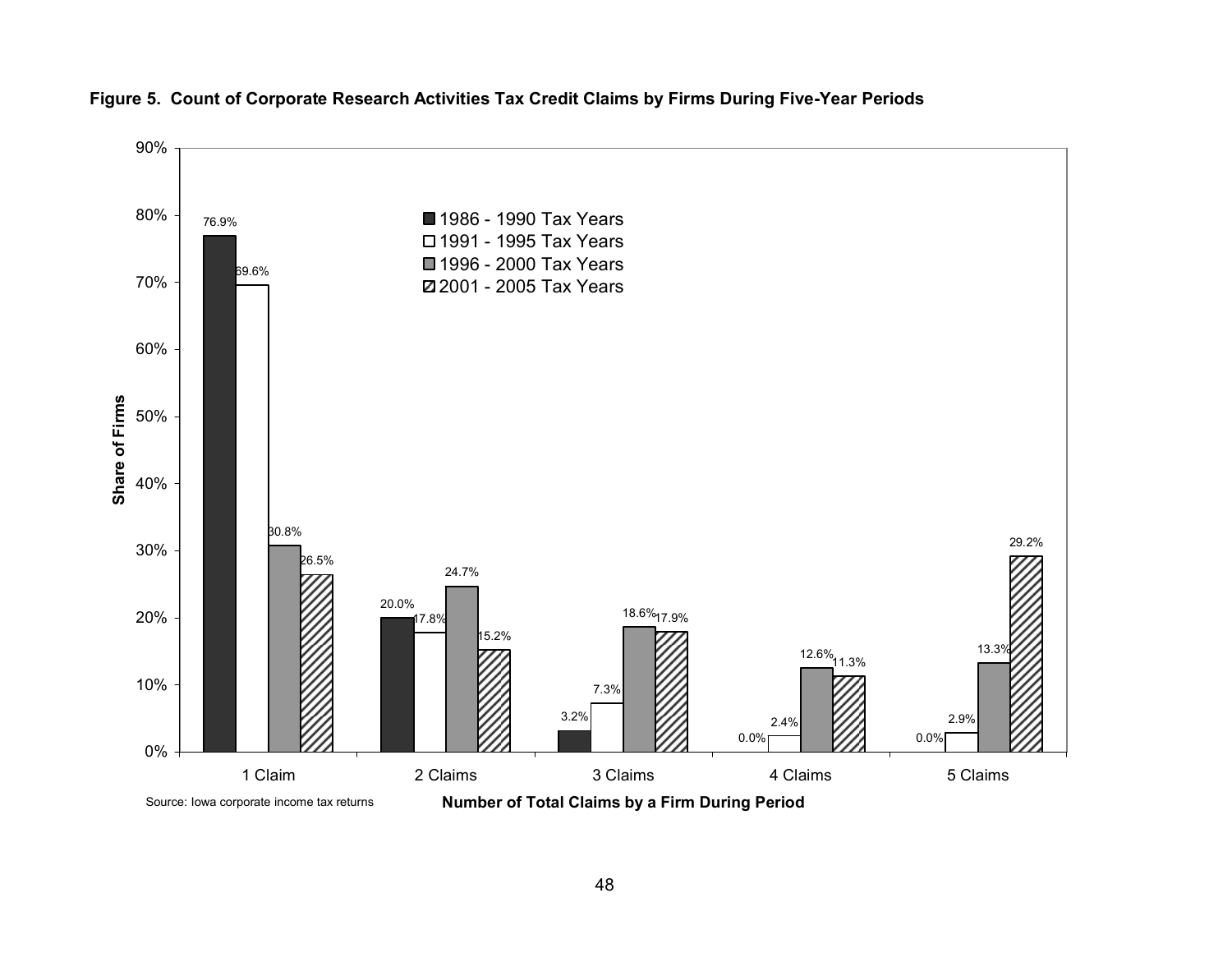

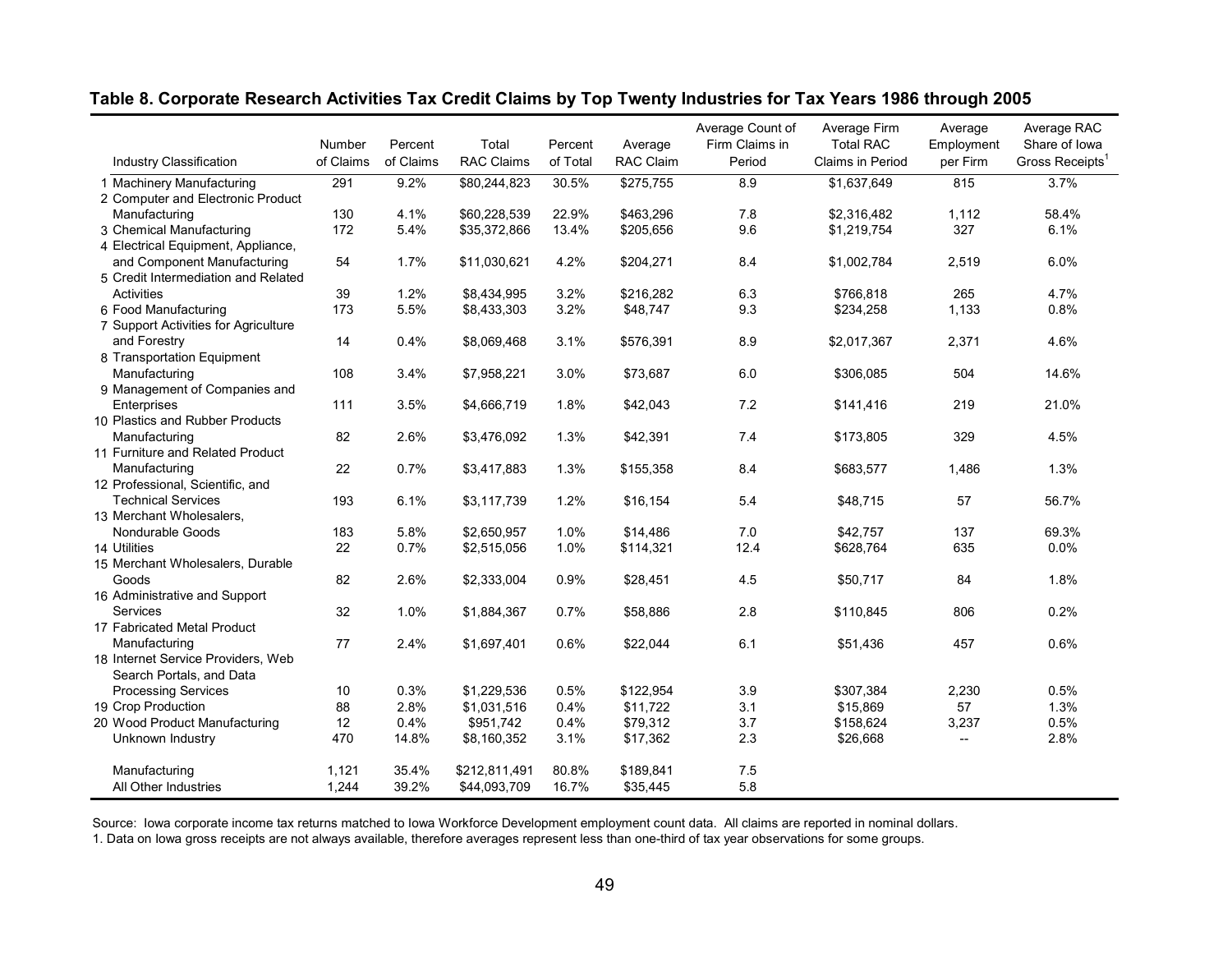| <b>Industry Classification</b>       | Number<br>of Claims | Percent<br>of Claims | Total<br><b>RAC Claims</b> | Percent<br>of Total | Average<br><b>RAC Claim</b> | Average Count of<br>Firm Claims in<br>Period | Average Firm<br><b>Total RAC</b><br>Claims in Period | Average<br>Employment<br>per Firm | Average RAC<br>Share of Iowa<br>Gross Receipts <sup>1</sup> |
|--------------------------------------|---------------------|----------------------|----------------------------|---------------------|-----------------------------|----------------------------------------------|------------------------------------------------------|-----------------------------------|-------------------------------------------------------------|
|                                      |                     |                      |                            |                     |                             |                                              |                                                      |                                   |                                                             |
| 1 Machinery Manufacturing            | 291                 | 9.2%                 | \$80,244,823               | 30.5%               | \$275,755                   | 8.9                                          | \$1,637,649                                          | 815                               | 3.7%                                                        |
| 2 Computer and Electronic Product    |                     |                      |                            |                     |                             |                                              |                                                      |                                   |                                                             |
| Manufacturing                        | 130                 | 4.1%                 | \$60,228,539               | 22.9%               | \$463.296                   | 7.8                                          | \$2,316,482                                          | 1,112                             | 58.4%                                                       |
| 3 Chemical Manufacturing             | 172                 | 5.4%                 | \$35,372,866               | 13.4%               | \$205,656                   | 9.6                                          | \$1,219,754                                          | 327                               | 6.1%                                                        |
| 4 Electrical Equipment, Appliance,   |                     |                      |                            |                     |                             |                                              |                                                      |                                   |                                                             |
| and Component Manufacturing          | 54                  | 1.7%                 | \$11,030,621               | 4.2%                | \$204,271                   | 8.4                                          | \$1,002,784                                          | 2,519                             | 6.0%                                                        |
| 5 Credit Intermediation and Related  |                     |                      |                            |                     |                             |                                              |                                                      |                                   |                                                             |
| <b>Activities</b>                    | 39                  | 1.2%                 | \$8,434,995                | 3.2%                | \$216,282                   | 6.3                                          | \$766,818                                            | 265                               | 4.7%                                                        |
| 6 Food Manufacturing                 | 173                 | 5.5%                 | \$8,433,303                | 3.2%                | \$48,747                    | 9.3                                          | \$234,258                                            | 1,133                             | 0.8%                                                        |
| 7 Support Activities for Agriculture |                     |                      |                            |                     |                             |                                              |                                                      |                                   |                                                             |
| and Forestry                         | 14                  | 0.4%                 | \$8,069,468                | 3.1%                | \$576,391                   | 8.9                                          | \$2,017,367                                          | 2,371                             | 4.6%                                                        |
| 8 Transportation Equipment           |                     |                      |                            |                     |                             |                                              |                                                      |                                   |                                                             |
| Manufacturing                        | 108                 | 3.4%                 | \$7,958,221                | 3.0%                | \$73,687                    | 6.0                                          | \$306,085                                            | 504                               | 14.6%                                                       |
| 9 Management of Companies and        |                     |                      |                            |                     |                             |                                              |                                                      |                                   |                                                             |
| Enterprises                          | 111                 | 3.5%                 | \$4,666,719                | 1.8%                | \$42,043                    | 7.2                                          | \$141,416                                            | 219                               | 21.0%                                                       |
| 10 Plastics and Rubber Products      |                     |                      |                            |                     |                             |                                              |                                                      |                                   |                                                             |
| Manufacturing                        | 82                  | 2.6%                 | \$3,476,092                | 1.3%                | \$42,391                    | 7.4                                          | \$173,805                                            | 329                               | 4.5%                                                        |
| 11 Furniture and Related Product     |                     |                      |                            |                     |                             |                                              |                                                      |                                   |                                                             |
| Manufacturing                        | 22                  | 0.7%                 | \$3,417,883                | 1.3%                | \$155,358                   | 8.4                                          | \$683,577                                            | 1,486                             | 1.3%                                                        |
| 12 Professional, Scientific, and     |                     |                      |                            |                     |                             |                                              |                                                      |                                   |                                                             |
| <b>Technical Services</b>            | 193                 | 6.1%                 | \$3,117,739                | 1.2%                | \$16,154                    | 5.4                                          | \$48,715                                             | 57                                | 56.7%                                                       |
| 13 Merchant Wholesalers,             |                     |                      |                            |                     |                             |                                              |                                                      |                                   |                                                             |
| Nondurable Goods                     | 183                 | 5.8%                 | \$2,650,957                | 1.0%                | \$14,486                    | 7.0                                          | \$42.757                                             | 137                               | 69.3%                                                       |
| 14 Utilities                         | 22                  | 0.7%                 | \$2,515,056                | 1.0%                | \$114,321                   | 12.4                                         | \$628,764                                            | 635                               | 0.0%                                                        |
| 15 Merchant Wholesalers, Durable     |                     |                      |                            |                     |                             |                                              |                                                      |                                   |                                                             |
| Goods                                | 82                  | 2.6%                 | \$2,333,004                | 0.9%                | \$28,451                    | 4.5                                          | \$50,717                                             | 84                                | 1.8%                                                        |
| 16 Administrative and Support        |                     |                      |                            |                     |                             |                                              |                                                      |                                   |                                                             |
| Services                             | 32                  | 1.0%                 | \$1,884,367                | 0.7%                | \$58,886                    | 2.8                                          | \$110,845                                            | 806                               | 0.2%                                                        |
| 17 Fabricated Metal Product          |                     |                      |                            |                     |                             |                                              |                                                      |                                   |                                                             |
| Manufacturing                        | 77                  | 2.4%                 | \$1,697,401                | 0.6%                | \$22,044                    | 6.1                                          | \$51,436                                             | 457                               | 0.6%                                                        |
| 18 Internet Service Providers, Web   |                     |                      |                            |                     |                             |                                              |                                                      |                                   |                                                             |
| Search Portals, and Data             |                     |                      |                            |                     |                             |                                              |                                                      |                                   |                                                             |
| <b>Processing Services</b>           | 10                  | 0.3%                 | \$1,229,536                | 0.5%                | \$122,954                   | 3.9                                          | \$307,384                                            | 2,230                             | 0.5%                                                        |
| 19 Crop Production                   | 88                  | 2.8%                 | \$1,031,516                | 0.4%                | \$11,722                    | 3.1                                          | \$15,869                                             | 57                                | 1.3%                                                        |
| 20 Wood Product Manufacturing        | 12                  | 0.4%                 | \$951,742                  | 0.4%                | \$79,312                    | 3.7                                          | \$158,624                                            | 3,237                             | 0.5%                                                        |
| Unknown Industry                     | 470                 | 14.8%                | \$8,160,352                | 3.1%                | \$17,362                    | 2.3                                          | \$26,668                                             | $-$                               | 2.8%                                                        |
|                                      |                     |                      |                            |                     |                             |                                              |                                                      |                                   |                                                             |
| Manufacturing                        | 1,121               | 35.4%                | \$212,811,491              | 80.8%               | \$189,841                   | 7.5                                          |                                                      |                                   |                                                             |
| All Other Industries                 | 1,244               | 39.2%                | \$44,093,709               | 16.7%               | \$35,445                    | 5.8                                          |                                                      |                                   |                                                             |
|                                      |                     |                      |                            |                     |                             |                                              |                                                      |                                   |                                                             |

## **Table 8. Corporate Research Activities Tax Credit Claims by Top Twenty Industries for Tax Years 1986 through 2005**

Source: Iowa corporate income tax returns matched to Iowa Workforce Development employment count data. All claims are reported in nominal dollars.

1. Data on Iowa gross receipts are not always available, therefore averages represent less than one-third of tax year observations for some groups.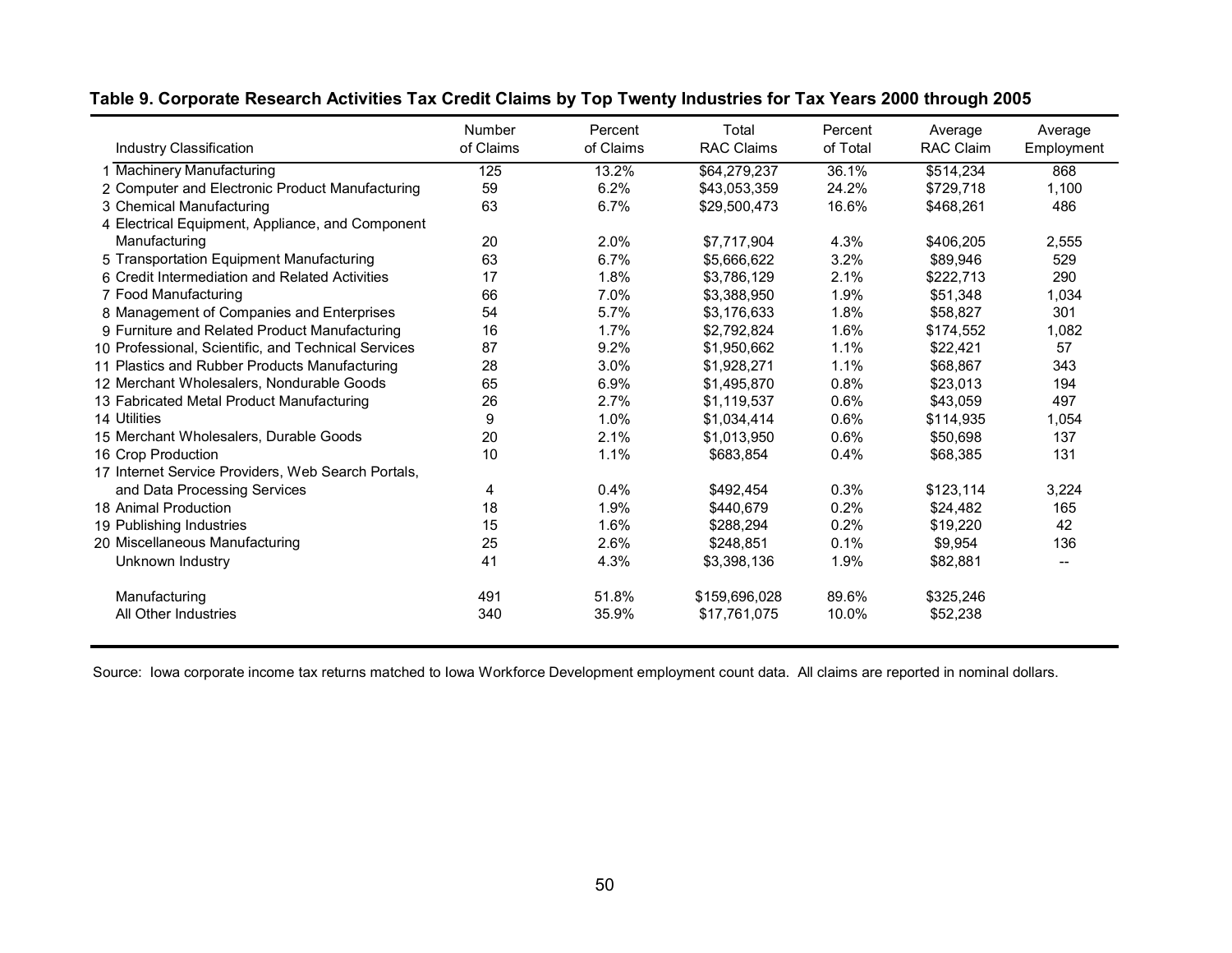|                                                     | Number    | Percent   | Total             | Percent  | Average          | Average    |
|-----------------------------------------------------|-----------|-----------|-------------------|----------|------------------|------------|
| Industry Classification                             | of Claims | of Claims | <b>RAC Claims</b> | of Total | <b>RAC Claim</b> | Employment |
| 1 Machinery Manufacturing                           | 125       | 13.2%     | \$64,279,237      | 36.1%    | \$514,234        | 868        |
| 2 Computer and Electronic Product Manufacturing     | 59        | 6.2%      | \$43,053,359      | 24.2%    | \$729,718        | 1,100      |
| 3 Chemical Manufacturing                            | 63        | 6.7%      | \$29,500,473      | 16.6%    | \$468,261        | 486        |
| 4 Electrical Equipment, Appliance, and Component    |           |           |                   |          |                  |            |
| Manufacturing                                       | 20        | 2.0%      | \$7,717,904       | 4.3%     | \$406,205        | 2,555      |
| 5 Transportation Equipment Manufacturing            | 63        | 6.7%      | \$5,666,622       | 3.2%     | \$89.946         | 529        |
| 6 Credit Intermediation and Related Activities      | 17        | 1.8%      | \$3,786,129       | 2.1%     | \$222,713        | 290        |
| 7 Food Manufacturing                                | 66        | 7.0%      | \$3.388.950       | 1.9%     | \$51.348         | 1,034      |
| 8 Management of Companies and Enterprises           | 54        | 5.7%      | \$3,176,633       | 1.8%     | \$58,827         | 301        |
| 9 Furniture and Related Product Manufacturing       | 16        | 1.7%      | \$2,792,824       | 1.6%     | \$174,552        | 1.082      |
| 10 Professional, Scientific, and Technical Services | 87        | 9.2%      | \$1,950,662       | 1.1%     | \$22,421         | 57         |
| 11 Plastics and Rubber Products Manufacturing       | 28        | 3.0%      | \$1,928,271       | 1.1%     | \$68,867         | 343        |
| 12 Merchant Wholesalers, Nondurable Goods           | 65        | 6.9%      | \$1,495,870       | 0.8%     | \$23,013         | 194        |
| 13 Fabricated Metal Product Manufacturing           | 26        | 2.7%      | \$1,119,537       | 0.6%     | \$43.059         | 497        |
| 14 Utilities                                        | 9         | 1.0%      | \$1,034,414       | 0.6%     | \$114,935        | 1,054      |
| 15 Merchant Wholesalers, Durable Goods              | 20        | 2.1%      | \$1,013,950       | 0.6%     | \$50,698         | 137        |
| 16 Crop Production                                  | 10        | 1.1%      | \$683,854         | 0.4%     | \$68,385         | 131        |
| 17 Internet Service Providers, Web Search Portals,  |           |           |                   |          |                  |            |
| and Data Processing Services                        | 4         | 0.4%      | \$492,454         | 0.3%     | \$123,114        | 3,224      |
| 18 Animal Production                                | 18        | 1.9%      | \$440,679         | 0.2%     | \$24,482         | 165        |
| 19 Publishing Industries                            | 15        | 1.6%      | \$288,294         | 0.2%     | \$19,220         | 42         |
| 20 Miscellaneous Manufacturing                      | 25        | 2.6%      | \$248,851         | 0.1%     | \$9,954          | 136        |
| Unknown Industry                                    | 41        | 4.3%      | \$3,398,136       | 1.9%     | \$82,881         |            |
| Manufacturing                                       | 491       | 51.8%     | \$159,696,028     | 89.6%    | \$325,246        |            |
| All Other Industries                                | 340       | 35.9%     | \$17,761,075      | 10.0%    | \$52,238         |            |

## **Table 9. Corporate Research Activities Tax Credit Claims by Top Twenty Industries for Tax Years 2000 through 2005**

Source: Iowa corporate income tax returns matched to Iowa Workforce Development employment count data. All claims are reported in nominal dollars.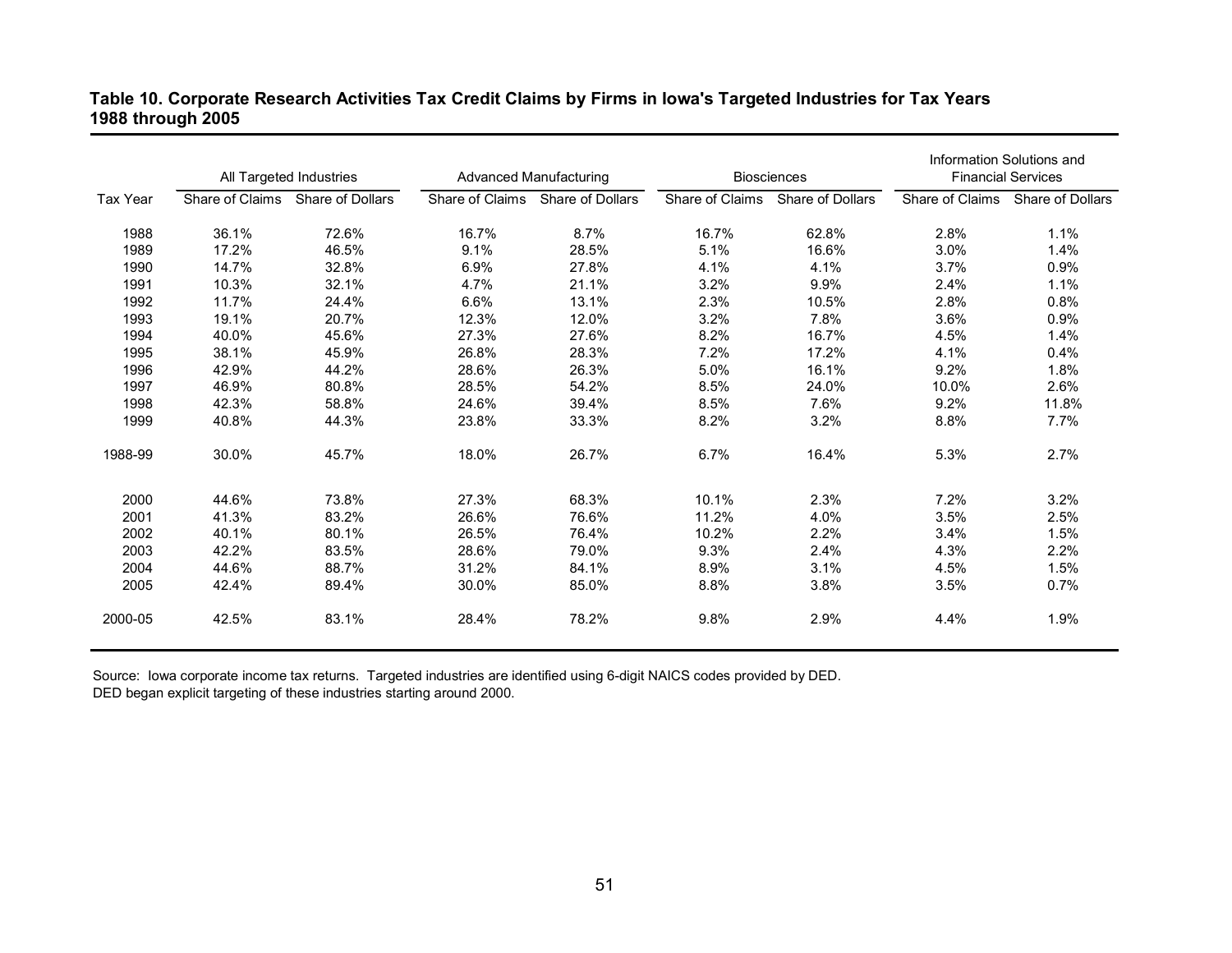## **Table 10. Corporate Research Activities Tax Credit Claims by Firms in Iowa's Targeted Industries for Tax Years 1988 through 2005**

|          | All Targeted Industries |                  |                 | Advanced Manufacturing |                 | <b>Biosciences</b> | Information Solutions and<br><b>Financial Services</b> |                                  |
|----------|-------------------------|------------------|-----------------|------------------------|-----------------|--------------------|--------------------------------------------------------|----------------------------------|
| Tax Year | Share of Claims         | Share of Dollars | Share of Claims | Share of Dollars       | Share of Claims | Share of Dollars   |                                                        | Share of Claims Share of Dollars |
| 1988     | 36.1%                   | 72.6%            | 16.7%           | 8.7%                   | 16.7%           | 62.8%              | 2.8%                                                   | 1.1%                             |
| 1989     | 17.2%                   | 46.5%            | 9.1%            | 28.5%                  | 5.1%            | 16.6%              | 3.0%                                                   | 1.4%                             |
| 1990     | 14.7%                   | 32.8%            | 6.9%            | 27.8%                  | 4.1%            | 4.1%               | 3.7%                                                   | 0.9%                             |
| 1991     | 10.3%                   | 32.1%            | 4.7%            | 21.1%                  | 3.2%            | 9.9%               | 2.4%                                                   | 1.1%                             |
| 1992     | 11.7%                   | 24.4%            | 6.6%            | 13.1%                  | 2.3%            | 10.5%              | 2.8%                                                   | 0.8%                             |
| 1993     | 19.1%                   | 20.7%            | 12.3%           | 12.0%                  | 3.2%            | 7.8%               | 3.6%                                                   | 0.9%                             |
| 1994     | 40.0%                   | 45.6%            | 27.3%           | 27.6%                  | 8.2%            | 16.7%              | 4.5%                                                   | 1.4%                             |
| 1995     | 38.1%                   | 45.9%            | 26.8%           | 28.3%                  | 7.2%            | 17.2%              | 4.1%                                                   | 0.4%                             |
| 1996     | 42.9%                   | 44.2%            | 28.6%           | 26.3%                  | 5.0%            | 16.1%              | 9.2%                                                   | 1.8%                             |
| 1997     | 46.9%                   | 80.8%            | 28.5%           | 54.2%                  | 8.5%            | 24.0%              | 10.0%                                                  | 2.6%                             |
| 1998     | 42.3%                   | 58.8%            | 24.6%           | 39.4%                  | 8.5%            | 7.6%               | 9.2%                                                   | 11.8%                            |
| 1999     | 40.8%                   | 44.3%            | 23.8%           | 33.3%                  | 8.2%            | 3.2%               | 8.8%                                                   | 7.7%                             |
| 1988-99  | 30.0%                   | 45.7%            | 18.0%           | 26.7%                  | 6.7%            | 16.4%              | 5.3%                                                   | 2.7%                             |
| 2000     | 44.6%                   | 73.8%            | 27.3%           | 68.3%                  | 10.1%           | 2.3%               | 7.2%                                                   | 3.2%                             |
| 2001     | 41.3%                   | 83.2%            | 26.6%           | 76.6%                  | 11.2%           | 4.0%               | 3.5%                                                   | 2.5%                             |
| 2002     | 40.1%                   | 80.1%            | 26.5%           | 76.4%                  | 10.2%           | 2.2%               | 3.4%                                                   | 1.5%                             |
| 2003     | 42.2%                   | 83.5%            | 28.6%           | 79.0%                  | 9.3%            | 2.4%               | 4.3%                                                   | 2.2%                             |
| 2004     | 44.6%                   | 88.7%            | 31.2%           | 84.1%                  | 8.9%            | 3.1%               | 4.5%                                                   | 1.5%                             |
| 2005     | 42.4%                   | 89.4%            | 30.0%           | 85.0%                  | 8.8%            | 3.8%               | 3.5%                                                   | 0.7%                             |
| 2000-05  | 42.5%                   | 83.1%            | 28.4%           | 78.2%                  | 9.8%            | 2.9%               | 4.4%                                                   | 1.9%                             |

Source: Iowa corporate income tax returns. Targeted industries are identified using 6-digit NAICS codes provided by DED. DED began explicit targeting of these industries starting around 2000.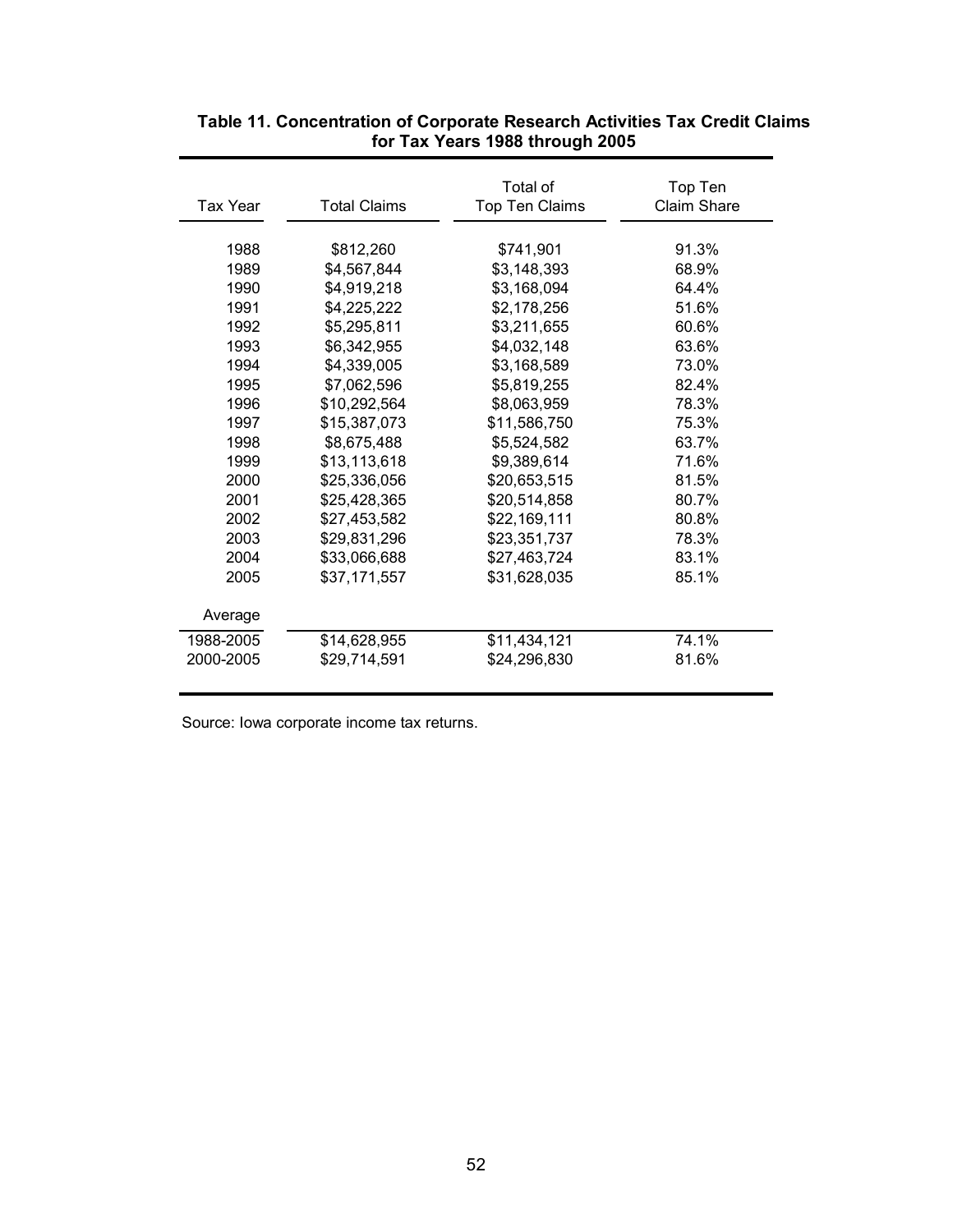| Tax Year  | <b>Total Claims</b> | Total of<br>Top Ten Claims | Top Ten<br><b>Claim Share</b> |
|-----------|---------------------|----------------------------|-------------------------------|
| 1988      | \$812,260           | \$741,901                  | 91.3%                         |
| 1989      | \$4,567,844         | \$3,148,393                | 68.9%                         |
| 1990      | \$4,919,218         | \$3,168,094                | 64.4%                         |
| 1991      | \$4,225,222         | \$2,178,256                | 51.6%                         |
| 1992      | \$5,295,811         | \$3,211,655                | 60.6%                         |
| 1993      | \$6,342,955         | \$4,032,148                | 63.6%                         |
| 1994      | \$4,339,005         | \$3,168,589                | 73.0%                         |
| 1995      | \$7,062,596         | \$5,819,255                | 82.4%                         |
| 1996      | \$10,292,564        | \$8,063,959                | 78.3%                         |
| 1997      | \$15,387,073        | \$11,586,750               | 75.3%                         |
| 1998      | \$8,675,488         | \$5,524,582                | 63.7%                         |
| 1999      | \$13,113,618        | \$9,389,614                | 71.6%                         |
| 2000      | \$25,336,056        | \$20,653,515               | 81.5%                         |
| 2001      | \$25,428,365        | \$20,514,858               | 80.7%                         |
| 2002      | \$27,453,582        | \$22,169,111               | 80.8%                         |
| 2003      | \$29,831,296        | \$23,351,737               | 78.3%                         |
| 2004      | \$33,066,688        | \$27,463,724               | 83.1%                         |
| 2005      | \$37,171,557        | \$31,628,035               | 85.1%                         |
| Average   |                     |                            |                               |
| 1988-2005 | \$14,628,955        | \$11,434,121               | 74.1%                         |
| 2000-2005 | \$29.714.591        | \$24.296.830               | 81.6%                         |

## **Table 11. Concentration of Corporate Research Activities Tax Credit Claims for Tax Years 1988 through 2005**

Source: Iowa corporate income tax returns.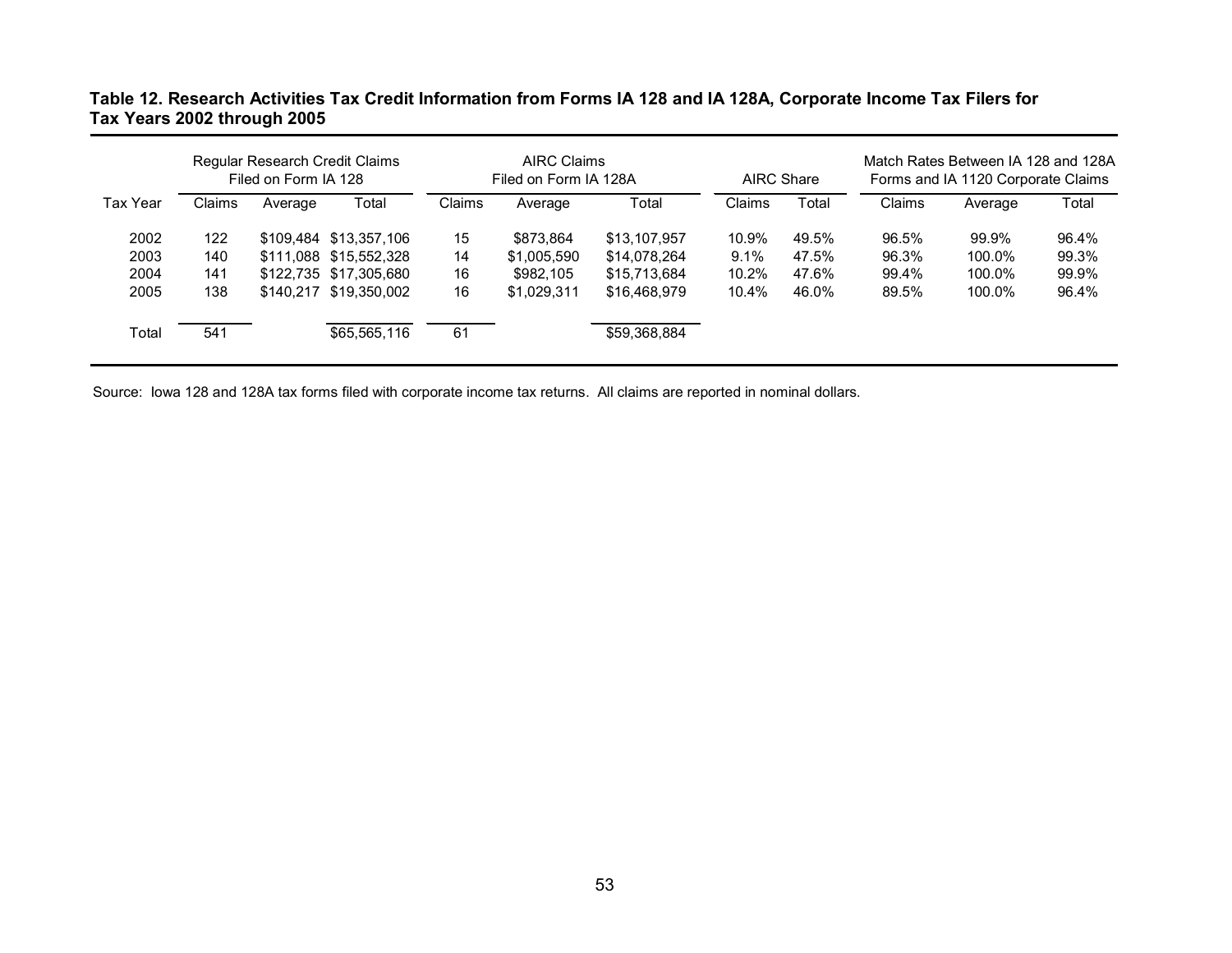## **Table 12. Research Activities Tax Credit Information from Forms IA 128 and IA 128A, Corporate Income Tax Filers for Tax Years 2002 through 2005**

|                 | Regular Research Credit Claims<br>Filed on Form IA 128 |         |                        |        | <b>AIRC Claims</b><br>Filed on Form IA 128A |              | <b>AIRC Share</b> |       | Match Rates Between IA 128 and 128A<br>Forms and IA 1120 Corporate Claims |         |       |
|-----------------|--------------------------------------------------------|---------|------------------------|--------|---------------------------------------------|--------------|-------------------|-------|---------------------------------------------------------------------------|---------|-------|
| <b>Tax Year</b> | Claims                                                 | Average | Total                  | Claims | Average                                     | Total        | Claims            | Total | Claims                                                                    | Average | Total |
| 2002            | 122                                                    |         | \$109.484 \$13.357.106 | 15     | \$873.864                                   | \$13,107,957 | 10.9%             | 49.5% | 96.5%                                                                     | 99.9%   | 96.4% |
| 2003            | 140                                                    |         | \$111,088 \$15,552,328 | 14     | \$1,005,590                                 | \$14,078,264 | 9.1%              | 47.5% | 96.3%                                                                     | 100.0%  | 99.3% |
| 2004            | 141                                                    |         | \$122,735 \$17,305,680 | 16     | \$982,105                                   | \$15,713,684 | 10.2%             | 47.6% | 99.4%                                                                     | 100.0%  | 99.9% |
| 2005            | 138                                                    |         | \$140.217 \$19.350.002 | 16     | \$1.029.311                                 | \$16,468,979 | 10.4%             | 46.0% | 89.5%                                                                     | 100.0%  | 96.4% |
| Total           | 541                                                    |         | \$65,565,116           | 61     |                                             | \$59,368,884 |                   |       |                                                                           |         |       |

Source: Iowa 128 and 128A tax forms filed with corporate income tax returns. All claims are reported in nominal dollars.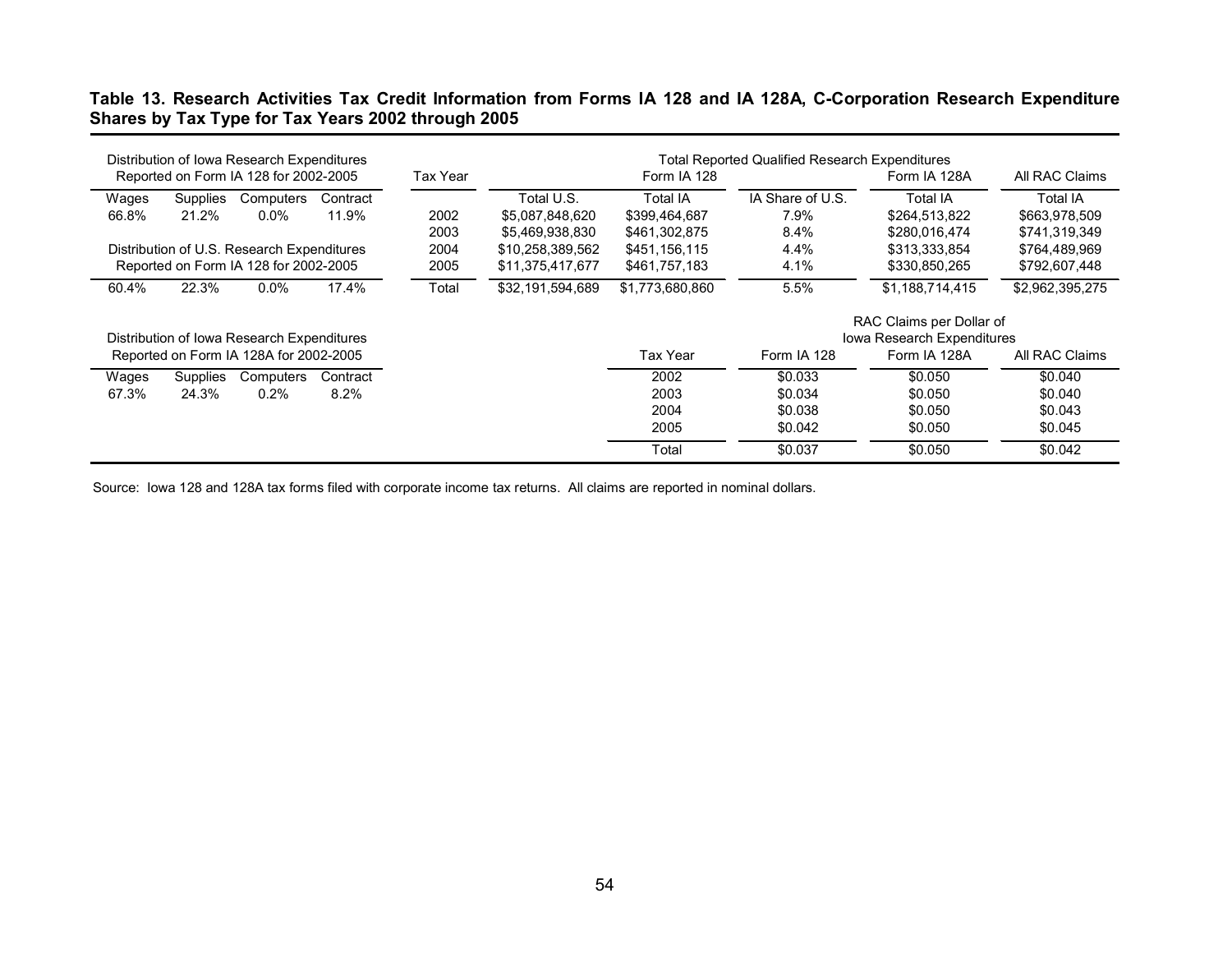## **Table 13. Research Activities Tax Credit Information from Forms IA 128 and IA 128A, C-Corporation Research Expenditure Shares by Tax Type for Tax Years 2002 through 2005**

| Distribution of Iowa Research Expenditures<br><b>Total Reported Qualified Research Expenditures</b> |          |                  |                 |                  |                            |                 |  |
|-----------------------------------------------------------------------------------------------------|----------|------------------|-----------------|------------------|----------------------------|-----------------|--|
| Reported on Form IA 128 for 2002-2005                                                               | Tax Year |                  | Form IA 128     |                  | Form IA 128A               | All RAC Claims  |  |
| Wages<br>Supplies<br>Computers<br>Contract                                                          |          | Total U.S.       | <b>Total IA</b> | IA Share of U.S. | <b>Total IA</b>            | Total IA        |  |
| 11.9%<br>21.2%<br>$0.0\%$<br>66.8%                                                                  | 2002     | \$5,087,848,620  | \$399,464,687   | 7.9%             | \$264,513,822              | \$663,978,509   |  |
|                                                                                                     | 2003     | \$5,469,938,830  | \$461,302,875   | 8.4%             | \$280.016.474              | \$741,319,349   |  |
| Distribution of U.S. Research Expenditures                                                          | 2004     | \$10,258,389,562 | \$451,156,115   | 4.4%             | \$313,333,854              | \$764,489,969   |  |
| Reported on Form IA 128 for 2002-2005                                                               | 2005     | \$11,375,417,677 | \$461,757,183   | 4.1%             | \$330,850,265              | \$792,607,448   |  |
| 22.3%<br>$0.0\%$<br>17.4%<br>60.4%                                                                  | Total    | \$32,191,594,689 | \$1,773,680,860 | 5.5%             | \$1,188,714,415            | \$2,962,395,275 |  |
|                                                                                                     |          |                  |                 |                  | RAC Claims per Dollar of   |                 |  |
| Distribution of Iowa Research Expenditures                                                          |          |                  |                 |                  | Iowa Research Expenditures |                 |  |
| Reported on Form IA 128A for 2002-2005                                                              |          |                  | Tax Year        | Form IA 128      | Form IA 128A               | All RAC Claims  |  |
| Supplies<br>Computers<br>Contract<br>Wages                                                          |          |                  | 2002            | \$0.033          | \$0.050                    | \$0.040         |  |
| 8.2%<br>67.3%<br>24.3%<br>0.2%                                                                      |          |                  | 2003            | \$0.034          | \$0.050                    | \$0.040         |  |
|                                                                                                     |          |                  | 2004            | \$0.038          | \$0.050                    | \$0.043         |  |
|                                                                                                     |          |                  | 2005            | \$0.042          | \$0.050                    | \$0.045         |  |
|                                                                                                     |          |                  | Total           | \$0.037          | \$0.050                    | \$0.042         |  |

Source: Iowa 128 and 128A tax forms filed with corporate income tax returns. All claims are reported in nominal dollars.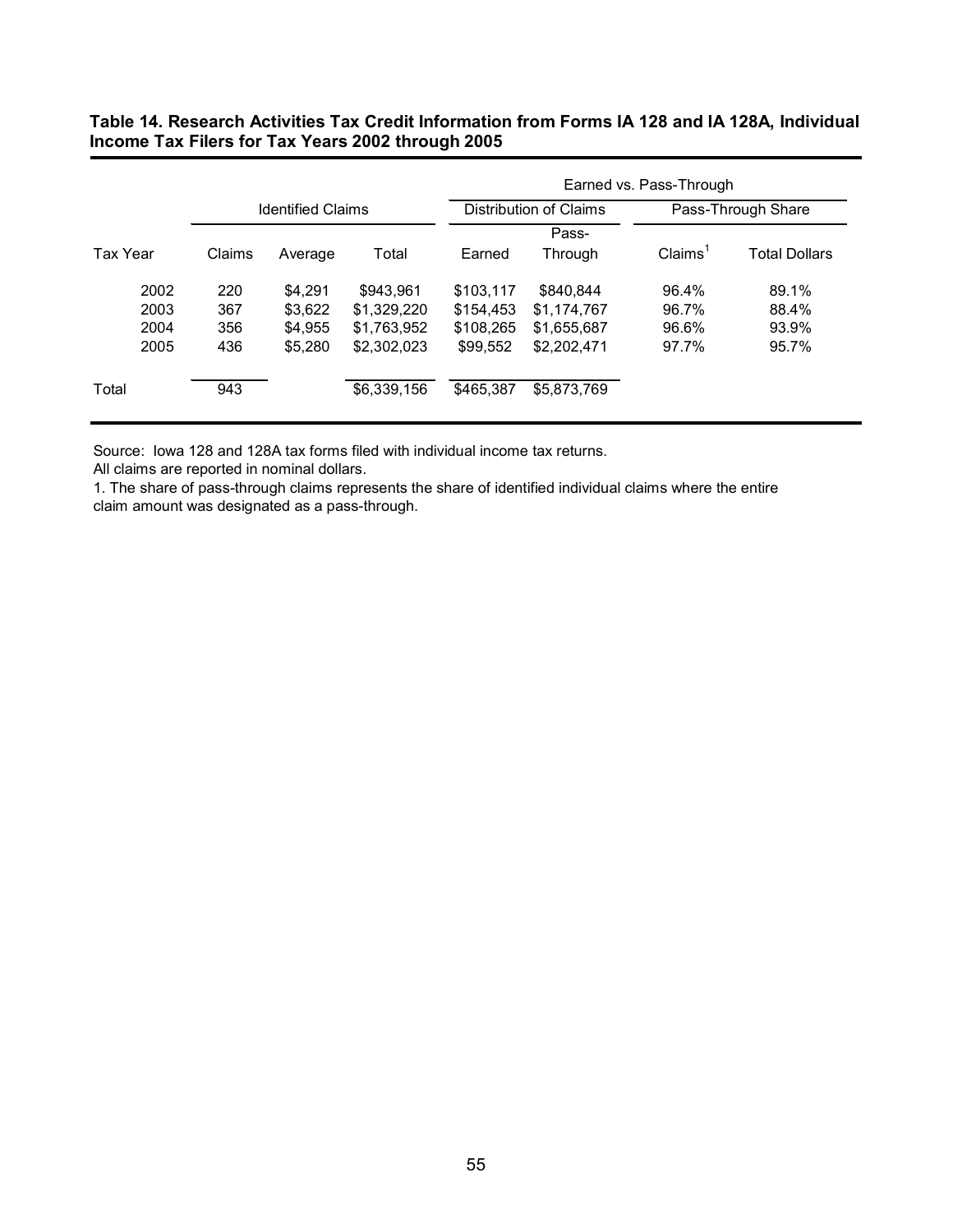## **Table 14. Research Activities Tax Credit Information from Forms IA 128 and IA 128A, Individual Income Tax Filers for Tax Years 2002 through 2005**

|          |                          |         |             | Earned vs. Pass-Through |                        |                     |                      |  |  |  |
|----------|--------------------------|---------|-------------|-------------------------|------------------------|---------------------|----------------------|--|--|--|
|          | <b>Identified Claims</b> |         |             |                         | Distribution of Claims |                     | Pass-Through Share   |  |  |  |
| Tax Year | Claims                   | Average | Total       | Earned                  | Pass-<br>Through       | Claims <sup>1</sup> | <b>Total Dollars</b> |  |  |  |
| 2002     | 220                      | \$4.291 | \$943.961   | \$103.117               | \$840.844              | 96.4%               | 89.1%                |  |  |  |
| 2003     | 367                      | \$3.622 | \$1.329.220 | \$154,453               | \$1,174,767            | 96.7%               | 88.4%                |  |  |  |
| 2004     | 356                      | \$4,955 | \$1,763,952 | \$108.265               | \$1,655,687            | 96.6%               | 93.9%                |  |  |  |
| 2005     | 436                      | \$5.280 | \$2,302,023 | \$99.552                | \$2,202,471            | 97.7%               | 95.7%                |  |  |  |
| Total    | 943                      |         | \$6,339,156 | \$465.387               | \$5,873,769            |                     |                      |  |  |  |
|          |                          |         |             |                         |                        |                     |                      |  |  |  |

Source: Iowa 128 and 128A tax forms filed with individual income tax returns.

All claims are reported in nominal dollars.

1. The share of pass-through claims represents the share of identified individual claims where the entire claim amount was designated as a pass-through.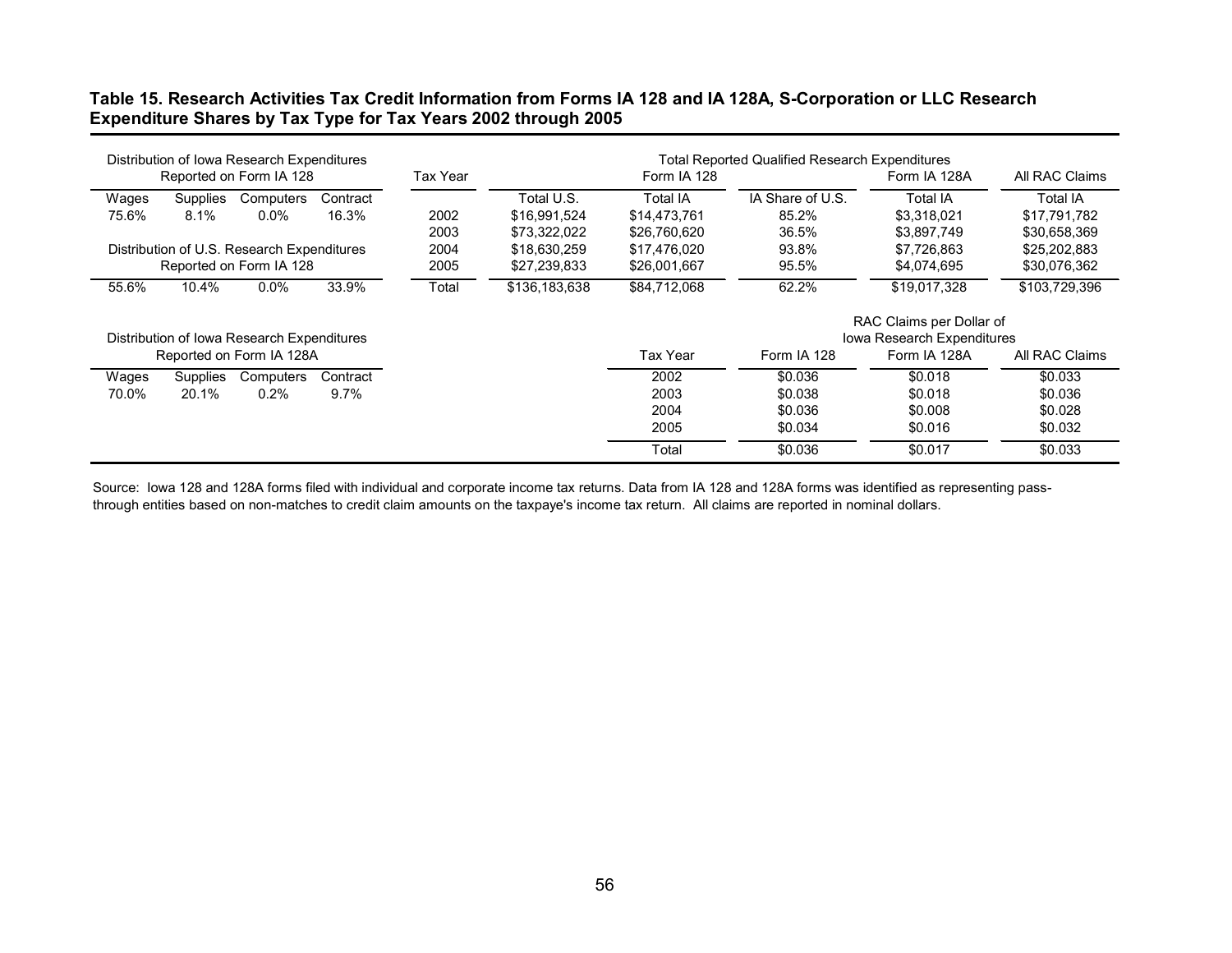## **Table 15. Research Activities Tax Credit Information from Forms IA 128 and IA 128A, S-Corporation or LLC Research Expenditure Shares by Tax Type for Tax Years 2002 through 2005**

|       |                 | Distribution of Iowa Research Expenditures |          |          |               |                 | <b>Total Reported Qualified Research Expenditures</b> |                                   |                |
|-------|-----------------|--------------------------------------------|----------|----------|---------------|-----------------|-------------------------------------------------------|-----------------------------------|----------------|
|       |                 | Reported on Form IA 128                    |          | Tax Year |               | Form IA 128     |                                                       | Form IA 128A                      | All RAC Claims |
| Wages | <b>Supplies</b> | Computers                                  | Contract |          | Total U.S.    | <b>Total IA</b> | IA Share of U.S.                                      | <b>Total IA</b>                   | Total IA       |
| 75.6% | $8.1\%$         | $0.0\%$                                    | 16.3%    | 2002     | \$16,991,524  | \$14,473,761    | 85.2%                                                 | \$3.318.021                       | \$17,791,782   |
|       |                 |                                            |          | 2003     | \$73,322,022  | \$26,760,620    | 36.5%                                                 | \$3,897,749                       | \$30,658,369   |
|       |                 | Distribution of U.S. Research Expenditures |          | 2004     | \$18,630,259  | \$17,476,020    | 93.8%                                                 | \$7,726,863                       | \$25,202,883   |
|       |                 | Reported on Form IA 128                    |          | 2005     | \$27,239,833  | \$26,001,667    | 95.5%                                                 | \$4,074,695                       | \$30,076,362   |
| 55.6% | 10.4%           | $0.0\%$                                    | 33.9%    | Total    | \$136,183,638 | \$84,712,068    | 62.2%                                                 | \$19,017,328                      | \$103,729,396  |
|       |                 |                                            |          |          |               |                 |                                                       | RAC Claims per Dollar of          |                |
|       |                 | Distribution of Iowa Research Expenditures |          |          |               |                 |                                                       | <b>Iowa Research Expenditures</b> |                |
|       |                 | Reported on Form IA 128A                   |          |          |               | Tax Year        | Form IA 128                                           | Form IA 128A                      | All RAC Claims |
| Wages | Supplies        | Computers                                  | Contract |          |               | 2002            | \$0.036                                               | \$0.018                           | \$0.033        |
| 70.0% | 20.1%           | $0.2\%$                                    | 9.7%     |          |               | 2003            | \$0.038                                               | \$0.018                           | \$0.036        |
|       |                 |                                            |          |          |               | 2004            | \$0.036                                               | \$0.008                           | \$0.028        |
|       |                 |                                            |          |          |               | 2005            | \$0.034                                               | \$0.016                           | \$0.032        |
|       |                 |                                            |          |          |               | Total           | \$0.036                                               | \$0.017                           | \$0.033        |

Source: Iowa 128 and 128A forms filed with individual and corporate income tax returns. Data from IA 128 and 128A forms was identified as representing passthrough entities based on non-matches to credit claim amounts on the taxpaye's income tax return. All claims are reported in nominal dollars.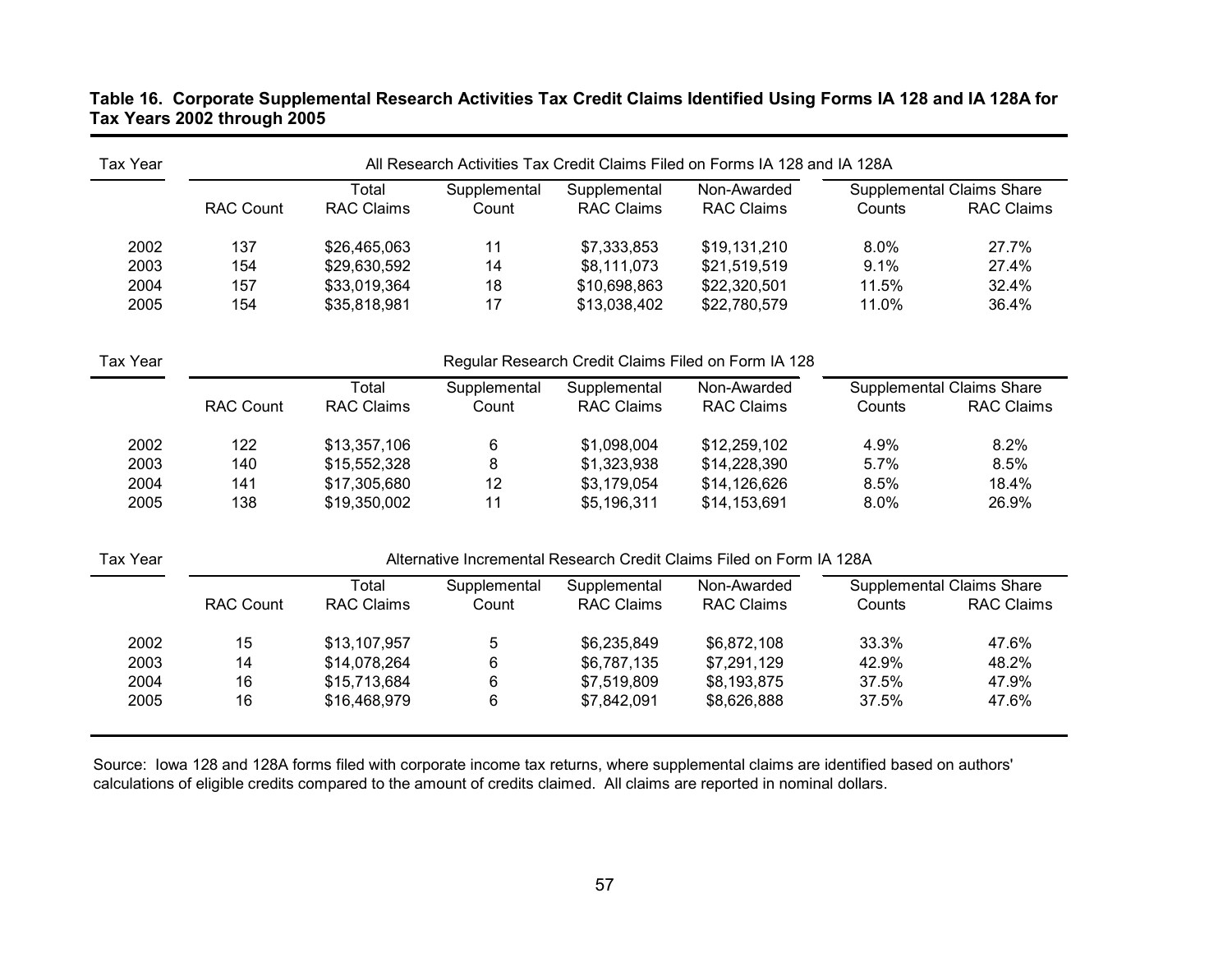## **Table 16. Corporate Supplemental Research Activities Tax Credit Claims Identified Using Forms IA 128 and IA 128A for Tax Years 2002 through 2005**

| <b>Tax Year</b> |                  |                   |              |                   | All Research Activities Tax Credit Claims Filed on Forms IA 128 and IA 128A |        |                                  |
|-----------------|------------------|-------------------|--------------|-------------------|-----------------------------------------------------------------------------|--------|----------------------------------|
|                 |                  | Total             | Supplemental | Supplemental      | Non-Awarded                                                                 |        | Supplemental Claims Share        |
|                 | <b>RAC Count</b> | <b>RAC Claims</b> | Count        | <b>RAC Claims</b> | <b>RAC Claims</b>                                                           | Counts | <b>RAC Claims</b>                |
| 2002            | 137              | \$26,465,063      | 11           | \$7,333,853       | \$19,131,210                                                                | 8.0%   | 27.7%                            |
| 2003            | 154              | \$29,630,592      | 14           | \$8,111,073       | \$21,519,519                                                                | 9.1%   | 27.4%                            |
| 2004            | 157              | \$33,019,364      | 18           | \$10,698,863      | \$22,320,501                                                                | 11.5%  | 32.4%                            |
| 2005            | 154              | \$35,818,981      | 17           | \$13,038,402      | \$22,780,579                                                                | 11.0%  | 36.4%                            |
| <b>Tax Year</b> |                  |                   |              |                   | Regular Research Credit Claims Filed on Form IA 128                         |        |                                  |
|                 |                  | Total             | Supplemental | Supplemental      | Non-Awarded                                                                 |        | <b>Supplemental Claims Share</b> |
|                 | <b>RAC Count</b> | <b>RAC Claims</b> | Count        | <b>RAC Claims</b> | <b>RAC Claims</b>                                                           | Counts | <b>RAC Claims</b>                |
| 2002            | 122              | \$13,357,106      | 6            | \$1,098,004       | \$12,259,102                                                                | 4.9%   | 8.2%                             |
| 2003            | 140              | \$15,552,328      | 8            | \$1,323,938       | \$14,228,390                                                                | 5.7%   | 8.5%                             |
| 2004            | 141              | \$17,305,680      | 12           | \$3,179,054       | \$14,126,626                                                                | 8.5%   | 18.4%                            |
| 2005            | 138              | \$19,350,002      | 11           | \$5,196,311       | \$14,153,691                                                                | 8.0%   | 26.9%                            |
| <b>Tax Year</b> |                  |                   |              |                   | Alternative Incremental Research Credit Claims Filed on Form IA 128A        |        |                                  |
|                 |                  | Total             | Supplemental | Supplemental      | Non-Awarded                                                                 |        | <b>Supplemental Claims Share</b> |
|                 | <b>RAC Count</b> | <b>RAC Claims</b> | Count        | <b>RAC Claims</b> | <b>RAC Claims</b>                                                           | Counts | <b>RAC Claims</b>                |
| 2002            | 15               | \$13,107,957      | 5            | \$6,235,849       | \$6,872,108                                                                 | 33.3%  | 47.6%                            |
| 2003            | 14               | \$14,078,264      | 6            | \$6,787,135       | \$7,291,129                                                                 | 42.9%  | 48.2%                            |
| 2004            | 16               | \$15,713,684      | 6            | \$7,519,809       | \$8,193,875                                                                 | 37.5%  | 47.9%                            |
| 2005            | 16               | \$16,468,979      | 6            | \$7,842,091       | \$8,626,888                                                                 | 37.5%  | 47.6%                            |

Source: Iowa 128 and 128A forms filed with corporate income tax returns, where supplemental claims are identified based on authors' calculations of eligible credits compared to the amount of credits claimed. All claims are reported in nominal dollars.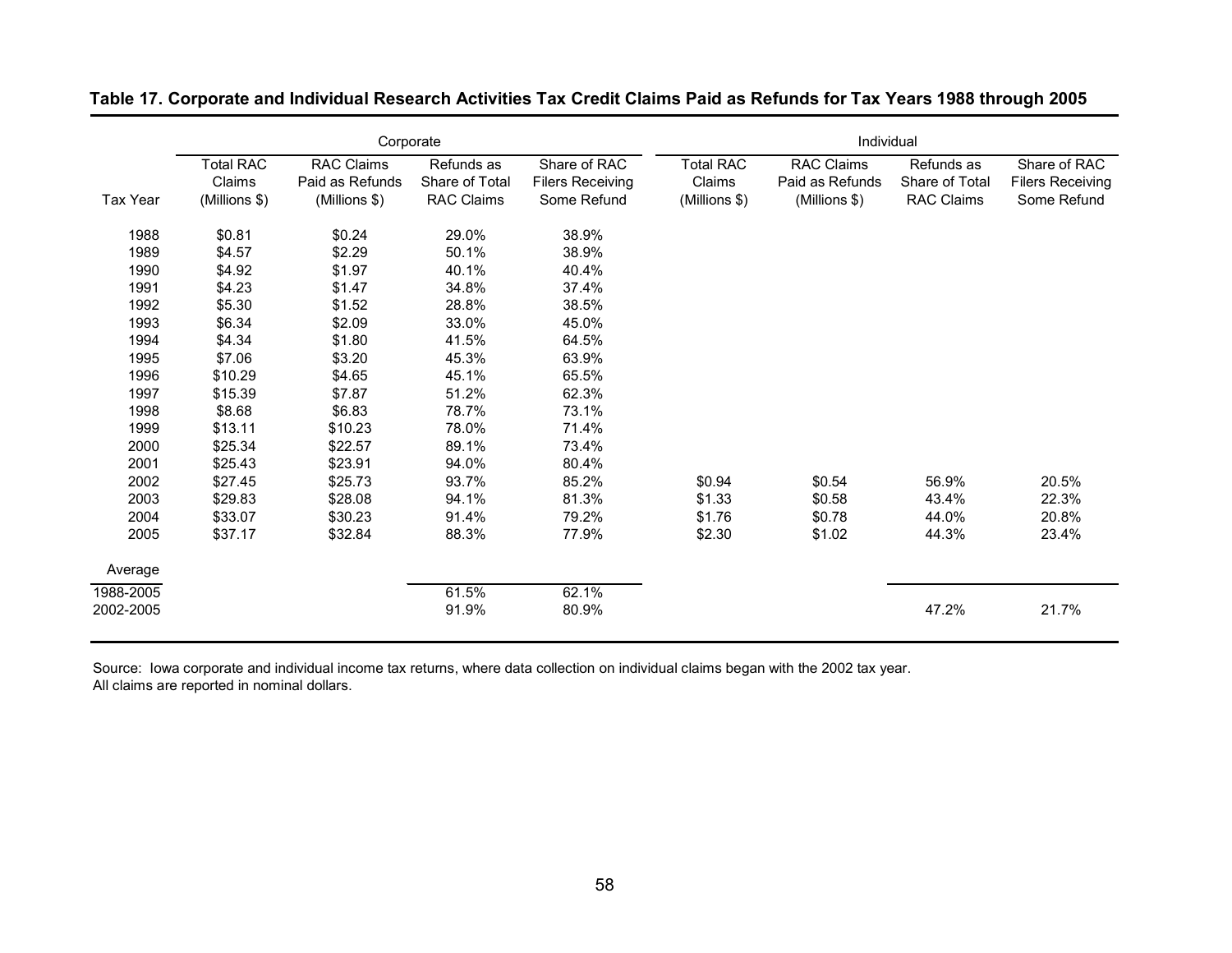|           |                  | Corporate         |                   |                         | Individual       |                   |                   |                         |  |
|-----------|------------------|-------------------|-------------------|-------------------------|------------------|-------------------|-------------------|-------------------------|--|
|           | <b>Total RAC</b> | <b>RAC Claims</b> | Refunds as        | Share of RAC            | <b>Total RAC</b> | <b>RAC Claims</b> | Refunds as        | Share of RAC            |  |
|           | Claims           | Paid as Refunds   | Share of Total    | <b>Filers Receiving</b> | Claims           | Paid as Refunds   | Share of Total    | <b>Filers Receiving</b> |  |
| Tax Year  | (Millions \$)    | (Millions \$)     | <b>RAC Claims</b> | Some Refund             | (Millions \$)    | (Millions \$)     | <b>RAC Claims</b> | Some Refund             |  |
| 1988      | \$0.81           | \$0.24            | 29.0%             | 38.9%                   |                  |                   |                   |                         |  |
| 1989      | \$4.57           | \$2.29            | 50.1%             | 38.9%                   |                  |                   |                   |                         |  |
| 1990      | \$4.92           | \$1.97            | 40.1%             | 40.4%                   |                  |                   |                   |                         |  |
| 1991      | \$4.23           | \$1.47            | 34.8%             | 37.4%                   |                  |                   |                   |                         |  |
| 1992      | \$5.30           | \$1.52            | 28.8%             | 38.5%                   |                  |                   |                   |                         |  |
| 1993      | \$6.34           | \$2.09            | 33.0%             | 45.0%                   |                  |                   |                   |                         |  |
| 1994      | \$4.34           | \$1.80            | 41.5%             | 64.5%                   |                  |                   |                   |                         |  |
| 1995      | \$7.06           | \$3.20            | 45.3%             | 63.9%                   |                  |                   |                   |                         |  |
| 1996      | \$10.29          | \$4.65            | 45.1%             | 65.5%                   |                  |                   |                   |                         |  |
| 1997      | \$15.39          | \$7.87            | 51.2%             | 62.3%                   |                  |                   |                   |                         |  |
| 1998      | \$8.68           | \$6.83            | 78.7%             | 73.1%                   |                  |                   |                   |                         |  |
| 1999      | \$13.11          | \$10.23           | 78.0%             | 71.4%                   |                  |                   |                   |                         |  |
| 2000      | \$25.34          | \$22.57           | 89.1%             | 73.4%                   |                  |                   |                   |                         |  |
| 2001      | \$25.43          | \$23.91           | 94.0%             | 80.4%                   |                  |                   |                   |                         |  |
| 2002      | \$27.45          | \$25.73           | 93.7%             | 85.2%                   | \$0.94           | \$0.54            | 56.9%             | 20.5%                   |  |
| 2003      | \$29.83          | \$28.08           | 94.1%             | 81.3%                   | \$1.33           | \$0.58            | 43.4%             | 22.3%                   |  |
| 2004      | \$33.07          | \$30.23           | 91.4%             | 79.2%                   | \$1.76           | \$0.78            | 44.0%             | 20.8%                   |  |
| 2005      | \$37.17          | \$32.84           | 88.3%             | 77.9%                   | \$2.30           | \$1.02            | 44.3%             | 23.4%                   |  |
| Average   |                  |                   |                   |                         |                  |                   |                   |                         |  |
| 1988-2005 |                  |                   | 61.5%             | 62.1%                   |                  |                   |                   |                         |  |
| 2002-2005 |                  |                   | 91.9%             | 80.9%                   |                  |                   | 47.2%             | 21.7%                   |  |

## **Table 17. Corporate and Individual Research Activities Tax Credit Claims Paid as Refunds for Tax Years 1988 through 2005**

Source: Iowa corporate and individual income tax returns, where data collection on individual claims began with the 2002 tax year. All claims are reported in nominal dollars.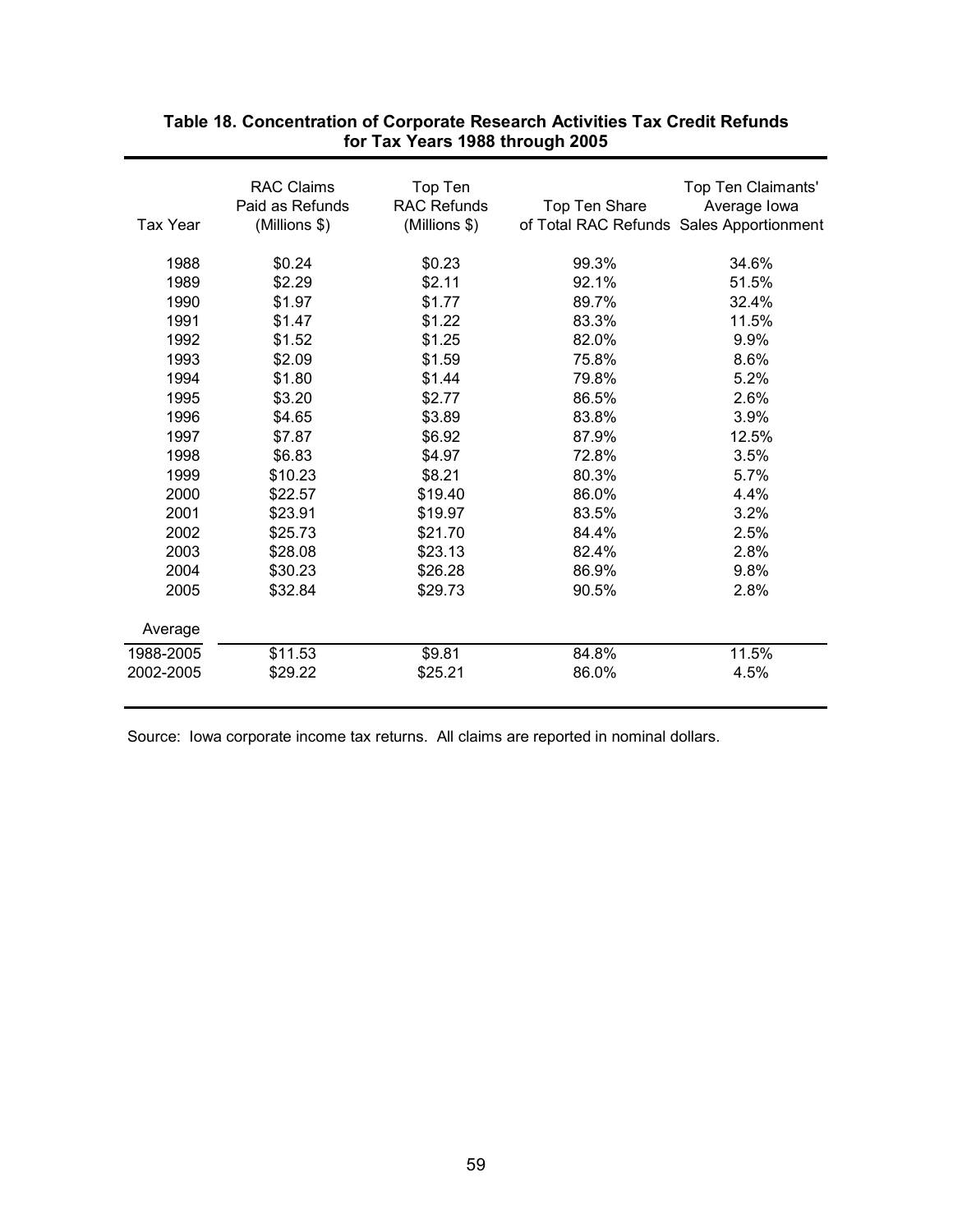| <b>RAC Claims</b><br>Top Ten<br>Top Ten Claimants'<br><b>RAC Refunds</b><br>Paid as Refunds<br>Average lowa<br>Top Ten Share<br>(Millions \$)<br>of Total RAC Refunds Sales Apportionment<br>(Millions \$)<br>Tax Year<br>1988<br>\$0.23<br>99.3%<br>34.6%<br>\$0.24<br>1989<br>\$2.29<br>\$2.11<br>92.1%<br>51.5%<br>1990<br>\$1.97<br>\$1.77<br>89.7%<br>32.4%<br>1991<br>\$1.47<br>\$1.22<br>83.3%<br>11.5%<br>\$1.25<br>9.9%<br>1992<br>\$1.52<br>82.0%<br>1993<br>\$2.09<br>\$1.59<br>75.8%<br>8.6%<br>1994<br>\$1.80<br>\$1.44<br>79.8%<br>5.2%<br>1995<br>\$3.20<br>\$2.77<br>86.5%<br>2.6%<br>1996<br>\$4.65<br>\$3.89<br>83.8%<br>3.9%<br>1997<br>\$7.87<br>\$6.92<br>87.9%<br>12.5%<br>\$6.83<br>3.5%<br>1998<br>\$4.97<br>72.8%<br>1999<br>\$8.21<br>\$10.23<br>80.3%<br>5.7% |  |
|------------------------------------------------------------------------------------------------------------------------------------------------------------------------------------------------------------------------------------------------------------------------------------------------------------------------------------------------------------------------------------------------------------------------------------------------------------------------------------------------------------------------------------------------------------------------------------------------------------------------------------------------------------------------------------------------------------------------------------------------------------------------------------------|--|
|                                                                                                                                                                                                                                                                                                                                                                                                                                                                                                                                                                                                                                                                                                                                                                                          |  |
|                                                                                                                                                                                                                                                                                                                                                                                                                                                                                                                                                                                                                                                                                                                                                                                          |  |
|                                                                                                                                                                                                                                                                                                                                                                                                                                                                                                                                                                                                                                                                                                                                                                                          |  |
|                                                                                                                                                                                                                                                                                                                                                                                                                                                                                                                                                                                                                                                                                                                                                                                          |  |
|                                                                                                                                                                                                                                                                                                                                                                                                                                                                                                                                                                                                                                                                                                                                                                                          |  |
|                                                                                                                                                                                                                                                                                                                                                                                                                                                                                                                                                                                                                                                                                                                                                                                          |  |
|                                                                                                                                                                                                                                                                                                                                                                                                                                                                                                                                                                                                                                                                                                                                                                                          |  |
|                                                                                                                                                                                                                                                                                                                                                                                                                                                                                                                                                                                                                                                                                                                                                                                          |  |
|                                                                                                                                                                                                                                                                                                                                                                                                                                                                                                                                                                                                                                                                                                                                                                                          |  |
|                                                                                                                                                                                                                                                                                                                                                                                                                                                                                                                                                                                                                                                                                                                                                                                          |  |
|                                                                                                                                                                                                                                                                                                                                                                                                                                                                                                                                                                                                                                                                                                                                                                                          |  |
|                                                                                                                                                                                                                                                                                                                                                                                                                                                                                                                                                                                                                                                                                                                                                                                          |  |
|                                                                                                                                                                                                                                                                                                                                                                                                                                                                                                                                                                                                                                                                                                                                                                                          |  |
|                                                                                                                                                                                                                                                                                                                                                                                                                                                                                                                                                                                                                                                                                                                                                                                          |  |
|                                                                                                                                                                                                                                                                                                                                                                                                                                                                                                                                                                                                                                                                                                                                                                                          |  |
| 2000<br>\$19.40<br>86.0%<br>4.4%<br>\$22.57                                                                                                                                                                                                                                                                                                                                                                                                                                                                                                                                                                                                                                                                                                                                              |  |
| 2001<br>\$23.91<br>3.2%<br>\$19.97<br>83.5%                                                                                                                                                                                                                                                                                                                                                                                                                                                                                                                                                                                                                                                                                                                                              |  |
| 2002<br>\$25.73<br>\$21.70<br>2.5%<br>84.4%                                                                                                                                                                                                                                                                                                                                                                                                                                                                                                                                                                                                                                                                                                                                              |  |
| 2003<br>2.8%<br>\$28.08<br>\$23.13<br>82.4%                                                                                                                                                                                                                                                                                                                                                                                                                                                                                                                                                                                                                                                                                                                                              |  |
| 2004<br>\$26.28<br>\$30.23<br>86.9%<br>9.8%                                                                                                                                                                                                                                                                                                                                                                                                                                                                                                                                                                                                                                                                                                                                              |  |
| 2005<br>\$32.84<br>\$29.73<br>90.5%<br>2.8%                                                                                                                                                                                                                                                                                                                                                                                                                                                                                                                                                                                                                                                                                                                                              |  |
|                                                                                                                                                                                                                                                                                                                                                                                                                                                                                                                                                                                                                                                                                                                                                                                          |  |
| Average                                                                                                                                                                                                                                                                                                                                                                                                                                                                                                                                                                                                                                                                                                                                                                                  |  |
| 11.5%<br>\$11.53<br>\$9.81<br>84.8%<br>1988-2005                                                                                                                                                                                                                                                                                                                                                                                                                                                                                                                                                                                                                                                                                                                                         |  |
| 2002-2005<br>\$29.22<br>\$25.21<br>86.0%<br>4.5%                                                                                                                                                                                                                                                                                                                                                                                                                                                                                                                                                                                                                                                                                                                                         |  |
|                                                                                                                                                                                                                                                                                                                                                                                                                                                                                                                                                                                                                                                                                                                                                                                          |  |

## **Table 18. Concentration of Corporate Research Activities Tax Credit Refunds for Tax Years 1988 through 2005**

Source: Iowa corporate income tax returns. All claims are reported in nominal dollars.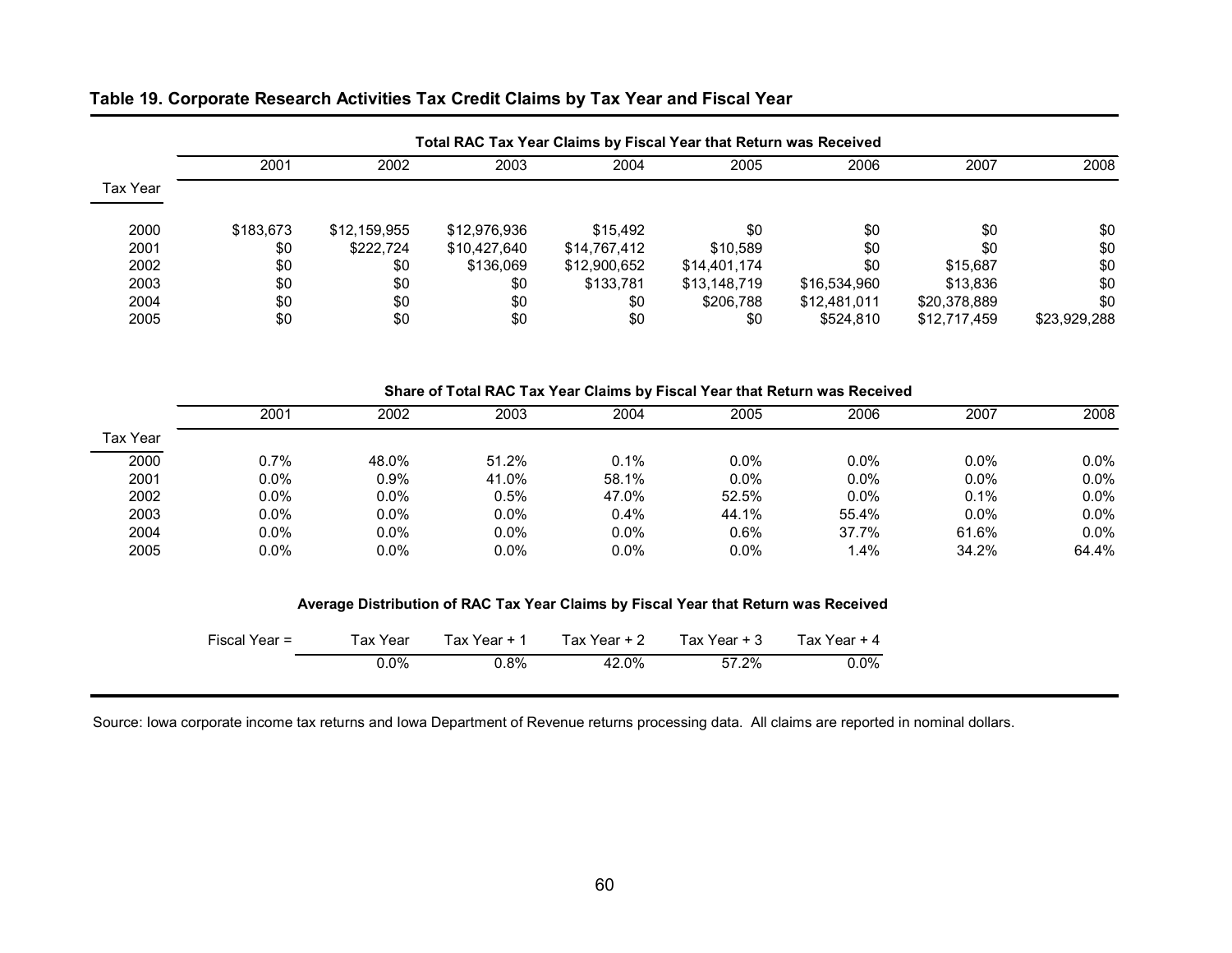| Table 19. Corporate Research Activities Tax Credit Claims by Tax Year and Fiscal Year |  |  |
|---------------------------------------------------------------------------------------|--|--|
|---------------------------------------------------------------------------------------|--|--|

| 2008         | 2007         | 2006         | 2005         | 2004         | 2003         | 2002         | 2001      |          |
|--------------|--------------|--------------|--------------|--------------|--------------|--------------|-----------|----------|
|              |              |              |              |              |              |              |           | Tax Year |
| \$0          | \$0          | \$0          | \$0          | \$15,492     | \$12,976,936 | \$12,159,955 | \$183,673 | 2000     |
| \$0          | \$0          | \$0          | \$10,589     | \$14,767,412 | \$10,427,640 | \$222.724    | \$0       | 2001     |
| \$0          | \$15,687     | \$0          | \$14,401,174 | \$12,900,652 | \$136,069    | \$0          | \$0       | 2002     |
| \$0          | \$13.836     | \$16,534,960 | \$13,148,719 | \$133,781    | \$0          | \$0          | \$0       | 2003     |
| \$0          | \$20,378,889 | \$12,481,011 | \$206.788    | \$0          | \$0          | \$0          | \$0       | 2004     |
| \$23,929,288 | \$12,717,459 | \$524,810    | \$0          | \$0          | \$0          | \$0          | \$0       | 2005     |

### **Share of Total RAC Tax Year Claims by Fiscal Year that Return was Received**

|          | 2001    | 2002    | 2003  | 2004  | 2005  | 2006  | 2007  | 2008    |
|----------|---------|---------|-------|-------|-------|-------|-------|---------|
| Tax Year |         |         |       |       |       |       |       |         |
| 2000     | $0.7\%$ | 48.0%   | 51.2% | 0.1%  | 0.0%  | 0.0%  | 0.0%  | $0.0\%$ |
| 2001     | $0.0\%$ | 0.9%    | 41.0% | 58.1% | 0.0%  | 0.0%  | 0.0%  | 0.0%    |
| 2002     | $0.0\%$ | 0.0%    | 0.5%  | 47.0% | 52.5% | 0.0%  | 0.1%  | 0.0%    |
| 2003     | $0.0\%$ | 0.0%    | 0.0%  | 0.4%  | 44.1% | 55.4% | 0.0%  | 0.0%    |
| 2004     | $0.0\%$ | 0.0%    | 0.0%  | 0.0%  | 0.6%  | 37.7% | 61.6% | 0.0%    |
| 2005     | $0.0\%$ | $0.0\%$ | 0.0%  | 0.0%  | 0.0%  | 1.4%  | 34.2% | 64.4%   |

### **Average Distribution of RAC Tax Year Claims by Fiscal Year that Return was Received**

| Fiscal Year = | ⊤ax Year ∶ | Tax Year + 1 | Tax Year + 2 | Tax Year + 3 | Tax Year $+4$ |
|---------------|------------|--------------|--------------|--------------|---------------|
|               | 0.0%       | $0.8\%$      | 42.0%        | 57.2%        | $0.0\%$       |

Source: Iowa corporate income tax returns and Iowa Department of Revenue returns processing data. All claims are reported in nominal dollars.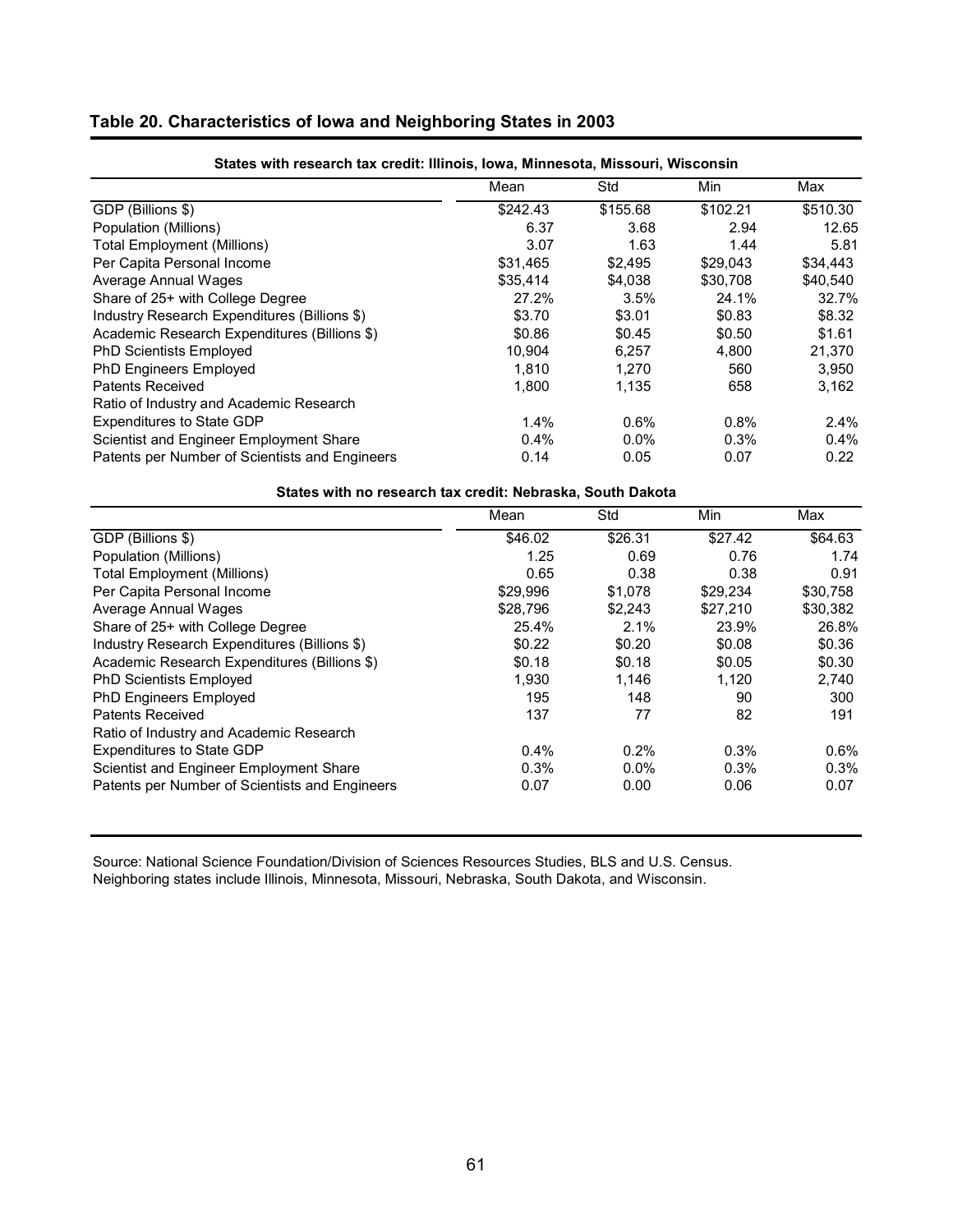| States with research tax credit: Illinois, Iowa, Minnesota, Missouri, Wisconsin |          |          |          |          |  |  |  |  |  |
|---------------------------------------------------------------------------------|----------|----------|----------|----------|--|--|--|--|--|
|                                                                                 | Mean     | Std      | Min      | Max      |  |  |  |  |  |
| GDP (Billions \$)                                                               | \$242.43 | \$155.68 | \$102.21 | \$510.30 |  |  |  |  |  |
| Population (Millions)                                                           | 6.37     | 3.68     | 2.94     | 12.65    |  |  |  |  |  |
| <b>Total Employment (Millions)</b>                                              | 3.07     | 1.63     | 1.44     | 5.81     |  |  |  |  |  |
| Per Capita Personal Income                                                      | \$31,465 | \$2.495  | \$29,043 | \$34,443 |  |  |  |  |  |
| Average Annual Wages                                                            | \$35,414 | \$4.038  | \$30,708 | \$40.540 |  |  |  |  |  |
| Share of 25+ with College Degree                                                | 27.2%    | 3.5%     | 24.1%    | 32.7%    |  |  |  |  |  |
| Industry Research Expenditures (Billions \$)                                    | \$3.70   | \$3.01   | \$0.83   | \$8.32   |  |  |  |  |  |
| Academic Research Expenditures (Billions \$)                                    | \$0.86   | \$0.45   | \$0.50   | \$1.61   |  |  |  |  |  |
| <b>PhD Scientists Employed</b>                                                  | 10,904   | 6,257    | 4,800    | 21,370   |  |  |  |  |  |
| <b>PhD Engineers Employed</b>                                                   | 1,810    | 1.270    | 560      | 3,950    |  |  |  |  |  |
| Patents Received                                                                | 1,800    | 1,135    | 658      | 3,162    |  |  |  |  |  |
| Ratio of Industry and Academic Research                                         |          |          |          |          |  |  |  |  |  |
| <b>Expenditures to State GDP</b>                                                | 1.4%     | 0.6%     | 0.8%     | 2.4%     |  |  |  |  |  |
| Scientist and Engineer Employment Share                                         | 0.4%     | $0.0\%$  | 0.3%     | $0.4\%$  |  |  |  |  |  |
| Patents per Number of Scientists and Engineers                                  | 0.14     | 0.05     | 0.07     | 0.22     |  |  |  |  |  |

| States with no research tax credit: Nebraska, South Dakota |  |  |  |  |  |
|------------------------------------------------------------|--|--|--|--|--|
|------------------------------------------------------------|--|--|--|--|--|

|                                                | Mean     | Std     | Min      | Max      |
|------------------------------------------------|----------|---------|----------|----------|
| GDP (Billions \$)                              | \$46.02  | \$26.31 | \$27.42  | \$64.63  |
| Population (Millions)                          | 1.25     | 0.69    | 0.76     | 1.74     |
| <b>Total Employment (Millions)</b>             | 0.65     | 0.38    | 0.38     | 0.91     |
| Per Capita Personal Income                     | \$29,996 | \$1,078 | \$29,234 | \$30,758 |
| Average Annual Wages                           | \$28,796 | \$2,243 | \$27,210 | \$30,382 |
| Share of 25+ with College Degree               | 25.4%    | 2.1%    | 23.9%    | 26.8%    |
| Industry Research Expenditures (Billions \$)   | \$0.22   | \$0.20  | \$0.08   | \$0.36   |
| Academic Research Expenditures (Billions \$)   | \$0.18   | \$0.18  | \$0.05   | \$0.30   |
| <b>PhD Scientists Employed</b>                 | 1,930    | 1,146   | 1,120    | 2,740    |
| <b>PhD Engineers Employed</b>                  | 195      | 148     | 90       | 300      |
| Patents Received                               | 137      | 77      | 82       | 191      |
| Ratio of Industry and Academic Research        |          |         |          |          |
| <b>Expenditures to State GDP</b>               | $0.4\%$  | 0.2%    | 0.3%     | $0.6\%$  |
| Scientist and Engineer Employment Share        | 0.3%     | $0.0\%$ | 0.3%     | 0.3%     |
| Patents per Number of Scientists and Engineers | 0.07     | 0.00    | 0.06     | 0.07     |

Source: National Science Foundation/Division of Sciences Resources Studies, BLS and U.S. Census. Neighboring states include Illinois, Minnesota, Missouri, Nebraska, South Dakota, and Wisconsin.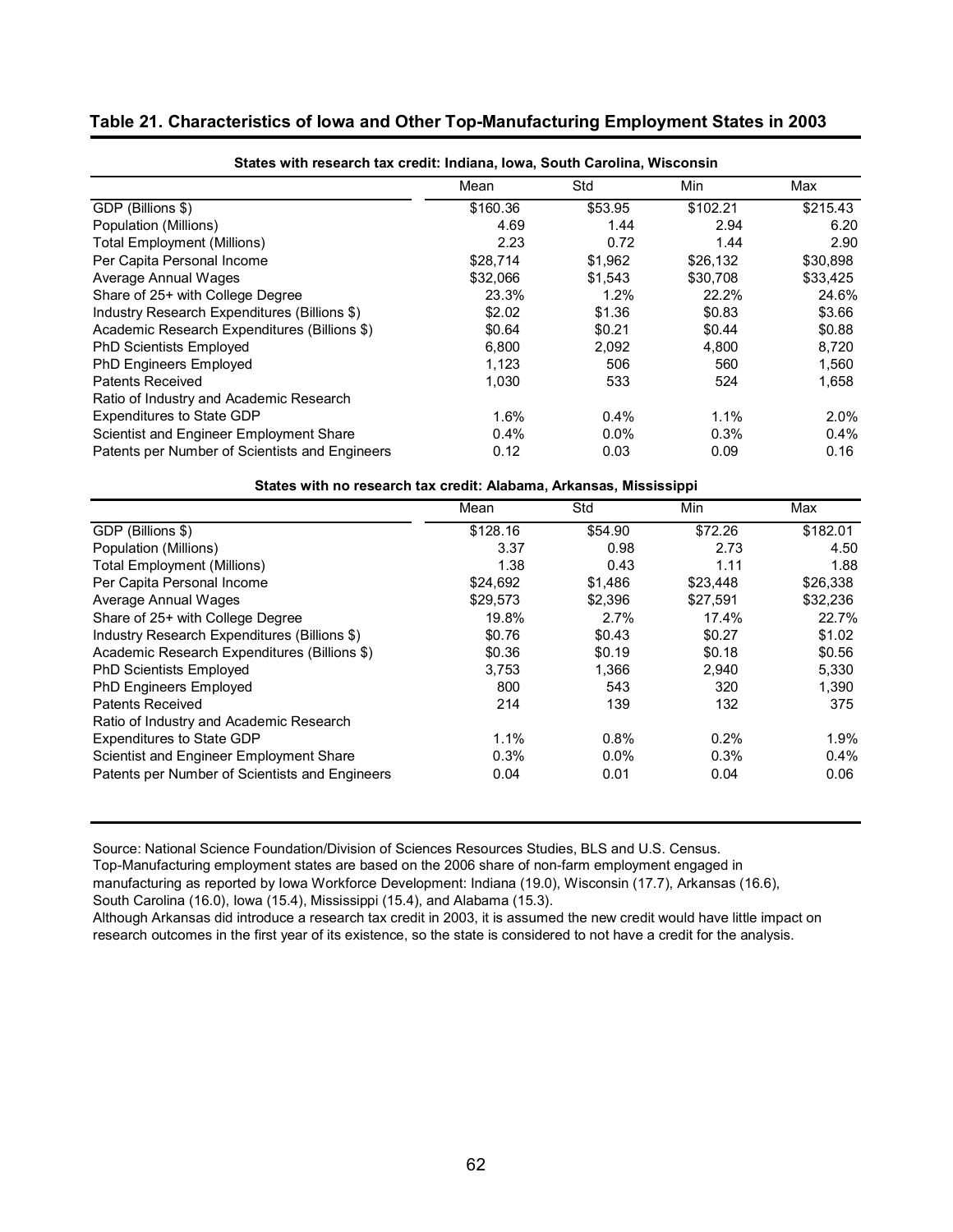## **Table 21. Characteristics of Iowa and Other Top-Manufacturing Employment States in 2003**

| States with research tax credit: Indiana, Iowa, South Carolina, Wisconsin |          |         |          |          |  |  |  |  |
|---------------------------------------------------------------------------|----------|---------|----------|----------|--|--|--|--|
|                                                                           | Mean     | Std     | Min      | Max      |  |  |  |  |
| GDP (Billions \$)                                                         | \$160.36 | \$53.95 | \$102.21 | \$215.43 |  |  |  |  |
| Population (Millions)                                                     | 4.69     | 1.44    | 2.94     | 6.20     |  |  |  |  |
| Total Employment (Millions)                                               | 2.23     | 0.72    | 1.44     | 2.90     |  |  |  |  |
| Per Capita Personal Income                                                | \$28,714 | \$1,962 | \$26,132 | \$30,898 |  |  |  |  |
| Average Annual Wages                                                      | \$32,066 | \$1,543 | \$30,708 | \$33,425 |  |  |  |  |
| Share of 25+ with College Degree                                          | 23.3%    | 1.2%    | 22.2%    | 24.6%    |  |  |  |  |
| Industry Research Expenditures (Billions \$)                              | \$2.02   | \$1.36  | \$0.83   | \$3.66   |  |  |  |  |
| Academic Research Expenditures (Billions \$)                              | \$0.64   | \$0.21  | \$0.44   | \$0.88   |  |  |  |  |
| <b>PhD Scientists Employed</b>                                            | 6.800    | 2.092   | 4.800    | 8,720    |  |  |  |  |
| PhD Engineers Employed                                                    | 1,123    | 506     | 560      | 1,560    |  |  |  |  |
| Patents Received                                                          | 1,030    | 533     | 524      | 1,658    |  |  |  |  |
| Ratio of Industry and Academic Research                                   |          |         |          |          |  |  |  |  |
| <b>Expenditures to State GDP</b>                                          | 1.6%     | 0.4%    | 1.1%     | $2.0\%$  |  |  |  |  |
| Scientist and Engineer Employment Share                                   | 0.4%     | $0.0\%$ | 0.3%     | $0.4\%$  |  |  |  |  |
| Patents per Number of Scientists and Engineers                            | 0.12     | 0.03    | 0.09     | 0.16     |  |  |  |  |

### **States with no research tax credit: Alabama, Arkansas, Mississippi**

|                                                | Mean     | Std     | Min      | Max      |
|------------------------------------------------|----------|---------|----------|----------|
| GDP (Billions \$)                              | \$128.16 | \$54.90 | \$72.26  | \$182.01 |
| Population (Millions)                          | 3.37     | 0.98    | 2.73     | 4.50     |
| <b>Total Employment (Millions)</b>             | 1.38     | 0.43    | 1.11     | 1.88     |
| Per Capita Personal Income                     | \$24.692 | \$1.486 | \$23.448 | \$26,338 |
| Average Annual Wages                           | \$29,573 | \$2,396 | \$27,591 | \$32,236 |
| Share of 25+ with College Degree               | 19.8%    | 2.7%    | 17.4%    | 22.7%    |
| Industry Research Expenditures (Billions \$)   | \$0.76   | \$0.43  | \$0.27   | \$1.02   |
| Academic Research Expenditures (Billions \$)   | \$0.36   | \$0.19  | \$0.18   | \$0.56   |
| <b>PhD Scientists Employed</b>                 | 3,753    | 1,366   | 2,940    | 5,330    |
| <b>PhD Engineers Employed</b>                  | 800      | 543     | 320      | 1.390    |
| Patents Received                               | 214      | 139     | 132      | 375      |
| Ratio of Industry and Academic Research        |          |         |          |          |
| <b>Expenditures to State GDP</b>               | 1.1%     | 0.8%    | 0.2%     | 1.9%     |
| Scientist and Engineer Employment Share        | $0.3\%$  | $0.0\%$ | 0.3%     | $0.4\%$  |
| Patents per Number of Scientists and Engineers | 0.04     | 0.01    | 0.04     | 0.06     |

Source: National Science Foundation/Division of Sciences Resources Studies, BLS and U.S. Census.

Top-Manufacturing employment states are based on the 2006 share of non-farm employment engaged in

manufacturing as reported by Iowa Workforce Development: Indiana (19.0), Wisconsin (17.7), Arkansas (16.6),

South Carolina (16.0), Iowa (15.4), Mississippi (15.4), and Alabama (15.3).

Although Arkansas did introduce a research tax credit in 2003, it is assumed the new credit would have little impact on research outcomes in the first year of its existence, so the state is considered to not have a credit for the analysis.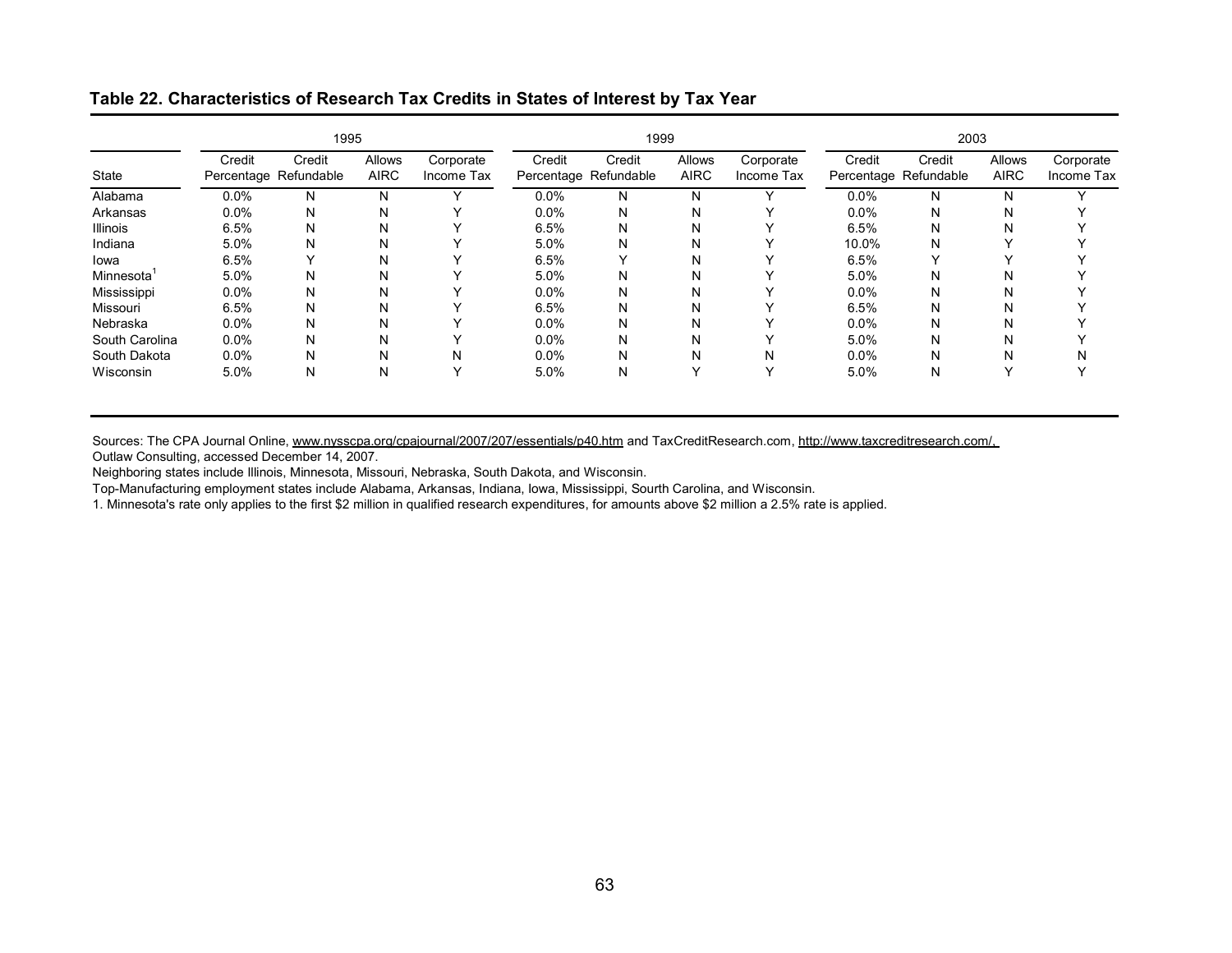## **Table 22. Characteristics of Research Tax Credits in States of Interest by Tax Year**

|                 |                                 | 1995   |                       |                         |         | 1999                            |                       |                         |         | 2003                            |                       |                         |
|-----------------|---------------------------------|--------|-----------------------|-------------------------|---------|---------------------------------|-----------------------|-------------------------|---------|---------------------------------|-----------------------|-------------------------|
| State           | Credit<br>Percentage Refundable | Credit | Allows<br><b>AIRC</b> | Corporate<br>Income Tax | Credit  | Credit<br>Percentage Refundable | Allows<br><b>AIRC</b> | Corporate<br>Income Tax | Credit  | Credit<br>Percentage Refundable | Allows<br><b>AIRC</b> | Corporate<br>Income Tax |
| Alabama         | 0.0%                            | N      | N                     |                         | $0.0\%$ | N                               | N                     |                         | $0.0\%$ | N                               | N                     |                         |
| Arkansas        | 0.0%                            | N      | N                     |                         | $0.0\%$ | N                               | Ν                     |                         | $0.0\%$ | N                               | N                     |                         |
| <b>Illinois</b> | 6.5%                            | N      | N                     |                         | 6.5%    | N                               | N                     |                         | 6.5%    | N                               | N                     |                         |
| Indiana         | 5.0%                            | N      | N                     |                         | 5.0%    | N                               | N                     |                         | 10.0%   | N                               |                       |                         |
| lowa            | 6.5%                            |        | N                     |                         | 6.5%    |                                 | Ν                     |                         | 6.5%    |                                 |                       |                         |
| Minnesota       | 5.0%                            | N      | N                     |                         | 5.0%    | N                               | Ν                     |                         | 5.0%    | N                               | N                     |                         |
| Mississippi     | 0.0%                            | N      | N                     |                         | $0.0\%$ | N                               | N                     |                         | 0.0%    | N                               | N                     |                         |
| Missouri        | 6.5%                            | N      | N                     |                         | 6.5%    | N                               | Ν                     |                         | 6.5%    | N                               | N                     |                         |
| Nebraska        | 0.0%                            | N      | N                     |                         | $0.0\%$ | N                               | Ν                     |                         | 0.0%    | N                               | N                     |                         |
| South Carolina  | 0.0%                            | Ν      | N                     |                         | $0.0\%$ | N                               | Ν                     |                         | 5.0%    | N                               | N                     |                         |
| South Dakota    | 0.0%                            | N      | N                     | N                       | $0.0\%$ | N                               | N                     | N                       | $0.0\%$ | N                               | N                     | N                       |
| Wisconsin       | 5.0%                            | Ν      | N                     |                         | 5.0%    | N                               | v                     |                         | 5.0%    | N                               |                       |                         |

Sources: The CPA Journal Online, www.nysscpa.org/cpajournal/2007/207/essentials/p40.htm and TaxCreditResearch.com, http://www.taxcreditresearch.com/, Outlaw Consulting, accessed December 14, 2007.

Neighboring states include Illinois, Minnesota, Missouri, Nebraska, South Dakota, and Wisconsin.

Top-Manufacturing employment states include Alabama, Arkansas, Indiana, Iowa, Mississippi, Sourth Carolina, and Wisconsin.

1. Minnesota's rate only applies to the first \$2 million in qualified research expenditures, for amounts above \$2 million a 2.5% rate is applied.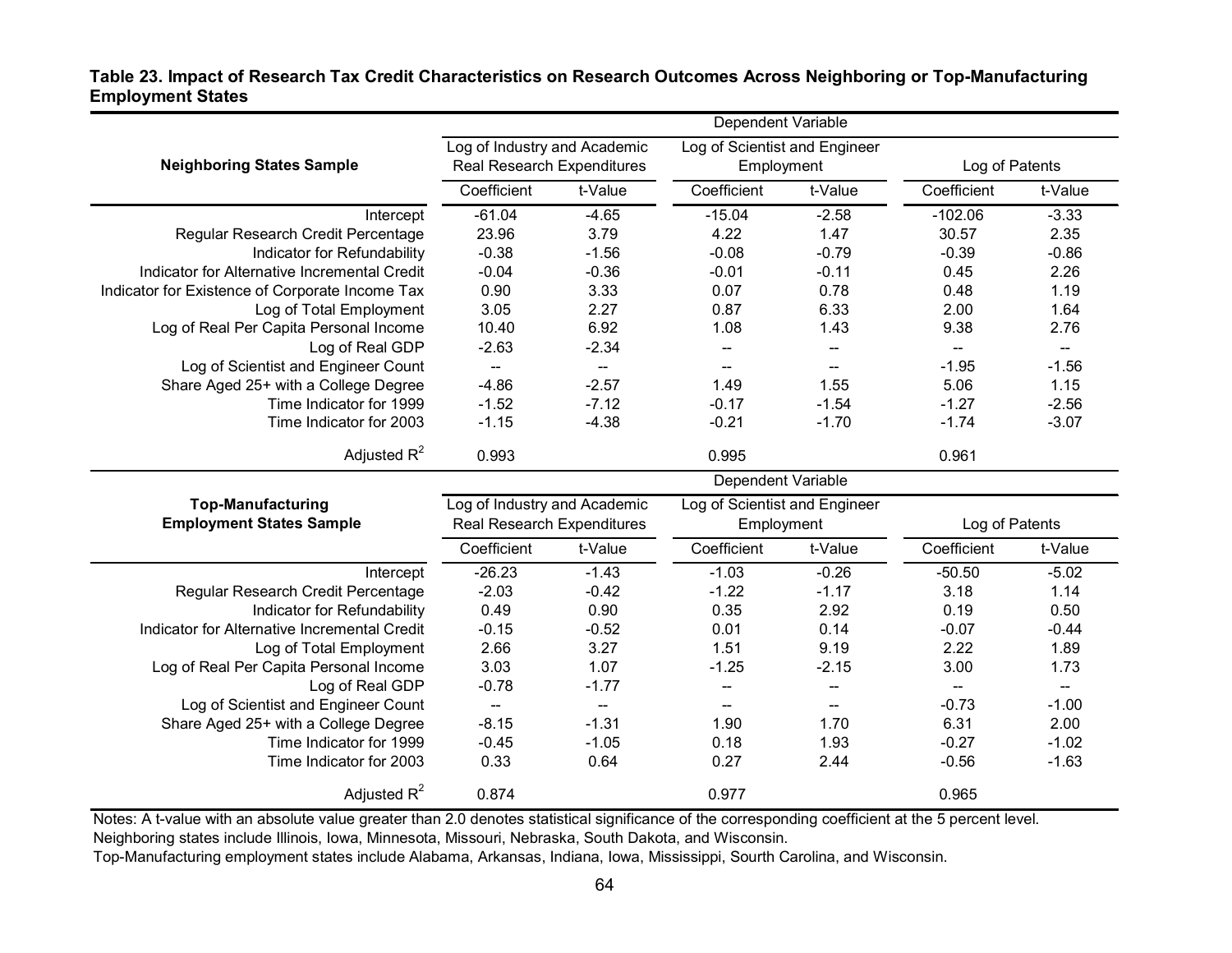## **Table 23. Impact of Research Tax Credit Characteristics on Research Outcomes Across Neighboring or Top-Manufacturing Employment States**

|                                                 | Dependent Variable                                                |                          |                                             |                          |                          |                                                     |  |
|-------------------------------------------------|-------------------------------------------------------------------|--------------------------|---------------------------------------------|--------------------------|--------------------------|-----------------------------------------------------|--|
| <b>Neighboring States Sample</b>                | Log of Industry and Academic<br><b>Real Research Expenditures</b> |                          | Log of Scientist and Engineer<br>Employment |                          | Log of Patents           |                                                     |  |
|                                                 | Coefficient                                                       | t-Value                  | t-Value<br>Coefficient                      |                          | Coefficient              | t-Value                                             |  |
| Intercept                                       | $-61.04$                                                          | $-4.65$                  | $-15.04$                                    | $-2.58$                  | $-102.06$                | $-3.33$                                             |  |
| Regular Research Credit Percentage              | 23.96                                                             | 3.79                     | 4.22                                        | 1.47                     | 30.57                    | 2.35                                                |  |
| Indicator for Refundability                     | $-0.38$                                                           | $-1.56$                  | $-0.08$                                     | $-0.79$                  | $-0.39$                  | $-0.86$                                             |  |
| Indicator for Alternative Incremental Credit    | $-0.04$                                                           | $-0.36$                  | $-0.01$                                     | $-0.11$                  | 0.45                     | 2.26                                                |  |
| Indicator for Existence of Corporate Income Tax | 0.90                                                              | 3.33                     | 0.07                                        | 0.78                     | 0.48                     | 1.19                                                |  |
| Log of Total Employment                         | 3.05                                                              | 2.27                     | 0.87                                        | 6.33                     | 2.00                     | 1.64                                                |  |
| Log of Real Per Capita Personal Income          | 10.40                                                             | 6.92                     | 1.08                                        | 1.43                     | 9.38                     | 2.76                                                |  |
| Log of Real GDP                                 | $-2.63$                                                           | $-2.34$                  |                                             |                          |                          | $\hspace{0.05cm} -\hspace{0.05cm} -\hspace{0.05cm}$ |  |
| Log of Scientist and Engineer Count             |                                                                   |                          |                                             |                          | $-1.95$                  | $-1.56$                                             |  |
| Share Aged 25+ with a College Degree            | $-4.86$                                                           | $-2.57$                  | 1.49                                        | 1.55                     | 5.06                     | 1.15                                                |  |
| Time Indicator for 1999                         | $-1.52$                                                           | $-7.12$                  | $-0.17$                                     | $-1.54$                  | $-1.27$                  | $-2.56$                                             |  |
| Time Indicator for 2003                         | $-1.15$                                                           | $-4.38$                  | $-0.21$                                     | $-1.70$                  | $-1.74$                  | $-3.07$                                             |  |
| Adjusted $R^2$                                  | 0.993                                                             |                          | 0.995                                       |                          | 0.961                    |                                                     |  |
|                                                 |                                                                   |                          | Dependent Variable                          |                          |                          |                                                     |  |
| <b>Top-Manufacturing</b>                        | Log of Industry and Academic                                      |                          | Log of Scientist and Engineer               |                          |                          |                                                     |  |
| <b>Employment States Sample</b>                 | <b>Real Research Expenditures</b>                                 |                          | Employment                                  |                          | Log of Patents           |                                                     |  |
|                                                 | Coefficient                                                       | t-Value                  | Coefficient                                 | t-Value                  | Coefficient              | t-Value                                             |  |
| Intercept                                       | $-26.23$                                                          | $-1.43$                  | $-1.03$                                     | $-0.26$                  | $-50.50$                 | $-5.02$                                             |  |
| Regular Research Credit Percentage              | $-2.03$                                                           | $-0.42$                  | $-1.22$                                     | $-1.17$                  | 3.18                     | 1.14                                                |  |
| Indicator for Refundability                     | 0.49                                                              | 0.90                     | 0.35                                        | 2.92                     | 0.19                     | 0.50                                                |  |
| Indicator for Alternative Incremental Credit    | $-0.15$                                                           | $-0.52$                  | 0.01                                        | 0.14                     | $-0.07$                  | $-0.44$                                             |  |
| Log of Total Employment                         | 2.66                                                              | 3.27                     | 1.51                                        | 9.19                     | 2.22                     | 1.89                                                |  |
| Log of Real Per Capita Personal Income          | 3.03                                                              | 1.07                     | $-1.25$                                     | $-2.15$                  | 3.00                     | 1.73                                                |  |
| Log of Real GDP                                 | $-0.78$                                                           | $-1.77$                  | --                                          | --                       | $\overline{\phantom{a}}$ | $\hspace{0.05cm} -\hspace{0.05cm} -\hspace{0.05cm}$ |  |
| Log of Scientist and Engineer Count             | $\overline{\phantom{a}}$                                          | $\overline{\phantom{a}}$ | $\overline{\phantom{a}}$                    | $\overline{\phantom{a}}$ | $-0.73$                  | $-1.00$                                             |  |
| Share Aged 25+ with a College Degree            | $-8.15$                                                           | $-1.31$                  | 1.90                                        | 1.70                     | 6.31                     | 2.00                                                |  |
| Time Indicator for 1999                         | $-0.45$                                                           | $-1.05$                  | 0.18                                        | 1.93                     | $-0.27$                  | $-1.02$                                             |  |
| Time Indicator for 2003                         | 0.33                                                              | 0.64                     | 0.27                                        | 2.44                     | $-0.56$                  | $-1.63$                                             |  |
| Adjusted $R^2$                                  | 0.874                                                             |                          | 0.977                                       |                          | 0.965                    |                                                     |  |

Notes: A t-value with an absolute value greater than 2.0 denotes statistical significance of the corresponding coefficient at the 5 percent level. Neighboring states include Illinois, Iowa, Minnesota, Missouri, Nebraska, South Dakota, and Wisconsin.

Top-Manufacturing employment states include Alabama, Arkansas, Indiana, Iowa, Mississippi, Sourth Carolina, and Wisconsin.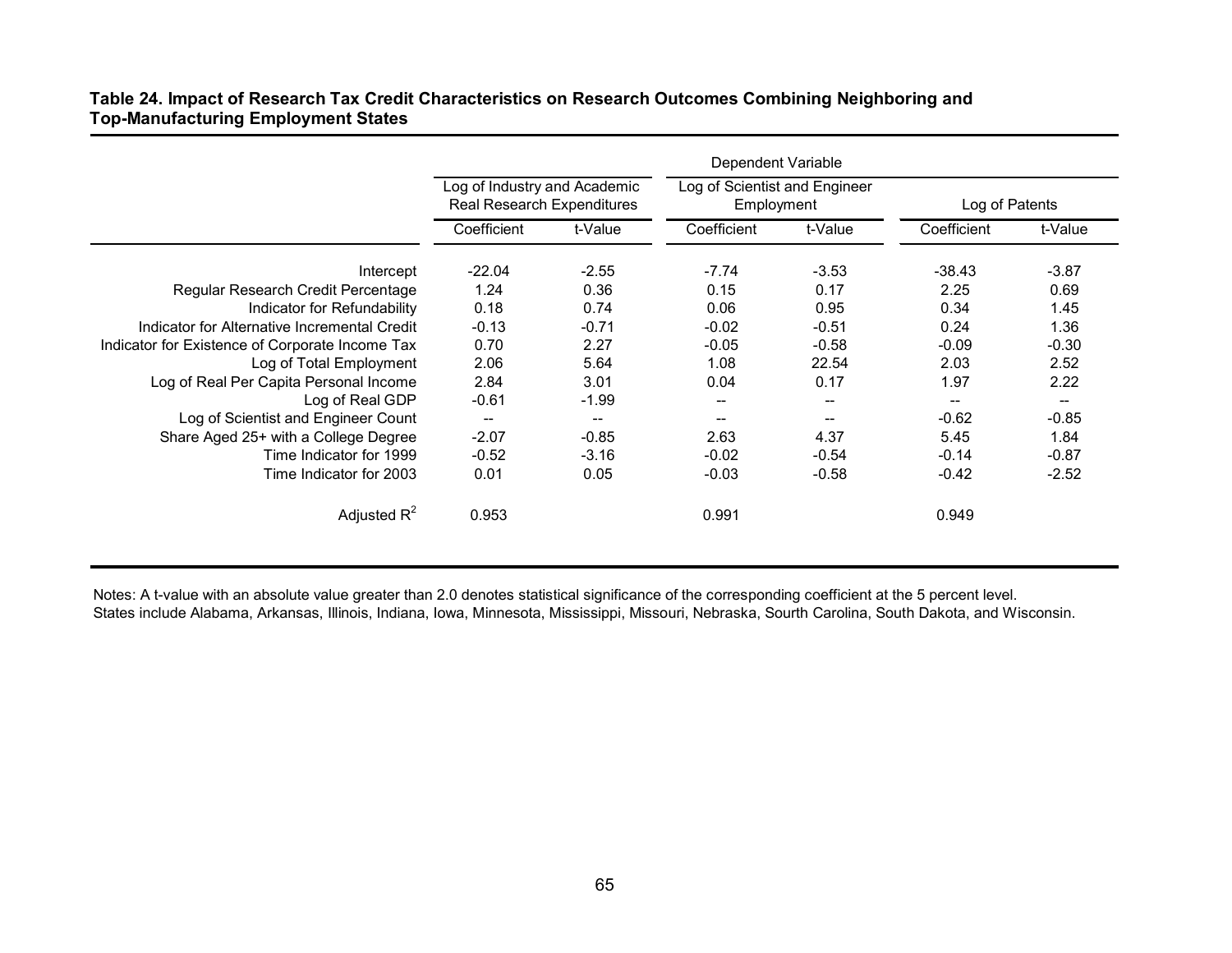|                                                 |                                                            |         | Dependent Variable                          |         |                   |                          |
|-------------------------------------------------|------------------------------------------------------------|---------|---------------------------------------------|---------|-------------------|--------------------------|
|                                                 | Log of Industry and Academic<br>Real Research Expenditures |         | Log of Scientist and Engineer<br>Employment |         | Log of Patents    |                          |
|                                                 | Coefficient                                                | t-Value | Coefficient                                 | t-Value | Coefficient       | t-Value                  |
| Intercept                                       | $-22.04$                                                   | $-2.55$ | $-7.74$                                     | $-3.53$ | $-38.43$          | $-3.87$                  |
| Regular Research Credit Percentage              | 1.24                                                       | 0.36    | 0.15                                        | 0.17    | 2.25              | 0.69                     |
| Indicator for Refundability                     | 0.18                                                       | 0.74    | 0.06                                        | 0.95    | 0.34              | 1.45                     |
| Indicator for Alternative Incremental Credit    | $-0.13$                                                    | $-0.71$ | $-0.02$                                     | $-0.51$ | 0.24              | 1.36                     |
| Indicator for Existence of Corporate Income Tax | 0.70                                                       | 2.27    | $-0.05$                                     | $-0.58$ | $-0.09$           | $-0.30$                  |
| Log of Total Employment                         | 2.06                                                       | 5.64    | 1.08                                        | 22.54   | 2.03              | 2.52                     |
| Log of Real Per Capita Personal Income          | 2.84                                                       | 3.01    | 0.04                                        | 0.17    | 1.97              | 2.22                     |
| Log of Real GDP                                 | $-0.61$                                                    | $-1.99$ |                                             |         | $\qquad \qquad -$ | $\overline{\phantom{a}}$ |
| Log of Scientist and Engineer Count             | $\overline{\phantom{a}}$                                   | $- -$   | --                                          |         | $-0.62$           | $-0.85$                  |
| Share Aged 25+ with a College Degree            | $-2.07$                                                    | $-0.85$ | 2.63                                        | 4.37    | 5.45              | 1.84                     |
| Time Indicator for 1999                         | $-0.52$                                                    | $-3.16$ | $-0.02$                                     | $-0.54$ | $-0.14$           | $-0.87$                  |
| Time Indicator for 2003                         | 0.01                                                       | 0.05    | $-0.03$                                     | $-0.58$ | $-0.42$           | $-2.52$                  |
| Adjusted $R^2$                                  | 0.953                                                      |         | 0.991                                       |         | 0.949             |                          |

## **Table 24. Impact of Research Tax Credit Characteristics on Research Outcomes Combining Neighboring and Top-Manufacturing Employment States**

Notes: A t-value with an absolute value greater than 2.0 denotes statistical significance of the corresponding coefficient at the 5 percent level. States include Alabama, Arkansas, Illinois, Indiana, Iowa, Minnesota, Mississippi, Missouri, Nebraska, Sourth Carolina, South Dakota, and Wisconsin.